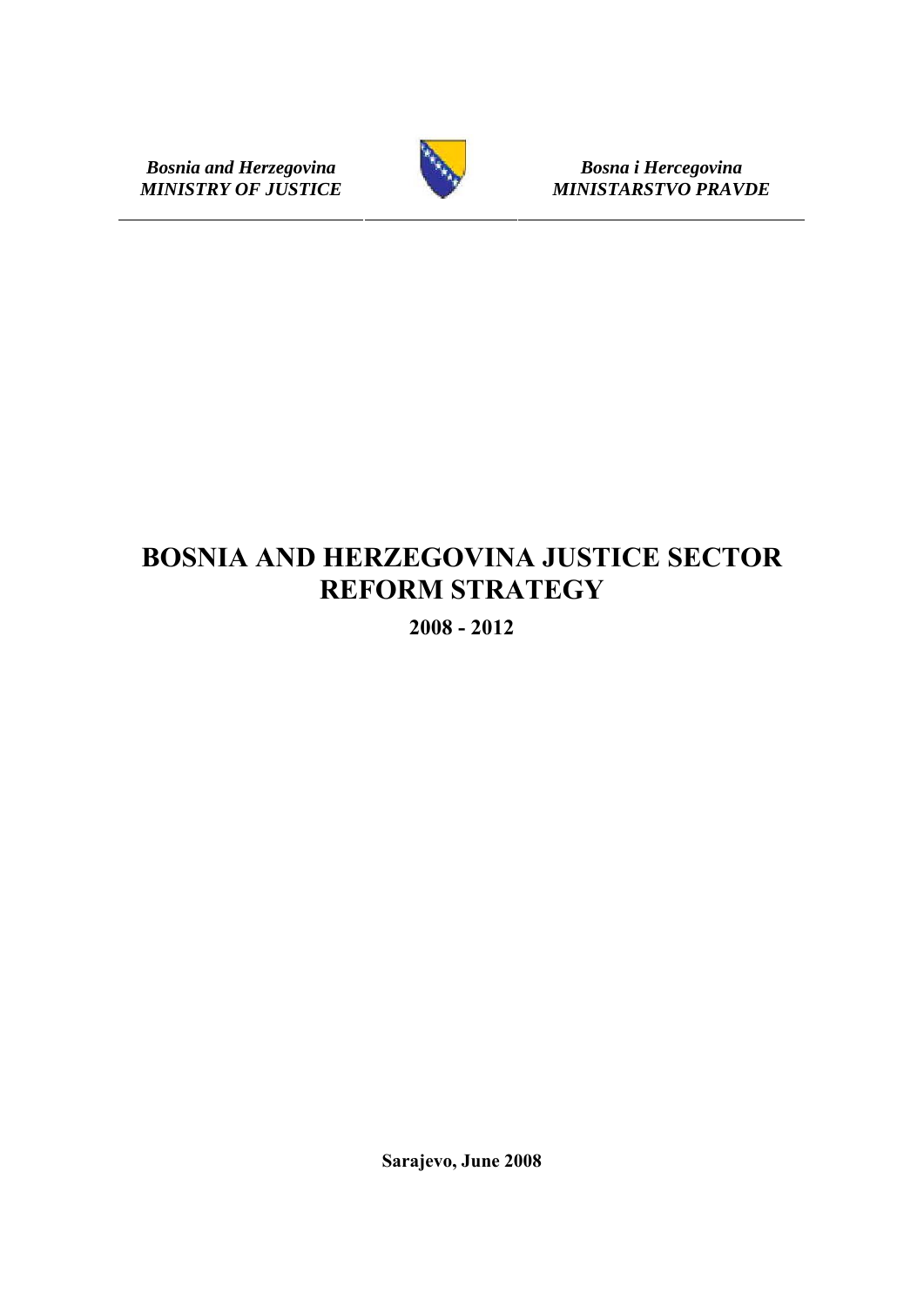**Bosnia and Herzegovina Bosna i Hercegovina Bosna i Hercegovina Bosna i Hercegovina Bosna i Hercegovina** 



 $MINISTARSTVO PRAVDE$ 

# **BOSNIA AND HERZEGOVINA JUSTICE SECTOR REFORM STRATEGY**

**2008 - 2012** 

**Sarajevo, June 2008**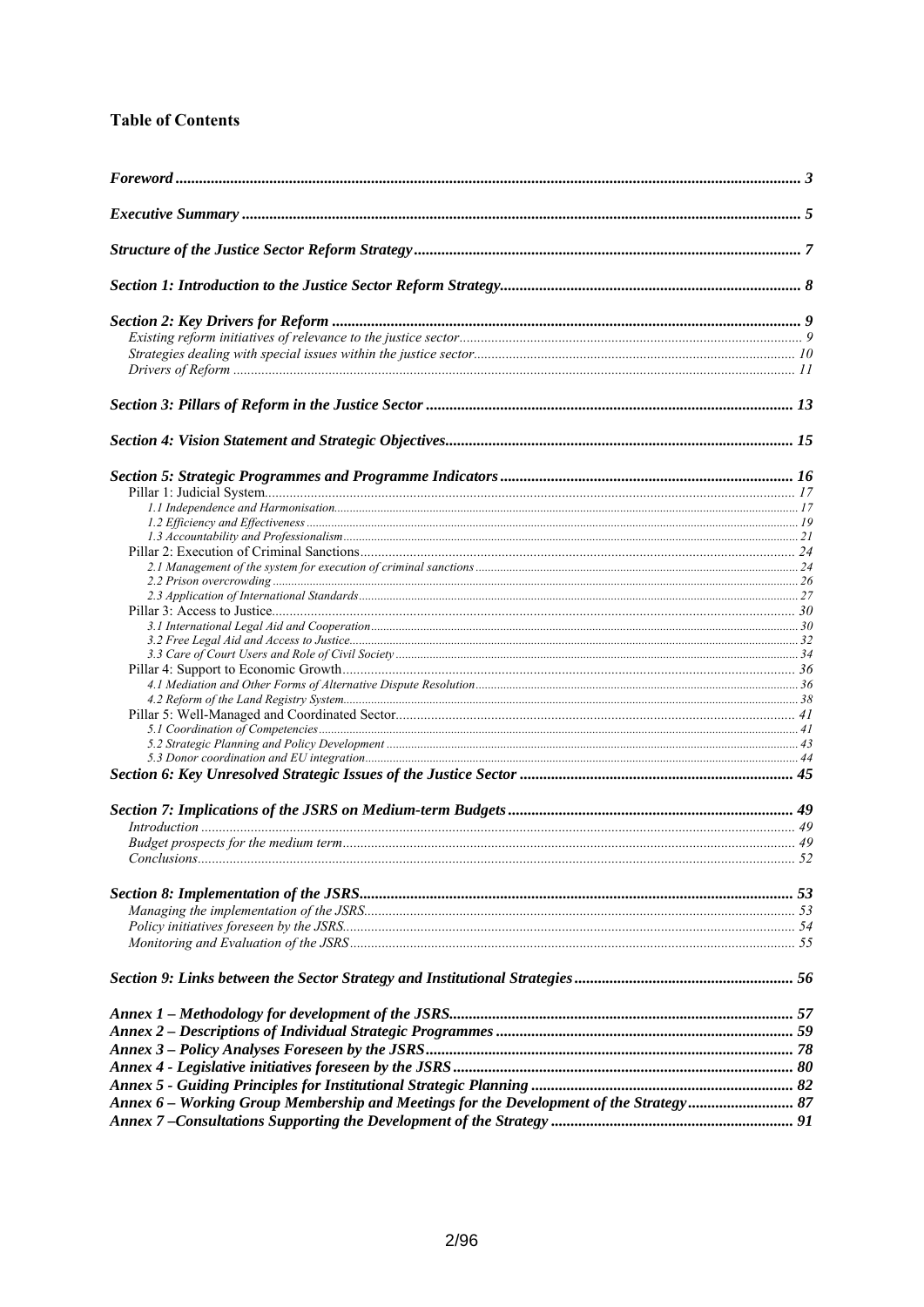# **Table of Contents**

| Annex 6 - Working Group Membership and Meetings for the Development of the Strategy 87 |  |
|----------------------------------------------------------------------------------------|--|
|                                                                                        |  |
|                                                                                        |  |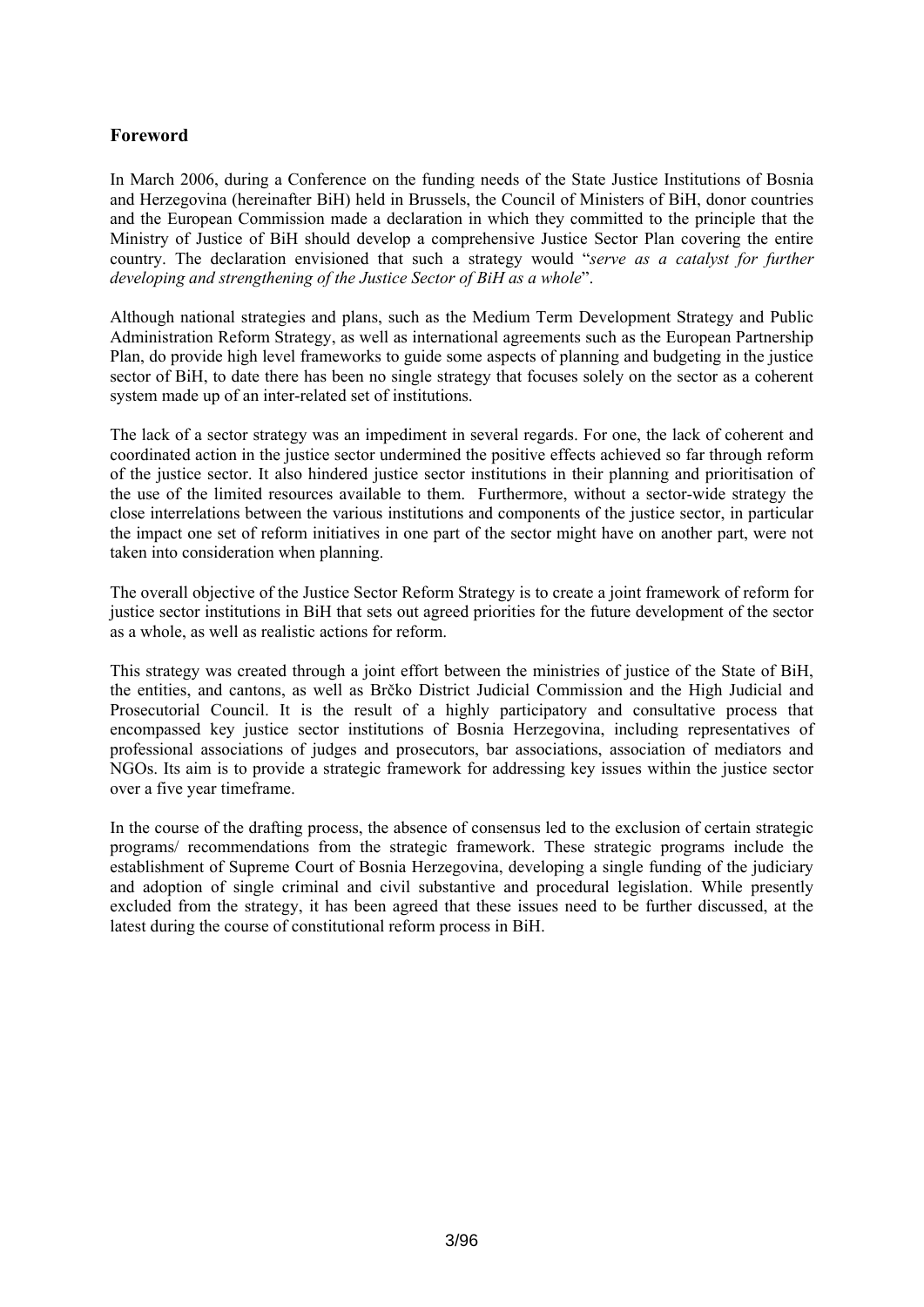# <span id="page-2-0"></span>**Foreword**

In March 2006, during a Conference on the funding needs of the State Justice Institutions of Bosnia and Herzegovina (hereinafter BiH) held in Brussels, the Council of Ministers of BiH, donor countries and the European Commission made a declaration in which they committed to the principle that the Ministry of Justice of BiH should develop a comprehensive Justice Sector Plan covering the entire country. The declaration envisioned that such a strategy would "*serve as a catalyst for further developing and strengthening of the Justice Sector of BiH as a whole*".

Although national strategies and plans, such as the Medium Term Development Strategy and Public Administration Reform Strategy, as well as international agreements such as the European Partnership Plan, do provide high level frameworks to guide some aspects of planning and budgeting in the justice sector of BiH, to date there has been no single strategy that focuses solely on the sector as a coherent system made up of an inter-related set of institutions.

The lack of a sector strategy was an impediment in several regards. For one, the lack of coherent and coordinated action in the justice sector undermined the positive effects achieved so far through reform of the justice sector. It also hindered justice sector institutions in their planning and prioritisation of the use of the limited resources available to them. Furthermore, without a sector-wide strategy the close interrelations between the various institutions and components of the justice sector, in particular the impact one set of reform initiatives in one part of the sector might have on another part, were not taken into consideration when planning.

The overall objective of the Justice Sector Reform Strategy is to create a joint framework of reform for justice sector institutions in BiH that sets out agreed priorities for the future development of the sector as a whole, as well as realistic actions for reform.

This strategy was created through a joint effort between the ministries of justice of the State of BiH, the entities, and cantons, as well as Brčko District Judicial Commission and the High Judicial and Prosecutorial Council. It is the result of a highly participatory and consultative process that encompassed key justice sector institutions of Bosnia Herzegovina, including representatives of professional associations of judges and prosecutors, bar associations, association of mediators and NGOs. Its aim is to provide a strategic framework for addressing key issues within the justice sector over a five year timeframe.

In the course of the drafting process, the absence of consensus led to the exclusion of certain strategic programs/ recommendations from the strategic framework. These strategic programs include the establishment of Supreme Court of Bosnia Herzegovina, developing a single funding of the judiciary and adoption of single criminal and civil substantive and procedural legislation. While presently excluded from the strategy, it has been agreed that these issues need to be further discussed, at the latest during the course of constitutional reform process in BiH.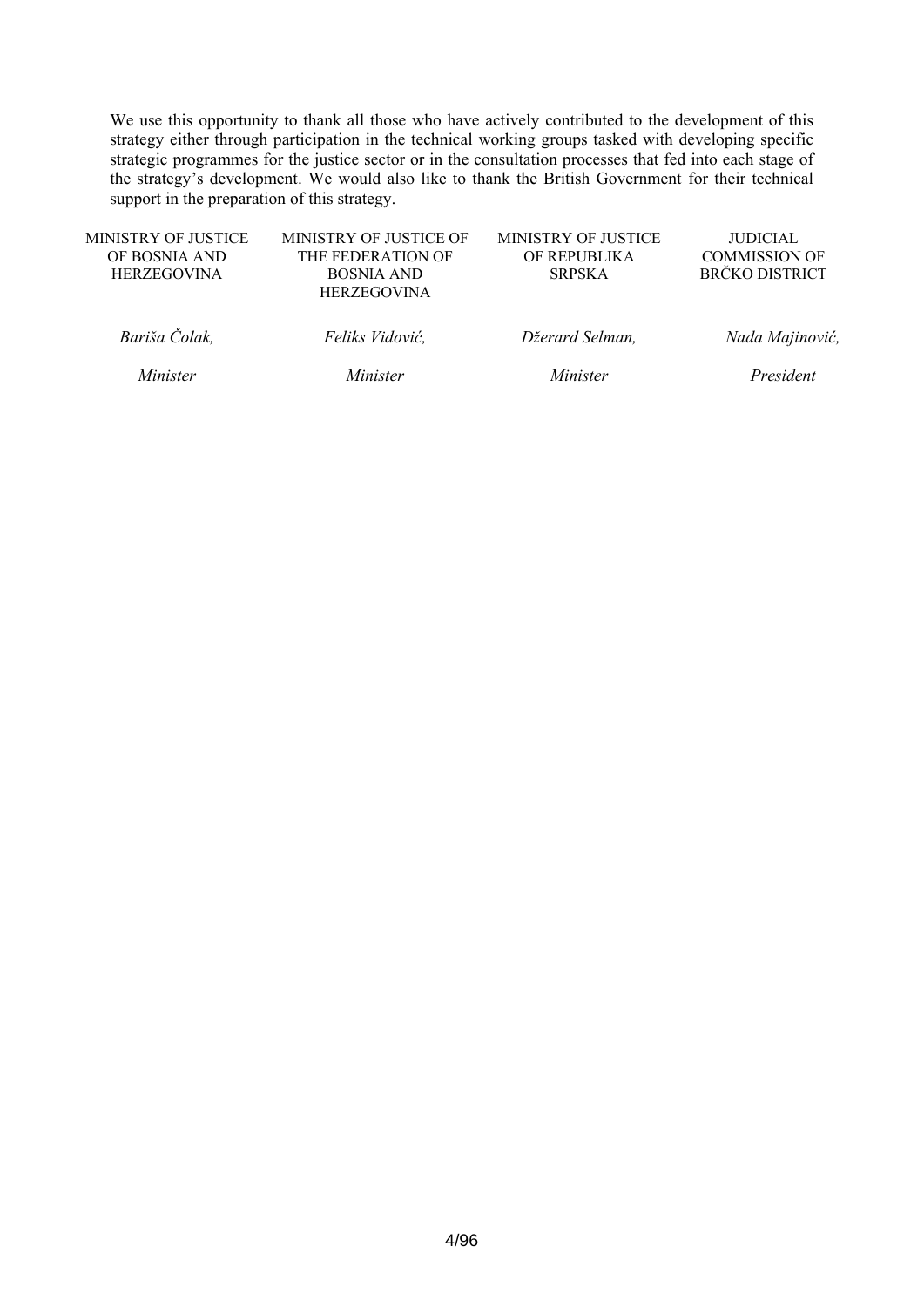We use this opportunity to thank all those who have actively contributed to the development of this strategy either through participation in the technical working groups tasked with developing specific strategic programmes for the justice sector or in the consultation processes that fed into each stage of the strategy's development. We would also like to thank the British Government for their technical support in the preparation of this strategy.

| MINISTRY OF JUSTICE | MINISTRY OF JUSTICE OF | MINISTRY OF JUSTICE | <b>JUDICIAL</b>       |
|---------------------|------------------------|---------------------|-----------------------|
| OF BOSNIA AND       | THE FEDERATION OF      | OF REPUBLIKA        | <b>COMMISSION OF</b>  |
| <b>HERZEGOVINA</b>  | <b>BOSNIA AND</b>      | <b>SRPSKA</b>       | <b>BRČKO DISTRICT</b> |
|                     | <b>HERZEGOVINA</b>     |                     |                       |
|                     |                        |                     |                       |
| Bariša Čolak,       | Feliks Vidović,        | Džerard Selman,     | Nada Majinović,       |
|                     |                        |                     |                       |
|                     |                        |                     |                       |
| Minister            | Minister               | Minister            | President             |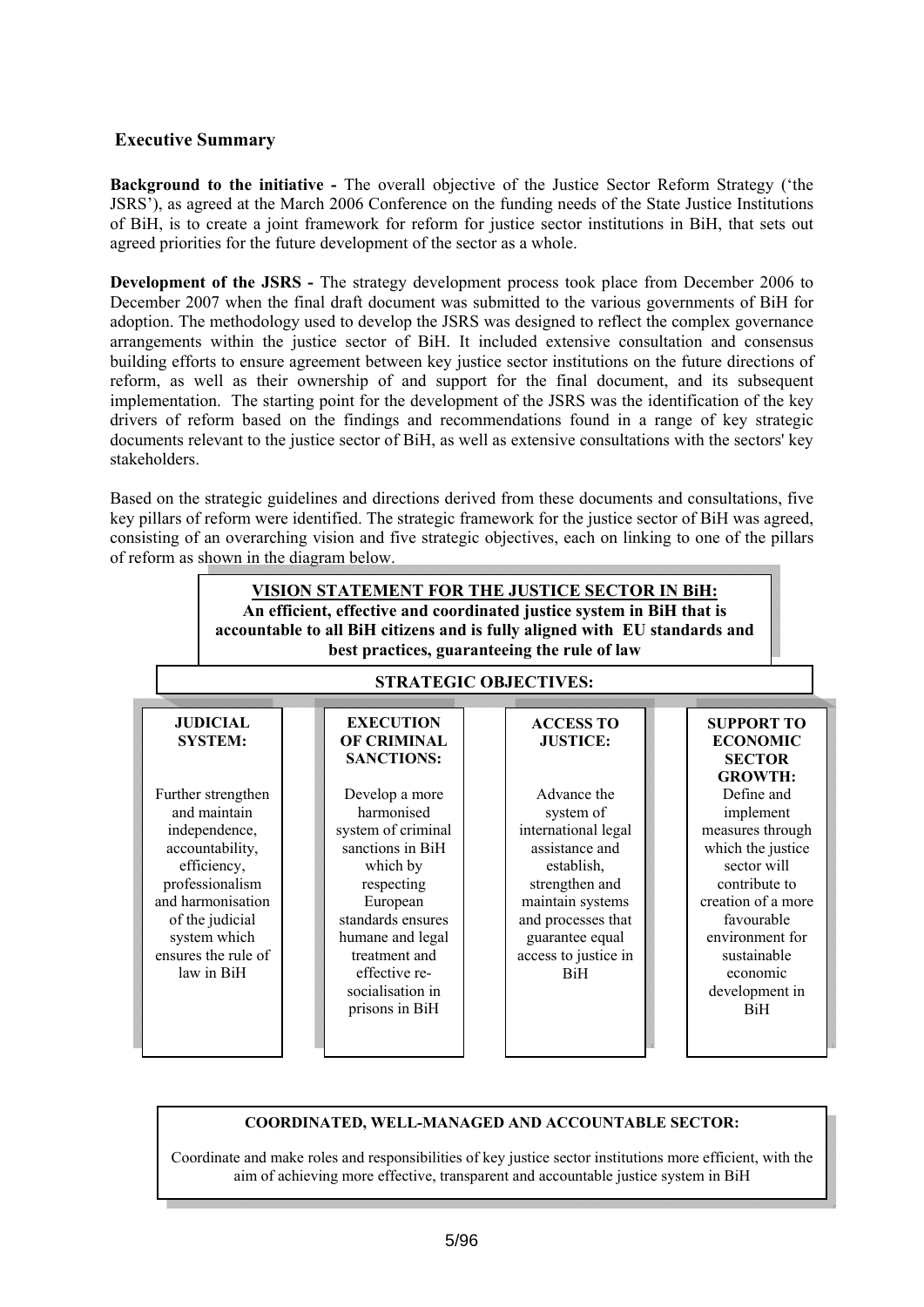# <span id="page-4-0"></span>**Executive Summary**

**Background to the initiative -** The overall objective of the Justice Sector Reform Strategy ('the JSRS'), as agreed at the March 2006 Conference on the funding needs of the State Justice Institutions of BiH, is to create a joint framework for reform for justice sector institutions in BiH, that sets out agreed priorities for the future development of the sector as a whole.

**Development of the JSRS** - The strategy development process took place from December 2006 to December 2007 when the final draft document was submitted to the various governments of BiH for adoption. The methodology used to develop the JSRS was designed to reflect the complex governance arrangements within the justice sector of BiH. It included extensive consultation and consensus building efforts to ensure agreement between key justice sector institutions on the future directions of reform, as well as their ownership of and support for the final document, and its subsequent implementation. The starting point for the development of the JSRS was the identification of the key drivers of reform based on the findings and recommendations found in a range of key strategic documents relevant to the justice sector of BiH, as well as extensive consultations with the sectors' key stakeholders.

Based on the strategic guidelines and directions derived from these documents and consultations, five key pillars of reform were identified. The strategic framework for the justice sector of BiH was agreed, consisting of an overarching vision and five strategic objectives, each on linking to one of the pillars of reform as shown in the diagram below.



#### **COORDINATED, WELL-MANAGED AND ACCOUNTABLE SECTOR:**

Coordinate and make roles and responsibilities of key justice sector institutions more efficient, with the aim of achieving more effective, transparent and accountable justice system in BiH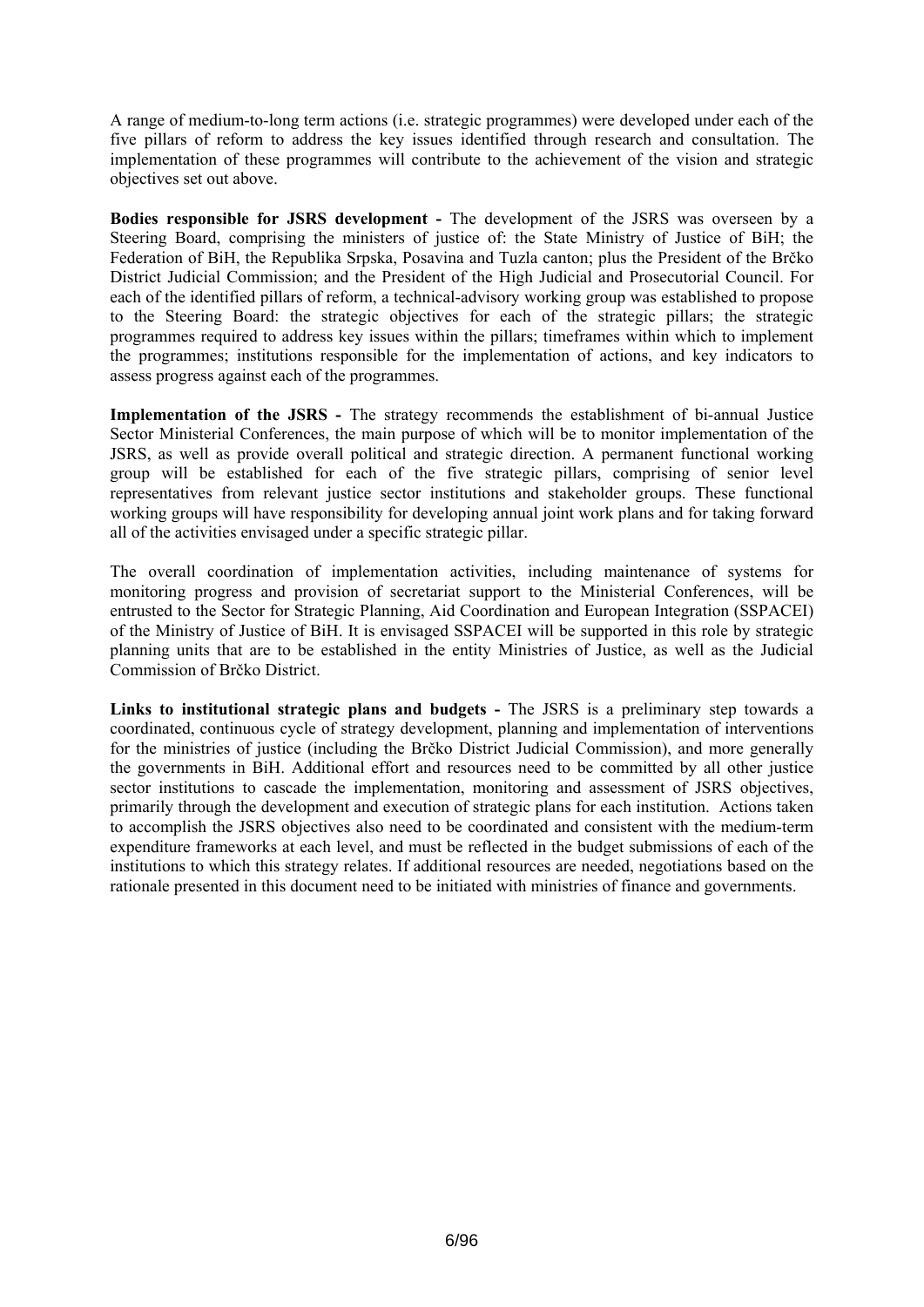A range of medium-to-long term actions (i.e. strategic programmes) were developed under each of the five pillars of reform to address the key issues identified through research and consultation. The implementation of these programmes will contribute to the achievement of the vision and strategic objectives set out above.

**Bodies responsible for JSRS development -** The development of the JSRS was overseen by a Steering Board, comprising the ministers of justice of: the State Ministry of Justice of BiH; the Federation of BiH, the Republika Srpska, Posavina and Tuzla canton; plus the President of the Brčko District Judicial Commission; and the President of the High Judicial and Prosecutorial Council. For each of the identified pillars of reform, a technical-advisory working group was established to propose to the Steering Board: the strategic objectives for each of the strategic pillars; the strategic programmes required to address key issues within the pillars; timeframes within which to implement the programmes; institutions responsible for the implementation of actions, and key indicators to assess progress against each of the programmes.

**Implementation of the JSRS -** The strategy recommends the establishment of bi-annual Justice Sector Ministerial Conferences, the main purpose of which will be to monitor implementation of the JSRS, as well as provide overall political and strategic direction. A permanent functional working group will be established for each of the five strategic pillars, comprising of senior level representatives from relevant justice sector institutions and stakeholder groups. These functional working groups will have responsibility for developing annual joint work plans and for taking forward all of the activities envisaged under a specific strategic pillar.

The overall coordination of implementation activities, including maintenance of systems for monitoring progress and provision of secretariat support to the Ministerial Conferences, will be entrusted to the Sector for Strategic Planning, Aid Coordination and European Integration (SSPACEI) of the Ministry of Justice of BiH. It is envisaged SSPACEI will be supported in this role by strategic planning units that are to be established in the entity Ministries of Justice, as well as the Judicial Commission of Brčko District.

**Links to institutional strategic plans and budgets -** The JSRS is a preliminary step towards a coordinated, continuous cycle of strategy development, planning and implementation of interventions for the ministries of justice (including the Brčko District Judicial Commission), and more generally the governments in BiH. Additional effort and resources need to be committed by all other justice sector institutions to cascade the implementation, monitoring and assessment of JSRS objectives, primarily through the development and execution of strategic plans for each institution. Actions taken to accomplish the JSRS objectives also need to be coordinated and consistent with the medium-term expenditure frameworks at each level, and must be reflected in the budget submissions of each of the institutions to which this strategy relates. If additional resources are needed, negotiations based on the rationale presented in this document need to be initiated with ministries of finance and governments.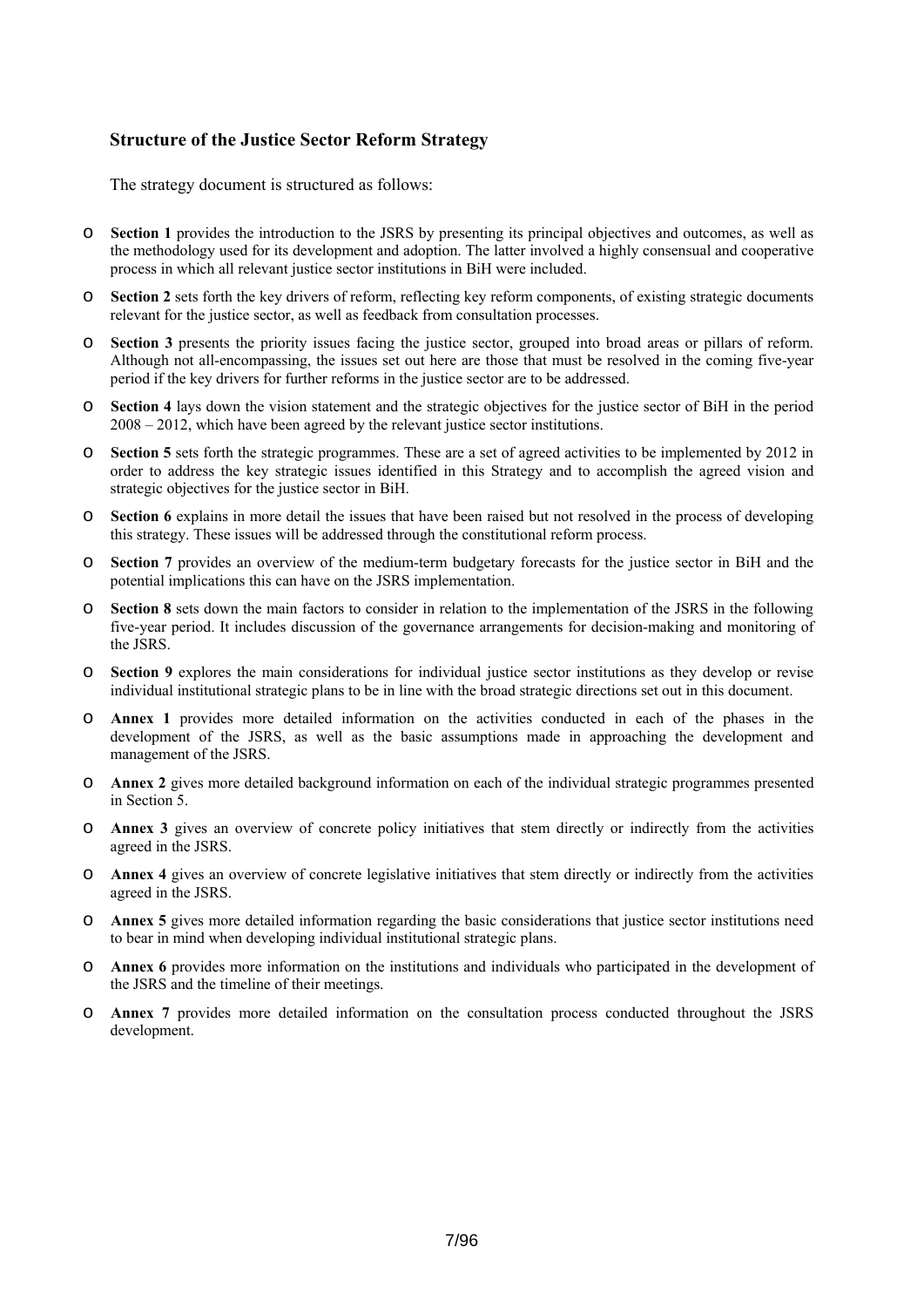# <span id="page-6-0"></span>**Structure of the Justice Sector Reform Strategy**

The strategy document is structured as follows:

- o **Section 1** provides the introduction to the JSRS by presenting its principal objectives and outcomes, as well as the methodology used for its development and adoption. The latter involved a highly consensual and cooperative process in which all relevant justice sector institutions in BiH were included.
- o **Section 2** sets forth the key drivers of reform, reflecting key reform components, of existing strategic documents relevant for the justice sector, as well as feedback from consultation processes.
- o **Section 3** presents the priority issues facing the justice sector, grouped into broad areas or pillars of reform. Although not all-encompassing, the issues set out here are those that must be resolved in the coming five-year period if the key drivers for further reforms in the justice sector are to be addressed.
- o **Section 4** lays down the vision statement and the strategic objectives for the justice sector of BiH in the period 2008 – 2012, which have been agreed by the relevant justice sector institutions.
- o **Section 5** sets forth the strategic programmes. These are a set of agreed activities to be implemented by 2012 in order to address the key strategic issues identified in this Strategy and to accomplish the agreed vision and strategic objectives for the justice sector in BiH.
- o **Section 6** explains in more detail the issues that have been raised but not resolved in the process of developing this strategy. These issues will be addressed through the constitutional reform process.
- o **Section 7** provides an overview of the medium-term budgetary forecasts for the justice sector in BiH and the potential implications this can have on the JSRS implementation.
- o **Section 8** sets down the main factors to consider in relation to the implementation of the JSRS in the following five-year period. It includes discussion of the governance arrangements for decision-making and monitoring of the JSRS.
- o **Section 9** explores the main considerations for individual justice sector institutions as they develop or revise individual institutional strategic plans to be in line with the broad strategic directions set out in this document.
- o **Annex 1** provides more detailed information on the activities conducted in each of the phases in the development of the JSRS, as well as the basic assumptions made in approaching the development and management of the JSRS.
- o **Annex 2** gives more detailed background information on each of the individual strategic programmes presented in Section 5.
- o **Annex 3** gives an overview of concrete policy initiatives that stem directly or indirectly from the activities agreed in the JSRS.
- o **Annex 4** gives an overview of concrete legislative initiatives that stem directly or indirectly from the activities agreed in the JSRS.
- o **Annex 5** gives more detailed information regarding the basic considerations that justice sector institutions need to bear in mind when developing individual institutional strategic plans.
- o **Annex 6** provides more information on the institutions and individuals who participated in the development of the JSRS and the timeline of their meetings.
- o **Annex 7** provides more detailed information on the consultation process conducted throughout the JSRS development.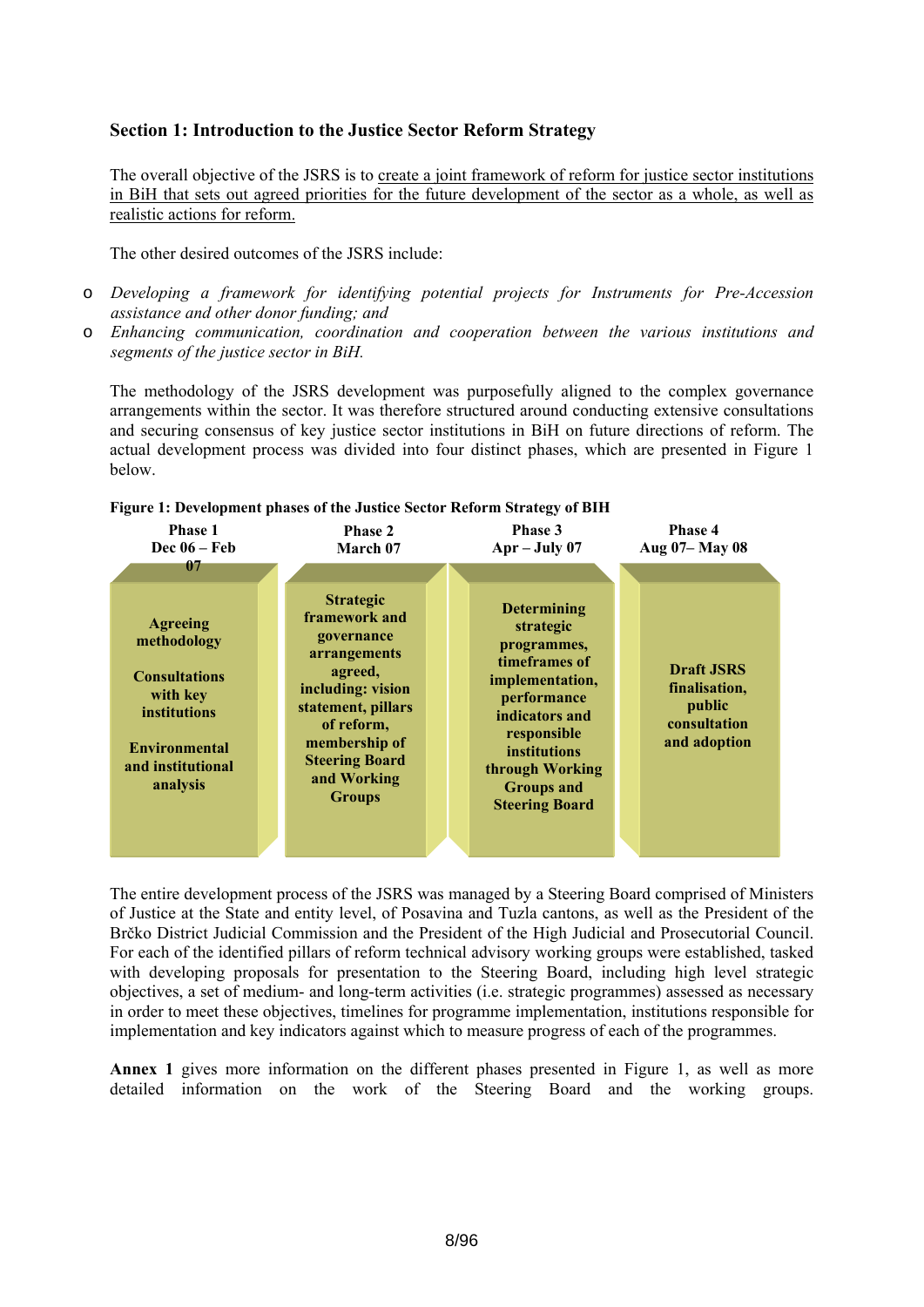# <span id="page-7-0"></span>**Section 1: Introduction to the Justice Sector Reform Strategy**

The overall objective of the JSRS is to create a joint framework of reform for justice sector institutions in BiH that sets out agreed priorities for the future development of the sector as a whole, as well as realistic actions for reform.

The other desired outcomes of the JSRS include:

- o *Developing a framework for identifying potential projects for Instruments for Pre-Accession assistance and other donor funding; and*
- o *Enhancing communication, coordination and cooperation between the various institutions and segments of the justice sector in BiH.*

The methodology of the JSRS development was purposefully aligned to the complex governance arrangements within the sector. It was therefore structured around conducting extensive consultations and securing consensus of key justice sector institutions in BiH on future directions of reform. The actual development process was divided into four distinct phases, which are presented in [Figure 1](#page-7-1) below.

<span id="page-7-1"></span>

| <b>Phase 1</b><br>Dec $06 - Feb$<br>07                                                                                                      | <b>Phase 2</b><br>March 07                                                                                                                                                                                    | Phase 3<br>$Apr - July 07$                                                                                                                                                                                                 | Phase 4<br>Aug 07-May 08                                                     |
|---------------------------------------------------------------------------------------------------------------------------------------------|---------------------------------------------------------------------------------------------------------------------------------------------------------------------------------------------------------------|----------------------------------------------------------------------------------------------------------------------------------------------------------------------------------------------------------------------------|------------------------------------------------------------------------------|
| <b>Agreeing</b><br>methodology<br><b>Consultations</b><br>with key<br>institutions<br><b>Environmental</b><br>and institutional<br>analysis | <b>Strategic</b><br>framework and<br>governance<br>arrangements<br>agreed,<br>including: vision<br>statement, pillars<br>of reform,<br>membership of<br><b>Steering Board</b><br>and Working<br><b>Groups</b> | <b>Determining</b><br>strategic<br>programmes,<br>timeframes of<br>implementation,<br>performance<br>indicators and<br>responsible<br><b>institutions</b><br>through Working<br><b>Groups and</b><br><b>Steering Board</b> | <b>Draft JSRS</b><br>finalisation,<br>public<br>consultation<br>and adoption |

#### **Figure 1: Development phases of the Justice Sector Reform Strategy of BIH**

The entire development process of the JSRS was managed by a Steering Board comprised of Ministers of Justice at the State and entity level, of Posavina and Tuzla cantons, as well as the President of the Brčko District Judicial Commission and the President of the High Judicial and Prosecutorial Council. For each of the identified pillars of reform technical advisory working groups were established, tasked with developing proposals for presentation to the Steering Board, including high level strategic objectives, a set of medium- and long-term activities (i.e. strategic programmes) assessed as necessary in order to meet these objectives, timelines for programme implementation, institutions responsible for implementation and key indicators against which to measure progress of each of the programmes.

Annex 1 gives more information on the different phases presented in Figure 1, as well as more detailed information on the work of the Steering Board and the working groups.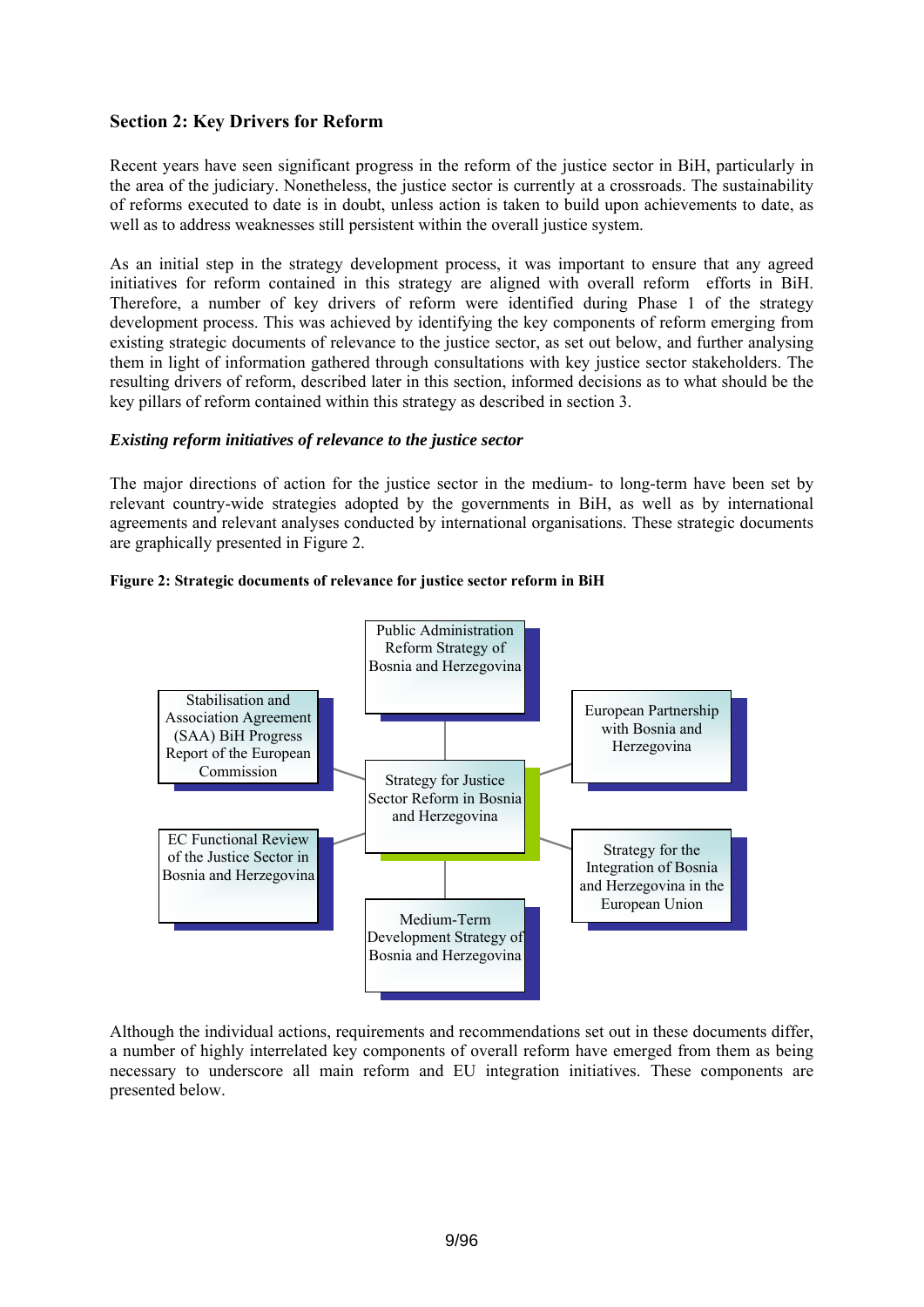# <span id="page-8-0"></span>**Section 2: Key Drivers for Reform**

Recent years have seen significant progress in the reform of the justice sector in BiH, particularly in the area of the judiciary. Nonetheless, the justice sector is currently at a crossroads. The sustainability of reforms executed to date is in doubt, unless action is taken to build upon achievements to date, as well as to address weaknesses still persistent within the overall justice system.

As an initial step in the strategy development process, it was important to ensure that any agreed initiatives for reform contained in this strategy are aligned with overall reform efforts in BiH. Therefore, a number of key drivers of reform were identified during Phase 1 of the strategy development process. This was achieved by identifying the key components of reform emerging from existing strategic documents of relevance to the justice sector, as set out below, and further analysing them in light of information gathered through consultations with key justice sector stakeholders. The resulting drivers of reform, described later in this section, informed decisions as to what should be the key pillars of reform contained within this strategy as described in section 3.

#### *Existing reform initiatives of relevance to the justice sector*

The major directions of action for the justice sector in the medium- to long-term have been set by relevant country-wide strategies adopted by the governments in BiH, as well as by international agreements and relevant analyses conducted by international organisations. These strategic documents are graphically presented in [Figure 2](#page-8-1).

<span id="page-8-1"></span>



Although the individual actions, requirements and recommendations set out in these documents differ, a number of highly interrelated key components of overall reform have emerged from them as being necessary to underscore all main reform and EU integration initiatives. These components are presented below.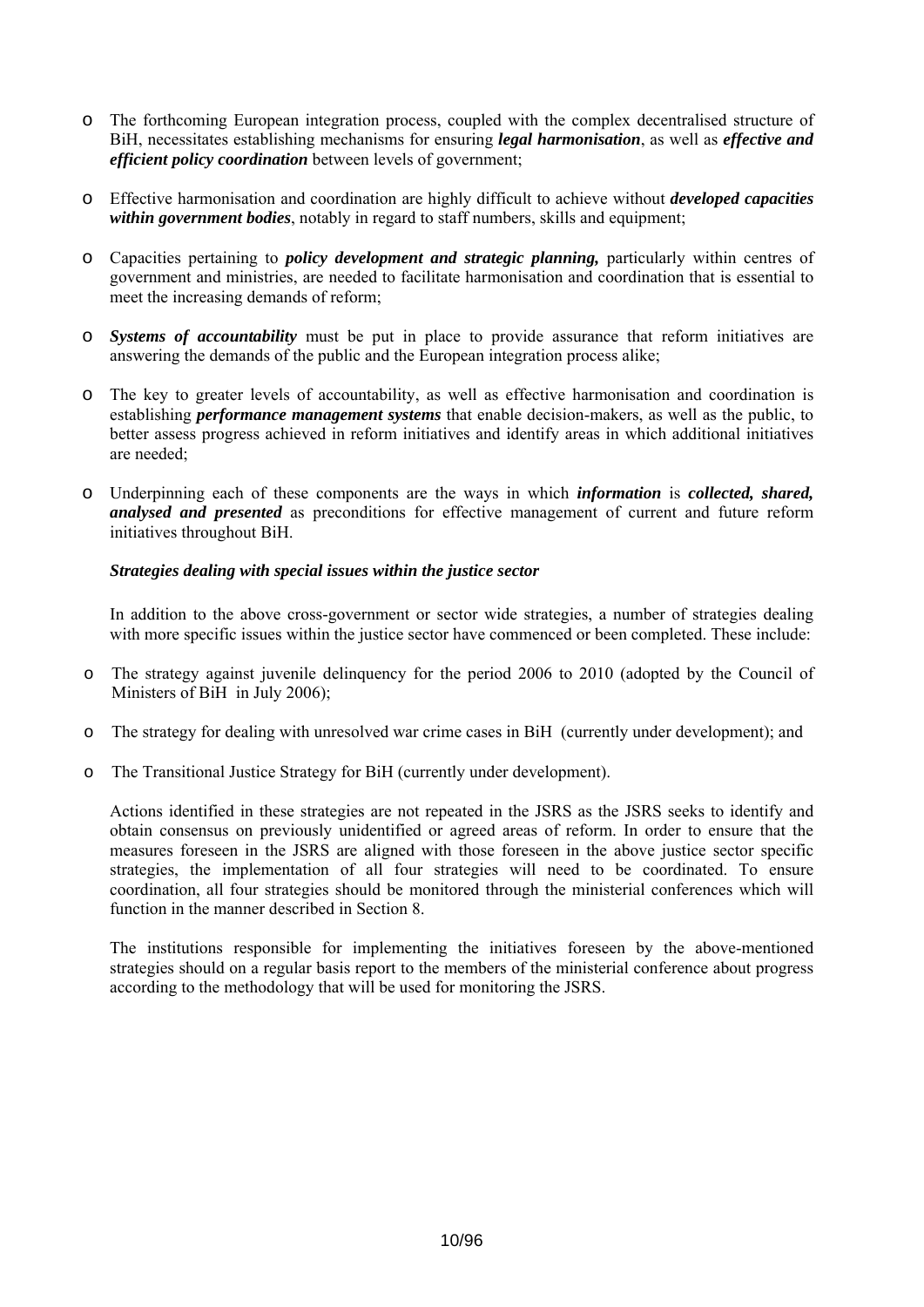- <span id="page-9-0"></span>o The forthcoming European integration process, coupled with the complex decentralised structure of BiH, necessitates establishing mechanisms for ensuring *legal harmonisation*, as well as *effective and efficient policy coordination* between levels of government;
- o Effective harmonisation and coordination are highly difficult to achieve without *developed capacities within government bodies* notably in regard to staff numbers, skills and equipment;
- o Capacities pertaining to *policy development and strategic planning,* particularly within centres of government and ministries, are needed to facilitate harmonisation and coordination that is essential to meet the increasing demands of reform;
- o *Systems of accountability* must be put in place to provide assurance that reform initiatives are answering the demands of the public and the European integration process alike;
- o The key to greater levels of accountability, as well as effective harmonisation and coordination is establishing *performance management systems* that enable decision-makers, as well as the public, to better assess progress achieved in reform initiatives and identify areas in which additional initiatives are needed;
- o Underpinning each of these components are the ways in which *information* is *collected, shared, analysed and presented* as preconditions for effective management of current and future reform initiatives throughout BiH.

#### *Strategies dealing with special issues within the justice sector*

In addition to the above cross-government or sector wide strategies, a number of strategies dealing with more specific issues within the justice sector have commenced or been completed. These include:

- o The strategy against juvenile delinquency for the period 2006 to 2010 (adopted by the Council of Ministers of BiH in July 2006);
- o The strategy for dealing with unresolved war crime cases in BiH (currently under development); and
- o The Transitional Justice Strategy for BiH (currently under development).

Actions identified in these strategies are not repeated in the JSRS as the JSRS seeks to identify and obtain consensus on previously unidentified or agreed areas of reform. In order to ensure that the measures foreseen in the JSRS are aligned with those foreseen in the above justice sector specific strategies, the implementation of all four strategies will need to be coordinated. To ensure coordination, all four strategies should be monitored through the ministerial conferences which will function in the manner described in Section 8.

The institutions responsible for implementing the initiatives foreseen by the above-mentioned strategies should on a regular basis report to the members of the ministerial conference about progress according to the methodology that will be used for monitoring the JSRS.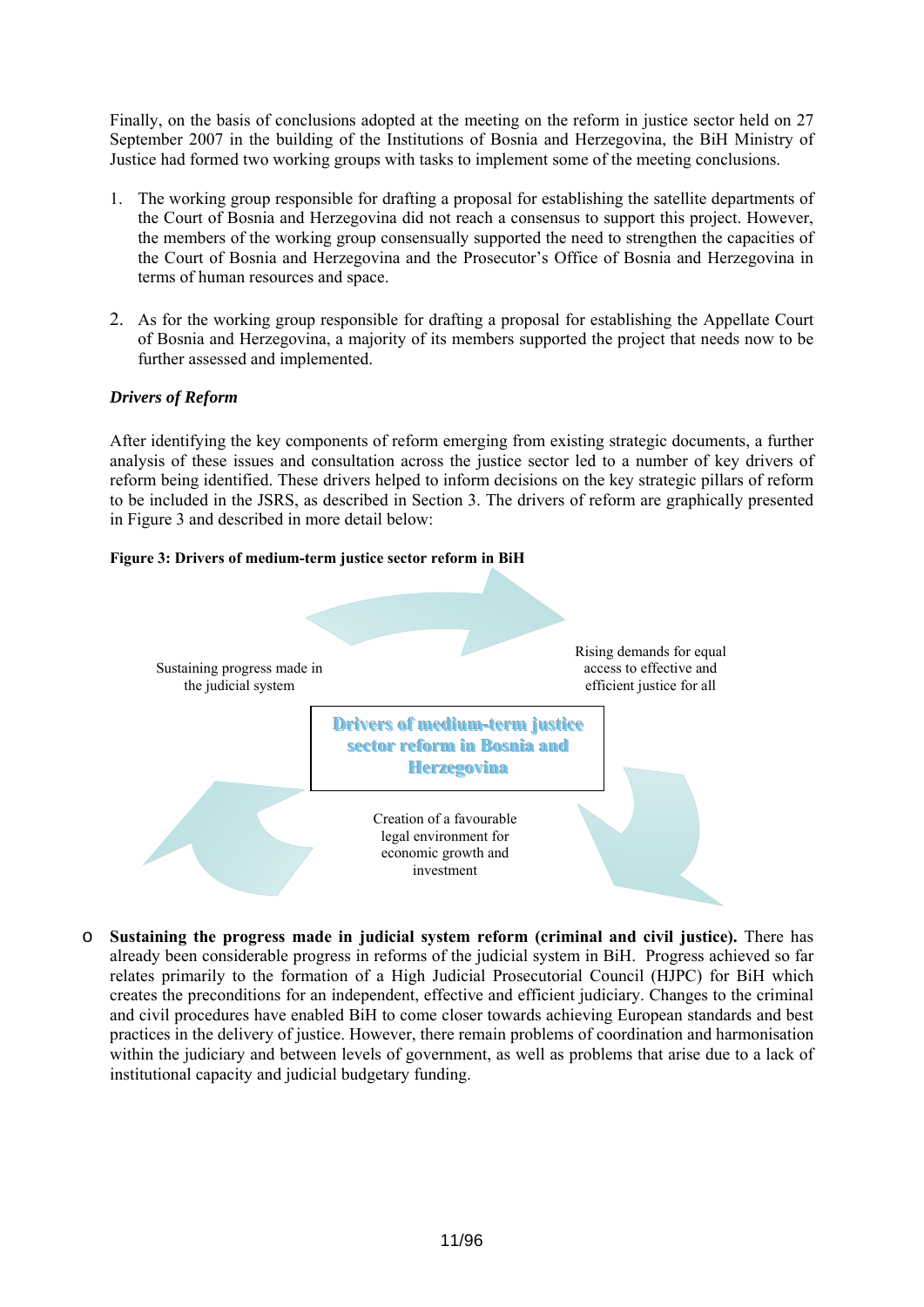<span id="page-10-0"></span>Finally, on the basis of conclusions adopted at the meeting on the reform in justice sector held on 27 September 2007 in the building of the Institutions of Bosnia and Herzegovina, the BiH Ministry of Justice had formed two working groups with tasks to implement some of the meeting conclusions.

- 1. The working group responsible for drafting a proposal for establishing the satellite departments of the Court of Bosnia and Herzegovina did not reach a consensus to support this project. However, the members of the working group consensually supported the need to strengthen the capacities of the Court of Bosnia and Herzegovina and the Prosecutor's Office of Bosnia and Herzegovina in terms of human resources and space.
- 2. As for the working group responsible for drafting a proposal for establishing the Appellate Court of Bosnia and Herzegovina, a majority of its members supported the project that needs now to be further assessed and implemented.

# *Drivers of Reform*

After identifying the key components of reform emerging from existing strategic documents, a further analysis of these issues and consultation across the justice sector led to a number of key drivers of reform being identified. These drivers helped to inform decisions on the key strategic pillars of reform to be included in the JSRS, as described in Section 3. The drivers of reform are graphically presented in [Figure 3](#page-10-1) and described in more detail below:

## <span id="page-10-1"></span>**Figure 3: Drivers of medium-term justice sector reform in BiH**



o **Sustaining the progress made in judicial system reform (criminal and civil justice).** There has already been considerable progress in reforms of the judicial system in BiH. Progress achieved so far relates primarily to the formation of a High Judicial Prosecutorial Council (HJPC) for BiH which creates the preconditions for an independent, effective and efficient judiciary. Changes to the criminal and civil procedures have enabled BiH to come closer towards achieving European standards and best practices in the delivery of justice. However, there remain problems of coordination and harmonisation within the judiciary and between levels of government, as well as problems that arise due to a lack of institutional capacity and judicial budgetary funding.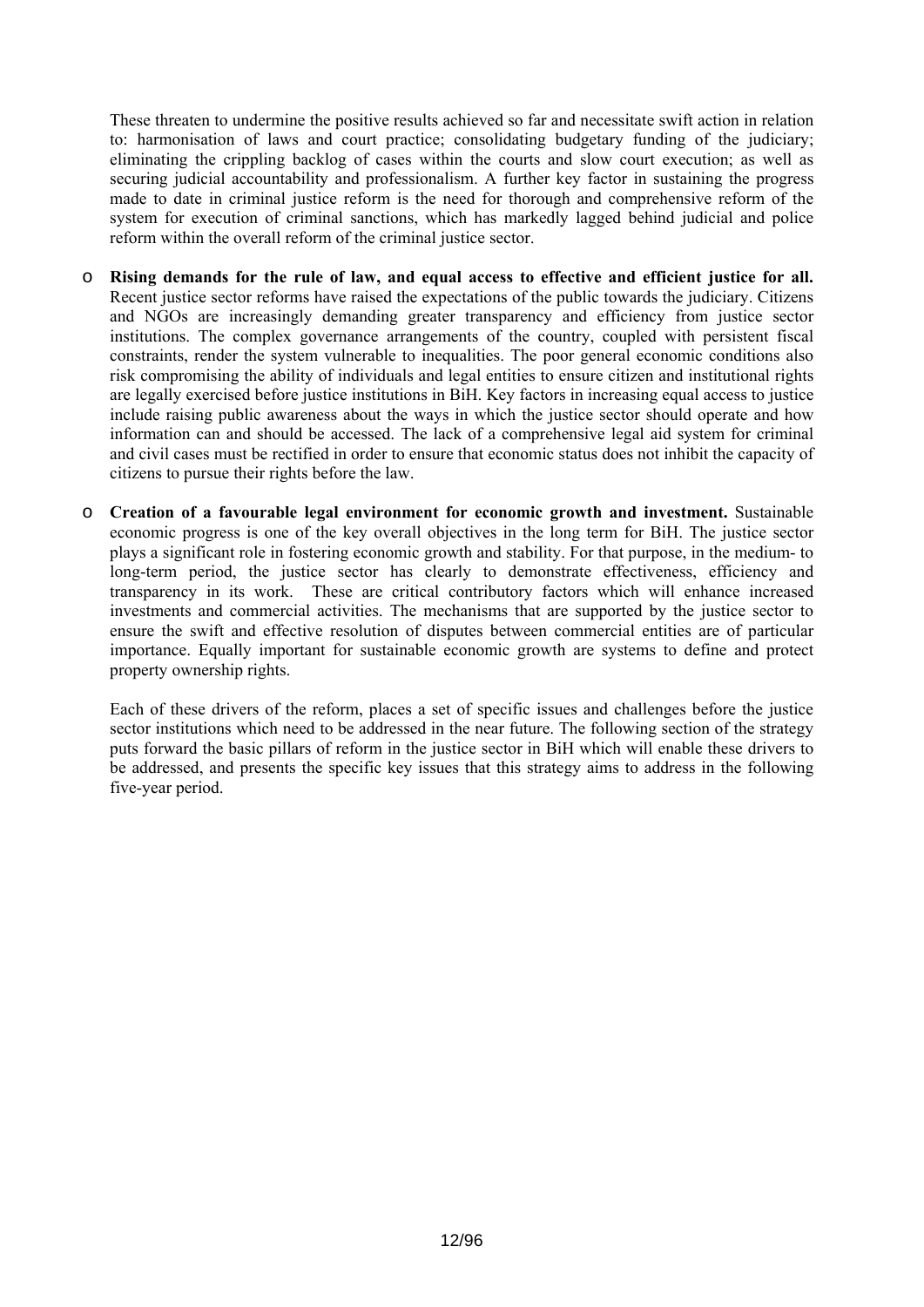These threaten to undermine the positive results achieved so far and necessitate swift action in relation to: harmonisation of laws and court practice; consolidating budgetary funding of the judiciary; eliminating the crippling backlog of cases within the courts and slow court execution; as well as securing judicial accountability and professionalism. A further key factor in sustaining the progress made to date in criminal justice reform is the need for thorough and comprehensive reform of the system for execution of criminal sanctions, which has markedly lagged behind judicial and police reform within the overall reform of the criminal justice sector.

- o **Rising demands for the rule of law, and equal access to effective and efficient justice for all.** Recent justice sector reforms have raised the expectations of the public towards the judiciary. Citizens and NGOs are increasingly demanding greater transparency and efficiency from justice sector institutions. The complex governance arrangements of the country, coupled with persistent fiscal constraints, render the system vulnerable to inequalities. The poor general economic conditions also risk compromising the ability of individuals and legal entities to ensure citizen and institutional rights are legally exercised before justice institutions in BiH. Key factors in increasing equal access to justice include raising public awareness about the ways in which the justice sector should operate and how information can and should be accessed. The lack of a comprehensive legal aid system for criminal and civil cases must be rectified in order to ensure that economic status does not inhibit the capacity of citizens to pursue their rights before the law.
- o **Creation of a favourable legal environment for economic growth and investment.** Sustainable economic progress is one of the key overall objectives in the long term for BiH. The justice sector plays a significant role in fostering economic growth and stability. For that purpose, in the medium- to long-term period, the justice sector has clearly to demonstrate effectiveness, efficiency and transparency in its work. These are critical contributory factors which will enhance increased investments and commercial activities. The mechanisms that are supported by the justice sector to ensure the swift and effective resolution of disputes between commercial entities are of particular importance. Equally important for sustainable economic growth are systems to define and protect property ownership rights.

Each of these drivers of the reform, places a set of specific issues and challenges before the justice sector institutions which need to be addressed in the near future. The following section of the strategy puts forward the basic pillars of reform in the justice sector in BiH which will enable these drivers to be addressed, and presents the specific key issues that this strategy aims to address in the following five-year period.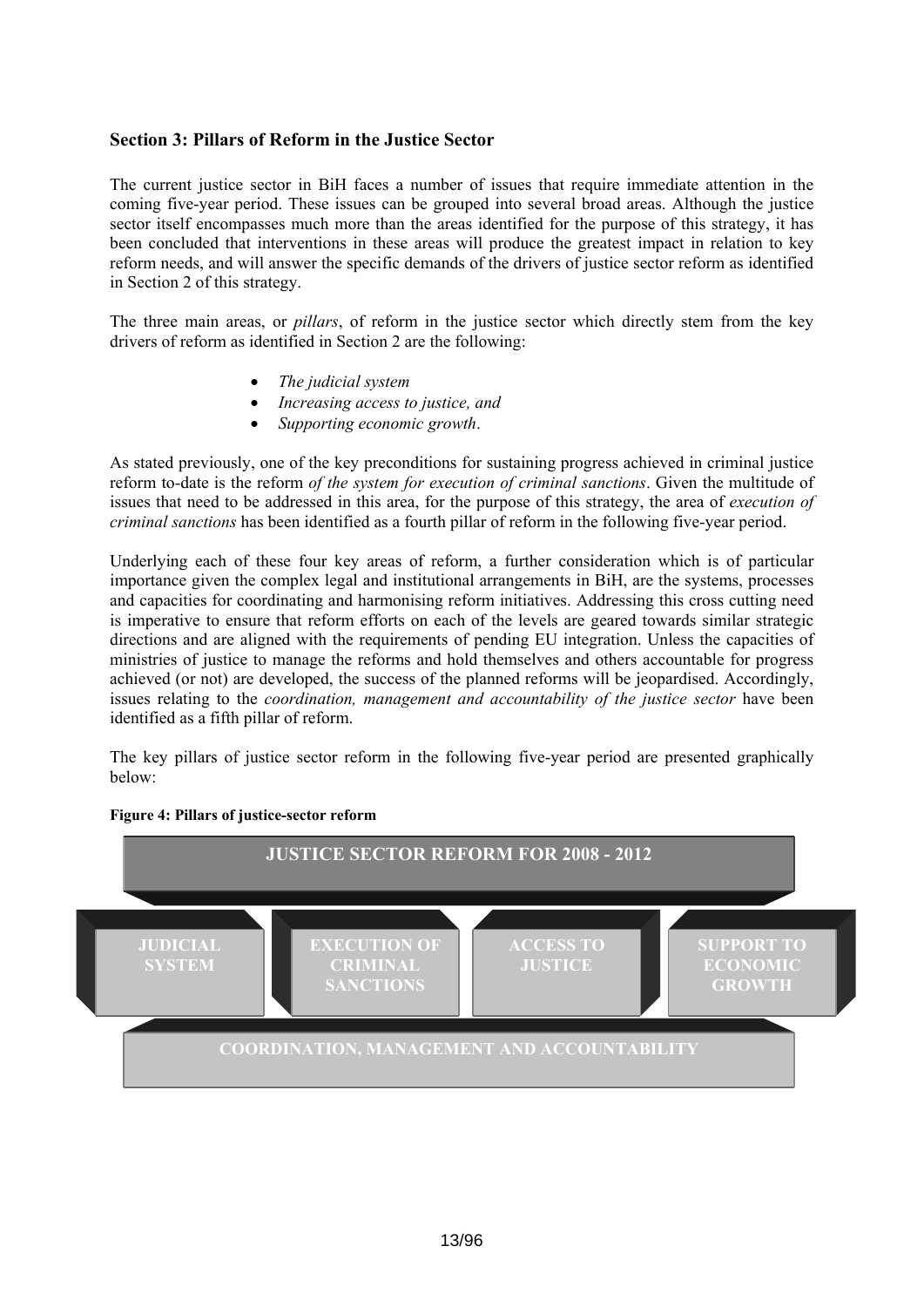# <span id="page-12-0"></span>**Section 3: Pillars of Reform in the Justice Sector**

The current justice sector in BiH faces a number of issues that require immediate attention in the coming five-year period. These issues can be grouped into several broad areas. Although the justice sector itself encompasses much more than the areas identified for the purpose of this strategy, it has been concluded that interventions in these areas will produce the greatest impact in relation to key reform needs, and will answer the specific demands of the drivers of justice sector reform as identified in Section 2 of this strategy.

The three main areas, or *pillars*, of reform in the justice sector which directly stem from the key drivers of reform as identified in Section 2 are the following:

- *The judicial system*
- *Increasing access to justice, and*
- *Supporting economic growth*.

As stated previously, one of the key preconditions for sustaining progress achieved in criminal justice reform to-date is the reform *of the system for execution of criminal sanctions*. Given the multitude of issues that need to be addressed in this area, for the purpose of this strategy, the area of *execution of criminal sanctions* has been identified as a fourth pillar of reform in the following five-year period.

Underlying each of these four key areas of reform, a further consideration which is of particular importance given the complex legal and institutional arrangements in BiH, are the systems, processes and capacities for coordinating and harmonising reform initiatives. Addressing this cross cutting need is imperative to ensure that reform efforts on each of the levels are geared towards similar strategic directions and are aligned with the requirements of pending EU integration. Unless the capacities of ministries of justice to manage the reforms and hold themselves and others accountable for progress achieved (or not) are developed, the success of the planned reforms will be jeopardised. Accordingly, issues relating to the *coordination, management and accountability of the justice sector* have been identified as a fifth pillar of reform.

The key pillars of justice sector reform in the following five-year period are presented graphically below:



#### **Figure 4: Pillars of justice-sector reform**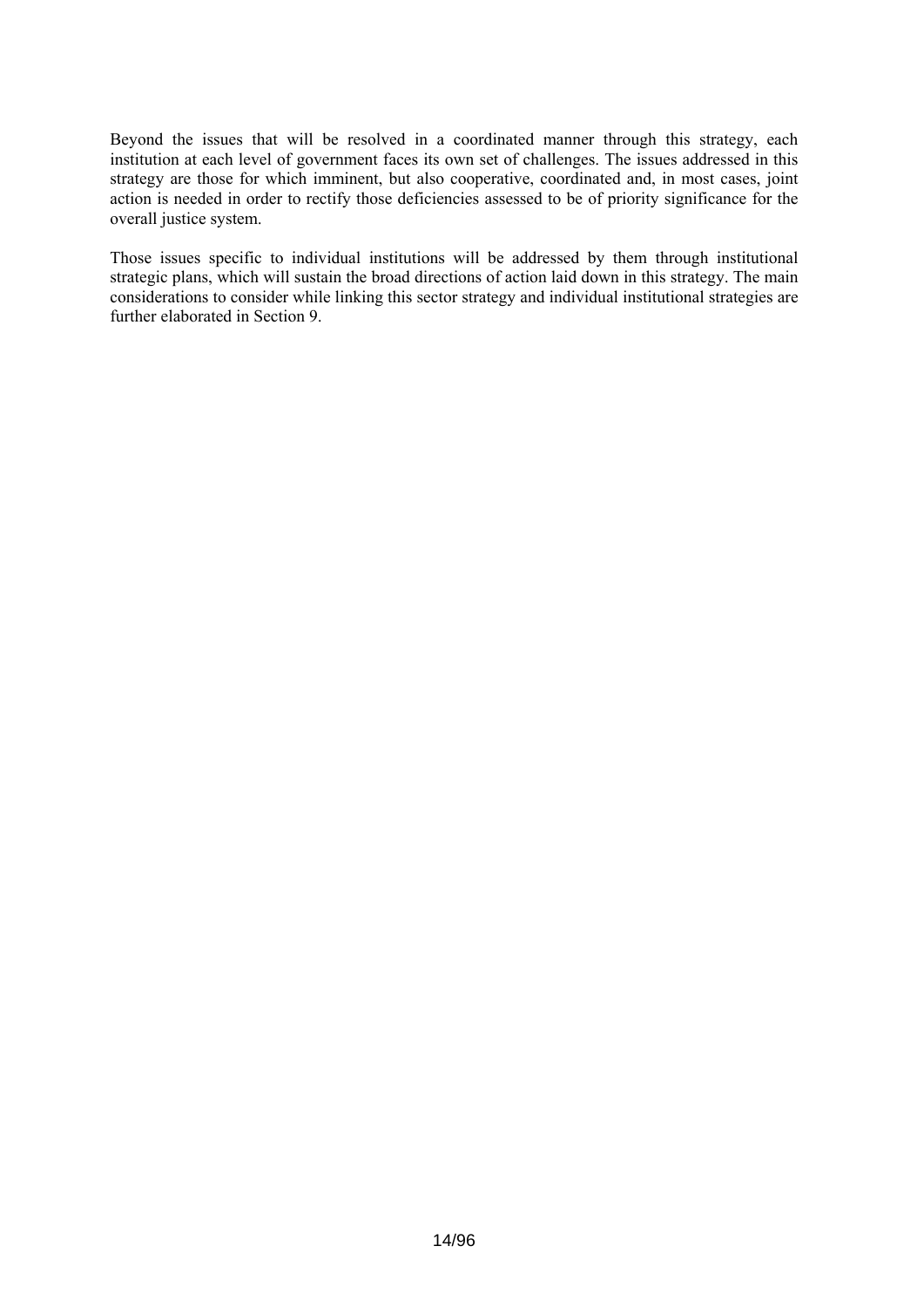Beyond the issues that will be resolved in a coordinated manner through this strategy, each institution at each level of government faces its own set of challenges. The issues addressed in this strategy are those for which imminent, but also cooperative, coordinated and, in most cases, joint action is needed in order to rectify those deficiencies assessed to be of priority significance for the overall justice system.

Those issues specific to individual institutions will be addressed by them through institutional strategic plans, which will sustain the broad directions of action laid down in this strategy. The main considerations to consider while linking this sector strategy and individual institutional strategies are further elaborated in Section 9.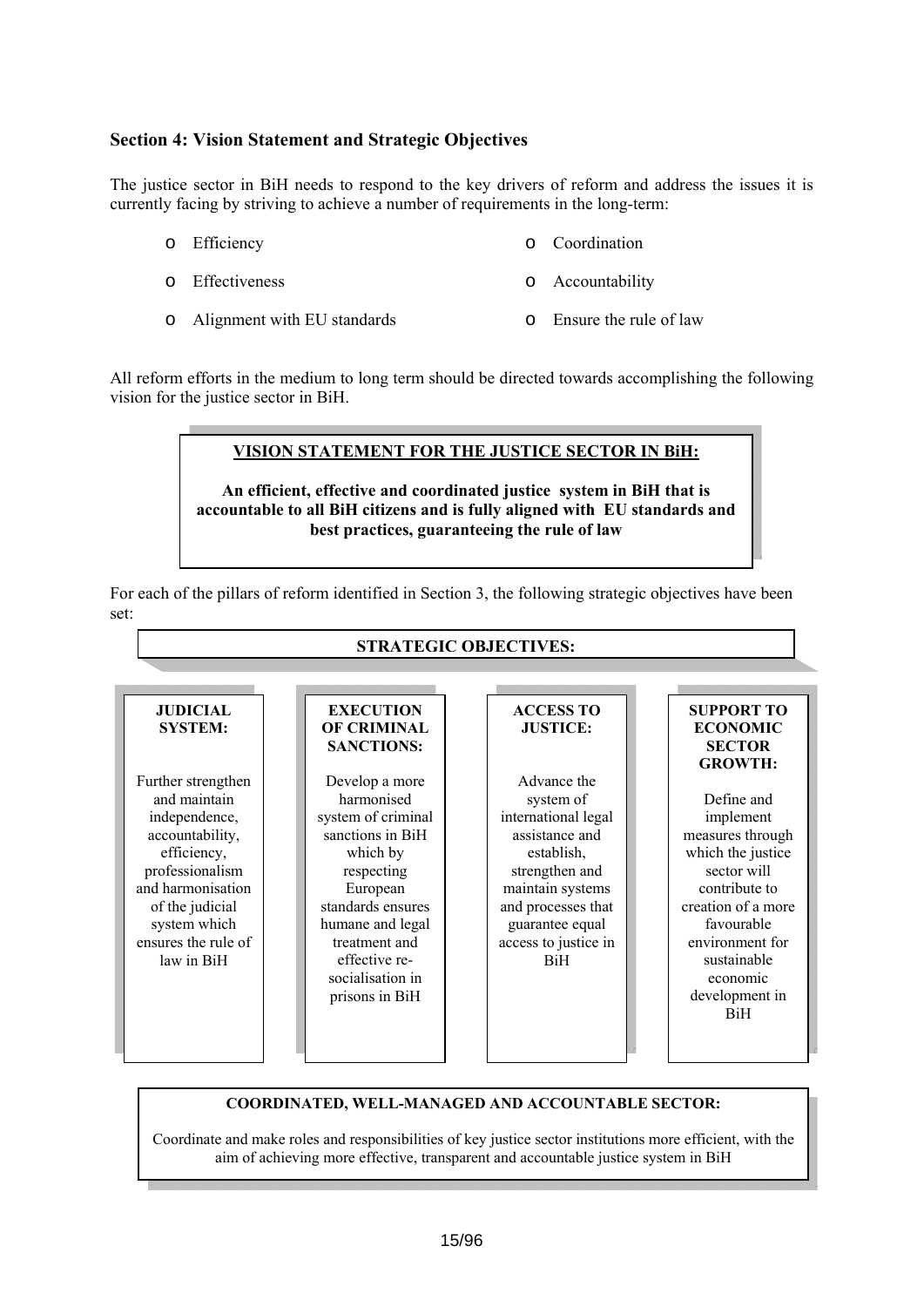# <span id="page-14-0"></span>**Section 4: Vision Statement and Strategic Objectives**

The justice sector in BiH needs to respond to the key drivers of reform and address the issues it is currently facing by striving to achieve a number of requirements in the long-term:

- o Efficiency o Coordination
- o Effectiveness o Accountability
- o Alignment with EU standards o Ensure the rule of law

All reform efforts in the medium to long term should be directed towards accomplishing the following vision for the justice sector in BiH.

# **VISION STATEMENT FOR THE JUSTICE SECTOR IN BiH: An efficient, effective and coordinated justice system in BiH that is accountable to all BiH citizens and is fully aligned with EU standards and best practices, guaranteeing the rule of law**

For each of the pillars of reform identified in Section 3, the following strategic objectives have been set:



#### **COORDINATED, WELL-MANAGED AND ACCOUNTABLE SECTOR:**

Coordinate and make roles and responsibilities of key justice sector institutions more efficient, with the aim of achieving more effective, transparent and accountable justice system in BiH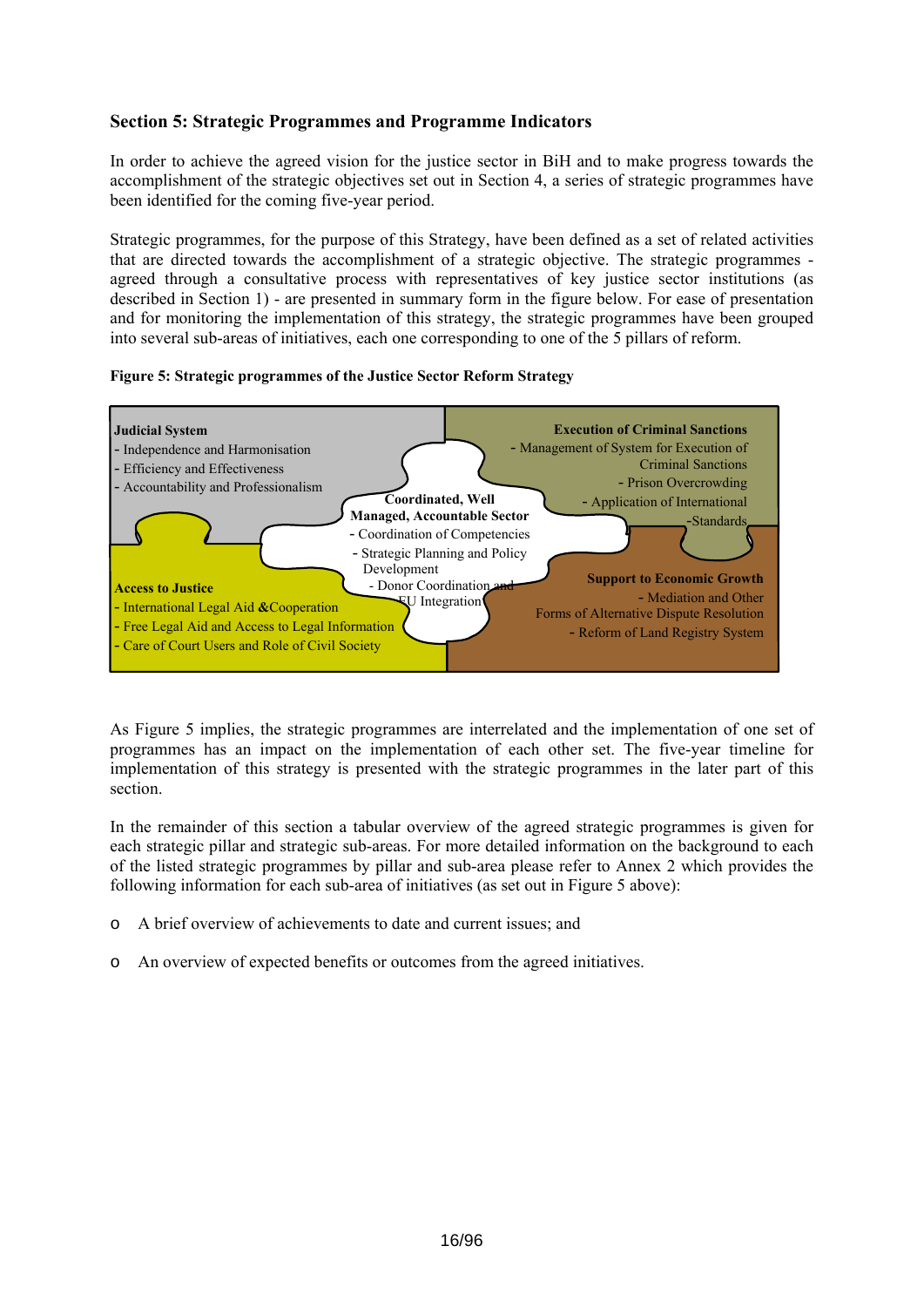# <span id="page-15-0"></span>**Section 5: Strategic Programmes and Programme Indicators**

In order to achieve the agreed vision for the justice sector in BiH and to make progress towards the accomplishment of the strategic objectives set out in Section 4, a series of strategic programmes have been identified for the coming five-year period.

Strategic programmes, for the purpose of this Strategy, have been defined as a set of related activities that are directed towards the accomplishment of a strategic objective. The strategic programmes agreed through a consultative process with representatives of key justice sector institutions (as described in Section 1) - are presented in summary form in the figure below. For ease of presentation and for monitoring the implementation of this strategy, the strategic programmes have been grouped into several sub-areas of initiatives, each one corresponding to one of the 5 pillars of reform.





As Figure 5 implies, the strategic programmes are interrelated and the implementation of one set of programmes has an impact on the implementation of each other set. The five-year timeline for implementation of this strategy is presented with the strategic programmes in the later part of this section.

In the remainder of this section a tabular overview of the agreed strategic programmes is given for each strategic pillar and strategic sub-areas. For more detailed information on the background to each of the listed strategic programmes by pillar and sub-area please refer to Annex 2 which provides the following information for each sub-area of initiatives (as set out in Figure 5 above):

- o A brief overview of achievements to date and current issues; and
- o An overview of expected benefits or outcomes from the agreed initiatives.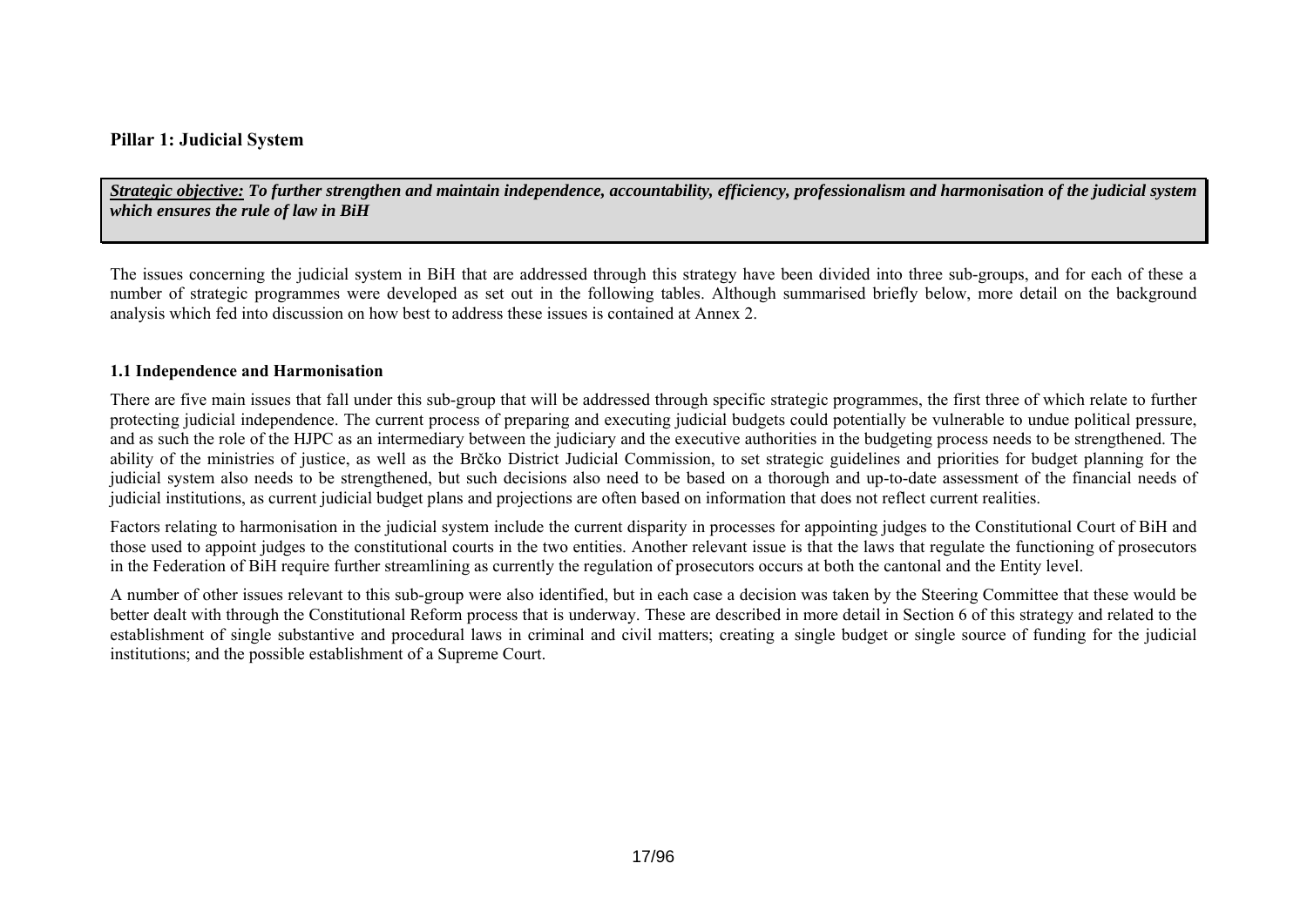# **Pillar 1: Judicial System**

*Strategic objective: To further strengthen and maintain independence, accountability, efficiency, professionalism and harmonisation of the judicial system which ensures the rule of law in BiH* 

The issues concerning the judicial system in BiH that are addressed through this strategy have been divided into three sub-groups, and for each of these a number of strategic programmes were developed as set out in the following tables. Although summarised briefly below, more detail on the background analysis which fed into discussion on how best to address these issues is contained at Annex 2.

#### **1.1 Independence and Harmonisation**

There are five main issues that fall under this sub-group that will be addressed through specific strategic programmes, the first three of which relate to further protecting judicial independence. The current process of preparing and executing judicial budgets could potentially be vulnerable to undue political pressure, and as such the role of the HJPC as an intermediary between the judiciary and the executive authorities in the budgeting process needs to be strengthened. The ability of the ministries of justice, as well as the Brčko District Judicial Commission, to set strategic guidelines and priorities for budget planning for the judicial system also needs to be strengthened, but such decisions also need to be based on a thorough and up-to-date assessment of the financial needs of judicial institutions, as current judicial budget plans and projections are often based on information that does not reflect current realities.

Factors relating to harmonisation in the judicial system include the current disparity in processes for appointing judges to the Constitutional Court of BiH and those used to appoint judges to the constitutional courts in the two entities. Another relevant issue is that the laws that regulate the functioning of prosecutors in the Federation of BiH require further streamlining as currently the regulation of prosecutors occurs at both the cantonal and the Entity level.

<span id="page-16-0"></span>A number of other issues relevant to this sub-group were also identified, but in each case a decision was taken by the Steering Committee that these would be better dealt with through the Constitutional Reform process that is underway. These are described in more detail in Section 6 of this strategy and related to the establishment of single substantive and procedural laws in criminal and civil matters; creating a single budget or single source of funding for the judicial institutions; and the possible establishment of a Supreme Court.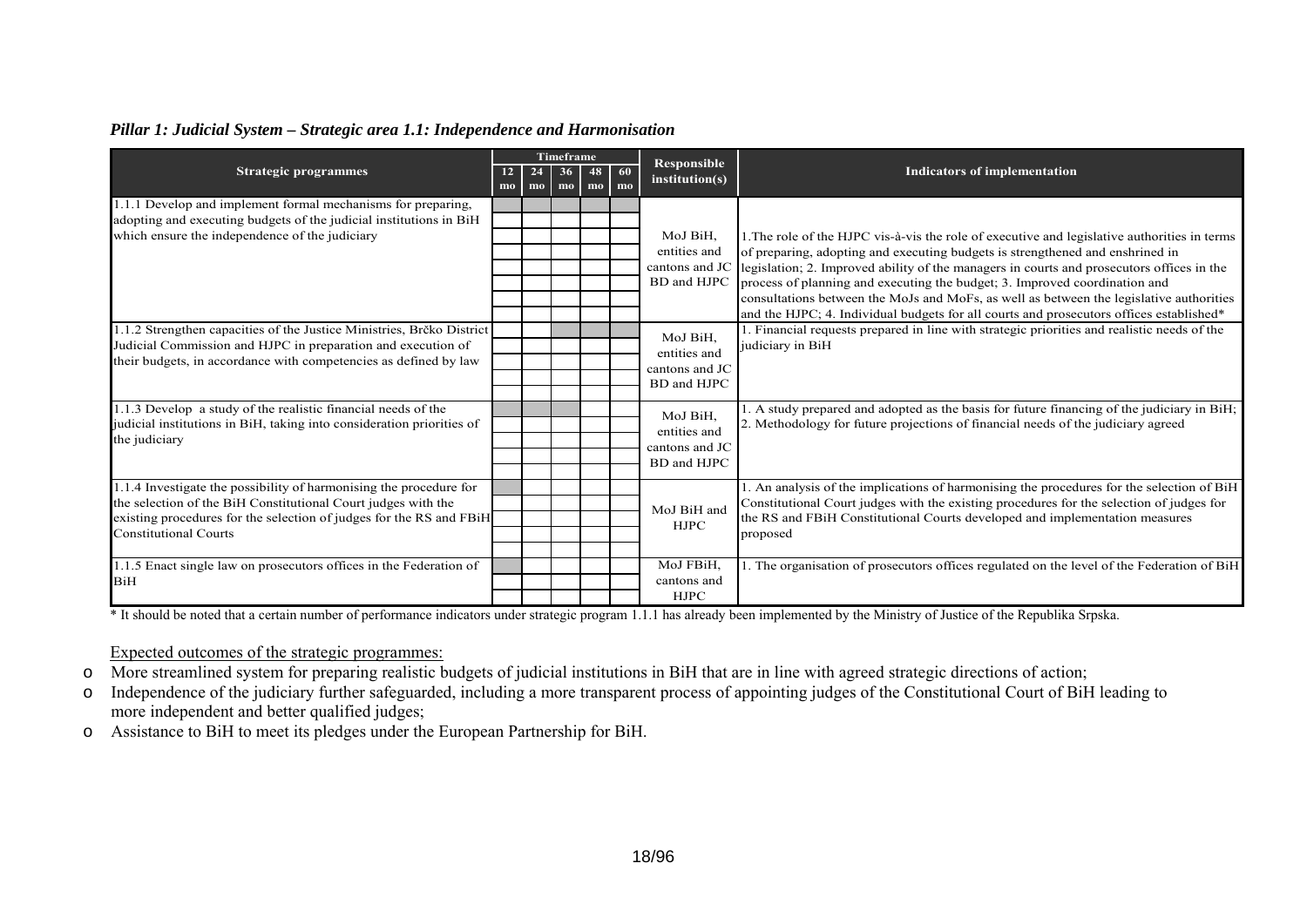# *Pillar 1: Judicial System – Strategic area 1.1: Independence and Harmonisation*

|                                                                       |          |                      | <b>Timeframe</b>      |                      |          |                                      |                                                                                              |
|-----------------------------------------------------------------------|----------|----------------------|-----------------------|----------------------|----------|--------------------------------------|----------------------------------------------------------------------------------------------|
| <b>Strategic programmes</b>                                           | 12<br>mo | 24<br>m <sub>0</sub> | 36 <sup>°</sup><br>mo | 48<br>m <sub>0</sub> | 60<br>mo | <b>Responsible</b><br>institution(s) | <b>Indicators of implementation</b>                                                          |
| 1.1.1 Develop and implement formal mechanisms for preparing,          |          |                      |                       |                      |          |                                      |                                                                                              |
| adopting and executing budgets of the judicial institutions in BiH    |          |                      |                       |                      |          |                                      |                                                                                              |
| which ensure the independence of the judiciary                        |          |                      |                       |                      |          | MoJ BiH,                             | 1. The role of the HJPC vis-à-vis the role of executive and legislative authorities in terms |
|                                                                       |          |                      |                       |                      |          | entities and                         | of preparing, adopting and executing budgets is strengthened and enshrined in                |
|                                                                       |          |                      |                       |                      |          | cantons and JC                       | legislation; 2. Improved ability of the managers in courts and prosecutors offices in the    |
|                                                                       |          |                      |                       |                      |          | BD and HJPC                          | process of planning and executing the budget; 3. Improved coordination and                   |
|                                                                       |          |                      |                       |                      |          |                                      | consultations between the MoJs and MoFs, as well as between the legislative authorities      |
|                                                                       |          |                      |                       |                      |          |                                      | and the HJPC; 4. Individual budgets for all courts and prosecutors offices established*      |
| .1.2 Strengthen capacities of the Justice Ministries, Brčko District  |          |                      |                       |                      |          | MoJ BiH,                             | Financial requests prepared in line with strategic priorities and realistic needs of the     |
| Judicial Commission and HJPC in preparation and execution of          |          |                      |                       |                      |          | entities and                         | judiciary in BiH                                                                             |
| their budgets, in accordance with competencies as defined by law      |          |                      |                       |                      |          | cantons and JC                       |                                                                                              |
|                                                                       |          |                      |                       |                      |          | BD and HJPC                          |                                                                                              |
|                                                                       |          |                      |                       |                      |          |                                      |                                                                                              |
| .1.3 Develop a study of the realistic financial needs of the          |          |                      |                       |                      |          | MoJ BiH,                             | A study prepared and adopted as the basis for future financing of the judiciary in BiH;      |
| judicial institutions in BiH, taking into consideration priorities of |          |                      |                       |                      |          | entities and                         | 2. Methodology for future projections of financial needs of the judiciary agreed             |
| the judiciary                                                         |          |                      |                       |                      |          | cantons and JC                       |                                                                                              |
|                                                                       |          |                      |                       |                      |          | BD and HJPC                          |                                                                                              |
|                                                                       |          |                      |                       |                      |          |                                      |                                                                                              |
| .1.4 Investigate the possibility of harmonising the procedure for     |          |                      |                       |                      |          |                                      | 1. An analysis of the implications of harmonising the procedures for the selection of BiH    |
| the selection of the BiH Constitutional Court judges with the         |          |                      |                       |                      |          | MoJ BiH and                          | Constitutional Court judges with the existing procedures for the selection of judges for     |
| existing procedures for the selection of judges for the RS and FBiH   |          |                      |                       |                      |          | <b>HJPC</b>                          | the RS and FBiH Constitutional Courts developed and implementation measures                  |
| <b>Constitutional Courts</b>                                          |          |                      |                       |                      |          |                                      | proposed                                                                                     |
|                                                                       |          |                      |                       |                      |          |                                      |                                                                                              |
| 1.1.5 Enact single law on prosecutors offices in the Federation of    |          |                      |                       |                      |          | MoJ FBiH,                            | 1. The organisation of prosecutors offices regulated on the level of the Federation of BiH   |
| <b>BiH</b>                                                            |          |                      |                       |                      |          | cantons and                          |                                                                                              |
|                                                                       |          |                      |                       |                      |          | <b>HJPC</b>                          |                                                                                              |

\* It should be noted that a certain number of performance indicators under strategic program 1.1.1 has already been implemented by the Ministry of Justice of the Republika Srpska.

# Expected outcomes of the strategic programmes:

- o More streamlined system for preparing realistic budgets of judicial institutions in BiH that are in line with agreed strategic directions of action;
- o Independence of the judiciary further safeguarded, including a more transparent process of appointing judges of the Constitutional Court of BiH leading to more independent and better qualified judges;
- o Assistance to BiH to meet its pledges under the European Partnership for BiH.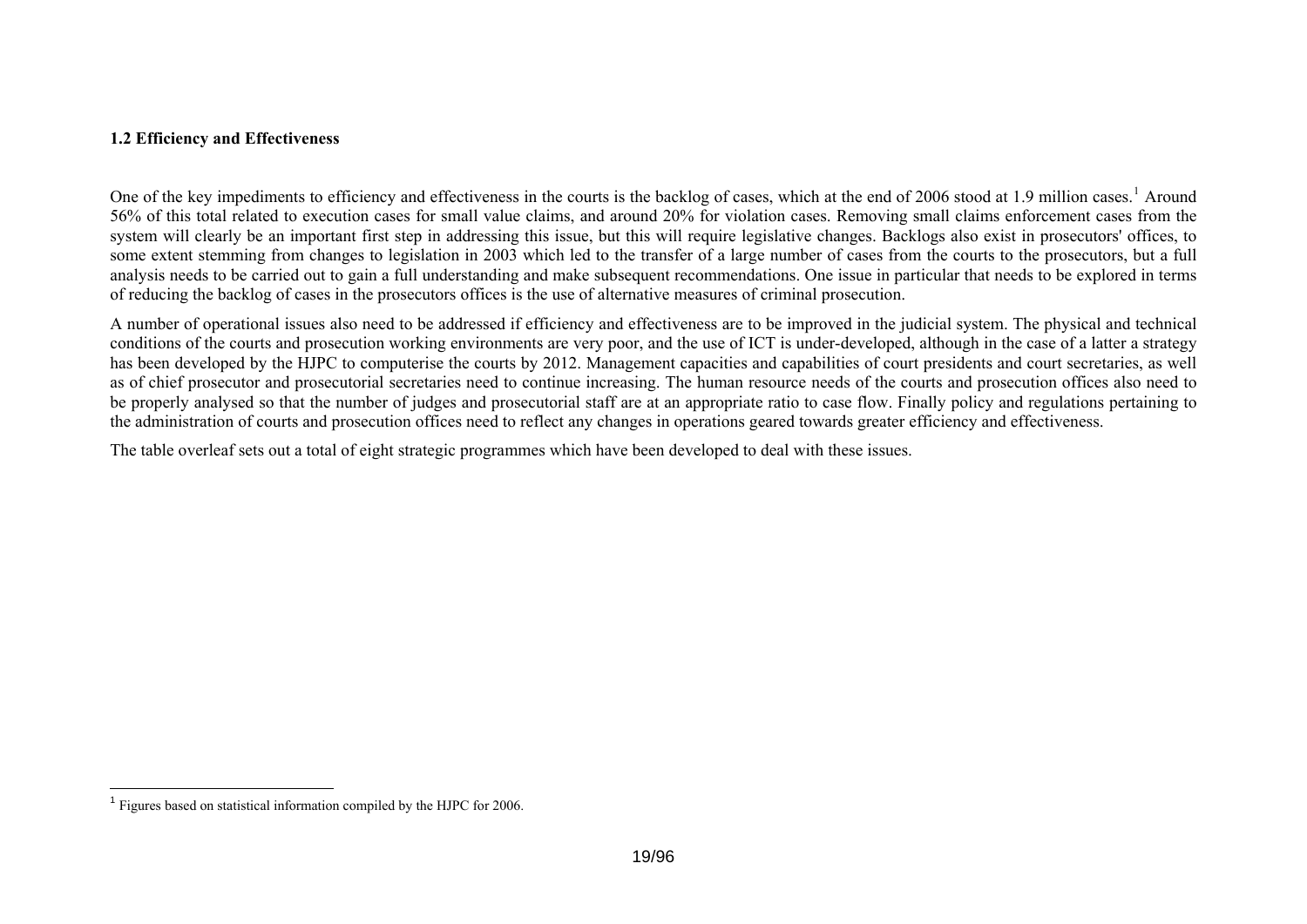# **1.2 Efficiency and Effectiveness**

One of the key impediments to efficiency and effectiveness in the courts is the backlog of cases, which at the end of 2006 stood at [1](#page-18-1).9 million cases.<sup>1</sup> Around 56% of this total related to execution cases for small value claims, and around 20% for violation cases. Removing small claims enforcement cases from the system will clearly be an important first step in addressing this issue, but this will require legislative changes. Backlogs also exist in prosecutors' offices, to some extent stemming from changes to legislation in 2003 which led to the transfer of a large number of cases from the courts to the prosecutors, but a full analysis needs to be carried out to gain a full understanding and make subsequent recommendations. One issue in particular that needs to be explored in terms of reducing the backlog of cases in the prosecutors offices is the use of alternative measures of criminal prosecution.

A number of operational issues also need to be addressed if efficiency and effectiveness are to be improved in the judicial system. The physical and technical conditions of the courts and prosecution working environments are very poor, and the use of ICT is under-developed, although in the case of a latter a strategy has been developed by the HJPC to computerise the courts by 2012. Management capacities and capabilities of court presidents and court secretaries, as well as of chief prosecutor and prosecutorial secretaries need to continue increasing. The human resource needs of the courts and prosecution offices also need to be properly analysed so that the number of judges and prosecutorial staff are at an appropriate ratio to case flow. Finally policy and regulations pertaining to the administration of courts and prosecution offices need to reflect any changes in operations geared towards greater efficiency and effectiveness.

The table overleaf sets out a total of eight strategic programmes which have been developed to deal with these issues.

<span id="page-18-1"></span><span id="page-18-0"></span> $<sup>1</sup>$  Figures based on statistical information compiled by the HJPC for 2006.</sup>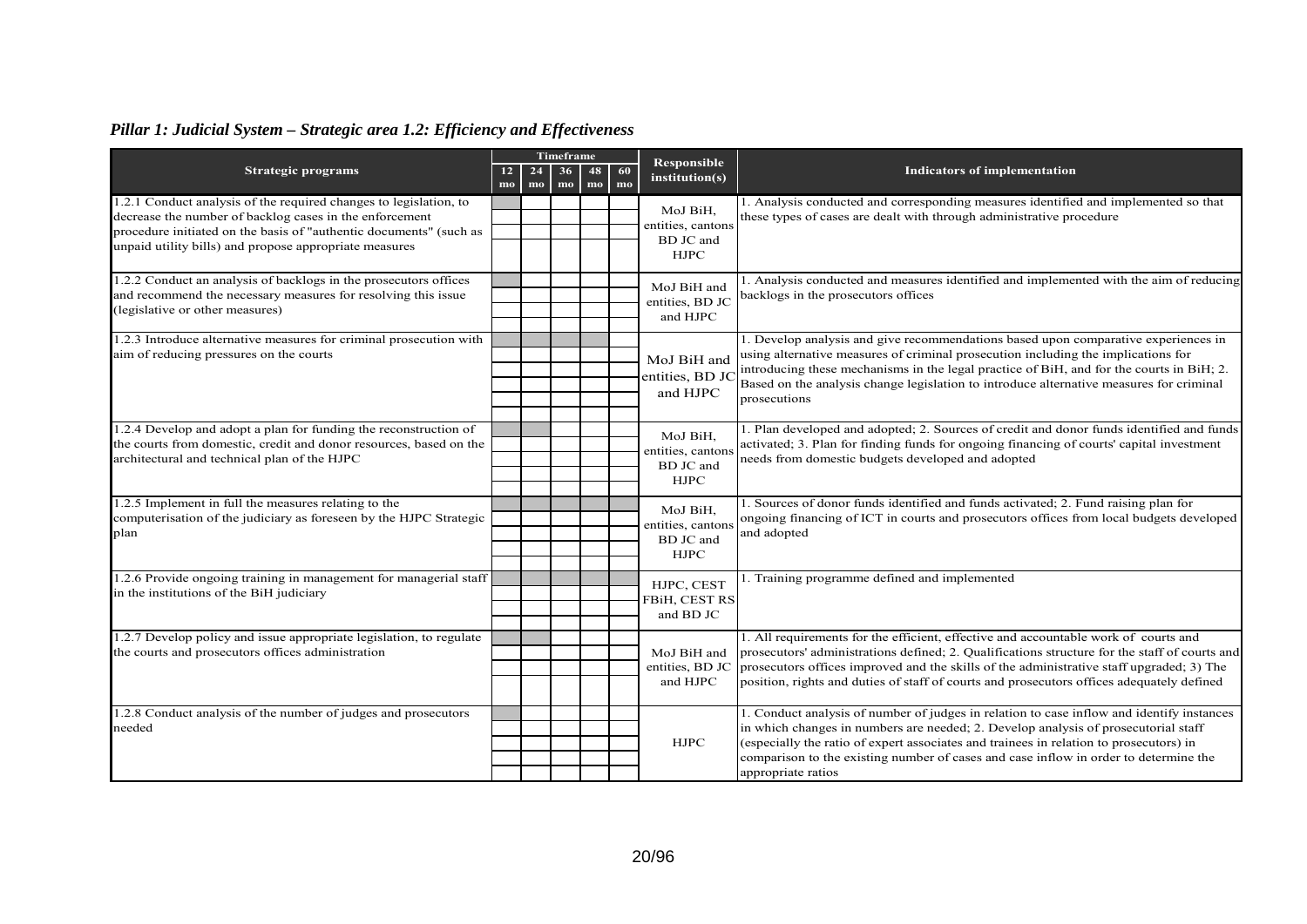# *Pillar 1: Judicial System – Strategic area 1.2: Efficiency and Effectiveness*

|                                                                     | <b>Timeframe</b>                 |             | <b>Responsible</b>                                                                     |                                                                                           |           |                                                   |                                                                                                                                                                                      |
|---------------------------------------------------------------------|----------------------------------|-------------|----------------------------------------------------------------------------------------|-------------------------------------------------------------------------------------------|-----------|---------------------------------------------------|--------------------------------------------------------------------------------------------------------------------------------------------------------------------------------------|
| <b>Strategic programs</b>                                           | 12 <sub>2</sub><br>$\mathbf{mo}$ | 24<br>mo    | 36<br>mo                                                                               | 48<br>mo                                                                                  | 60<br>mo  | institution(s)                                    | <b>Indicators of implementation</b>                                                                                                                                                  |
| 1.2.1 Conduct analysis of the required changes to legislation, to   |                                  |             |                                                                                        |                                                                                           |           |                                                   | 1. Analysis conducted and corresponding measures identified and implemented so that                                                                                                  |
| decrease the number of backlog cases in the enforcement             |                                  |             |                                                                                        |                                                                                           |           | MoJ BiH,<br>entities, cantons                     | these types of cases are dealt with through administrative procedure                                                                                                                 |
| procedure initiated on the basis of "authentic documents" (such as  |                                  |             |                                                                                        |                                                                                           |           | BD JC and                                         |                                                                                                                                                                                      |
| unpaid utility bills) and propose appropriate measures              |                                  |             |                                                                                        |                                                                                           |           | <b>HJPC</b>                                       |                                                                                                                                                                                      |
| 1.2.2 Conduct an analysis of backlogs in the prosecutors offices    |                                  |             |                                                                                        |                                                                                           |           |                                                   | 1. Analysis conducted and measures identified and implemented with the aim of reducing                                                                                               |
| and recommend the necessary measures for resolving this issue       |                                  |             |                                                                                        |                                                                                           |           | MoJ BiH and<br>entities, BD JC                    | backlogs in the prosecutors offices                                                                                                                                                  |
| (legislative or other measures)                                     |                                  |             |                                                                                        |                                                                                           |           | and HJPC                                          |                                                                                                                                                                                      |
|                                                                     |                                  |             |                                                                                        |                                                                                           |           |                                                   |                                                                                                                                                                                      |
| 1.2.3 Introduce alternative measures for criminal prosecution with  |                                  |             |                                                                                        |                                                                                           |           |                                                   | 1. Develop analysis and give recommendations based upon comparative experiences in                                                                                                   |
| aim of reducing pressures on the courts                             |                                  |             |                                                                                        |                                                                                           |           | MoJ BiH and                                       | using alternative measures of criminal prosecution including the implications for                                                                                                    |
|                                                                     |                                  |             |                                                                                        |                                                                                           |           | entities, BD JC                                   | introducing these mechanisms in the legal practice of BiH, and for the courts in BiH; 2.                                                                                             |
|                                                                     |                                  |             |                                                                                        |                                                                                           |           | and HJPC                                          | Based on the analysis change legislation to introduce alternative measures for criminal                                                                                              |
|                                                                     |                                  |             |                                                                                        |                                                                                           |           |                                                   | prosecutions                                                                                                                                                                         |
|                                                                     |                                  |             |                                                                                        |                                                                                           |           |                                                   |                                                                                                                                                                                      |
| 1.2.4 Develop and adopt a plan for funding the reconstruction of    |                                  |             |                                                                                        |                                                                                           |           | MoJ BiH.                                          | 1. Plan developed and adopted; 2. Sources of credit and donor funds identified and funds<br>activated; 3. Plan for finding funds for ongoing financing of courts' capital investment |
| the courts from domestic, credit and donor resources, based on the  |                                  |             |                                                                                        |                                                                                           |           | entities, cantons                                 |                                                                                                                                                                                      |
| architectural and technical plan of the HJPC                        |                                  |             |                                                                                        |                                                                                           | BD JC and | needs from domestic budgets developed and adopted |                                                                                                                                                                                      |
|                                                                     |                                  |             |                                                                                        |                                                                                           |           | <b>HJPC</b>                                       |                                                                                                                                                                                      |
| 1.2.5 Implement in full the measures relating to the                |                                  |             |                                                                                        |                                                                                           |           |                                                   | 1. Sources of donor funds identified and funds activated; 2. Fund raising plan for                                                                                                   |
| computerisation of the judiciary as foreseen by the HJPC Strategic  |                                  |             |                                                                                        |                                                                                           |           | MoJ BiH,                                          | ongoing financing of ICT in courts and prosecutors offices from local budgets developed                                                                                              |
| plan                                                                |                                  |             |                                                                                        |                                                                                           |           | entities, cantons                                 | and adopted                                                                                                                                                                          |
|                                                                     |                                  |             |                                                                                        |                                                                                           |           | BD JC and                                         |                                                                                                                                                                                      |
|                                                                     |                                  |             |                                                                                        |                                                                                           |           | <b>HJPC</b>                                       |                                                                                                                                                                                      |
| 1.2.6 Provide ongoing training in management for managerial staff   |                                  |             |                                                                                        |                                                                                           |           | HJPC, CEST                                        | . Training programme defined and implemented                                                                                                                                         |
| in the institutions of the BiH judiciary                            |                                  |             |                                                                                        |                                                                                           |           | FBiH, CEST RS                                     |                                                                                                                                                                                      |
|                                                                     |                                  |             |                                                                                        |                                                                                           |           | and BD JC                                         |                                                                                                                                                                                      |
|                                                                     |                                  |             |                                                                                        |                                                                                           |           |                                                   |                                                                                                                                                                                      |
| 1.2.7 Develop policy and issue appropriate legislation, to regulate |                                  |             |                                                                                        |                                                                                           |           |                                                   | 1. All requirements for the efficient, effective and accountable work of courts and                                                                                                  |
| the courts and prosecutors offices administration                   |                                  |             |                                                                                        |                                                                                           |           | MoJ BiH and                                       | prosecutors' administrations defined; 2. Qualifications structure for the staff of courts and                                                                                        |
|                                                                     |                                  |             |                                                                                        |                                                                                           |           | entities, BD JC                                   | prosecutors offices improved and the skills of the administrative staff upgraded; 3) The                                                                                             |
|                                                                     |                                  |             | and HJPC                                                                               | position, rights and duties of staff of courts and prosecutors offices adequately defined |           |                                                   |                                                                                                                                                                                      |
| 1.2.8 Conduct analysis of the number of judges and prosecutors      |                                  |             |                                                                                        |                                                                                           |           |                                                   | 1. Conduct analysis of number of judges in relation to case inflow and identify instances                                                                                            |
| needed                                                              |                                  |             |                                                                                        |                                                                                           |           |                                                   | in which changes in numbers are needed; 2. Develop analysis of prosecutorial staff                                                                                                   |
|                                                                     |                                  | <b>HJPC</b> | (especially the ratio of expert associates and trainees in relation to prosecutors) in |                                                                                           |           |                                                   |                                                                                                                                                                                      |
|                                                                     |                                  |             |                                                                                        |                                                                                           |           |                                                   | comparison to the existing number of cases and case inflow in order to determine the                                                                                                 |
|                                                                     |                                  |             |                                                                                        |                                                                                           |           |                                                   | appropriate ratios                                                                                                                                                                   |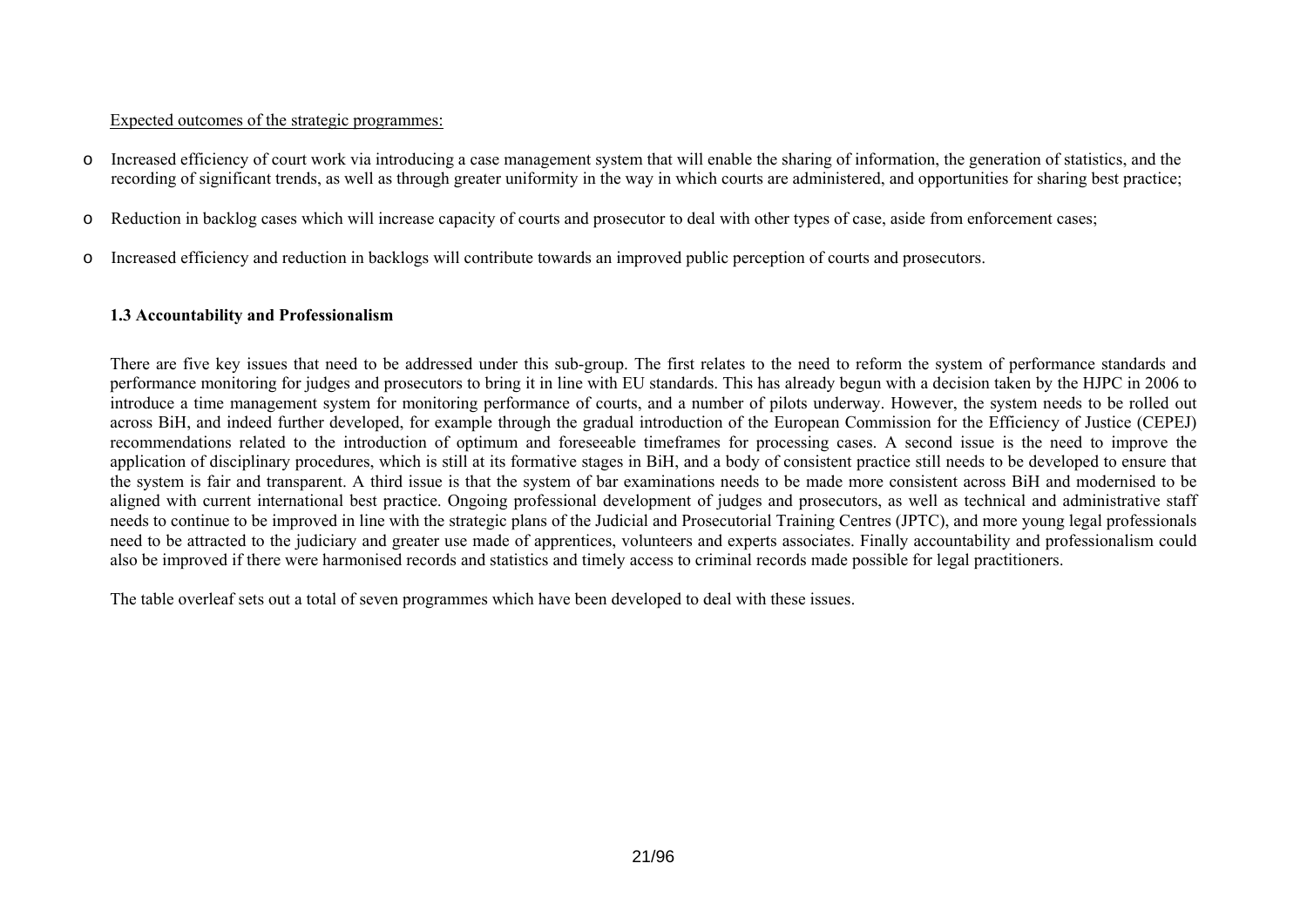#### Expected outcomes of the strategic programmes:

- o Increased efficiency of court work via introducing a case management system that will enable the sharing of information, the generation of statistics, and the recording of significant trends, as well as through greater uniformity in the way in which courts are administered, and opportunities for sharing best practice;
- oReduction in backlog cases which will increase capacity of courts and prosecutor to deal with other types of case, aside from enforcement cases;
- oIncreased efficiency and reduction in backlogs will contribute towards an improved public perception of courts and prosecutors.

# **1.3 Accountability and Professionalism**

There are five key issues that need to be addressed under this sub-group. The first relates to the need to reform the system of performance standards and performance monitoring for judges and prosecutors to bring it in line with EU standards. This has already begun with a decision taken by the HJPC in 2006 to introduce a time management system for monitoring performance of courts, and a number of pilots underway. However, the system needs to be rolled out across BiH, and indeed further developed, for example through the gradual introduction of the European Commission for the Efficiency of Justice (CEPEJ) recommendations related to the introduction of optimum and foreseeable timeframes for processing cases. A second issue is the need to improve the application of disciplinary procedures, which is still at its formative stages in BiH, and a body of consistent practice still needs to be developed to ensure that the system is fair and transparent. A third issue is that the system of bar examinations needs to be made more consistent across BiH and modernised to be aligned with current international best practice. Ongoing professional development of judges and prosecutors, as well as technical and administrative staff needs to continue to be improved in line with the strategic plans of the Judicial and Prosecutorial Training Centres (JPTC), and more young legal professionals need to be attracted to the judiciary and greater use made of apprentices, volunteers and experts associates. Finally accountability and professionalism could also be improved if there were harmonised records and statistics and timely access to criminal records made possible for legal practitioners.

<span id="page-20-0"></span>The table overleaf sets out a total of seven programmes which have been developed to deal with these issues.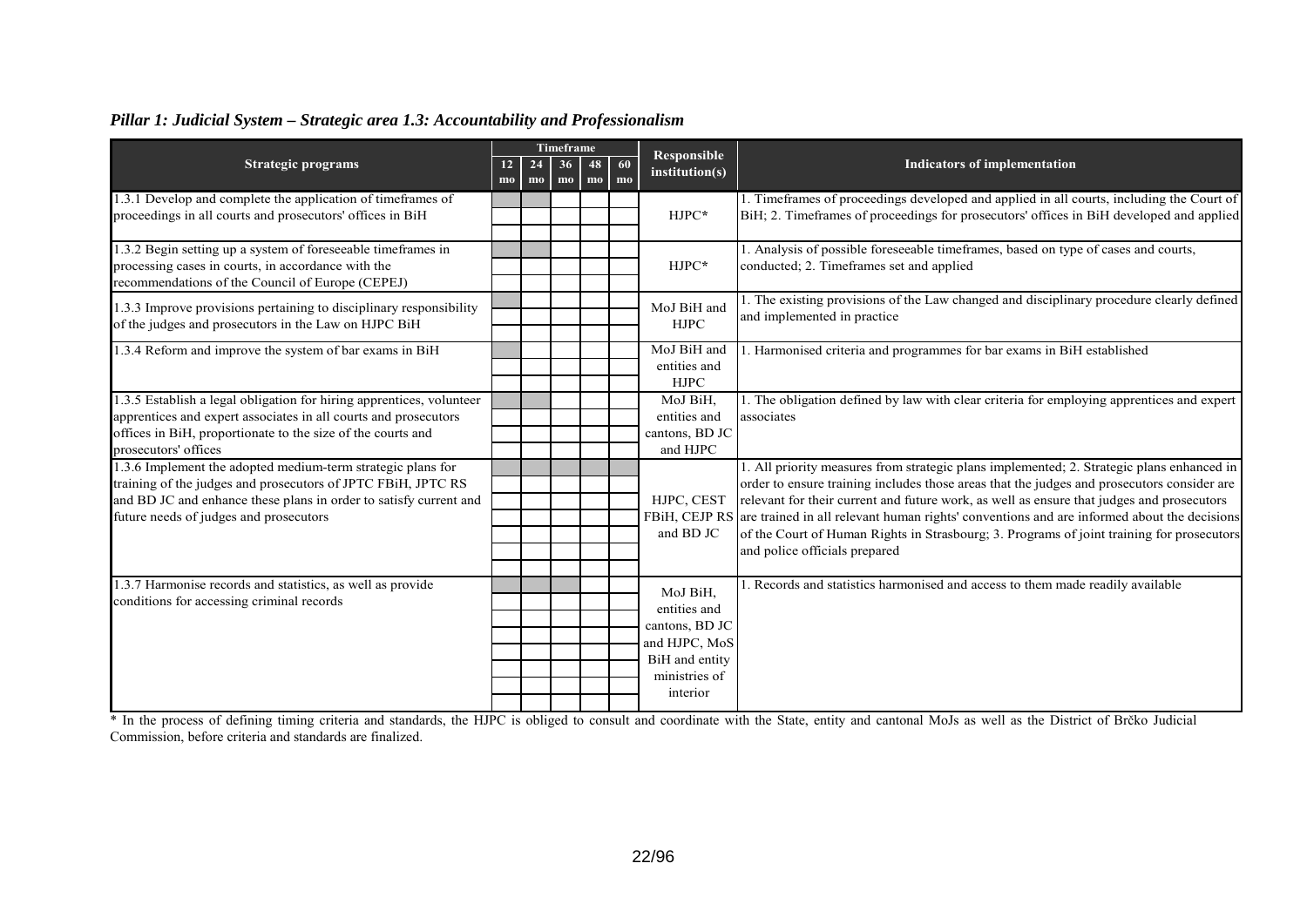# *Pillar 1: Judicial System – Strategic area 1.3: Accountability and Professionalism*

| <b>Strategic programs</b>                                                                                                                                                                                                                  | 12<br>$\mathbf{mo}$ | 24<br>$\mathbf{mo}$ | Timeframe<br>36<br>48<br>mo<br>mo | 60<br>mo | <b>Responsible</b><br>institution(s)                                                                       | <b>Indicators of implementation</b>                                                                                                                                                                                                                                                                                                                                                                                                                                                                                            |
|--------------------------------------------------------------------------------------------------------------------------------------------------------------------------------------------------------------------------------------------|---------------------|---------------------|-----------------------------------|----------|------------------------------------------------------------------------------------------------------------|--------------------------------------------------------------------------------------------------------------------------------------------------------------------------------------------------------------------------------------------------------------------------------------------------------------------------------------------------------------------------------------------------------------------------------------------------------------------------------------------------------------------------------|
| 1.3.1 Develop and complete the application of timeframes of<br>proceedings in all courts and prosecutors' offices in BiH                                                                                                                   |                     |                     |                                   |          | HJPC*                                                                                                      | 1. Timeframes of proceedings developed and applied in all courts, including the Court of<br>BiH; 2. Timeframes of proceedings for prosecutors' offices in BiH developed and applied                                                                                                                                                                                                                                                                                                                                            |
| 1.3.2 Begin setting up a system of foreseeable timeframes in<br>processing cases in courts, in accordance with the<br>recommendations of the Council of Europe (CEPEJ)                                                                     |                     |                     |                                   |          | $HJPC*$                                                                                                    | 1. Analysis of possible foreseeable timeframes, based on type of cases and courts,<br>conducted; 2. Timeframes set and applied                                                                                                                                                                                                                                                                                                                                                                                                 |
| 1.3.3 Improve provisions pertaining to disciplinary responsibility<br>of the judges and prosecutors in the Law on HJPC BiH                                                                                                                 |                     |                     |                                   |          | MoJ BiH and<br><b>HJPC</b>                                                                                 | 1. The existing provisions of the Law changed and disciplinary procedure clearly defined<br>and implemented in practice                                                                                                                                                                                                                                                                                                                                                                                                        |
| 1.3.4 Reform and improve the system of bar exams in BiH                                                                                                                                                                                    |                     |                     |                                   |          | MoJ BiH and<br>entities and<br><b>HJPC</b>                                                                 | 1. Harmonised criteria and programmes for bar exams in BiH established                                                                                                                                                                                                                                                                                                                                                                                                                                                         |
| 1.3.5 Establish a legal obligation for hiring apprentices, volunteer<br>apprentices and expert associates in all courts and prosecutors<br>offices in BiH, proportionate to the size of the courts and<br>prosecutors' offices             |                     |                     |                                   |          | MoJ BiH.<br>entities and<br>cantons, BD JC<br>and HJPC                                                     | 1. The obligation defined by law with clear criteria for employing apprentices and expert<br>associates                                                                                                                                                                                                                                                                                                                                                                                                                        |
| 1.3.6 Implement the adopted medium-term strategic plans for<br>training of the judges and prosecutors of JPTC FBiH, JPTC RS<br>and BD JC and enhance these plans in order to satisfy current and<br>future needs of judges and prosecutors |                     |                     |                                   |          | HJPC, CEST<br>and BD JC                                                                                    | 1. All priority measures from strategic plans implemented; 2. Strategic plans enhanced in<br>order to ensure training includes those areas that the judges and prosecutors consider are<br>relevant for their current and future work, as well as ensure that judges and prosecutors<br>FBiH, CEJP RS are trained in all relevant human rights' conventions and are informed about the decisions<br>of the Court of Human Rights in Strasbourg; 3. Programs of joint training for prosecutors<br>and police officials prepared |
| 1.3.7 Harmonise records and statistics, as well as provide<br>conditions for accessing criminal records                                                                                                                                    |                     |                     |                                   |          | MoJ BiH,<br>entities and<br>cantons, BD JC<br>and HJPC, MoS<br>BiH and entity<br>ministries of<br>interior | 1. Records and statistics harmonised and access to them made readily available                                                                                                                                                                                                                                                                                                                                                                                                                                                 |

\* In the process of defining timing criteria and standards, the HJPC is obliged to consult and coordinate with the State, entity and cantonal MoJs as well as the District of Brčko Judicial Commission, before criteria and standards are finalized.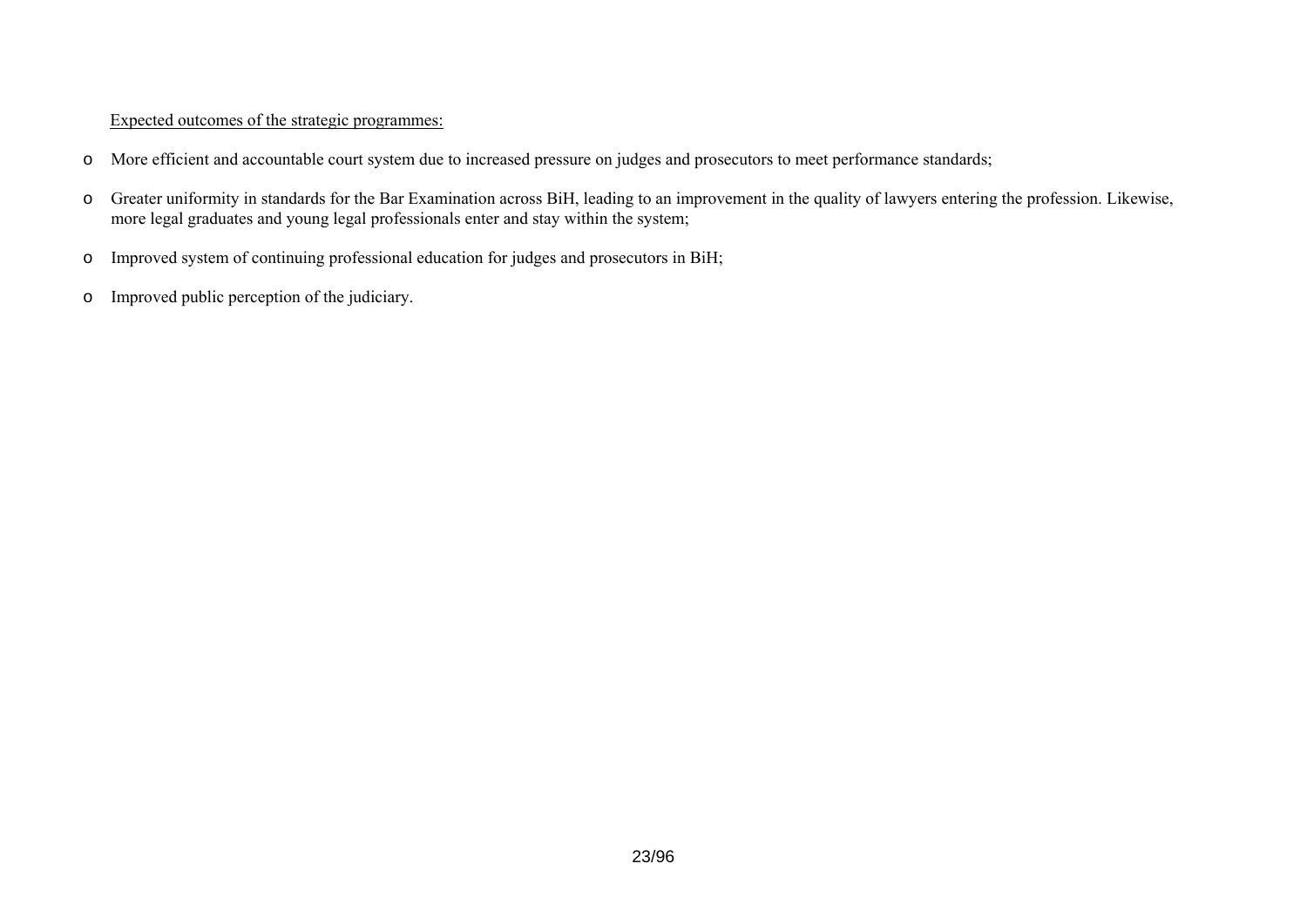# Expected outcomes of the strategic programmes:

- o More efficient and accountable court system due to increased pressure on judges and prosecutors to meet performance standards;
- o Greater uniformity in standards for the Bar Examination across BiH, leading to an improvement in the quality of lawyers entering the profession. Likewise, more legal graduates and young legal professionals enter and stay within the system;
- o Improved system of continuing professional education for judges and prosecutors in BiH;
- o Improved public perception of the judiciary.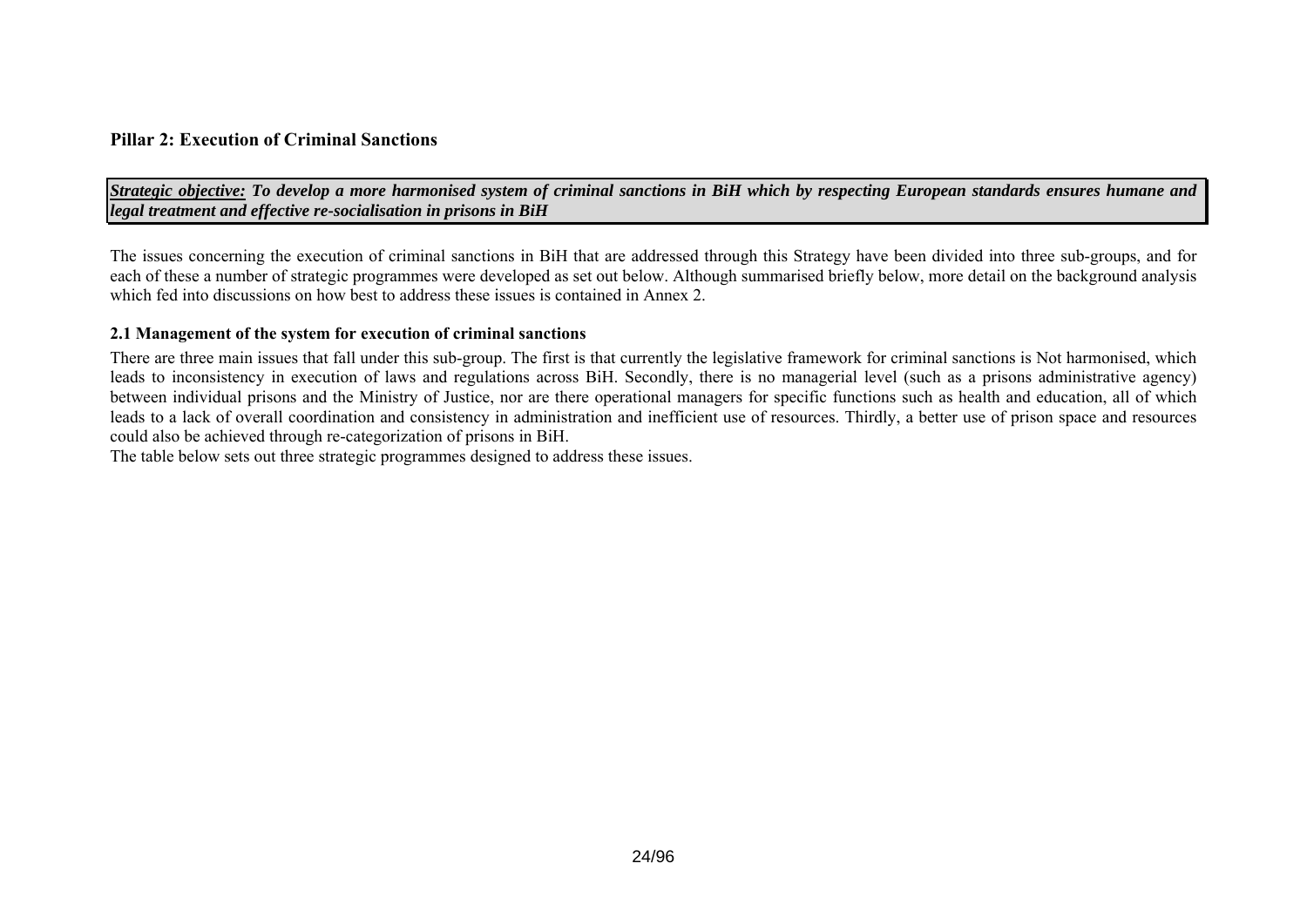### **Pillar 2: Execution of Criminal Sanctions**

*Strategic objective: To develop a more harmonised system of criminal sanctions in BiH which by respecting European standards ensures humane and legal treatment and effective re-socialisation in prisons in BiH* 

The issues concerning the execution of criminal sanctions in BiH that are addressed through this Strategy have been divided into three sub-groups, and for each of these a number of strategic programmes were developed as set out below. Although summarised briefly below, more detail on the background analysis which fed into discussions on how best to address these issues is contained in Annex 2.

#### **2.1 Management of the system for execution of criminal sanctions**

There are three main issues that fall under this sub-group. The first is that currently the legislative framework for criminal sanctions is Not harmonised, which leads to inconsistency in execution of laws and regulations across BiH. Secondly, there is no managerial level (such as a prisons administrative agency) between individual prisons and the Ministry of Justice, nor are there operational managers for specific functions such as health and education, all of which leads to a lack of overall coordination and consistency in administration and inefficient use of resources. Thirdly, a better use of prison space and resources could also be achieved through re-categorization of prisons in BiH.

<span id="page-23-0"></span>The table below sets out three strategic programmes designed to address these issues.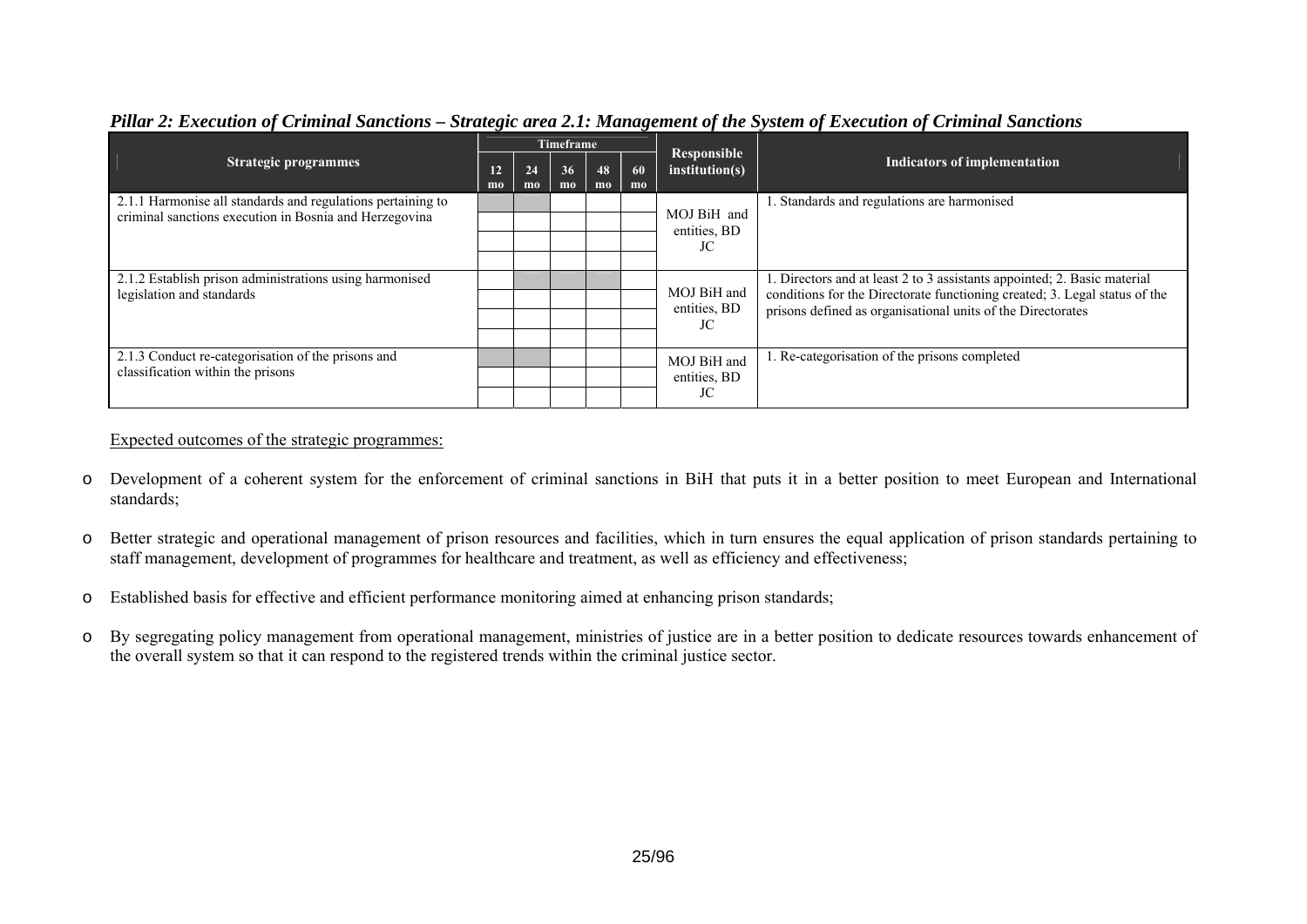|                                                                                                                       |          |          | Timeframe |          |          |                                   |                                                                                                                                                                                                                       |  |
|-----------------------------------------------------------------------------------------------------------------------|----------|----------|-----------|----------|----------|-----------------------------------|-----------------------------------------------------------------------------------------------------------------------------------------------------------------------------------------------------------------------|--|
| <b>Strategic programmes</b>                                                                                           | 12<br>mo | 24<br>mo | 36<br>mo  | 48<br>mo | 60<br>mo | Responsible<br>institution(s)     | Indicators of implementation                                                                                                                                                                                          |  |
| 2.1.1 Harmonise all standards and regulations pertaining to<br>criminal sanctions execution in Bosnia and Herzegovina |          |          |           |          |          | MOJ BiH and<br>entities, BD<br>JC | . Standards and regulations are harmonised                                                                                                                                                                            |  |
| 2.1.2 Establish prison administrations using harmonised<br>legislation and standards                                  |          |          |           |          |          | MOJ BiH and<br>entities, BD<br>JC | 1. Directors and at least 2 to 3 assistants appointed; 2. Basic material<br>conditions for the Directorate functioning created; 3. Legal status of the<br>prisons defined as organisational units of the Directorates |  |
| 2.1.3 Conduct re-categorisation of the prisons and<br>classification within the prisons                               |          |          |           |          |          | MOJ BiH and<br>entities, BD<br>JC | 1. Re-categorisation of the prisons completed                                                                                                                                                                         |  |

# *Pillar 2: Execution of Criminal Sanctions – Strategic area 2.1: Management of the System of Execution of Criminal Sanctions*

Expected outcomes of the strategic programmes:

- o Development of a coherent system for the enforcement of criminal sanctions in BiH that puts it in a better position to meet European and International standards;
- o Better strategic and operational management of prison resources and facilities, which in turn ensures the equal application of prison standards pertaining to staff management, development of programmes for healthcare and treatment, as well as efficiency and effectiveness;
- oEstablished basis for effective and efficient performance monitoring aimed at enhancing prison standards;
- o By segregating policy management from operational management, ministries of justice are in a better position to dedicate resources towards enhancement of the overall system so that it can respond to the registered trends within the criminal justice sector.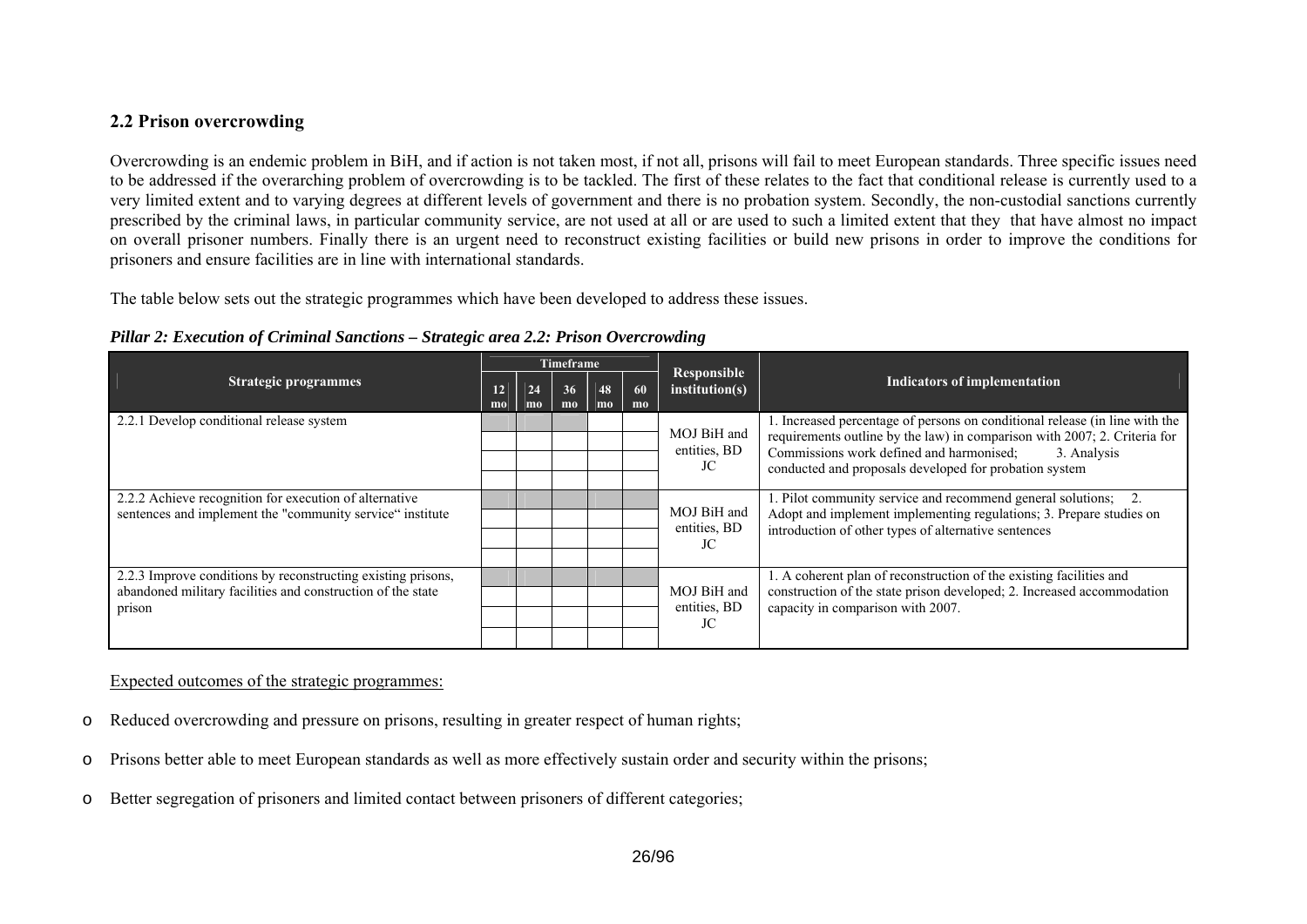# **2.2 Prison overcrowding**

Overcrowding is an endemic problem in BiH, and if action is not taken most, if not all, prisons will fail to meet European standards. Three specific issues need to be addressed if the overarching problem of overcrowding is to be tackled. The first of these relates to the fact that conditional release is currently used to a very limited extent and to varying degrees at different levels of government and there is no probation system. Secondly, the non-custodial sanctions currently prescribed by the criminal laws, in particular community service, are not used at all or are used to such a limited extent that they that have almost no impact on overall prisoner numbers. Finally there is an urgent need to reconstruct existing facilities or build new prisons in order to improve the conditions for prisoners and ensure facilities are in line with international standards.

The table below sets out the strategic programmes which have been developed to address these issues.

|                                                                                                                                       |          |          | Timeframe |          |          |                                   |                                                                                                                                                                                                                                                                               |  |
|---------------------------------------------------------------------------------------------------------------------------------------|----------|----------|-----------|----------|----------|-----------------------------------|-------------------------------------------------------------------------------------------------------------------------------------------------------------------------------------------------------------------------------------------------------------------------------|--|
| <b>Strategic programmes</b>                                                                                                           | 12<br>mo | 24<br>mo | 36<br>mo  | 48<br>mo | 60<br>mo | Responsible<br>institution(s)     | Indicators of implementation                                                                                                                                                                                                                                                  |  |
| 2.2.1 Develop conditional release system                                                                                              |          |          |           |          |          | MOJ BiH and<br>entities, BD<br>JC | 1. Increased percentage of persons on conditional release (in line with the<br>requirements outline by the law) in comparison with 2007; 2. Criteria for<br>Commissions work defined and harmonised;<br>3. Analysis<br>conducted and proposals developed for probation system |  |
| 2.2.2 Achieve recognition for execution of alternative<br>sentences and implement the "community service" institute                   |          |          |           |          |          | MOJ BiH and<br>entities, BD<br>JC | 1. Pilot community service and recommend general solutions; 2.<br>Adopt and implement implementing regulations; 3. Prepare studies on<br>introduction of other types of alternative sentences                                                                                 |  |
| 2.2.3 Improve conditions by reconstructing existing prisons,<br>abandoned military facilities and construction of the state<br>prison |          |          |           |          |          | MOJ BiH and<br>entities, BD<br>JC | 1. A coherent plan of reconstruction of the existing facilities and<br>construction of the state prison developed; 2. Increased accommodation<br>capacity in comparison with 2007.                                                                                            |  |

*Pillar 2: Execution of Criminal Sanctions – Strategic area 2.2: Prison Overcrowding* 

Expected outcomes of the strategic programmes:

- oReduced overcrowding and pressure on prisons, resulting in greater respect of human rights;
- oPrisons better able to meet European standards as well as more effectively sustain order and security within the prisons;
- <span id="page-25-0"></span>oBetter segregation of prisoners and limited contact between prisoners of different categories;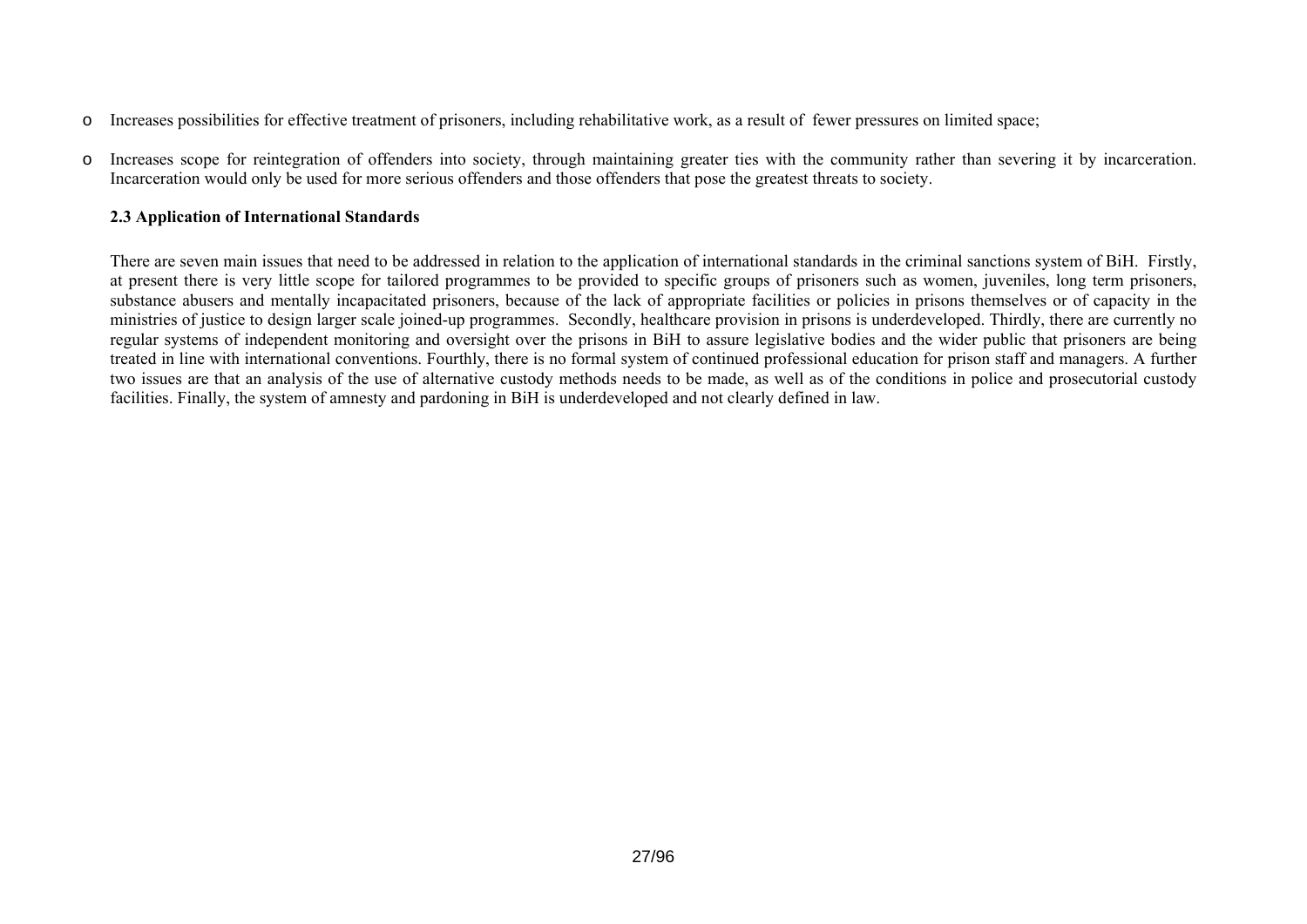- oIncreases possibilities for effective treatment of prisoners, including rehabilitative work, as a result of fewer pressures on limited space;
- o Increases scope for reintegration of offenders into society, through maintaining greater ties with the community rather than severing it by incarceration. Incarceration would only be used for more serious offenders and those offenders that pose the greatest threats to society.

# **2.3 Application of International Standards**

<span id="page-26-0"></span>There are seven main issues that need to be addressed in relation to the application of international standards in the criminal sanctions system of BiH. Firstly, at present there is very little scope for tailored programmes to be provided to specific groups of prisoners such as women, juveniles, long term prisoners, substance abusers and mentally incapacitated prisoners, because of the lack of appropriate facilities or policies in prisons themselves or of capacity in the ministries of justice to design larger scale joined-up programmes. Secondly, healthcare provision in prisons is underdeveloped. Thirdly, there are currently no regular systems of independent monitoring and oversight over the prisons in BiH to assure legislative bodies and the wider public that prisoners are being treated in line with international conventions. Fourthly, there is no formal system of continued professional education for prison staff and managers. A further two issues are that an analysis of the use of alternative custody methods needs to be made, as well as of the conditions in police and prosecutorial custody facilities. Finally, the system of amnesty and pardoning in BiH is underdeveloped and not clearly defined in law.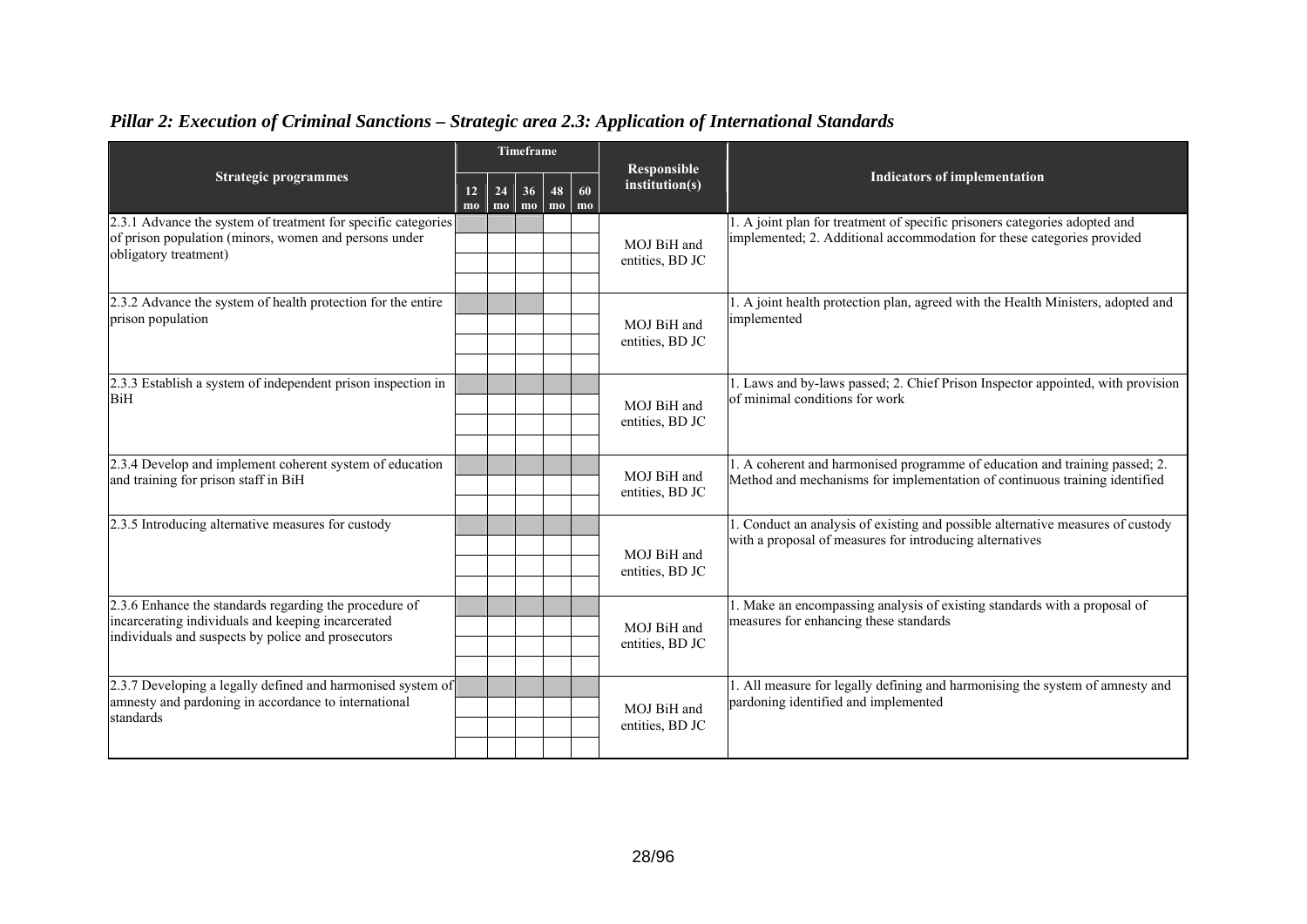|                                                                                                                                                                    |          |                      | Timeframe       |            |                      | Responsible                    |                                                                                                                                                           |
|--------------------------------------------------------------------------------------------------------------------------------------------------------------------|----------|----------------------|-----------------|------------|----------------------|--------------------------------|-----------------------------------------------------------------------------------------------------------------------------------------------------------|
| <b>Strategic programmes</b>                                                                                                                                        | 12<br>mo | 24<br>m <sub>o</sub> | 36 <sup>1</sup> | 48<br>momo | 60<br>m <sub>0</sub> | institution(s)                 | <b>Indicators of implementation</b>                                                                                                                       |
| 2.3.1 Advance the system of treatment for specific categories<br>of prison population (minors, women and persons under<br>obligatory treatment)                    |          |                      |                 |            |                      | MOJ BiH and<br>entities, BD JC | 1. A joint plan for treatment of specific prisoners categories adopted and<br>implemented; 2. Additional accommodation for these categories provided      |
| 2.3.2 Advance the system of health protection for the entire<br>prison population                                                                                  |          |                      |                 |            |                      | MOJ BiH and<br>entities, BD JC | 1. A joint health protection plan, agreed with the Health Ministers, adopted and<br>implemented                                                           |
| 2.3.3 Establish a system of independent prison inspection in<br><b>BiH</b>                                                                                         |          |                      |                 |            |                      | MOJ BiH and<br>entities, BD JC | 1. Laws and by-laws passed; 2. Chief Prison Inspector appointed, with provision<br>of minimal conditions for work                                         |
| 2.3.4 Develop and implement coherent system of education<br>and training for prison staff in BiH                                                                   |          |                      |                 |            |                      | MOJ BiH and<br>entities, BD JC | 1. A coherent and harmonised programme of education and training passed; 2.<br>Method and mechanisms for implementation of continuous training identified |
| 2.3.5 Introducing alternative measures for custody                                                                                                                 |          |                      |                 |            |                      | MOJ BiH and<br>entities, BD JC | 1. Conduct an analysis of existing and possible alternative measures of custody<br>with a proposal of measures for introducing alternatives               |
| 2.3.6 Enhance the standards regarding the procedure of<br>incarcerating individuals and keeping incarcerated<br>individuals and suspects by police and prosecutors |          |                      |                 |            |                      | MOJ BiH and<br>entities, BD JC | 1. Make an encompassing analysis of existing standards with a proposal of<br>measures for enhancing these standards                                       |
| 2.3.7 Developing a legally defined and harmonised system of<br>amnesty and pardoning in accordance to international<br>standards                                   |          |                      |                 |            |                      | MOJ BiH and<br>entities, BD JC | 1. All measure for legally defining and harmonising the system of amnesty and<br>pardoning identified and implemented                                     |

# *Pillar 2: Execution of Criminal Sanctions – Strategic area 2.3: Application of International Standards*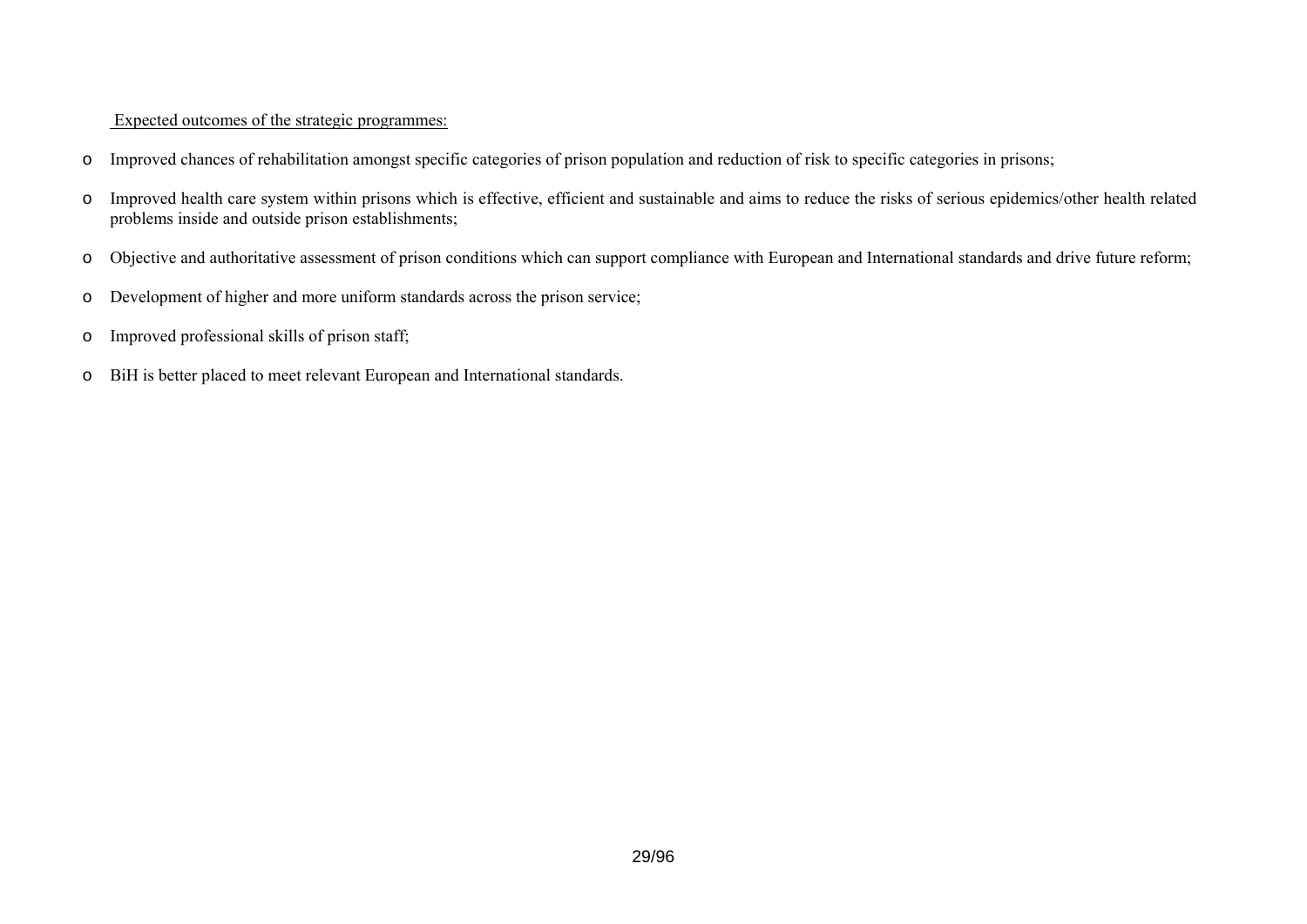# Expected outcomes of the strategic programmes:

- oImproved chances of rehabilitation amongst specific categories of prison population and reduction of risk to specific categories in prisons;
- o Improved health care system within prisons which is effective, efficient and sustainable and aims to reduce the risks of serious epidemics/other health related problems inside and outside prison establishments;
- oObjective and authoritative assessment of prison conditions which can support compliance with European and International standards and drive future reform;
- oDevelopment of higher and more uniform standards across the prison service;
- oImproved professional skills of prison staff;
- oBiH is better placed to meet relevant European and International standards.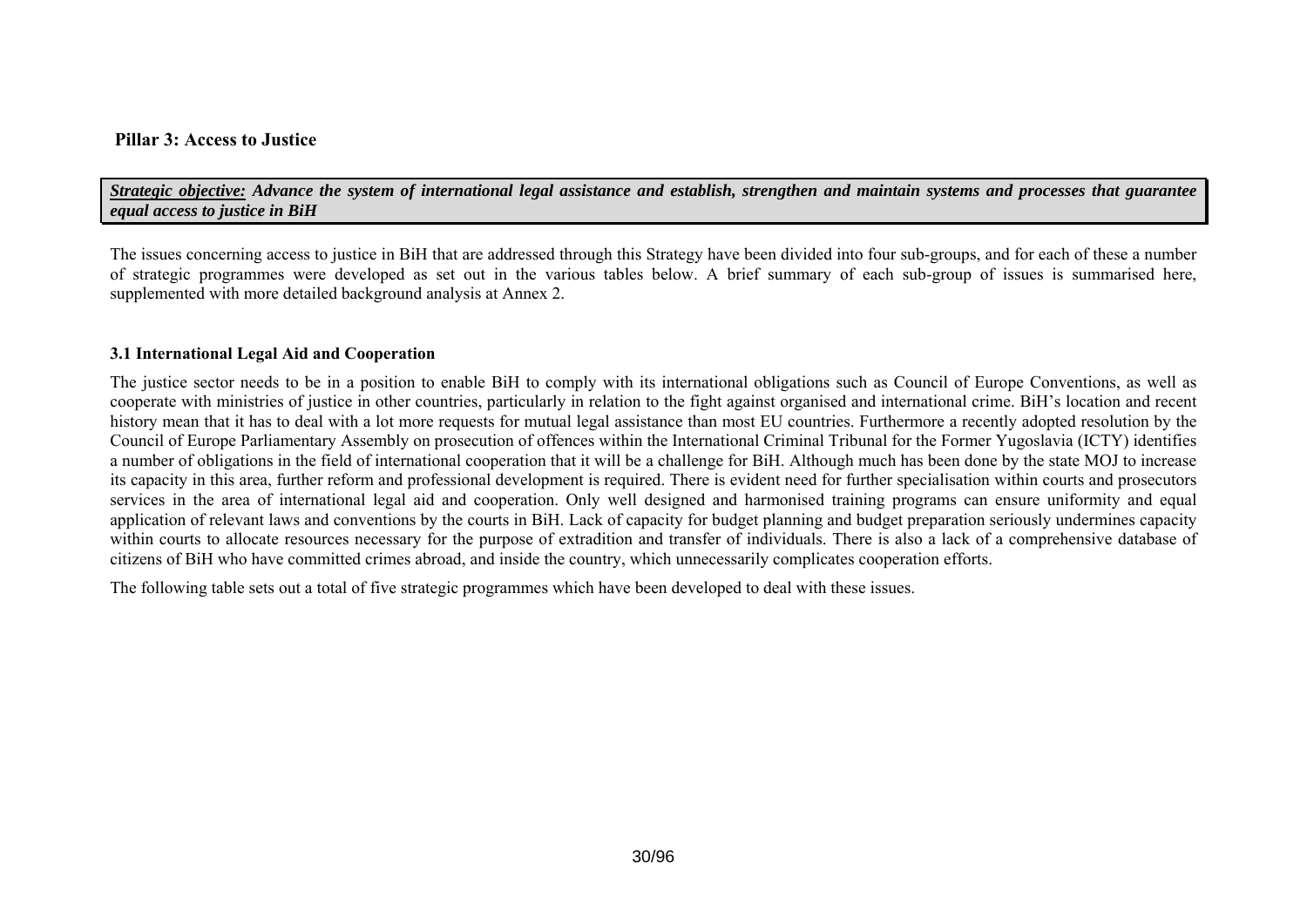# **Pillar 3: Access to Justice**

*Strategic objective: Advance the system of international legal assistance and establish, strengthen and maintain systems and processes that guarantee equal access to justice in BiH* 

The issues concerning access to justice in BiH that are addressed through this Strategy have been divided into four sub-groups, and for each of these a number of strategic programmes were developed as set out in the various tables below. A brief summary of each sub-group of issues is summarised here, supplemented with more detailed background analysis at Annex 2.

#### **3.1 International Legal Aid and Cooperation**

The justice sector needs to be in a position to enable BiH to comply with its international obligations such as Council of Europe Conventions, as well as cooperate with ministries of justice in other countries, particularly in relation to the fight against organised and international crime. BiH's location and recent history mean that it has to deal with a lot more requests for mutual legal assistance than most EU countries. Furthermore a recently adopted resolution by the Council of Europe Parliamentary Assembly on prosecution of offences within the International Criminal Tribunal for the Former Yugoslavia (ICTY) identifies a number of obligations in the field of international cooperation that it will be a challenge for BiH. Although much has been done by the state MOJ to increase its capacity in this area, further reform and professional development is required. There is evident need for further specialisation within courts and prosecutors services in the area of international legal aid and cooperation. Only well designed and harmonised training programs can ensure uniformity and equal application of relevant laws and conventions by the courts in BiH. Lack of capacity for budget planning and budget preparation seriously undermines capacity within courts to allocate resources necessary for the purpose of extradition and transfer of individuals. There is also a lack of a comprehensive database of citizens of BiH who have committed crimes abroad, and inside the country, which unnecessarily complicates cooperation efforts.

<span id="page-29-0"></span>The following table sets out a total of five strategic programmes which have been developed to deal with these issues.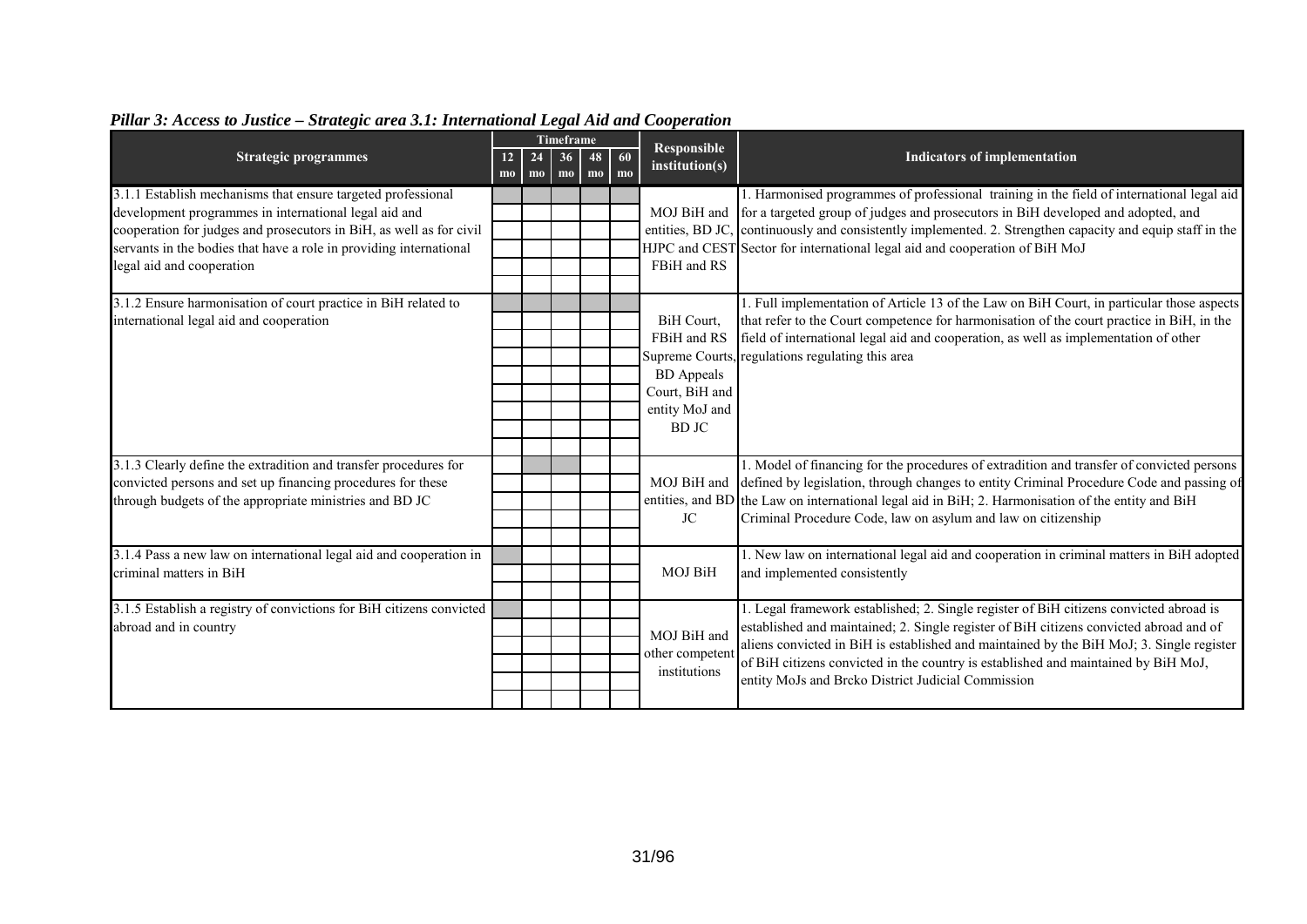|                                                                                                                                                                                                                                                                    |                                  |                              | Timeframe |          |          | <b>Responsible</b>                                                                                |                                                                                                                                                                                                                                                                                                                                                                                                                          |  |
|--------------------------------------------------------------------------------------------------------------------------------------------------------------------------------------------------------------------------------------------------------------------|----------------------------------|------------------------------|-----------|----------|----------|---------------------------------------------------------------------------------------------------|--------------------------------------------------------------------------------------------------------------------------------------------------------------------------------------------------------------------------------------------------------------------------------------------------------------------------------------------------------------------------------------------------------------------------|--|
| <b>Strategic programmes</b>                                                                                                                                                                                                                                        | 12 <sup>7</sup><br>$\mathbf{mo}$ | 24<br>$\mathbf{m}\mathbf{o}$ | 36<br>$m$ | 48<br>mo | 60<br>mo | institution(s)                                                                                    | <b>Indicators of implementation</b>                                                                                                                                                                                                                                                                                                                                                                                      |  |
| 3.1.1 Establish mechanisms that ensure targeted professional<br>development programmes in international legal aid and<br>cooperation for judges and prosecutors in BiH, as well as for civil<br>servants in the bodies that have a role in providing international |                                  |                              |           |          |          |                                                                                                   | 1. Harmonised programmes of professional training in the field of international legal aid<br>MOJ BiH and for a targeted group of judges and prosecutors in BiH developed and adopted, and<br>entities, BD JC, continuously and consistently implemented. 2. Strengthen capacity and equip staff in the<br>HJPC and CEST Sector for international legal aid and cooperation of BiH MoJ                                    |  |
| legal aid and cooperation                                                                                                                                                                                                                                          |                                  |                              |           |          |          | FBiH and RS                                                                                       |                                                                                                                                                                                                                                                                                                                                                                                                                          |  |
| 3.1.2 Ensure harmonisation of court practice in BiH related to<br>international legal aid and cooperation                                                                                                                                                          |                                  |                              |           |          |          | BiH Court,<br>FBiH and RS<br><b>BD</b> Appeals<br>Court, BiH and<br>entity MoJ and<br><b>BDJC</b> | 1. Full implementation of Article 13 of the Law on BiH Court, in particular those aspects<br>that refer to the Court competence for harmonisation of the court practice in BiH, in the<br>field of international legal aid and cooperation, as well as implementation of other<br>Supreme Courts, regulations regulating this area                                                                                       |  |
| 3.1.3 Clearly define the extradition and transfer procedures for<br>convicted persons and set up financing procedures for these<br>through budgets of the appropriate ministries and BD JC                                                                         |                                  |                              |           |          |          | JC                                                                                                | 1. Model of financing for the procedures of extradition and transfer of convicted persons<br>MOJ BiH and defined by legislation, through changes to entity Criminal Procedure Code and passing of<br>entities, and BD the Law on international legal aid in BiH; 2. Harmonisation of the entity and BiH<br>Criminal Procedure Code, law on asylum and law on citizenship                                                 |  |
| 3.1.4 Pass a new law on international legal aid and cooperation in<br>criminal matters in BiH                                                                                                                                                                      |                                  |                              |           |          |          | <b>MOJ BiH</b>                                                                                    | 1. New law on international legal aid and cooperation in criminal matters in BiH adopted<br>and implemented consistently                                                                                                                                                                                                                                                                                                 |  |
| 3.1.5 Establish a registry of convictions for BiH citizens convicted<br>abroad and in country                                                                                                                                                                      |                                  |                              |           |          |          | MOJ BiH and<br>other competent<br>institutions                                                    | 1. Legal framework established; 2. Single register of BiH citizens convicted abroad is<br>established and maintained; 2. Single register of BiH citizens convicted abroad and of<br>aliens convicted in BiH is established and maintained by the BiH MoJ; 3. Single register<br>of BiH citizens convicted in the country is established and maintained by BiH MoJ,<br>entity MoJs and Brcko District Judicial Commission |  |

# *Pillar 3: Access to Justice – Strategic area 3.1: International Legal Aid and Cooperation*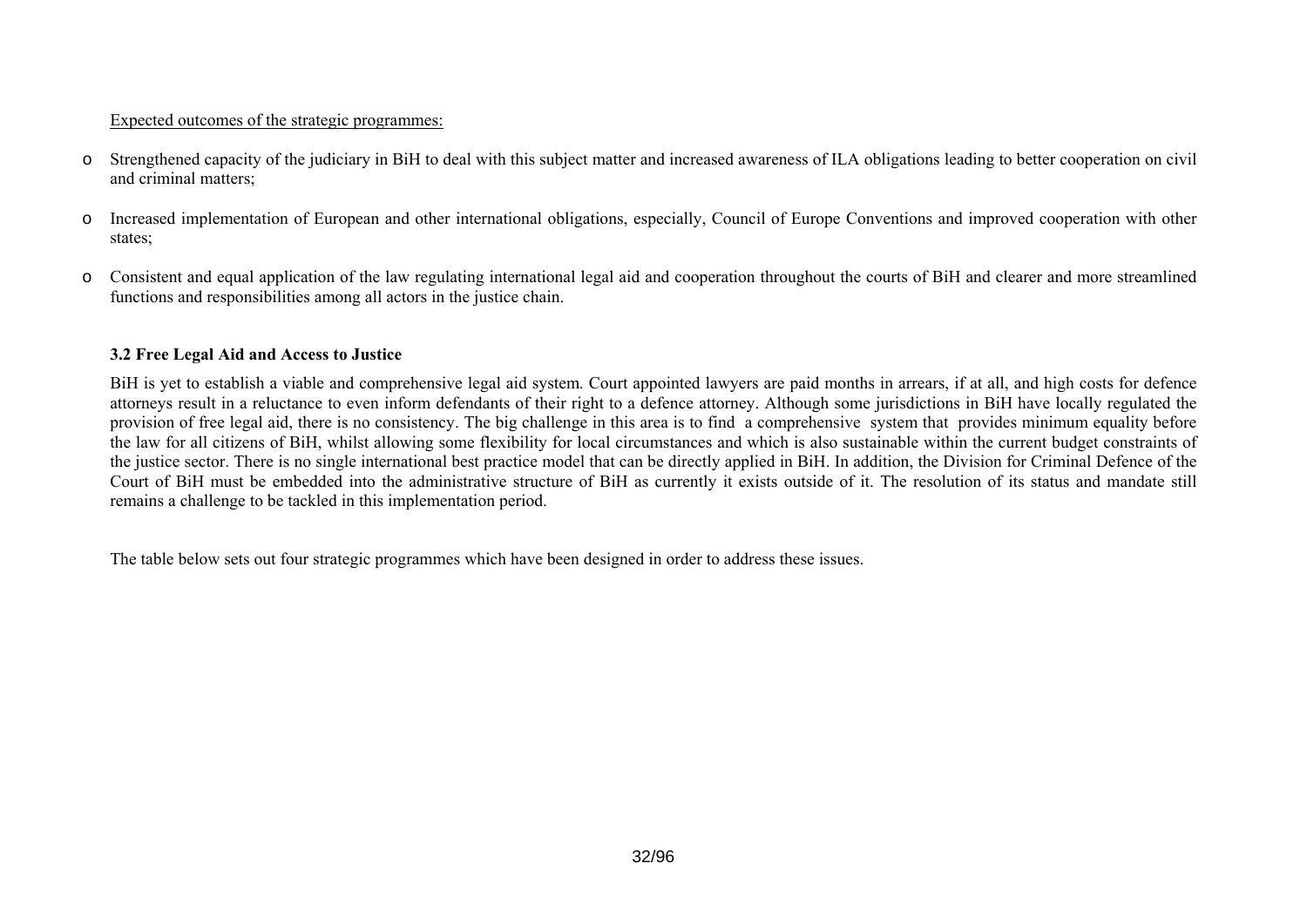#### Expected outcomes of the strategic programmes:

- o Strengthened capacity of the judiciary in BiH to deal with this subject matter and increased awareness of ILA obligations leading to better cooperation on civil and criminal matters;
- o Increased implementation of European and other international obligations, especially, Council of Europe Conventions and improved cooperation with other states;
- o Consistent and equal application of the law regulating international legal aid and cooperation throughout the courts of BiH and clearer and more streamlined functions and responsibilities among all actors in the justice chain.

#### **3.2 Free Legal Aid and Access to Justice**

BiH is yet to establish a viable and comprehensive legal aid system. Court appointed lawyers are paid months in arrears, if at all, and high costs for defence attorneys result in a reluctance to even inform defendants of their right to a defence attorney. Although some jurisdictions in BiH have locally regulated the provision of free legal aid, there is no consistency. The big challenge in this area is to find a comprehensive system that provides minimum equality before the law for all citizens of BiH, whilst allowing some flexibility for local circumstances and which is also sustainable within the current budget constraints of the justice sector. There is no single international best practice model that can be directly applied in BiH. In addition, the Division for Criminal Defence of the Court of BiH must be embedded into the administrative structure of BiH as currently it exists outside of it. The resolution of its status and mandate still remains a challenge to be tackled in this implementation period.

<span id="page-31-0"></span>The table below sets out four strategic programmes which have been designed in order to address these issues.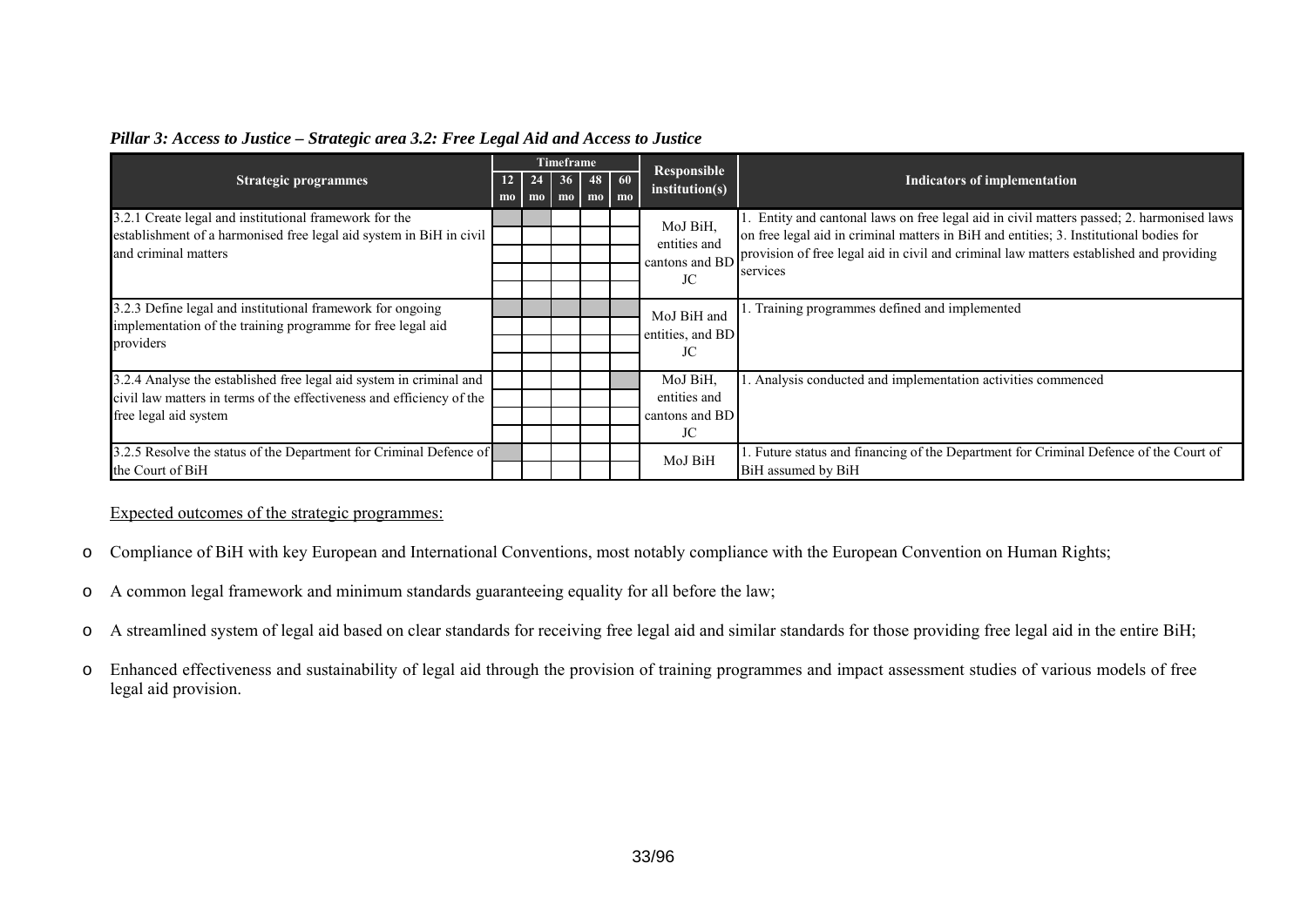|                                                                                                                                                                       |           |          | Timeframe      |                              |    | <b>Responsible</b>                               |                                                                                                                                                                                                                                                                                         |
|-----------------------------------------------------------------------------------------------------------------------------------------------------------------------|-----------|----------|----------------|------------------------------|----|--------------------------------------------------|-----------------------------------------------------------------------------------------------------------------------------------------------------------------------------------------------------------------------------------------------------------------------------------------|
| <b>Strategic programmes</b>                                                                                                                                           | 12<br>$m$ | 24<br>mo | m <sub>o</sub> | $36$ 48 60<br>m <sub>0</sub> | mo | institution(s)                                   | <b>Indicators of implementation</b>                                                                                                                                                                                                                                                     |
| 3.2.1 Create legal and institutional framework for the<br>establishment of a harmonised free legal aid system in BiH in civil<br>and criminal matters                 |           |          |                |                              |    | MoJ BiH,<br>entities and<br>cantons and BD<br>JC | Entity and cantonal laws on free legal aid in civil matters passed; 2. harmonised laws<br>on free legal aid in criminal matters in BiH and entities; 3. Institutional bodies for<br>provision of free legal aid in civil and criminal law matters established and providing<br>services |
| 3.2.3 Define legal and institutional framework for ongoing<br>implementation of the training programme for free legal aid<br>providers                                |           |          |                |                              |    | MoJ BiH and<br>entities, and BD<br>JC            | Training programmes defined and implemented                                                                                                                                                                                                                                             |
| 3.2.4 Analyse the established free legal aid system in criminal and<br>civil law matters in terms of the effectiveness and efficiency of the<br>free legal aid system |           |          |                |                              |    | MoJ BiH.<br>entities and<br>cantons and BD<br>JC | Analysis conducted and implementation activities commenced                                                                                                                                                                                                                              |
| 3.2.5 Resolve the status of the Department for Criminal Defence of<br>the Court of BiH                                                                                |           |          |                |                              |    | MoJ BiH                                          | Future status and financing of the Department for Criminal Defence of the Court of<br>BiH assumed by BiH                                                                                                                                                                                |

#### *Pillar 3: Access to Justice – Strategic area 3.2: Free Legal Aid and Access to Justice*

Expected outcomes of the strategic programmes:

- oCompliance of BiH with key European and International Conventions, most notably compliance with the European Convention on Human Rights;
- oA common legal framework and minimum standards guaranteeing equality for all before the law;
- oA streamlined system of legal aid based on clear standards for receiving free legal aid and similar standards for those providing free legal aid in the entire BiH;
- o Enhanced effectiveness and sustainability of legal aid through the provision of training programmes and impact assessment studies of various models of free legal aid provision.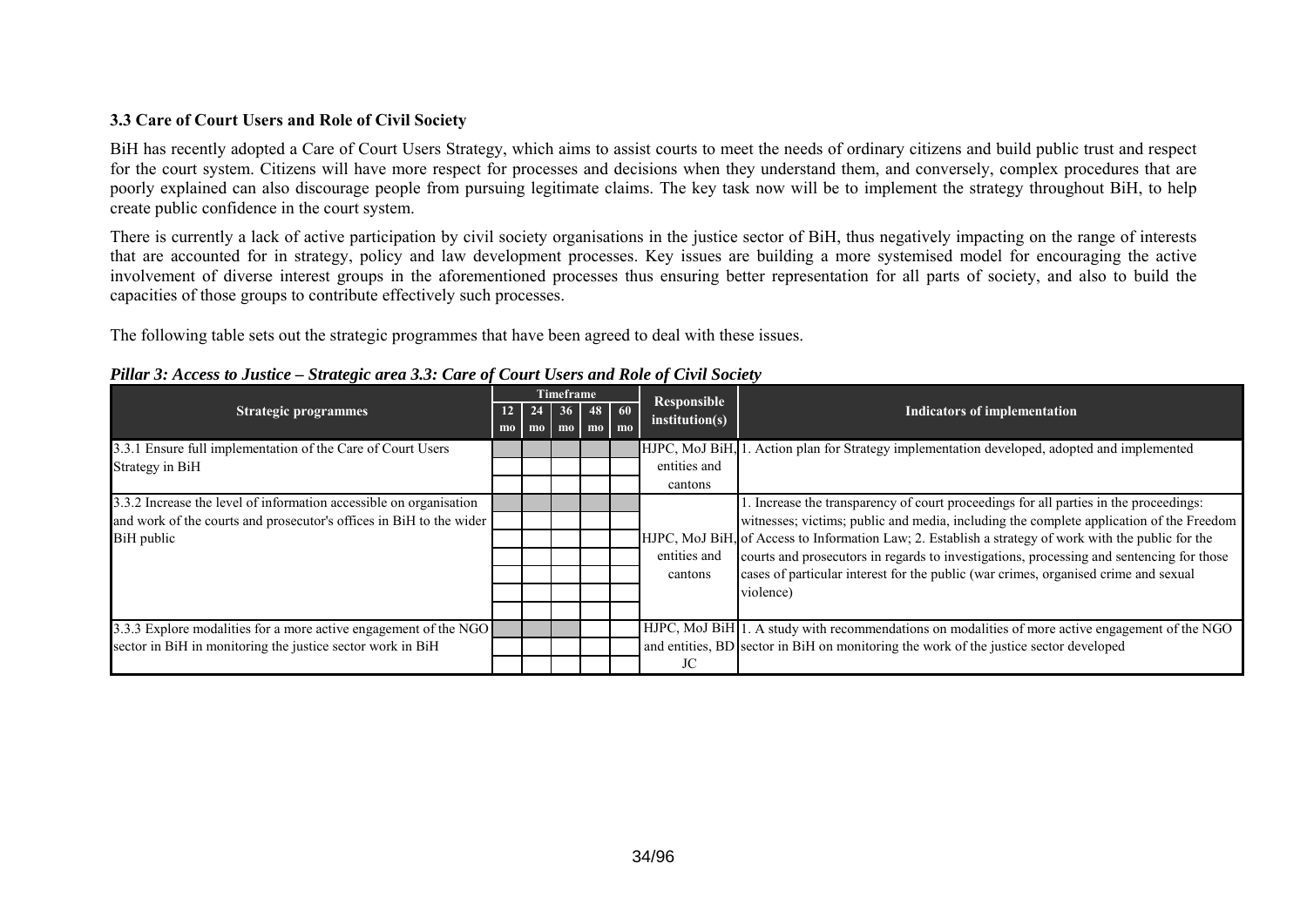# **3.3 Care of Court Users and Role of Civil Society**

BiH has recently adopted a Care of Court Users Strategy, which aims to assist courts to meet the needs of ordinary citizens and build public trust and respect for the court system. Citizens will have more respect for processes and decisions when they understand them, and conversely, complex procedures that are poorly explained can also discourage people from pursuing legitimate claims. The key task now will be to implement the strategy throughout BiH, to help create public confidence in the court system.

There is currently a lack of active participation by civil society organisations in the justice sector of BiH, thus negatively impacting on the range of interests that are accounted for in strategy, policy and law development processes. Key issues are building a more systemised model for encouraging the active involvement of diverse interest groups in the aforementioned processes thus ensuring better representation for all parts of society, and also to build the capacities of those groups to contribute effectively such processes.

The following table sets out the strategic programmes that have been agreed to deal with these issues.

<span id="page-33-0"></span>

|                                                                     |                |                                             |                     | Timeframe |                                                   | Responsible    |                                                                                                      |
|---------------------------------------------------------------------|----------------|---------------------------------------------|---------------------|-----------|---------------------------------------------------|----------------|------------------------------------------------------------------------------------------------------|
| <b>Strategic programmes</b>                                         | m <sub>0</sub> | $12 \mid 24 \mid$<br>$\mathbf{m}\mathbf{o}$ | 36<br>$\mathbf{mo}$ |           | $48$ 60<br>$\mathbf{m}$ $\mathbf{m}$ $\mathbf{m}$ | institution(s) | Indicators of implementation                                                                         |
| 3.3.1 Ensure full implementation of the Care of Court Users         |                |                                             |                     |           |                                                   | HJPC, MoJ BiH, | Action plan for Strategy implementation developed, adopted and implemented                           |
| Strategy in BiH                                                     |                |                                             |                     |           |                                                   | entities and   |                                                                                                      |
|                                                                     |                |                                             |                     |           |                                                   | cantons        |                                                                                                      |
| 3.3.2 Increase the level of information accessible on organisation  |                |                                             |                     |           |                                                   |                | . Increase the transparency of court proceedings for all parties in the proceedings:                 |
| and work of the courts and prosecutor's offices in BiH to the wider |                |                                             |                     |           |                                                   |                | witnesses; victims; public and media, including the complete application of the Freedom              |
| BiH public                                                          |                |                                             |                     |           |                                                   |                | HJPC, MoJ BiH, of Access to Information Law; 2. Establish a strategy of work with the public for the |
|                                                                     |                |                                             |                     |           |                                                   | entities and   | courts and prosecutors in regards to investigations, processing and sentencing for those             |
|                                                                     |                |                                             |                     |           |                                                   | cantons        | cases of particular interest for the public (war crimes, organised crime and sexual                  |
|                                                                     |                |                                             |                     |           |                                                   |                | violence)                                                                                            |
|                                                                     |                |                                             |                     |           |                                                   |                |                                                                                                      |
| 3.3.3 Explore modalities for a more active engagement of the NGO    |                |                                             |                     |           |                                                   |                | HJPC, MoJ BiH 1. A study with recommendations on modalities of more active engagement of the NGO     |
| sector in BiH in monitoring the justice sector work in BiH          |                |                                             |                     |           |                                                   |                | and entities, BD sector in BiH on monitoring the work of the justice sector developed                |
|                                                                     |                |                                             |                     |           |                                                   | JC             |                                                                                                      |

#### *Pillar 3: Access to Justice – Strategic area 3.3: Care of Court Users and Role of Civil Society*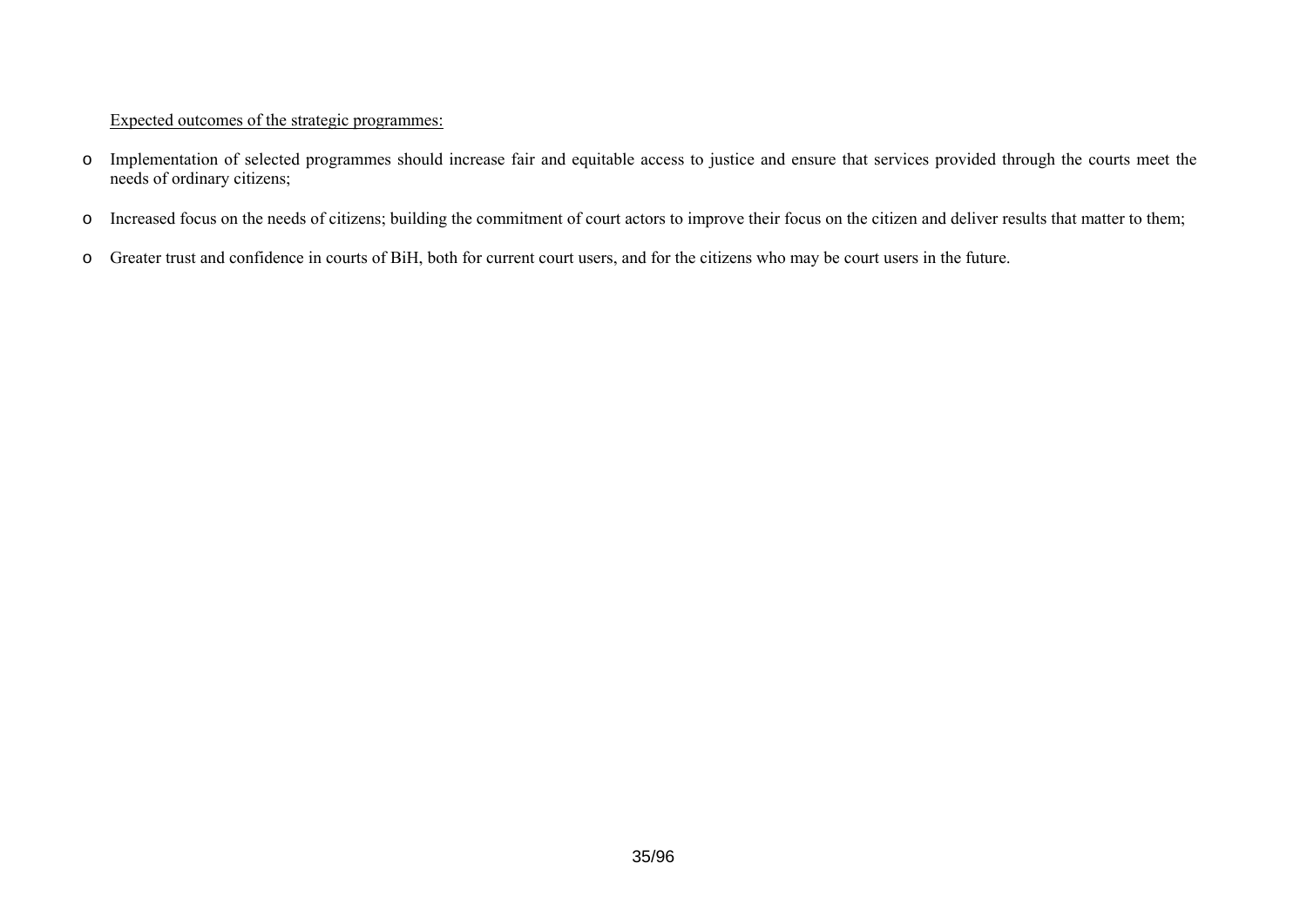# Expected outcomes of the strategic programmes:

- o Implementation of selected programmes should increase fair and equitable access to justice and ensure that services provided through the courts meet the needs of ordinary citizens;
- oIncreased focus on the needs of citizens; building the commitment of court actors to improve their focus on the citizen and deliver results that matter to them;
- o Greater trust and confidence in courts of BiH, both for current court users, and for the citizens who may be court users in the future.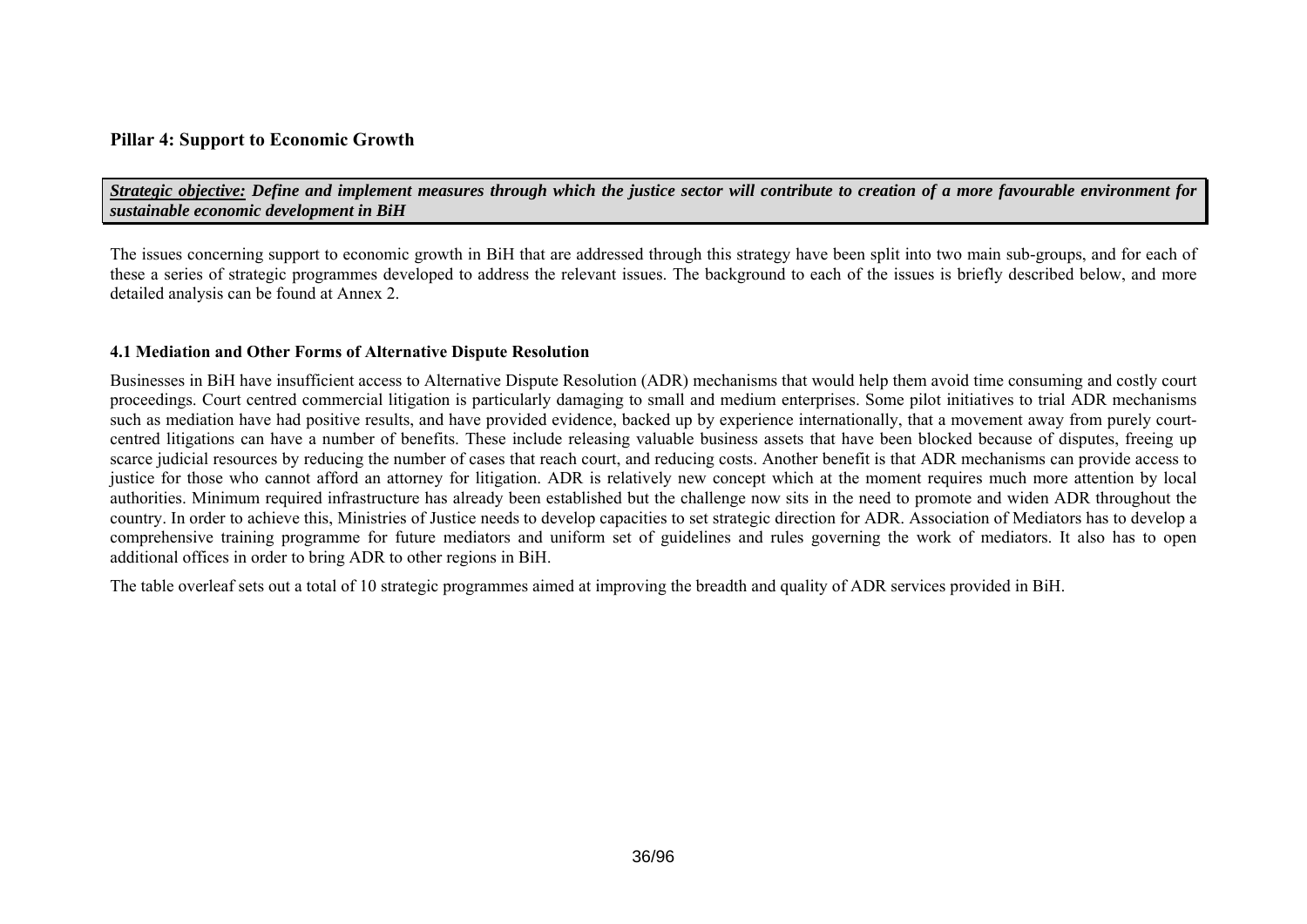# **Pillar 4: Support to Economic Growth**

*Strategic objective: Define and implement measures through which the justice sector will contribute to creation of a more favourable environment for sustainable economic development in BiH* 

The issues concerning support to economic growth in BiH that are addressed through this strategy have been split into two main sub-groups, and for each of these a series of strategic programmes developed to address the relevant issues. The background to each of the issues is briefly described below, and more detailed analysis can be found at Annex 2.

#### **4.1 Mediation and Other Forms of Alternative Dispute Resolution**

Businesses in BiH have insufficient access to Alternative Dispute Resolution (ADR) mechanisms that would help them avoid time consuming and costly court proceedings. Court centred commercial litigation is particularly damaging to small and medium enterprises. Some pilot initiatives to trial ADR mechanisms such as mediation have had positive results, and have provided evidence, backed up by experience internationally, that a movement away from purely courtcentred litigations can have a number of benefits. These include releasing valuable business assets that have been blocked because of disputes, freeing up scarce judicial resources by reducing the number of cases that reach court, and reducing costs. Another benefit is that ADR mechanisms can provide access to justice for those who cannot afford an attorney for litigation. ADR is relatively new concept which at the moment requires much more attention by local authorities. Minimum required infrastructure has already been established but the challenge now sits in the need to promote and widen ADR throughout the country. In order to achieve this, Ministries of Justice needs to develop capacities to set strategic direction for ADR. Association of Mediators has to develop a comprehensive training programme for future mediators and uniform set of guidelines and rules governing the work of mediators. It also has to open additional offices in order to bring ADR to other regions in BiH.

<span id="page-35-0"></span>The table overleaf sets out a total of 10 strategic programmes aimed at improving the breadth and quality of ADR services provided in BiH.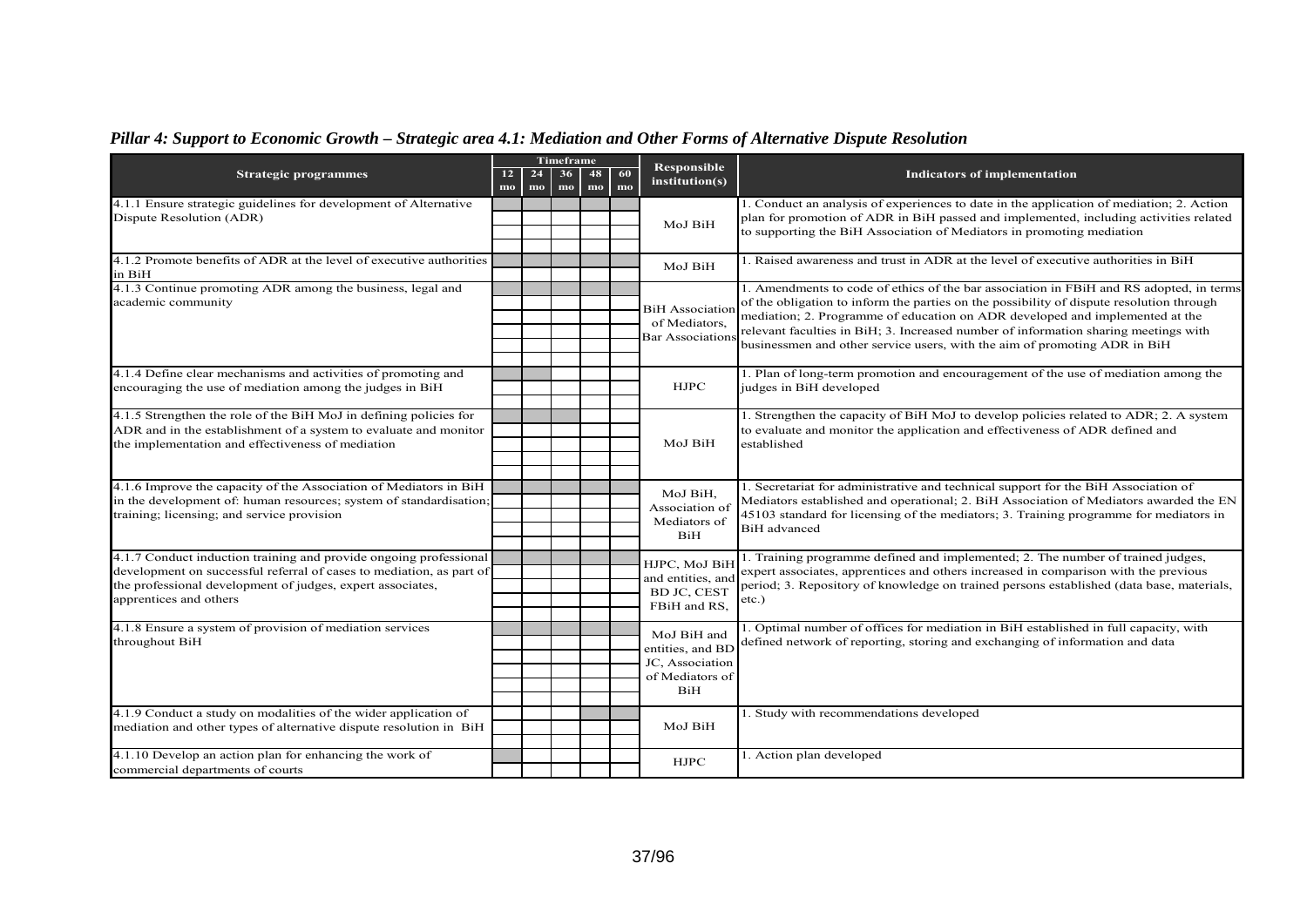# *Pillar 4: Support to Economic Growth – Strategic area 4.1: Mediation and Other Forms of Alternative Dispute Resolution*

|                                                                                                                                           |                                   |          | Timeframe |          |          | <b>Responsible</b>                 |                                                                                          |  |  |
|-------------------------------------------------------------------------------------------------------------------------------------------|-----------------------------------|----------|-----------|----------|----------|------------------------------------|------------------------------------------------------------------------------------------|--|--|
| <b>Strategic programmes</b>                                                                                                               | 12 <sub>12</sub><br>$\mathbf{mo}$ | 24<br>mo | 36<br>mo  | 48<br>mo | 60<br>mo | institution(s)                     | <b>Indicators of implementation</b>                                                      |  |  |
| 4.1.1 Ensure strategic guidelines for development of Alternative                                                                          |                                   |          |           |          |          |                                    | 1. Conduct an analysis of experiences to date in the application of mediation; 2. Action |  |  |
| Dispute Resolution (ADR)                                                                                                                  |                                   |          |           |          |          | MoJ BiH                            | plan for promotion of ADR in BiH passed and implemented, including activities related    |  |  |
|                                                                                                                                           |                                   |          |           |          |          |                                    | to supporting the BiH Association of Mediators in promoting mediation                    |  |  |
| 4.1.2 Promote benefits of ADR at the level of executive authorities                                                                       |                                   |          |           |          |          |                                    | . Raised awareness and trust in ADR at the level of executive authorities in BiH         |  |  |
| in BiH                                                                                                                                    |                                   |          |           |          |          | MoJ BiH                            |                                                                                          |  |  |
| 4.1.3 Continue promoting ADR among the business, legal and                                                                                |                                   |          |           |          |          |                                    | 1. Amendments to code of ethics of the bar association in FBiH and RS adopted, in terms  |  |  |
| academic community                                                                                                                        |                                   |          |           |          |          | <b>BiH</b> Association             | of the obligation to inform the parties on the possibility of dispute resolution through |  |  |
|                                                                                                                                           |                                   |          |           |          |          | of Mediators,                      | mediation; 2. Programme of education on ADR developed and implemented at the             |  |  |
|                                                                                                                                           |                                   |          |           |          |          | Bar Association                    | relevant faculties in BiH; 3. Increased number of information sharing meetings with      |  |  |
|                                                                                                                                           |                                   |          |           |          |          |                                    | businessmen and other service users, with the aim of promoting ADR in BiH                |  |  |
| 4.1.4 Define clear mechanisms and activities of promoting and                                                                             |                                   |          |           |          |          |                                    | 1. Plan of long-term promotion and encouragement of the use of mediation among the       |  |  |
| encouraging the use of mediation among the judges in BiH                                                                                  |                                   |          |           |          |          | <b>HJPC</b>                        | judges in BiH developed                                                                  |  |  |
|                                                                                                                                           |                                   |          |           |          |          |                                    |                                                                                          |  |  |
| 4.1.5 Strengthen the role of the BiH MoJ in defining policies for                                                                         |                                   |          |           |          |          |                                    | 1. Strengthen the capacity of BiH MoJ to develop policies related to ADR; 2. A system    |  |  |
| ADR and in the establishment of a system to evaluate and monitor                                                                          |                                   |          |           |          |          |                                    | to evaluate and monitor the application and effectiveness of ADR defined and             |  |  |
| the implementation and effectiveness of mediation                                                                                         |                                   |          |           |          |          | MoJ BiH                            | established                                                                              |  |  |
|                                                                                                                                           |                                   |          |           |          |          |                                    |                                                                                          |  |  |
| 4.1.6 Improve the capacity of the Association of Mediators in BiH                                                                         |                                   |          |           |          |          |                                    | 1. Secretariat for administrative and technical support for the BiH Association of       |  |  |
| in the development of: human resources; system of standardisation                                                                         |                                   |          |           |          |          | MoJ BiH,<br>Association of         | Mediators established and operational; 2. BiH Association of Mediators awarded the EN    |  |  |
| training; licensing; and service provision                                                                                                |                                   |          |           |          |          | Mediators of                       | 45103 standard for licensing of the mediators; 3. Training programme for mediators in    |  |  |
|                                                                                                                                           |                                   |          |           |          |          | BiH                                | <b>BiH</b> advanced                                                                      |  |  |
|                                                                                                                                           |                                   |          |           |          |          |                                    | 1. Training programme defined and implemented; 2. The number of trained judges,          |  |  |
| 4.1.7 Conduct induction training and provide ongoing professional<br>development on successful referral of cases to mediation, as part of |                                   |          |           |          |          | HJPC, MoJ BiH                      | expert associates, apprentices and others increased in comparison with the previous      |  |  |
| the professional development of judges, expert associates,                                                                                |                                   |          |           |          |          | and entities, and                  | period; 3. Repository of knowledge on trained persons established (data base, materials, |  |  |
| apprentices and others                                                                                                                    |                                   |          |           |          |          | <b>BD JC, CEST</b><br>FBiH and RS, | $etc.$ )                                                                                 |  |  |
|                                                                                                                                           |                                   |          |           |          |          |                                    |                                                                                          |  |  |
| 4.1.8 Ensure a system of provision of mediation services                                                                                  |                                   |          |           |          |          | MoJ BiH and                        | . Optimal number of offices for mediation in BiH established in full capacity, with      |  |  |
| throughout BiH                                                                                                                            |                                   |          |           |          |          | entities, and BD                   | defined network of reporting, storing and exchanging of information and data             |  |  |
|                                                                                                                                           |                                   |          |           |          |          | JC, Association                    |                                                                                          |  |  |
|                                                                                                                                           |                                   |          |           |          |          | of Mediators of<br>BiH             |                                                                                          |  |  |
|                                                                                                                                           |                                   |          |           |          |          |                                    |                                                                                          |  |  |
| 4.1.9 Conduct a study on modalities of the wider application of                                                                           |                                   |          |           |          |          |                                    | 1. Study with recommendations developed                                                  |  |  |
| mediation and other types of alternative dispute resolution in BiH                                                                        |                                   |          |           |          |          | MoJ BiH                            |                                                                                          |  |  |
|                                                                                                                                           |                                   |          |           |          |          |                                    |                                                                                          |  |  |
| 4.1.10 Develop an action plan for enhancing the work of                                                                                   |                                   |          |           |          |          | <b>HJPC</b>                        | 1. Action plan developed                                                                 |  |  |
| commercial departments of courts                                                                                                          |                                   |          |           |          |          |                                    |                                                                                          |  |  |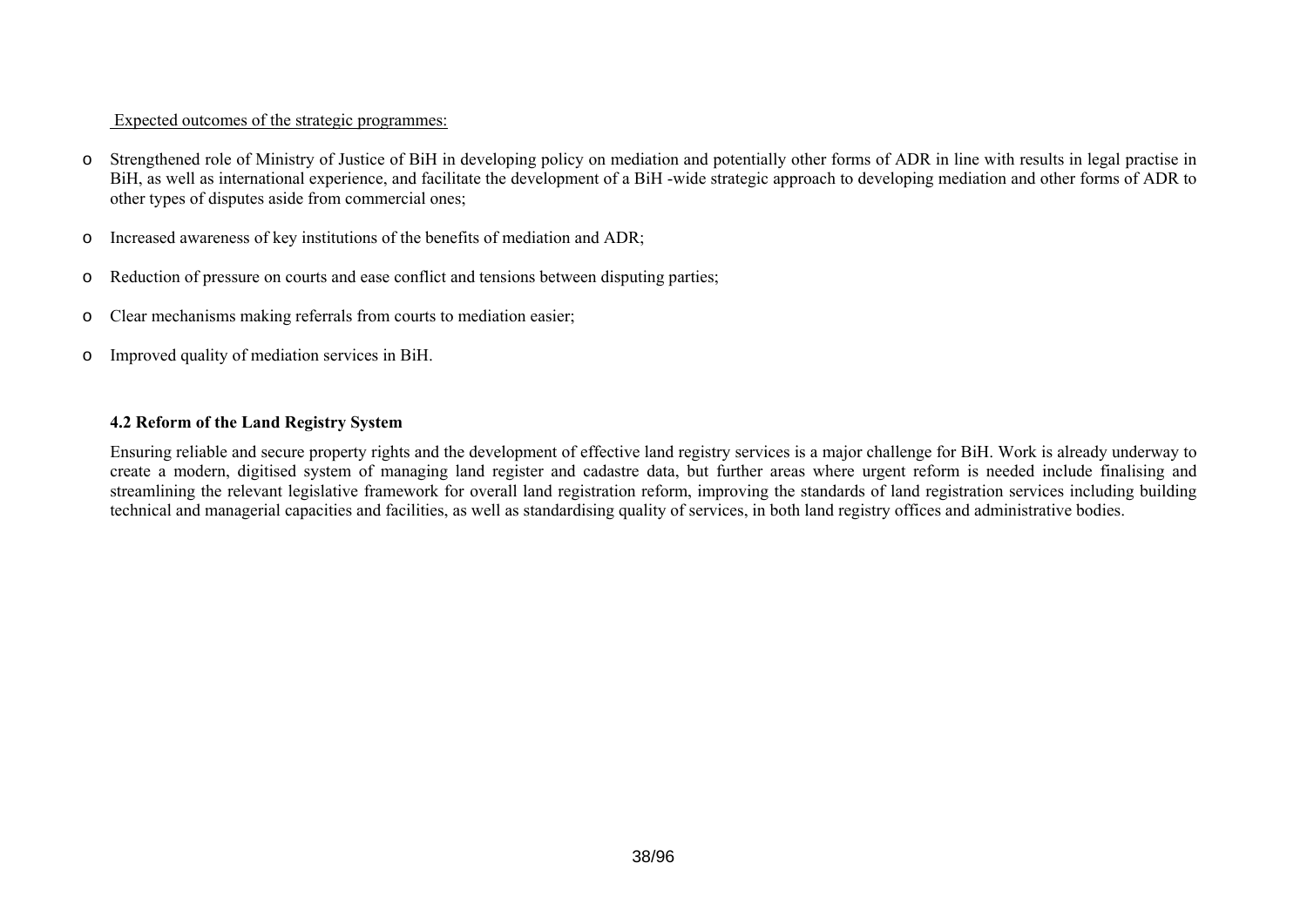## Expected outcomes of the strategic programmes:

- o Strengthened role of Ministry of Justice of BiH in developing policy on mediation and potentially other forms of ADR in line with results in legal practise in BiH, as well as international experience, and facilitate the development of a BiH -wide strategic approach to developing mediation and other forms of ADR to other types of disputes aside from commercial ones;
- oIncreased awareness of key institutions of the benefits of mediation and ADR;
- oReduction of pressure on courts and ease conflict and tensions between disputing parties;
- oClear mechanisms making referrals from courts to mediation easier;
- oImproved quality of mediation services in BiH.

## **4.2 Reform of the Land Registry System**

Ensuring reliable and secure property rights and the development of effective land registry services is a major challenge for BiH. Work is already underway to create a modern, digitised system of managing land register and cadastre data, but further areas where urgent reform is needed include finalising and streamlining the relevant legislative framework for overall land registration reform, improving the standards of land registration services including building technical and managerial capacities and facilities, as well as standardising quality of services, in both land registry offices and administrative bodies.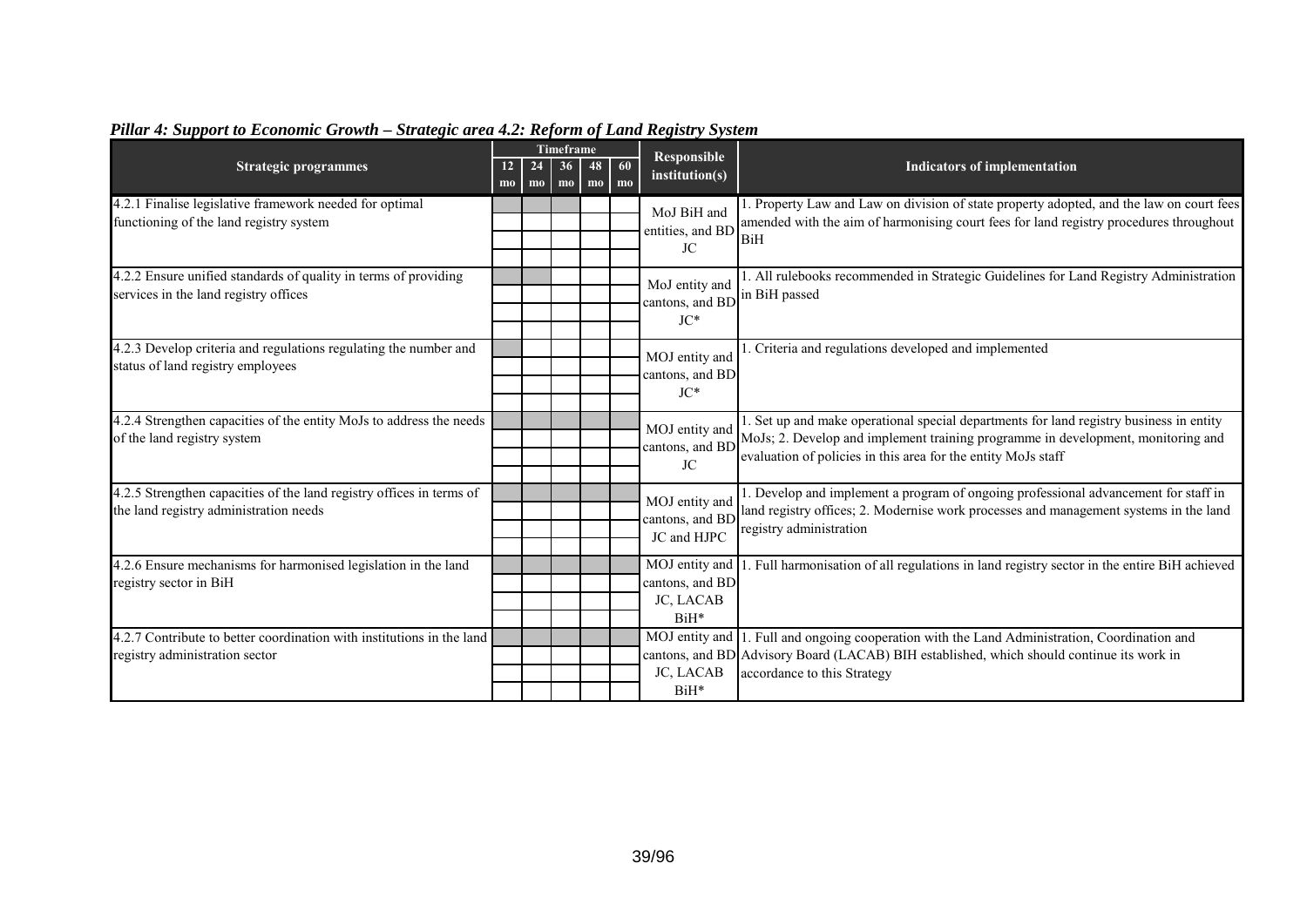|                                                                                                                |                      |                              | <b>Timeframe</b> |          |          | <b>Responsible</b>                               |                                                                                                                                                                                                                                              |  |  |
|----------------------------------------------------------------------------------------------------------------|----------------------|------------------------------|------------------|----------|----------|--------------------------------------------------|----------------------------------------------------------------------------------------------------------------------------------------------------------------------------------------------------------------------------------------------|--|--|
| <b>Strategic programmes</b>                                                                                    | 12<br>m <sub>0</sub> | 24<br>$\mathbf{m}\mathbf{o}$ | 36<br>$m$        | 48<br>mo | 60<br>mo | institution(s)                                   | <b>Indicators of implementation</b>                                                                                                                                                                                                          |  |  |
| 4.2.1 Finalise legislative framework needed for optimal<br>functioning of the land registry system             |                      |                              |                  |          |          | MoJ BiH and<br>entities, and BD<br>JC            | 1. Property Law and Law on division of state property adopted, and the law on court fees<br>amended with the aim of harmonising court fees for land registry procedures throughout<br>BiH                                                    |  |  |
| 4.2.2 Ensure unified standards of quality in terms of providing<br>services in the land registry offices       |                      |                              |                  |          |          | MoJ entity and<br>cantons, and BD<br>$JC*$       | 1. All rulebooks recommended in Strategic Guidelines for Land Registry Administration<br>in BiH passed                                                                                                                                       |  |  |
| 4.2.3 Develop criteria and regulations regulating the number and<br>status of land registry employees          |                      |                              |                  |          |          | MOJ entity and<br>cantons, and BD<br>$JC*$       | . Criteria and regulations developed and implemented                                                                                                                                                                                         |  |  |
| 4.2.4 Strengthen capacities of the entity MoJs to address the needs<br>of the land registry system             |                      |                              |                  |          |          | MOJ entity and<br>cantons, and BD<br>JC          | 1. Set up and make operational special departments for land registry business in entity<br>MoJs; 2. Develop and implement training programme in development, monitoring and<br>evaluation of policies in this area for the entity MoJs staff |  |  |
| 4.2.5 Strengthen capacities of the land registry offices in terms of<br>the land registry administration needs |                      |                              |                  |          |          | MOJ entity and<br>cantons, and BD<br>JC and HJPC | 1. Develop and implement a program of ongoing professional advancement for staff in<br>land registry offices; 2. Modernise work processes and management systems in the land<br>registry administration                                      |  |  |
| 4.2.6 Ensure mechanisms for harmonised legislation in the land<br>registry sector in BiH                       |                      |                              |                  |          |          | cantons, and BD<br>JC, LACAB<br>BiH*             | MOJ entity and 1. Full harmonisation of all regulations in land registry sector in the entire BiH achieved                                                                                                                                   |  |  |
| 4.2.7 Contribute to better coordination with institutions in the land<br>registry administration sector        |                      |                              |                  |          |          | JC, LACAB<br>BiH*                                | MOJ entity and 1. Full and ongoing cooperation with the Land Administration, Coordination and<br>cantons, and BD Advisory Board (LACAB) BIH established, which should continue its work in<br>accordance to this Strategy                    |  |  |

# *Pillar 4: Support to Economic Growth – Strategic area 4.2: Reform of Land Registry System*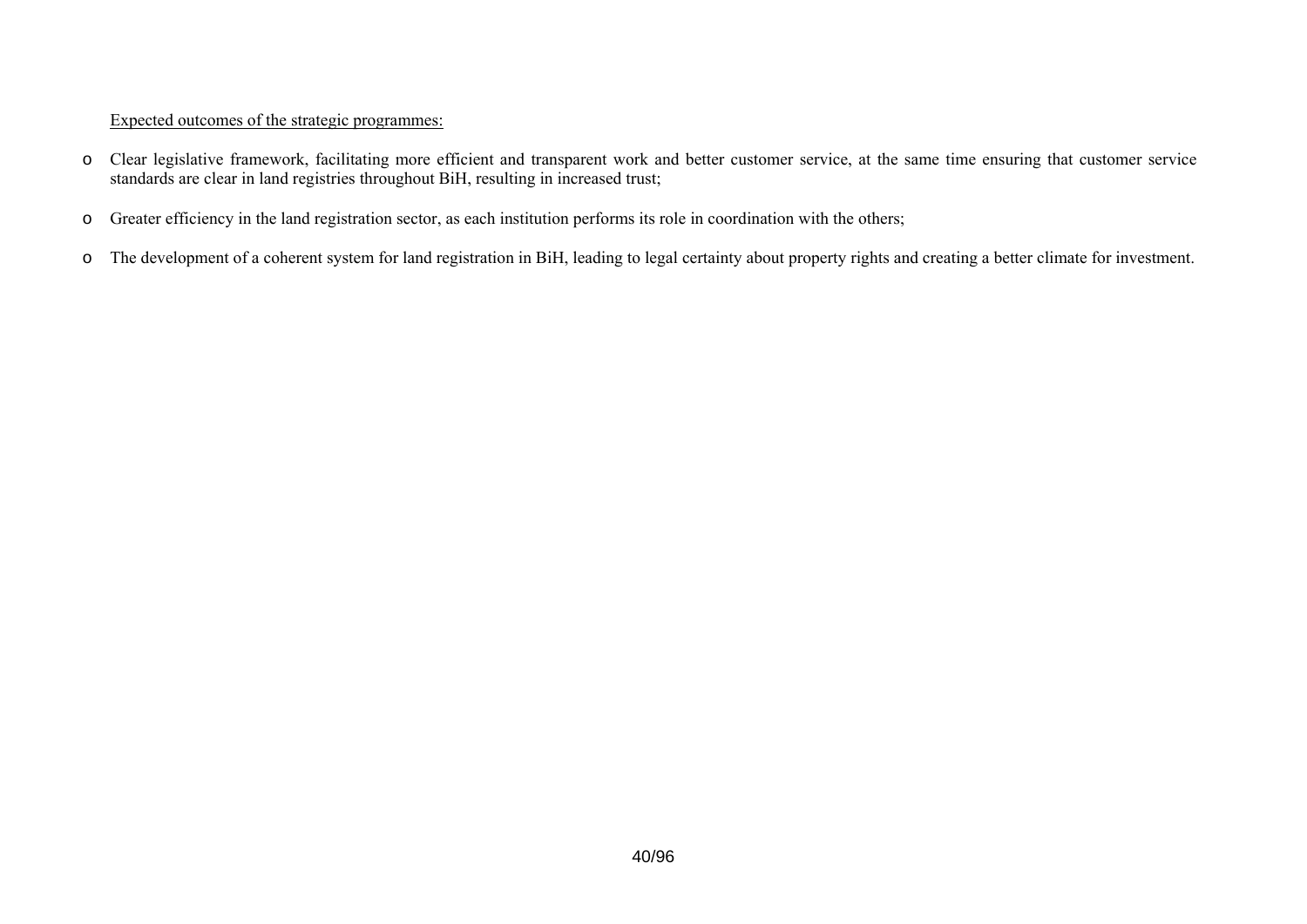- o Clear legislative framework, facilitating more efficient and transparent work and better customer service, at the same time ensuring that customer service standards are clear in land registries throughout BiH, resulting in increased trust;
- oGreater efficiency in the land registration sector, as each institution performs its role in coordination with the others;
- o The development of a coherent system for land registration in BiH, leading to legal certainty about property rights and creating a better climate for investment.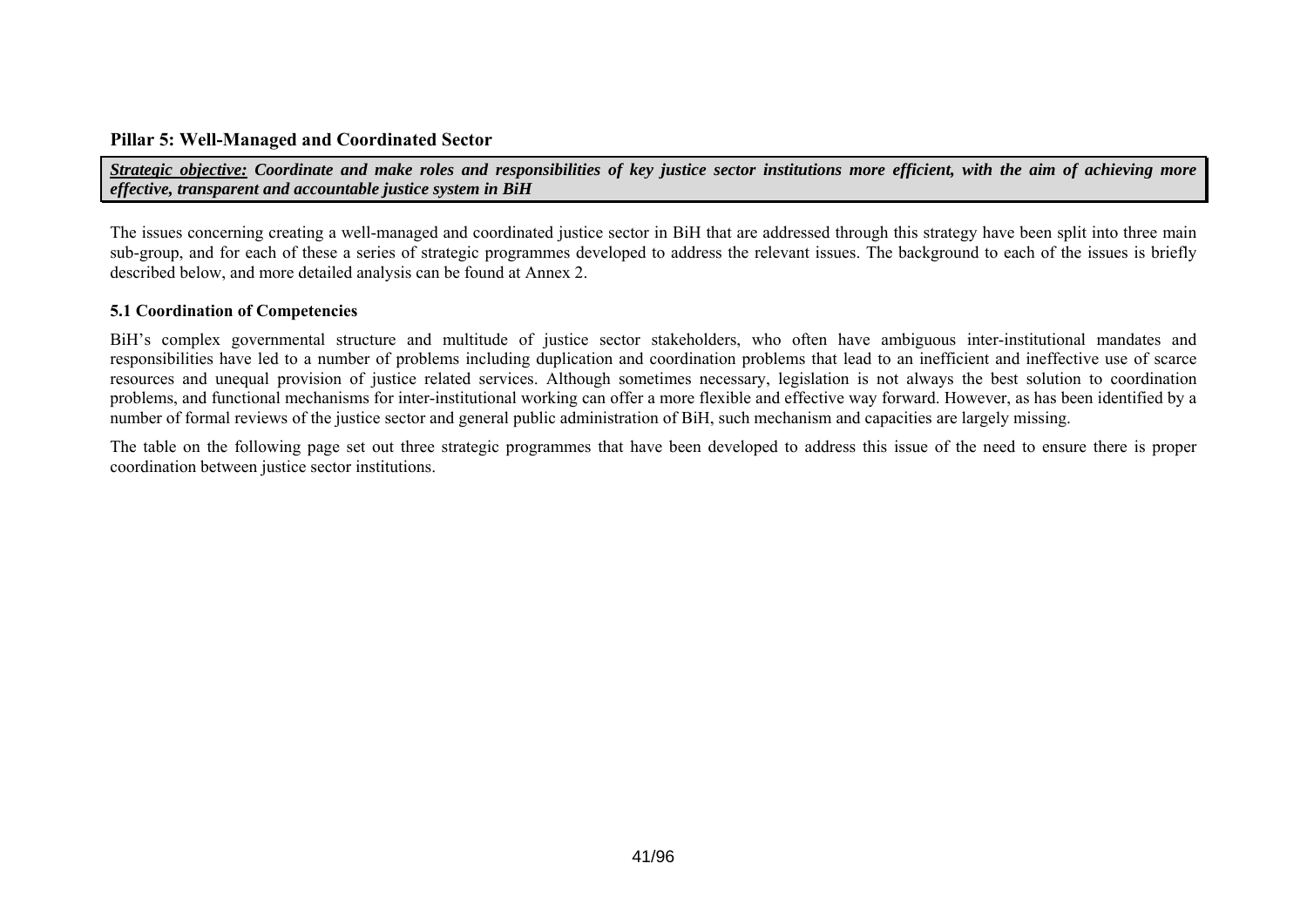## **Pillar 5: Well-Managed and Coordinated Sector**

*Strategic objective: Coordinate and make roles and responsibilities of key justice sector institutions more efficient, with the aim of achieving more effective, transparent and accountable justice system in BiH* 

The issues concerning creating a well-managed and coordinated justice sector in BiH that are addressed through this strategy have been split into three main sub-group, and for each of these a series of strategic programmes developed to address the relevant issues. The background to each of the issues is briefly described below, and more detailed analysis can be found at Annex 2.

#### **5.1 Coordination of Competencies**

BiH's complex governmental structure and multitude of justice sector stakeholders, who often have ambiguous inter-institutional mandates and responsibilities have led to a number of problems including duplication and coordination problems that lead to an inefficient and ineffective use of scarce resources and unequal provision of justice related services. Although sometimes necessary, legislation is not always the best solution to coordination problems, and functional mechanisms for inter-institutional working can offer a more flexible and effective way forward. However, as has been identified by a number of formal reviews of the justice sector and general public administration of BiH, such mechanism and capacities are largely missing.

The table on the following page set out three strategic programmes that have been developed to address this issue of the need to ensure there is proper coordination between justice sector institutions.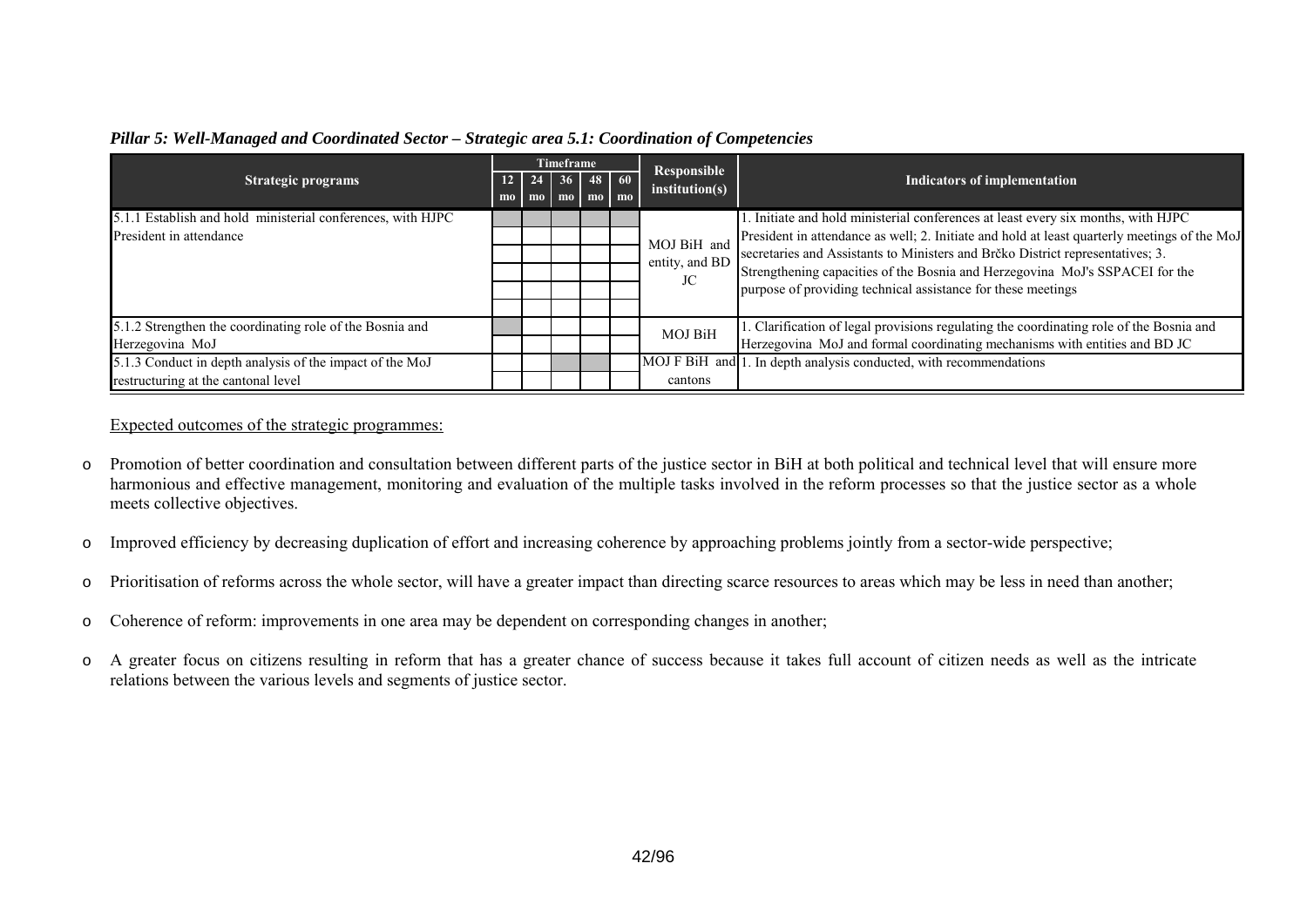|                                                             |                           |                                                                                | <b>Timeframe</b>                 |                                                                             |                               |                                                                                              |  |
|-------------------------------------------------------------|---------------------------|--------------------------------------------------------------------------------|----------------------------------|-----------------------------------------------------------------------------|-------------------------------|----------------------------------------------------------------------------------------------|--|
| <b>Strategic programs</b>                                   | $\mathbf{m}$ <sub>0</sub> | $12 \mid 24 \mid$<br>mo                                                        | 36 <sup>1</sup><br>$\mathbf{mo}$ | $48$ 60<br>$\mathbf{m}$ $\mathbf{m}$ $\mathbf{m}$ $\mathbf{m}$ $\mathbf{m}$ | Responsible<br>institution(s) | Indicators of implementation                                                                 |  |
| 5.1.1 Establish and hold ministerial conferences, with HJPC |                           |                                                                                |                                  |                                                                             |                               | . Initiate and hold ministerial conferences at least every six months, with HJPC             |  |
| President in attendance                                     |                           |                                                                                |                                  |                                                                             | MOJ BiH and                   | President in attendance as well; 2. Initiate and hold at least quarterly meetings of the MoJ |  |
|                                                             | entity, and BD            | secretaries and Assistants to Ministers and Brčko District representatives; 3. |                                  |                                                                             |                               |                                                                                              |  |
|                                                             |                           |                                                                                |                                  |                                                                             | JC                            | Strengthening capacities of the Bosnia and Herzegovina MoJ's SSPACEI for the                 |  |
|                                                             |                           |                                                                                |                                  |                                                                             |                               | purpose of providing technical assistance for these meetings                                 |  |
|                                                             |                           |                                                                                |                                  |                                                                             |                               |                                                                                              |  |
| 5.1.2 Strengthen the coordinating role of the Bosnia and    |                           |                                                                                |                                  |                                                                             | <b>MOJ BiH</b>                | 1. Clarification of legal provisions regulating the coordinating role of the Bosnia and      |  |
| Herzegovina MoJ                                             |                           |                                                                                |                                  |                                                                             |                               | Herzegovina MoJ and formal coordinating mechanisms with entities and BD JC                   |  |
| 5.1.3 Conduct in depth analysis of the impact of the MoJ    |                           |                                                                                |                                  |                                                                             |                               | MOJ F BiH and 1. In depth analysis conducted, with recommendations                           |  |
| restructuring at the cantonal level                         |                           |                                                                                |                                  |                                                                             | cantons                       |                                                                                              |  |

## *Pillar 5: Well-Managed and Coordinated Sector – Strategic area 5.1: Coordination of Competencies*

- o Promotion of better coordination and consultation between different parts of the justice sector in BiH at both political and technical level that will ensure more harmonious and effective management, monitoring and evaluation of the multiple tasks involved in the reform processes so that the justice sector as a whole meets collective objectives.
- oImproved efficiency by decreasing duplication of effort and increasing coherence by approaching problems jointly from a sector-wide perspective;
- oPrioritisation of reforms across the whole sector, will have a greater impact than directing scarce resources to areas which may be less in need than another;
- oCoherence of reform: improvements in one area may be dependent on corresponding changes in another;
- o A greater focus on citizens resulting in reform that has a greater chance of success because it takes full account of citizen needs as well as the intricate relations between the various levels and segments of justice sector.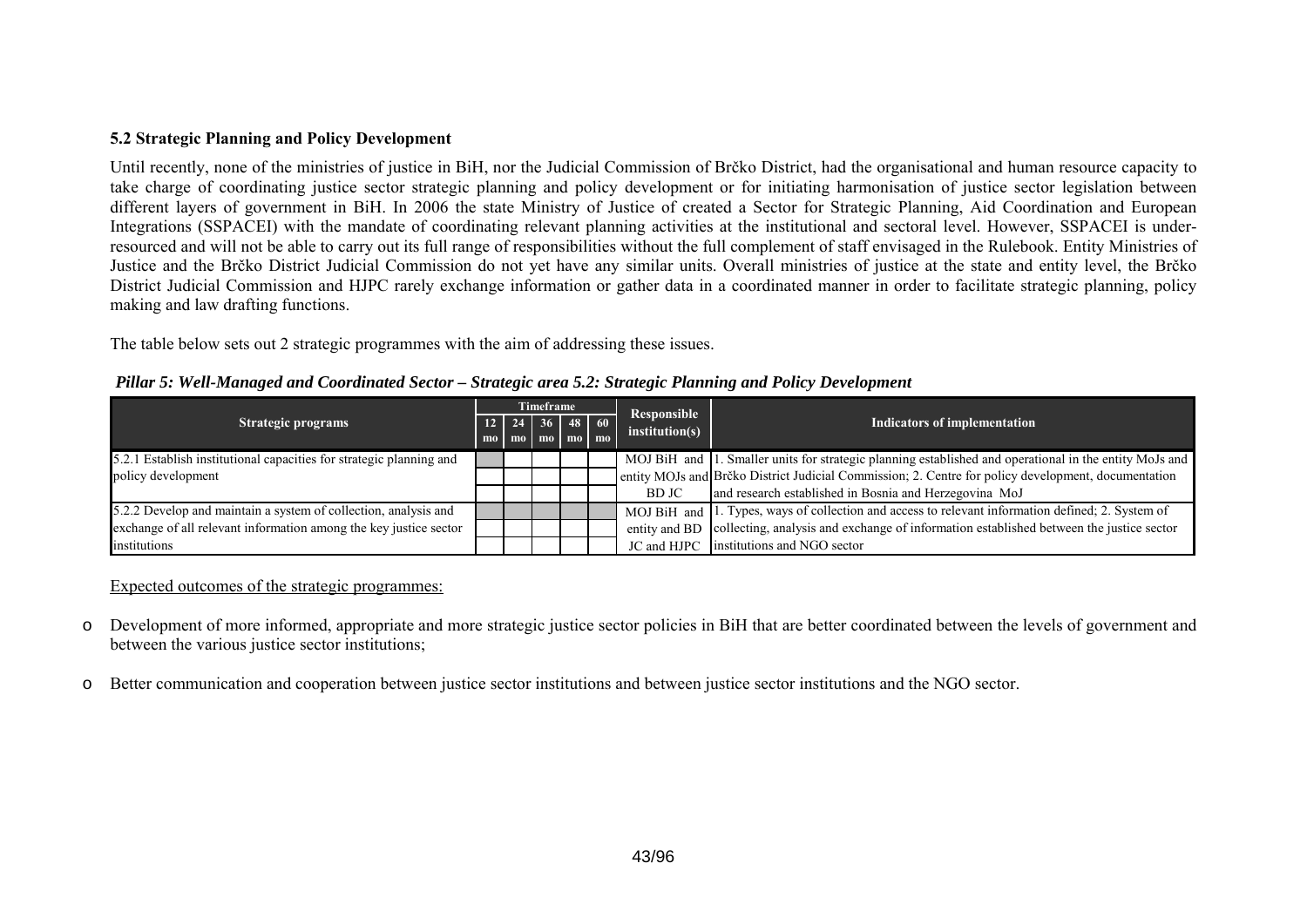## **5.2 Strategic Planning and Policy Development**

Until recently, none of the ministries of justice in BiH, nor the Judicial Commission of Brčko District, had the organisational and human resource capacity to take charge of coordinating justice sector strategic planning and policy development or for initiating harmonisation of justice sector legislation between different layers of government in BiH. In 2006 the state Ministry of Justice of created a Sector for Strategic Planning, Aid Coordination and European Integrations (SSPACEI) with the mandate of coordinating relevant planning activities at the institutional and sectoral level. However, SSPACEI is underresourced and will not be able to carry out its full range of responsibilities without the full complement of staff envisaged in the Rulebook. Entity Ministries of Justice and the Brčko District Judicial Commission do not yet have any similar units. Overall ministries of justice at the state and entity level, the Brčko District Judicial Commission and HJPC rarely exchange information or gather data in a coordinated manner in order to facilitate strategic planning, policy making and law drafting functions.

The table below sets out 2 strategic programmes with the aim of addressing these issues.

|                                                                     |  |                          | Timeframe |  | Responsible    |                                                                                                        |  |
|---------------------------------------------------------------------|--|--------------------------|-----------|--|----------------|--------------------------------------------------------------------------------------------------------|--|
| Strategic programs                                                  |  | $12$   24   36   48   60 |           |  |                | <b>Indicators of implementation</b>                                                                    |  |
|                                                                     |  | mo mo mo mo mo           |           |  | institution(s) |                                                                                                        |  |
| 5.2.1 Establish institutional capacities for strategic planning and |  |                          |           |  |                | MOJ BiH and 1. Smaller units for strategic planning established and operational in the entity MoJs and |  |
| policy development                                                  |  |                          |           |  |                | entity MOJs and Brčko District Judicial Commission; 2. Centre for policy development, documentation    |  |
|                                                                     |  |                          |           |  | BD JC          | and research established in Bosnia and Herzegovina MoJ                                                 |  |
| 5.2.2 Develop and maintain a system of collection, analysis and     |  |                          |           |  |                | MOJ BiH and 1. Types, ways of collection and access to relevant information defined; 2. System of      |  |
| exchange of all relevant information among the key justice sector   |  |                          |           |  |                | entity and BD collecting, analysis and exchange of information established between the justice sector  |  |
| institutions                                                        |  |                          |           |  | JC and HJPC    | institutions and NGO sector                                                                            |  |

*Pillar 5: Well-Managed and Coordinated Sector – Strategic area 5.2: Strategic Planning and Policy Development*

- o Development of more informed, appropriate and more strategic justice sector policies in BiH that are better coordinated between the levels of government and between the various justice sector institutions;
- oBetter communication and cooperation between justice sector institutions and between justice sector institutions and the NGO sector.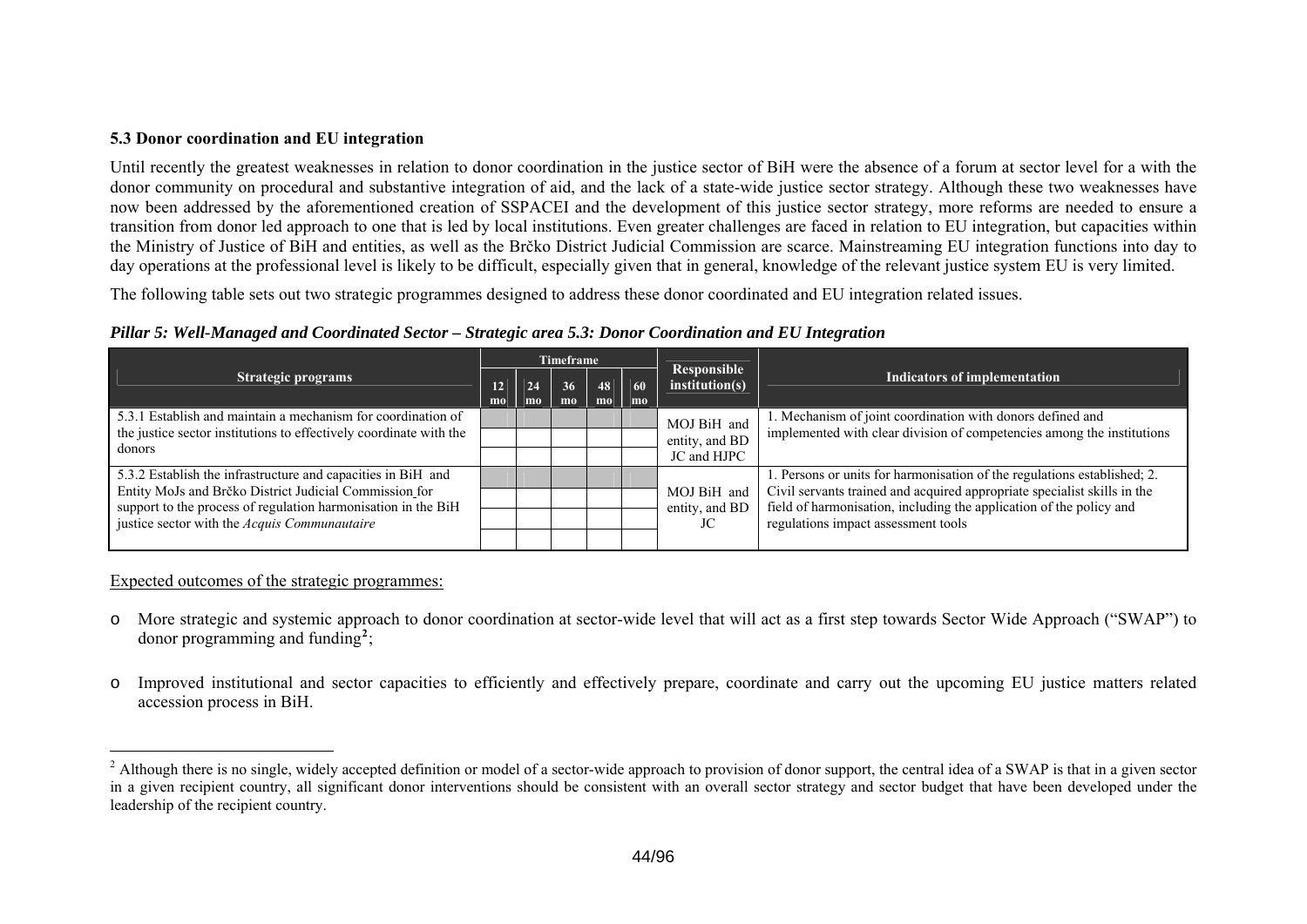## **5.3 Donor coordination and EU integration**

Until recently the greatest weaknesses in relation to donor coordination in the justice sector of BiH were the absence of a forum at sector level for a with the donor community on procedural and substantive integration of aid, and the lack of a state-wide justice sector strategy. Although these two weaknesses have now been addressed by the aforementioned creation of SSPACEI and the development of this justice sector strategy, more reforms are needed to ensure a transition from donor led approach to one that is led by local institutions. Even greater challenges are faced in relation to EU integration, but capacities within the Ministry of Justice of BiH and entities, as well as the Brčko District Judicial Commission are scarce. Mainstreaming EU integration functions into day to day operations at the professional level is likely to be difficult, especially given that in general, knowledge of the relevant justice system EU is very limited.

The following table sets out two strategic programmes designed to address these donor coordinated and EU integration related issues.

| Pillar 5: Well-Managed and Coordinated Sector - Strategic area 5.3: Donor Coordination and EU Integration |  |  |  |
|-----------------------------------------------------------------------------------------------------------|--|--|--|
|                                                                                                           |  |  |  |

|                                                                                                                         |                       |                                                            | Timeframe |          |          |                               |                                                                                                                                                 |  |
|-------------------------------------------------------------------------------------------------------------------------|-----------------------|------------------------------------------------------------|-----------|----------|----------|-------------------------------|-------------------------------------------------------------------------------------------------------------------------------------------------|--|
| <b>Strategic programs</b>                                                                                               | 12 <sup>1</sup><br>mo | 24<br>mo                                                   | 36<br>$m$ | 48<br>mo | 60<br>mo | Responsible<br>institution(s) | <b>Indicators of implementation</b>                                                                                                             |  |
| 5.3.1 Establish and maintain a mechanism for coordination of                                                            | MOJ BiH and           | 1. Mechanism of joint coordination with donors defined and |           |          |          |                               |                                                                                                                                                 |  |
| the justice sector institutions to effectively coordinate with the                                                      |                       |                                                            |           |          |          | entity, and BD<br>JC and HJPC | implemented with clear division of competencies among the institutions                                                                          |  |
| donors                                                                                                                  |                       |                                                            |           |          |          |                               |                                                                                                                                                 |  |
| 5.3.2 Establish the infrastructure and capacities in BiH and                                                            |                       |                                                            |           |          |          |                               | 1. Persons or units for harmonisation of the regulations established; 2.                                                                        |  |
| Entity MoJs and Brčko District Judicial Commission for<br>support to the process of regulation harmonisation in the BiH |                       |                                                            |           |          |          | MOJ BiH and<br>entity, and BD | Civil servants trained and acquired appropriate specialist skills in the<br>field of harmonisation, including the application of the policy and |  |
|                                                                                                                         |                       |                                                            |           |          |          |                               |                                                                                                                                                 |  |
| justice sector with the Acquis Communautaire                                                                            |                       |                                                            |           |          |          | JC                            | regulations impact assessment tools                                                                                                             |  |
|                                                                                                                         |                       |                                                            |           |          |          |                               |                                                                                                                                                 |  |

- o More strategic and systemic approach to donor coordination at sector-wide level that will act as a first step towards Sector Wide Approach ("SWAP") to donor programming and funding**[2](#page-43-0)**;
- o Improved institutional and sector capacities to efficiently and effectively prepare, coordinate and carry out the upcoming EU justice matters related accession process in BiH.

<span id="page-43-0"></span><sup>&</sup>lt;sup>2</sup> Although there is no single, widely accepted definition or model of a sector-wide approach to provision of donor support, the central idea of a SWAP is that in a given sector in a given recipient country, all significant donor interventions should be consistent with an overall sector strategy and sector budget that have been developed under the leadership of the recipient country.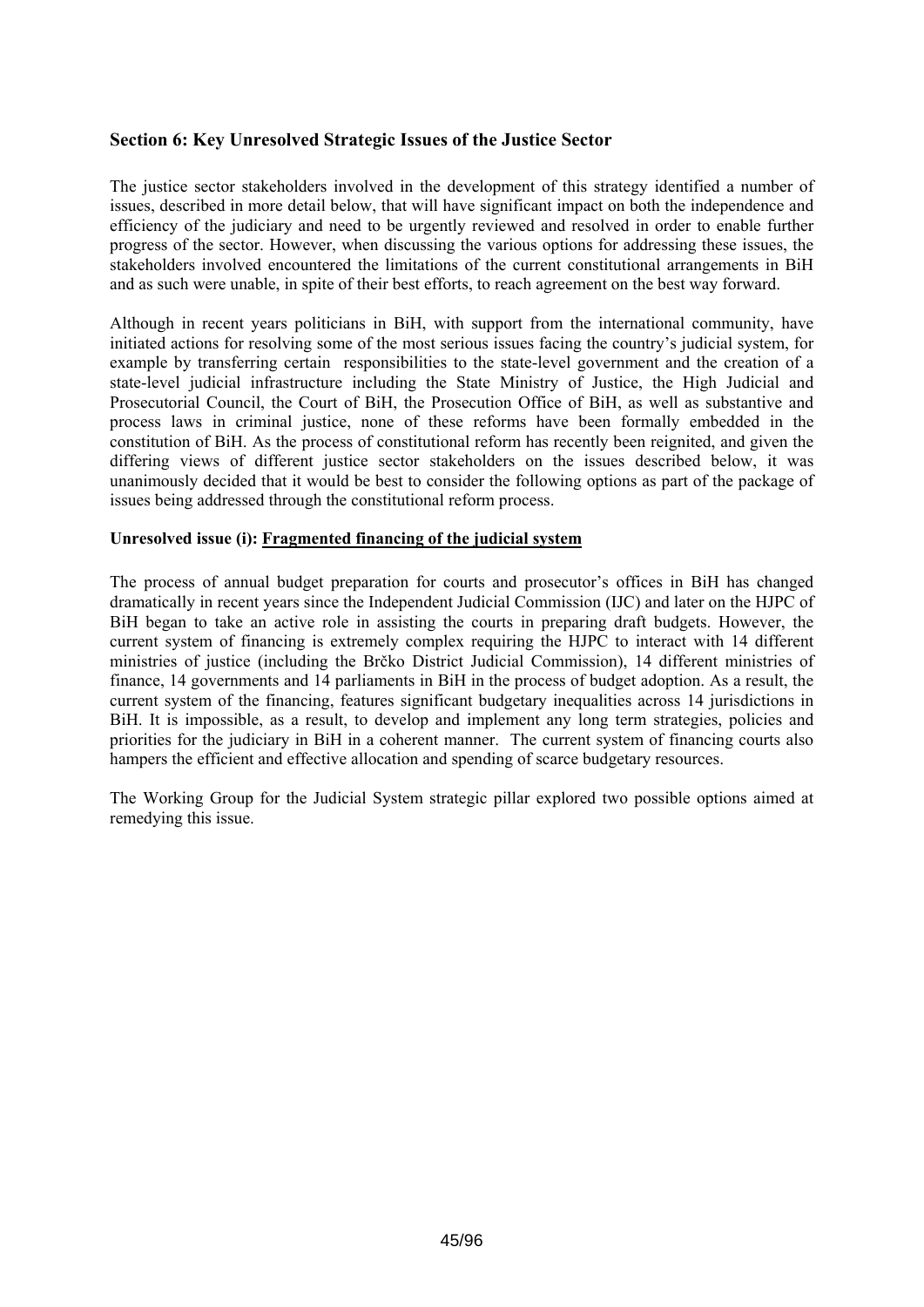## **Section 6: Key Unresolved Strategic Issues of the Justice Sector**

The justice sector stakeholders involved in the development of this strategy identified a number of issues, described in more detail below, that will have significant impact on both the independence and efficiency of the judiciary and need to be urgently reviewed and resolved in order to enable further progress of the sector. However, when discussing the various options for addressing these issues, the stakeholders involved encountered the limitations of the current constitutional arrangements in BiH and as such were unable, in spite of their best efforts, to reach agreement on the best way forward.

Although in recent years politicians in BiH, with support from the international community, have initiated actions for resolving some of the most serious issues facing the country's judicial system, for example by transferring certain responsibilities to the state-level government and the creation of a state-level judicial infrastructure including the State Ministry of Justice, the High Judicial and Prosecutorial Council, the Court of BiH, the Prosecution Office of BiH, as well as substantive and process laws in criminal justice, none of these reforms have been formally embedded in the constitution of BiH. As the process of constitutional reform has recently been reignited, and given the differing views of different justice sector stakeholders on the issues described below, it was unanimously decided that it would be best to consider the following options as part of the package of issues being addressed through the constitutional reform process.

## **Unresolved issue (i): Fragmented financing of the judicial system**

The process of annual budget preparation for courts and prosecutor's offices in BiH has changed dramatically in recent years since the Independent Judicial Commission (IJC) and later on the HJPC of BiH began to take an active role in assisting the courts in preparing draft budgets. However, the current system of financing is extremely complex requiring the HJPC to interact with 14 different ministries of justice (including the Brčko District Judicial Commission), 14 different ministries of finance, 14 governments and 14 parliaments in BiH in the process of budget adoption. As a result, the current system of the financing, features significant budgetary inequalities across 14 jurisdictions in BiH. It is impossible, as a result, to develop and implement any long term strategies, policies and priorities for the judiciary in BiH in a coherent manner. The current system of financing courts also hampers the efficient and effective allocation and spending of scarce budgetary resources.

The Working Group for the Judicial System strategic pillar explored two possible options aimed at remedying this issue.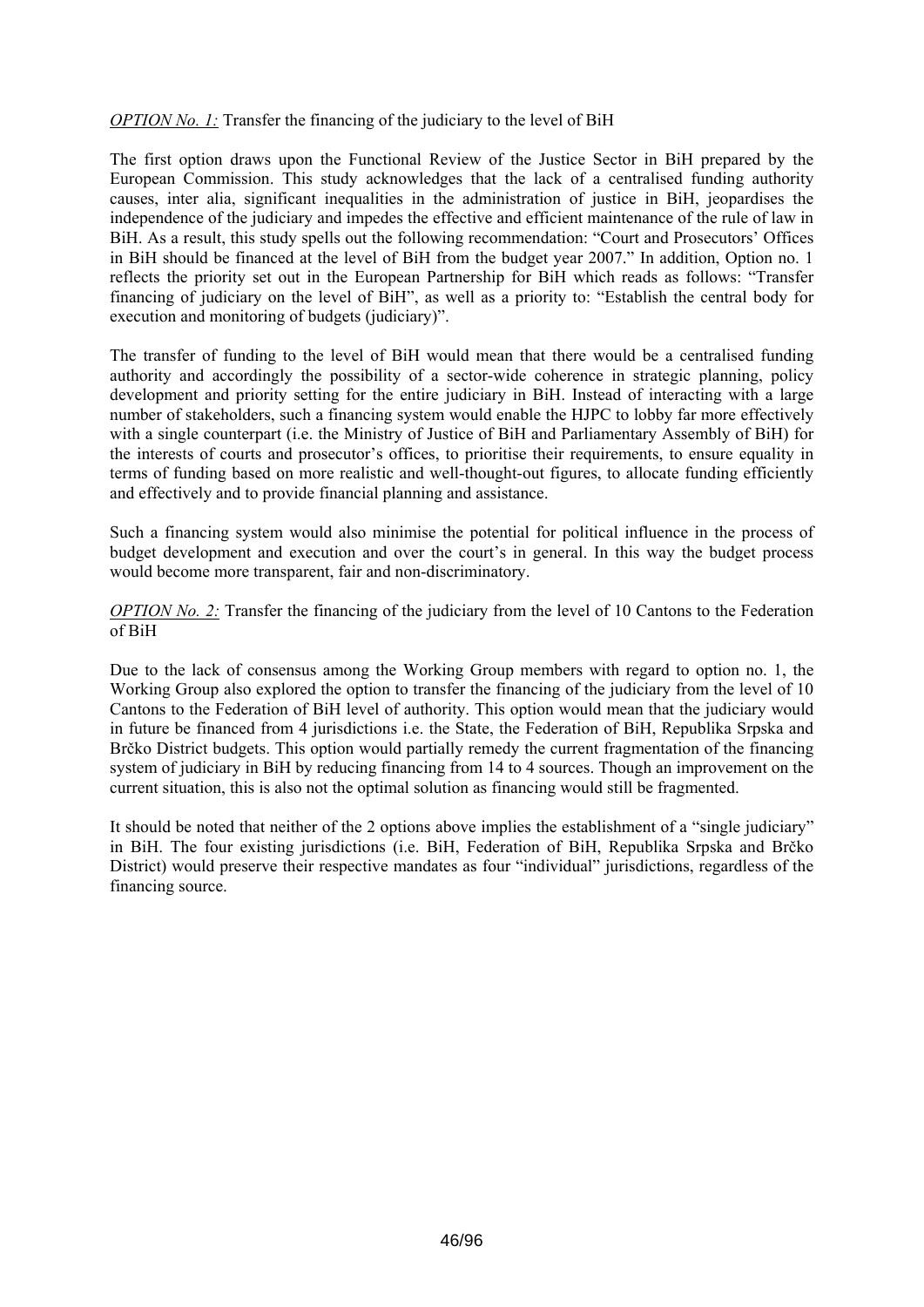## *OPTION No. 1:* Transfer the financing of the judiciary to the level of BiH

The first option draws upon the Functional Review of the Justice Sector in BiH prepared by the European Commission. This study acknowledges that the lack of a centralised funding authority causes, inter alia, significant inequalities in the administration of justice in BiH, jeopardises the independence of the judiciary and impedes the effective and efficient maintenance of the rule of law in BiH. As a result, this study spells out the following recommendation: "Court and Prosecutors' Offices in BiH should be financed at the level of BiH from the budget year 2007." In addition, Option no. 1 reflects the priority set out in the European Partnership for BiH which reads as follows: "Transfer financing of judiciary on the level of BiH", as well as a priority to: "Establish the central body for execution and monitoring of budgets (judiciary)".

The transfer of funding to the level of BiH would mean that there would be a centralised funding authority and accordingly the possibility of a sector-wide coherence in strategic planning, policy development and priority setting for the entire judiciary in BiH. Instead of interacting with a large number of stakeholders, such a financing system would enable the HJPC to lobby far more effectively with a single counterpart (i.e. the Ministry of Justice of BiH and Parliamentary Assembly of BiH) for the interests of courts and prosecutor's offices, to prioritise their requirements, to ensure equality in terms of funding based on more realistic and well-thought-out figures, to allocate funding efficiently and effectively and to provide financial planning and assistance.

Such a financing system would also minimise the potential for political influence in the process of budget development and execution and over the court's in general. In this way the budget process would become more transparent, fair and non-discriminatory.

*OPTION No. 2:* Transfer the financing of the judiciary from the level of 10 Cantons to the Federation of BiH

Due to the lack of consensus among the Working Group members with regard to option no. 1, the Working Group also explored the option to transfer the financing of the judiciary from the level of 10 Cantons to the Federation of BiH level of authority. This option would mean that the judiciary would in future be financed from 4 jurisdictions i.e. the State, the Federation of BiH, Republika Srpska and Brčko District budgets. This option would partially remedy the current fragmentation of the financing system of judiciary in BiH by reducing financing from 14 to 4 sources. Though an improvement on the current situation, this is also not the optimal solution as financing would still be fragmented.

It should be noted that neither of the 2 options above implies the establishment of a "single judiciary" in BiH. The four existing jurisdictions (i.e. BiH, Federation of BiH, Republika Srpska and Brčko District) would preserve their respective mandates as four "individual" jurisdictions, regardless of the financing source.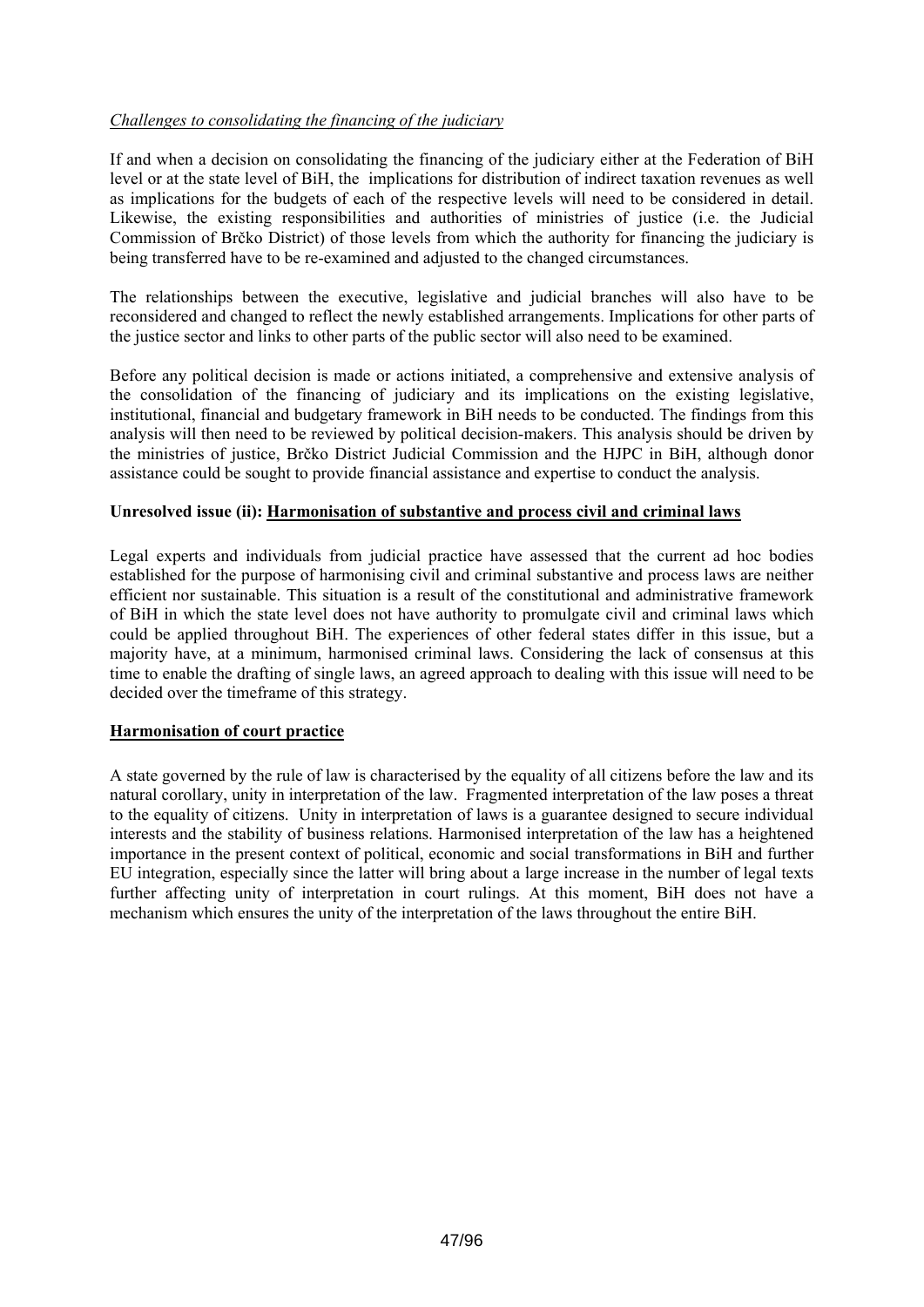## *Challenges to consolidating the financing of the judiciary*

If and when a decision on consolidating the financing of the judiciary either at the Federation of BiH level or at the state level of BiH, the implications for distribution of indirect taxation revenues as well as implications for the budgets of each of the respective levels will need to be considered in detail. Likewise, the existing responsibilities and authorities of ministries of justice (i.e. the Judicial Commission of Brčko District) of those levels from which the authority for financing the judiciary is being transferred have to be re-examined and adjusted to the changed circumstances.

The relationships between the executive, legislative and judicial branches will also have to be reconsidered and changed to reflect the newly established arrangements. Implications for other parts of the justice sector and links to other parts of the public sector will also need to be examined.

Before any political decision is made or actions initiated, a comprehensive and extensive analysis of the consolidation of the financing of judiciary and its implications on the existing legislative, institutional, financial and budgetary framework in BiH needs to be conducted. The findings from this analysis will then need to be reviewed by political decision-makers. This analysis should be driven by the ministries of justice, Brčko District Judicial Commission and the HJPC in BiH, although donor assistance could be sought to provide financial assistance and expertise to conduct the analysis.

## **Unresolved issue (ii): Harmonisation of substantive and process civil and criminal laws**

Legal experts and individuals from judicial practice have assessed that the current ad hoc bodies established for the purpose of harmonising civil and criminal substantive and process laws are neither efficient nor sustainable. This situation is a result of the constitutional and administrative framework of BiH in which the state level does not have authority to promulgate civil and criminal laws which could be applied throughout BiH. The experiences of other federal states differ in this issue, but a majority have, at a minimum, harmonised criminal laws. Considering the lack of consensus at this time to enable the drafting of single laws, an agreed approach to dealing with this issue will need to be decided over the timeframe of this strategy.

## **Harmonisation of court practice**

A state governed by the rule of law is characterised by the equality of all citizens before the law and its natural corollary, unity in interpretation of the law. Fragmented interpretation of the law poses a threat to the equality of citizens. Unity in interpretation of laws is a guarantee designed to secure individual interests and the stability of business relations. Harmonised interpretation of the law has a heightened importance in the present context of political, economic and social transformations in BiH and further EU integration, especially since the latter will bring about a large increase in the number of legal texts further affecting unity of interpretation in court rulings. At this moment, BiH does not have a mechanism which ensures the unity of the interpretation of the laws throughout the entire BiH.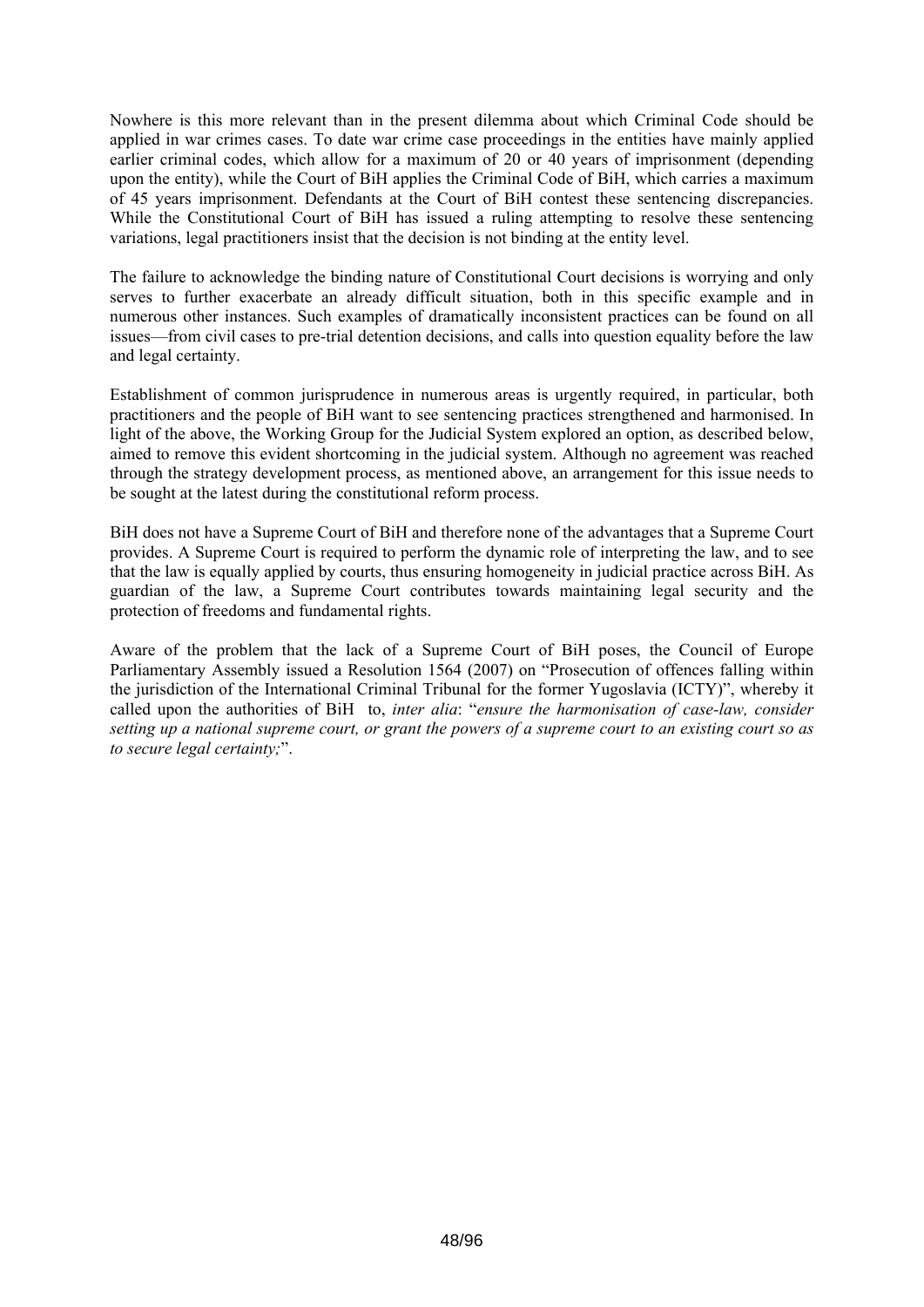Nowhere is this more relevant than in the present dilemma about which Criminal Code should be applied in war crimes cases. To date war crime case proceedings in the entities have mainly applied earlier criminal codes, which allow for a maximum of 20 or 40 years of imprisonment (depending upon the entity), while the Court of BiH applies the Criminal Code of BiH, which carries a maximum of 45 years imprisonment. Defendants at the Court of BiH contest these sentencing discrepancies. While the Constitutional Court of BiH has issued a ruling attempting to resolve these sentencing variations, legal practitioners insist that the decision is not binding at the entity level.

The failure to acknowledge the binding nature of Constitutional Court decisions is worrying and only serves to further exacerbate an already difficult situation, both in this specific example and in numerous other instances. Such examples of dramatically inconsistent practices can be found on all issues—from civil cases to pre-trial detention decisions, and calls into question equality before the law and legal certainty.

Establishment of common jurisprudence in numerous areas is urgently required, in particular, both practitioners and the people of BiH want to see sentencing practices strengthened and harmonised. In light of the above, the Working Group for the Judicial System explored an option, as described below, aimed to remove this evident shortcoming in the judicial system. Although no agreement was reached through the strategy development process, as mentioned above, an arrangement for this issue needs to be sought at the latest during the constitutional reform process.

BiH does not have a Supreme Court of BiH and therefore none of the advantages that a Supreme Court provides. A Supreme Court is required to perform the dynamic role of interpreting the law, and to see that the law is equally applied by courts, thus ensuring homogeneity in judicial practice across BiH. As guardian of the law, a Supreme Court contributes towards maintaining legal security and the protection of freedoms and fundamental rights.

Aware of the problem that the lack of a Supreme Court of BiH poses, the Council of Europe Parliamentary Assembly issued a Resolution 1564 (2007) on "Prosecution of offences falling within the jurisdiction of the International Criminal Tribunal for the former Yugoslavia (ICTY)", whereby it called upon the authorities of BiH to, *inter alia*: "*ensure the harmonisation of case-law, consider setting up a national supreme court, or grant the powers of a supreme court to an existing court so as to secure legal certainty;*".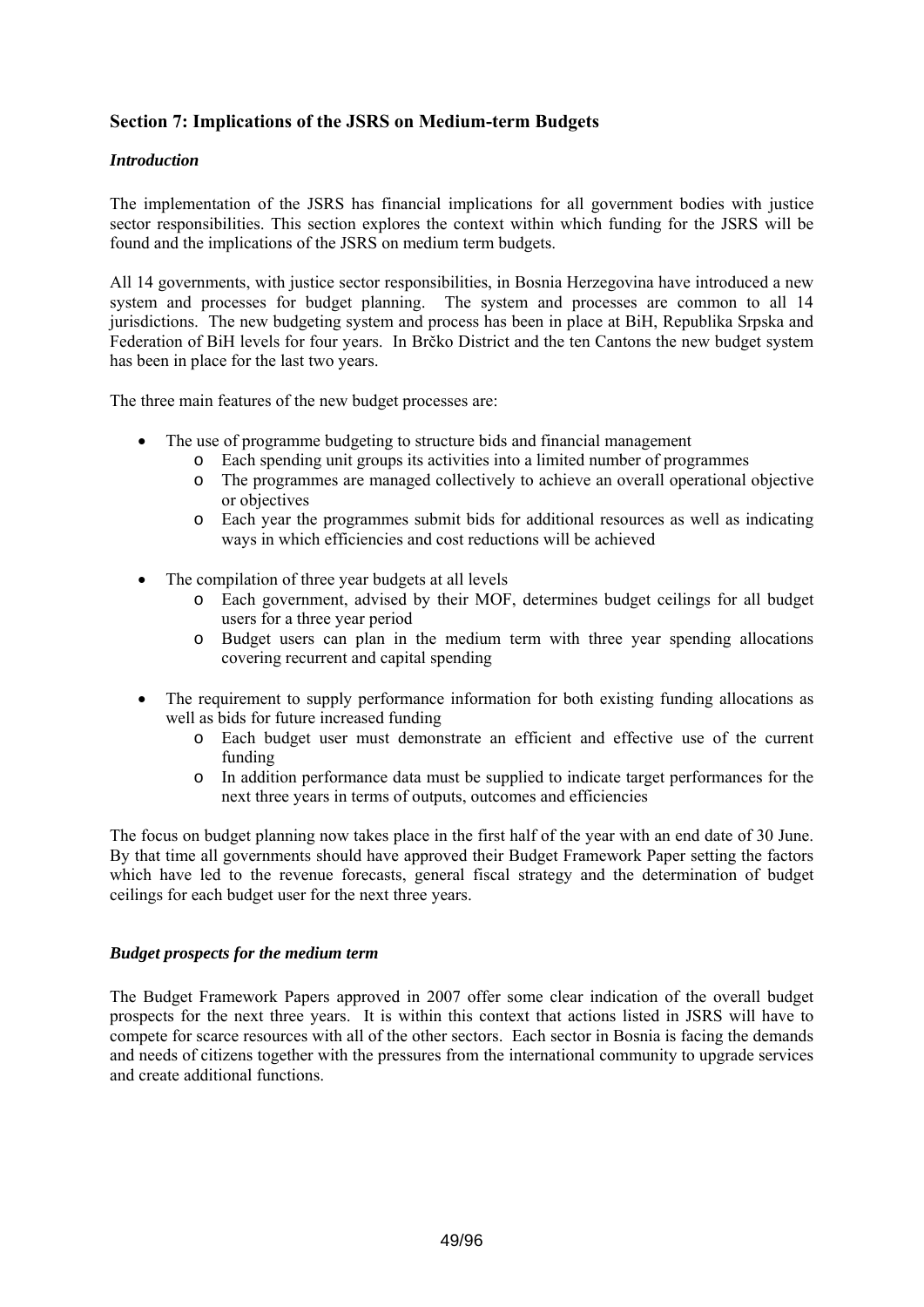## **Section 7: Implications of the JSRS on Medium-term Budgets**

## *Introduction*

The implementation of the JSRS has financial implications for all government bodies with justice sector responsibilities. This section explores the context within which funding for the JSRS will be found and the implications of the JSRS on medium term budgets.

All 14 governments, with justice sector responsibilities, in Bosnia Herzegovina have introduced a new system and processes for budget planning. The system and processes are common to all 14 jurisdictions. The new budgeting system and process has been in place at BiH, Republika Srpska and Federation of BiH levels for four years. In Brčko District and the ten Cantons the new budget system has been in place for the last two years.

The three main features of the new budget processes are:

- The use of programme budgeting to structure bids and financial management
	- o Each spending unit groups its activities into a limited number of programmes
	- o The programmes are managed collectively to achieve an overall operational objective or objectives
	- o Each year the programmes submit bids for additional resources as well as indicating ways in which efficiencies and cost reductions will be achieved
- The compilation of three year budgets at all levels
	- o Each government, advised by their MOF, determines budget ceilings for all budget users for a three year period
	- o Budget users can plan in the medium term with three year spending allocations covering recurrent and capital spending
- The requirement to supply performance information for both existing funding allocations as well as bids for future increased funding
	- o Each budget user must demonstrate an efficient and effective use of the current funding
	- o In addition performance data must be supplied to indicate target performances for the next three years in terms of outputs, outcomes and efficiencies

The focus on budget planning now takes place in the first half of the year with an end date of 30 June. By that time all governments should have approved their Budget Framework Paper setting the factors which have led to the revenue forecasts, general fiscal strategy and the determination of budget ceilings for each budget user for the next three years.

## *Budget prospects for the medium term*

The Budget Framework Papers approved in 2007 offer some clear indication of the overall budget prospects for the next three years. It is within this context that actions listed in JSRS will have to compete for scarce resources with all of the other sectors. Each sector in Bosnia is facing the demands and needs of citizens together with the pressures from the international community to upgrade services and create additional functions.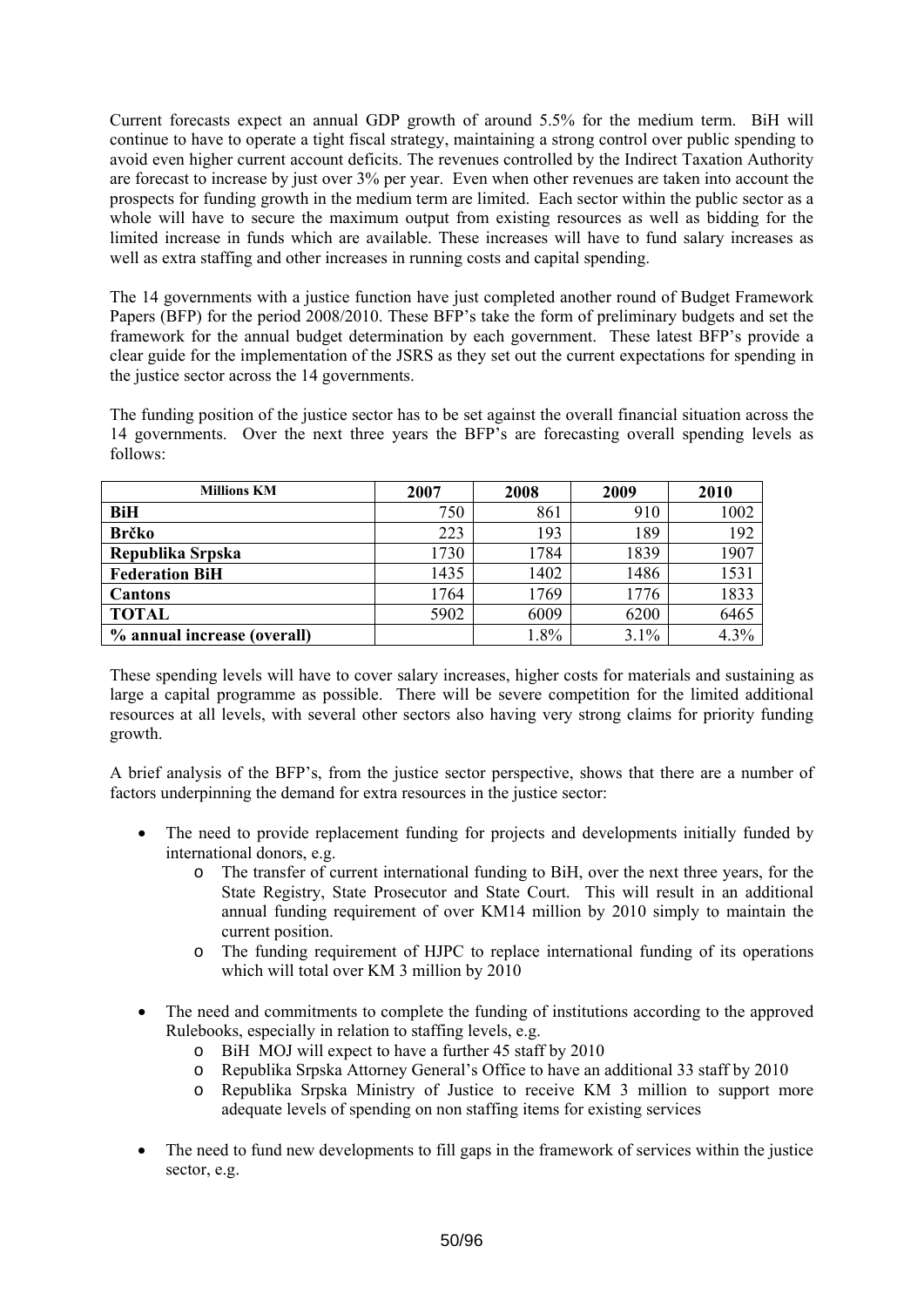Current forecasts expect an annual GDP growth of around 5.5% for the medium term. BiH will continue to have to operate a tight fiscal strategy, maintaining a strong control over public spending to avoid even higher current account deficits. The revenues controlled by the Indirect Taxation Authority are forecast to increase by just over 3% per year. Even when other revenues are taken into account the prospects for funding growth in the medium term are limited. Each sector within the public sector as a whole will have to secure the maximum output from existing resources as well as bidding for the limited increase in funds which are available. These increases will have to fund salary increases as well as extra staffing and other increases in running costs and capital spending.

The 14 governments with a justice function have just completed another round of Budget Framework Papers (BFP) for the period 2008/2010. These BFP's take the form of preliminary budgets and set the framework for the annual budget determination by each government. These latest BFP's provide a clear guide for the implementation of the JSRS as they set out the current expectations for spending in the justice sector across the 14 governments.

The funding position of the justice sector has to be set against the overall financial situation across the 14 governments. Over the next three years the BFP's are forecasting overall spending levels as follows:

| <b>Millions KM</b>          | 2007 | 2008 | 2009 | 2010 |
|-----------------------------|------|------|------|------|
| BiH                         | 750  | 861  | 910  | 1002 |
| <b>Brčko</b>                | 223  | 193  | 189  | 192  |
| Republika Srpska            | 1730 | 1784 | 1839 | 1907 |
| <b>Federation BiH</b>       | 1435 | 1402 | 1486 | 1531 |
| Cantons                     | 1764 | 1769 | 1776 | 1833 |
| <b>TOTAL</b>                | 5902 | 6009 | 6200 | 6465 |
| % annual increase (overall) |      | 1.8% | 3.1% | 4.3% |

These spending levels will have to cover salary increases, higher costs for materials and sustaining as large a capital programme as possible. There will be severe competition for the limited additional resources at all levels, with several other sectors also having very strong claims for priority funding growth.

A brief analysis of the BFP's, from the justice sector perspective, shows that there are a number of factors underpinning the demand for extra resources in the justice sector:

- The need to provide replacement funding for projects and developments initially funded by international donors, e.g.
	- o The transfer of current international funding to BiH, over the next three years, for the State Registry, State Prosecutor and State Court. This will result in an additional annual funding requirement of over KM14 million by 2010 simply to maintain the current position.
	- o The funding requirement of HJPC to replace international funding of its operations which will total over KM 3 million by 2010
- The need and commitments to complete the funding of institutions according to the approved Rulebooks, especially in relation to staffing levels, e.g.
	- o BiH MOJ will expect to have a further 45 staff by 2010
	- o Republika Srpska Attorney General's Office to have an additional 33 staff by 2010
	- o Republika Srpska Ministry of Justice to receive KM 3 million to support more adequate levels of spending on non staffing items for existing services
- The need to fund new developments to fill gaps in the framework of services within the justice sector, e.g.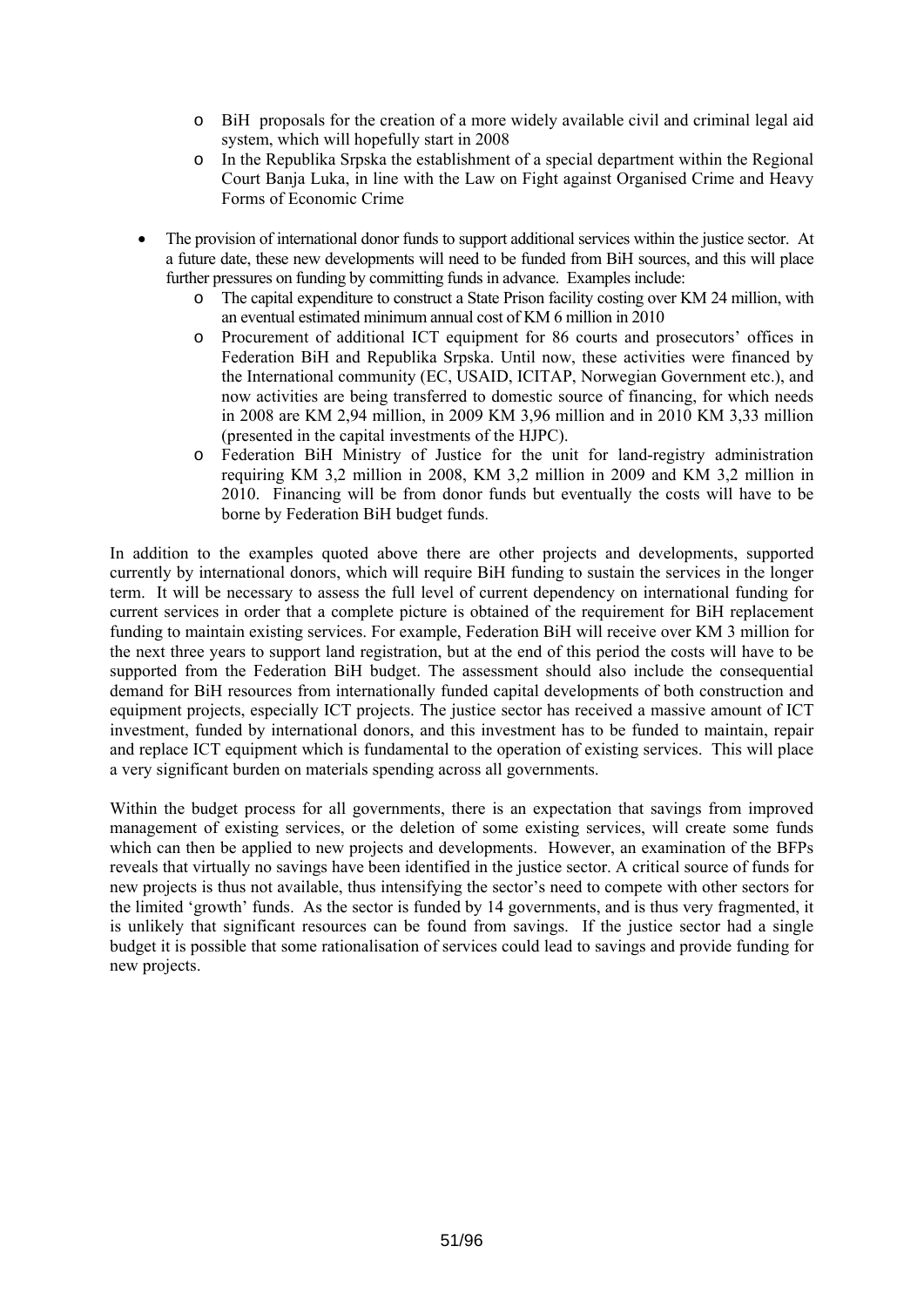- o BiH proposals for the creation of a more widely available civil and criminal legal aid system, which will hopefully start in 2008
- o In the Republika Srpska the establishment of a special department within the Regional Court Banja Luka, in line with the Law on Fight against Organised Crime and Heavy Forms of Economic Crime
- The provision of international donor funds to support additional services within the justice sector. At a future date, these new developments will need to be funded from BiH sources, and this will place further pressures on funding by committing funds in advance. Examples include:
	- o The capital expenditure to construct a State Prison facility costing over KM 24 million, with an eventual estimated minimum annual cost of KM 6 million in 2010
	- o Procurement of additional ICT equipment for 86 courts and prosecutors' offices in Federation BiH and Republika Srpska. Until now, these activities were financed by the International community (EC, USAID, ICITAP, Norwegian Government etc.), and now activities are being transferred to domestic source of financing, for which needs in 2008 are KM 2,94 million, in 2009 KM 3,96 million and in 2010 KM 3,33 million (presented in the capital investments of the HJPC).
	- o Federation BiH Ministry of Justice for the unit for land-registry administration requiring KM 3,2 million in 2008, KM 3,2 million in 2009 and KM 3,2 million in 2010. Financing will be from donor funds but eventually the costs will have to be borne by Federation BiH budget funds.

In addition to the examples quoted above there are other projects and developments, supported currently by international donors, which will require BiH funding to sustain the services in the longer term. It will be necessary to assess the full level of current dependency on international funding for current services in order that a complete picture is obtained of the requirement for BiH replacement funding to maintain existing services. For example, Federation BiH will receive over KM 3 million for the next three years to support land registration, but at the end of this period the costs will have to be supported from the Federation BiH budget. The assessment should also include the consequential demand for BiH resources from internationally funded capital developments of both construction and equipment projects, especially ICT projects. The justice sector has received a massive amount of ICT investment, funded by international donors, and this investment has to be funded to maintain, repair and replace ICT equipment which is fundamental to the operation of existing services. This will place a very significant burden on materials spending across all governments.

Within the budget process for all governments, there is an expectation that savings from improved management of existing services, or the deletion of some existing services, will create some funds which can then be applied to new projects and developments. However, an examination of the BFPs reveals that virtually no savings have been identified in the justice sector. A critical source of funds for new projects is thus not available, thus intensifying the sector's need to compete with other sectors for the limited 'growth' funds. As the sector is funded by 14 governments, and is thus very fragmented, it is unlikely that significant resources can be found from savings. If the justice sector had a single budget it is possible that some rationalisation of services could lead to savings and provide funding for new projects.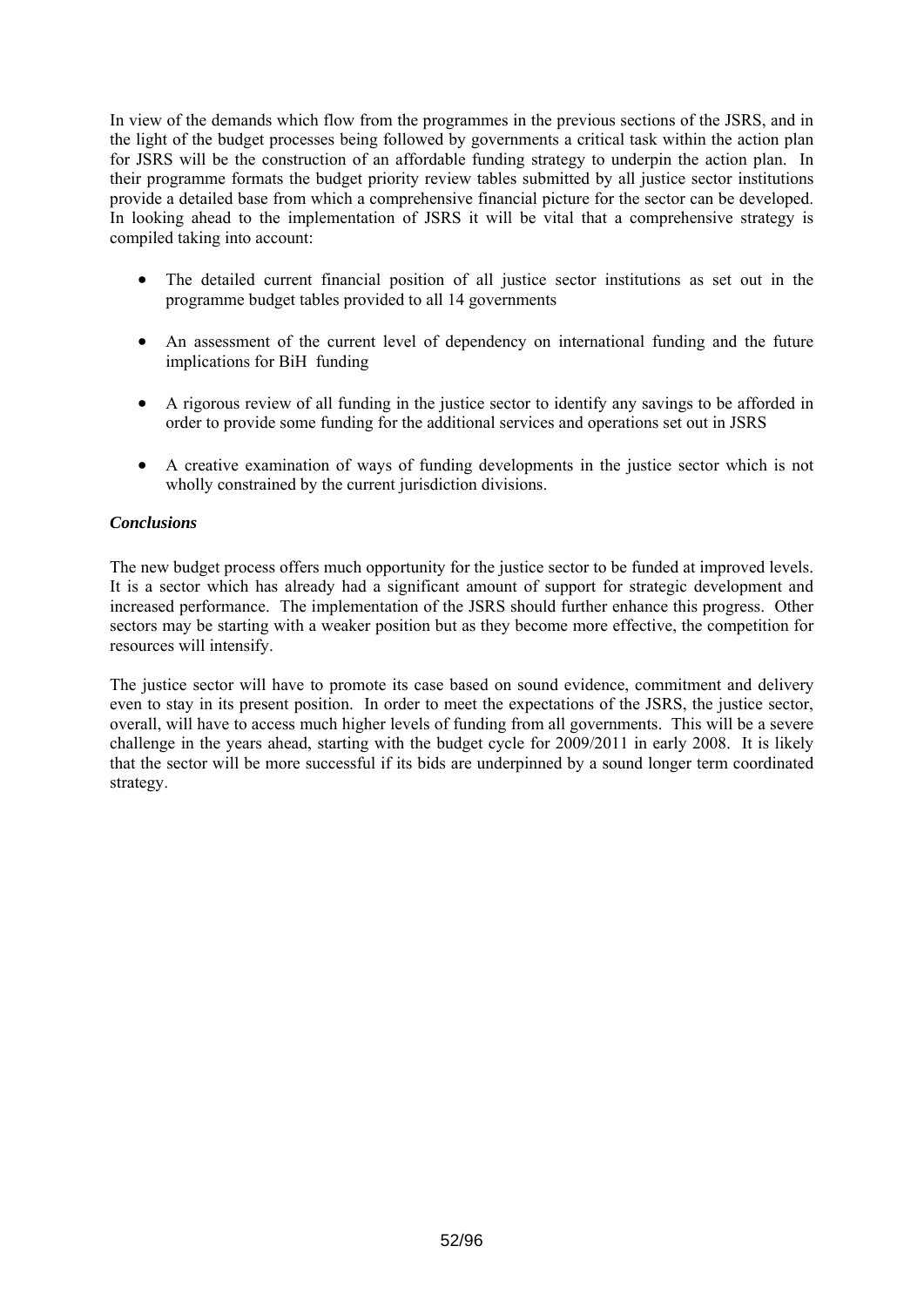In view of the demands which flow from the programmes in the previous sections of the JSRS, and in the light of the budget processes being followed by governments a critical task within the action plan for JSRS will be the construction of an affordable funding strategy to underpin the action plan. In their programme formats the budget priority review tables submitted by all justice sector institutions provide a detailed base from which a comprehensive financial picture for the sector can be developed. In looking ahead to the implementation of JSRS it will be vital that a comprehensive strategy is compiled taking into account:

- The detailed current financial position of all justice sector institutions as set out in the programme budget tables provided to all 14 governments
- An assessment of the current level of dependency on international funding and the future implications for BiH funding
- A rigorous review of all funding in the justice sector to identify any savings to be afforded in order to provide some funding for the additional services and operations set out in JSRS
- A creative examination of ways of funding developments in the justice sector which is not wholly constrained by the current jurisdiction divisions.

## *Conclusions*

The new budget process offers much opportunity for the justice sector to be funded at improved levels. It is a sector which has already had a significant amount of support for strategic development and increased performance. The implementation of the JSRS should further enhance this progress. Other sectors may be starting with a weaker position but as they become more effective, the competition for resources will intensify.

The justice sector will have to promote its case based on sound evidence, commitment and delivery even to stay in its present position. In order to meet the expectations of the JSRS, the justice sector, overall, will have to access much higher levels of funding from all governments. This will be a severe challenge in the years ahead, starting with the budget cycle for 2009/2011 in early 2008. It is likely that the sector will be more successful if its bids are underpinned by a sound longer term coordinated strategy.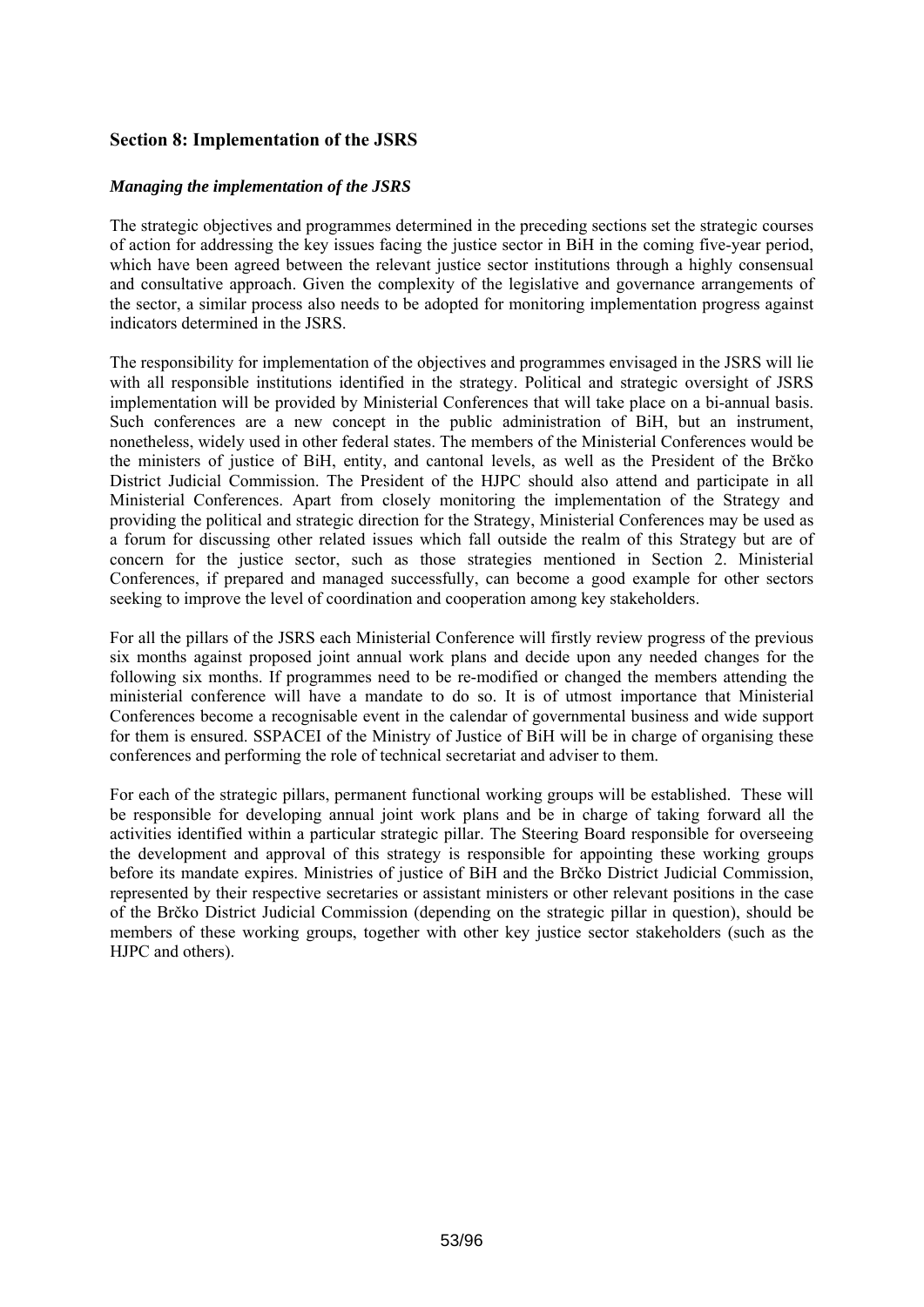## **Section 8: Implementation of the JSRS**

## *Managing the implementation of the JSRS*

The strategic objectives and programmes determined in the preceding sections set the strategic courses of action for addressing the key issues facing the justice sector in BiH in the coming five-year period, which have been agreed between the relevant justice sector institutions through a highly consensual and consultative approach. Given the complexity of the legislative and governance arrangements of the sector, a similar process also needs to be adopted for monitoring implementation progress against indicators determined in the JSRS.

The responsibility for implementation of the objectives and programmes envisaged in the JSRS will lie with all responsible institutions identified in the strategy. Political and strategic oversight of JSRS implementation will be provided by Ministerial Conferences that will take place on a bi-annual basis. Such conferences are a new concept in the public administration of BiH, but an instrument, nonetheless, widely used in other federal states. The members of the Ministerial Conferences would be the ministers of justice of BiH, entity, and cantonal levels, as well as the President of the Brčko District Judicial Commission. The President of the HJPC should also attend and participate in all Ministerial Conferences. Apart from closely monitoring the implementation of the Strategy and providing the political and strategic direction for the Strategy, Ministerial Conferences may be used as a forum for discussing other related issues which fall outside the realm of this Strategy but are of concern for the justice sector, such as those strategies mentioned in Section 2. Ministerial Conferences, if prepared and managed successfully, can become a good example for other sectors seeking to improve the level of coordination and cooperation among key stakeholders.

For all the pillars of the JSRS each Ministerial Conference will firstly review progress of the previous six months against proposed joint annual work plans and decide upon any needed changes for the following six months. If programmes need to be re-modified or changed the members attending the ministerial conference will have a mandate to do so. It is of utmost importance that Ministerial Conferences become a recognisable event in the calendar of governmental business and wide support for them is ensured. SSPACEI of the Ministry of Justice of BiH will be in charge of organising these conferences and performing the role of technical secretariat and adviser to them.

For each of the strategic pillars, permanent functional working groups will be established. These will be responsible for developing annual joint work plans and be in charge of taking forward all the activities identified within a particular strategic pillar. The Steering Board responsible for overseeing the development and approval of this strategy is responsible for appointing these working groups before its mandate expires. Ministries of justice of BiH and the Brčko District Judicial Commission, represented by their respective secretaries or assistant ministers or other relevant positions in the case of the Brčko District Judicial Commission (depending on the strategic pillar in question), should be members of these working groups, together with other key justice sector stakeholders (such as the HJPC and others).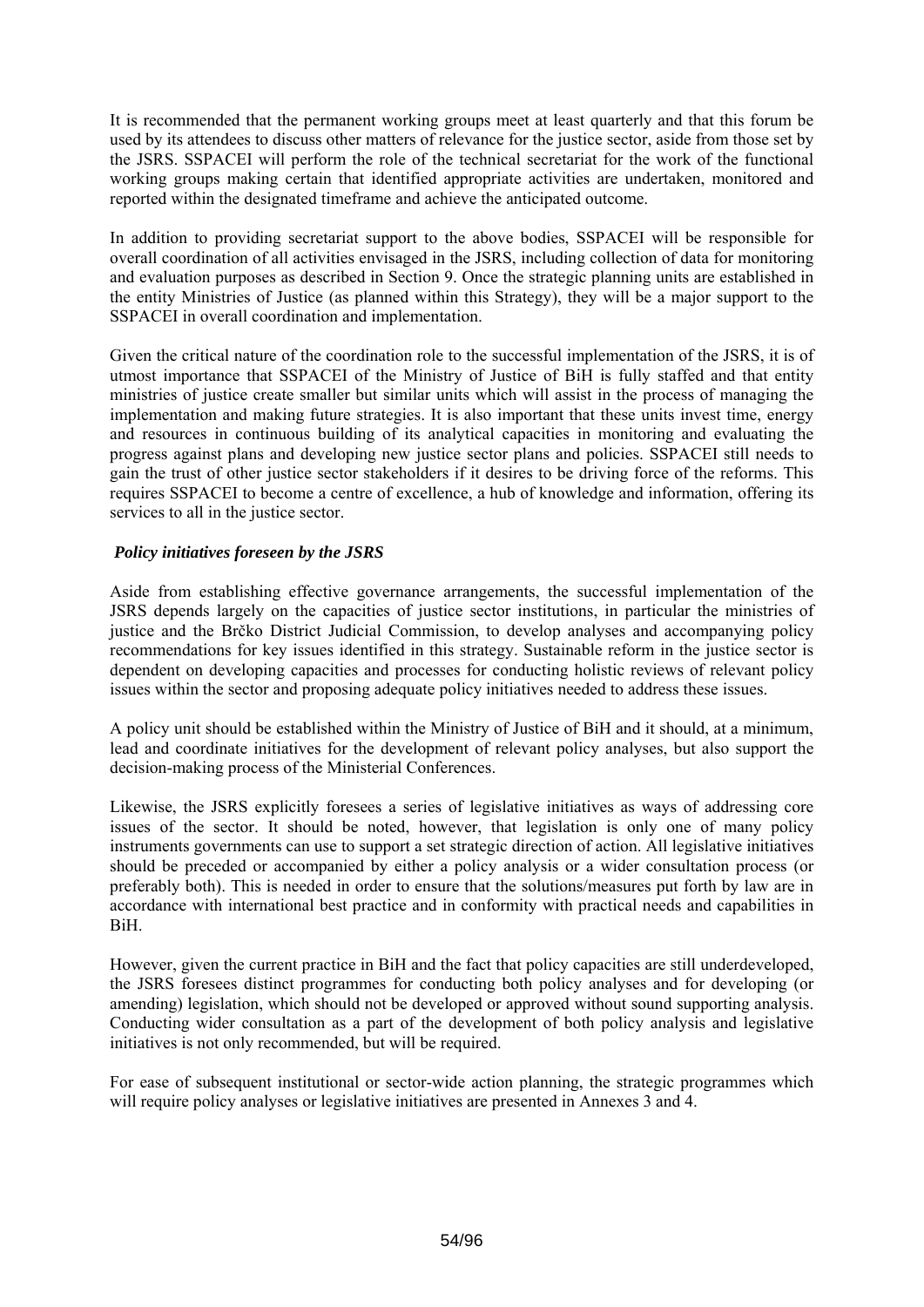It is recommended that the permanent working groups meet at least quarterly and that this forum be used by its attendees to discuss other matters of relevance for the justice sector, aside from those set by the JSRS. SSPACEI will perform the role of the technical secretariat for the work of the functional working groups making certain that identified appropriate activities are undertaken, monitored and reported within the designated timeframe and achieve the anticipated outcome.

In addition to providing secretariat support to the above bodies, SSPACEI will be responsible for overall coordination of all activities envisaged in the JSRS, including collection of data for monitoring and evaluation purposes as described in Section 9. Once the strategic planning units are established in the entity Ministries of Justice (as planned within this Strategy), they will be a major support to the SSPACEI in overall coordination and implementation.

Given the critical nature of the coordination role to the successful implementation of the JSRS, it is of utmost importance that SSPACEI of the Ministry of Justice of BiH is fully staffed and that entity ministries of justice create smaller but similar units which will assist in the process of managing the implementation and making future strategies. It is also important that these units invest time, energy and resources in continuous building of its analytical capacities in monitoring and evaluating the progress against plans and developing new justice sector plans and policies. SSPACEI still needs to gain the trust of other justice sector stakeholders if it desires to be driving force of the reforms. This requires SSPACEI to become a centre of excellence, a hub of knowledge and information, offering its services to all in the justice sector.

## *Policy initiatives foreseen by the JSRS*

Aside from establishing effective governance arrangements, the successful implementation of the JSRS depends largely on the capacities of justice sector institutions, in particular the ministries of justice and the Brčko District Judicial Commission, to develop analyses and accompanying policy recommendations for key issues identified in this strategy. Sustainable reform in the justice sector is dependent on developing capacities and processes for conducting holistic reviews of relevant policy issues within the sector and proposing adequate policy initiatives needed to address these issues.

A policy unit should be established within the Ministry of Justice of BiH and it should, at a minimum, lead and coordinate initiatives for the development of relevant policy analyses, but also support the decision-making process of the Ministerial Conferences.

Likewise, the JSRS explicitly foresees a series of legislative initiatives as ways of addressing core issues of the sector. It should be noted, however, that legislation is only one of many policy instruments governments can use to support a set strategic direction of action. All legislative initiatives should be preceded or accompanied by either a policy analysis or a wider consultation process (or preferably both). This is needed in order to ensure that the solutions/measures put forth by law are in accordance with international best practice and in conformity with practical needs and capabilities in BiH.

However, given the current practice in BiH and the fact that policy capacities are still underdeveloped, the JSRS foresees distinct programmes for conducting both policy analyses and for developing (or amending) legislation, which should not be developed or approved without sound supporting analysis. Conducting wider consultation as a part of the development of both policy analysis and legislative initiatives is not only recommended, but will be required.

For ease of subsequent institutional or sector-wide action planning, the strategic programmes which will require policy analyses or legislative initiatives are presented in Annexes 3 and 4.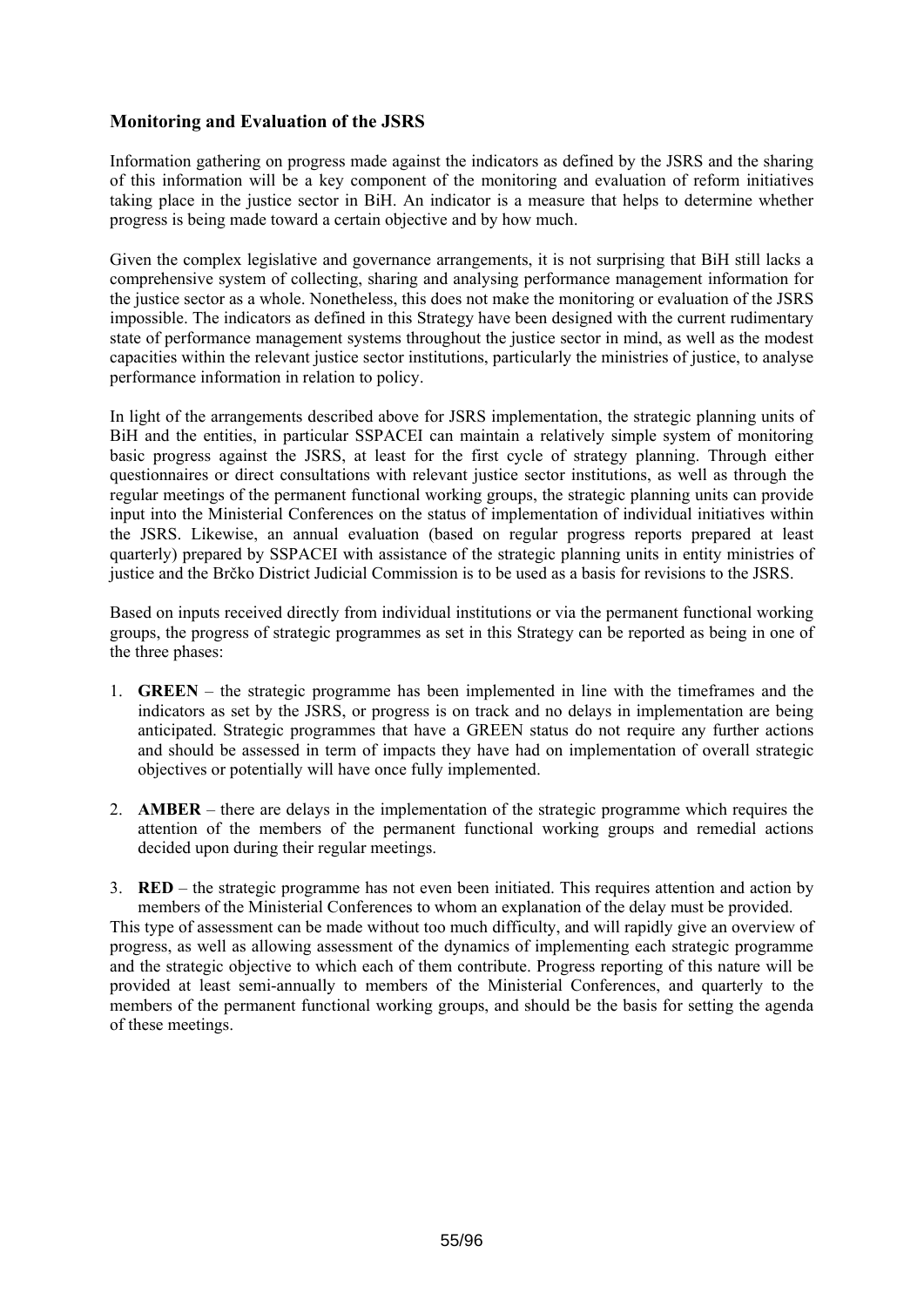## **Monitoring and Evaluation of the JSRS**

Information gathering on progress made against the indicators as defined by the JSRS and the sharing of this information will be a key component of the monitoring and evaluation of reform initiatives taking place in the justice sector in BiH. An indicator is a measure that helps to determine whether progress is being made toward a certain objective and by how much.

Given the complex legislative and governance arrangements, it is not surprising that BiH still lacks a comprehensive system of collecting, sharing and analysing performance management information for the justice sector as a whole. Nonetheless, this does not make the monitoring or evaluation of the JSRS impossible. The indicators as defined in this Strategy have been designed with the current rudimentary state of performance management systems throughout the justice sector in mind, as well as the modest capacities within the relevant justice sector institutions, particularly the ministries of justice, to analyse performance information in relation to policy.

In light of the arrangements described above for JSRS implementation, the strategic planning units of BiH and the entities, in particular SSPACEI can maintain a relatively simple system of monitoring basic progress against the JSRS, at least for the first cycle of strategy planning. Through either questionnaires or direct consultations with relevant justice sector institutions, as well as through the regular meetings of the permanent functional working groups, the strategic planning units can provide input into the Ministerial Conferences on the status of implementation of individual initiatives within the JSRS. Likewise, an annual evaluation (based on regular progress reports prepared at least quarterly) prepared by SSPACEI with assistance of the strategic planning units in entity ministries of justice and the Brčko District Judicial Commission is to be used as a basis for revisions to the JSRS.

Based on inputs received directly from individual institutions or via the permanent functional working groups, the progress of strategic programmes as set in this Strategy can be reported as being in one of the three phases:

- 1. **GREEN** the strategic programme has been implemented in line with the timeframes and the indicators as set by the JSRS, or progress is on track and no delays in implementation are being anticipated. Strategic programmes that have a GREEN status do not require any further actions and should be assessed in term of impacts they have had on implementation of overall strategic objectives or potentially will have once fully implemented.
- 2. **AMBER** there are delays in the implementation of the strategic programme which requires the attention of the members of the permanent functional working groups and remedial actions decided upon during their regular meetings.

3. **RED** – the strategic programme has not even been initiated. This requires attention and action by members of the Ministerial Conferences to whom an explanation of the delay must be provided. This type of assessment can be made without too much difficulty, and will rapidly give an overview of progress, as well as allowing assessment of the dynamics of implementing each strategic programme and the strategic objective to which each of them contribute. Progress reporting of this nature will be provided at least semi-annually to members of the Ministerial Conferences, and quarterly to the members of the permanent functional working groups, and should be the basis for setting the agenda of these meetings.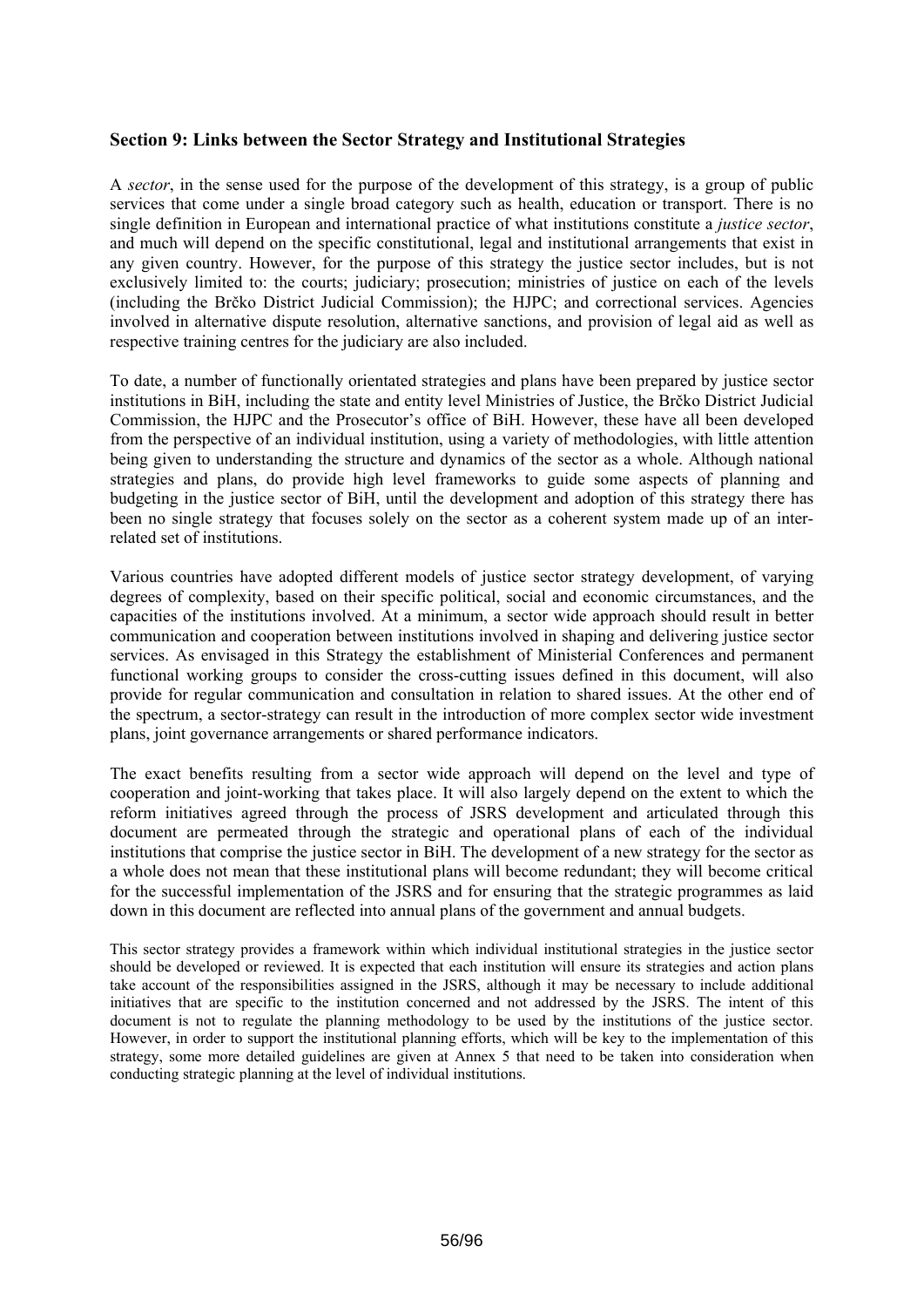## **Section 9: Links between the Sector Strategy and Institutional Strategies**

A *sector*, in the sense used for the purpose of the development of this strategy, is a group of public services that come under a single broad category such as health, education or transport. There is no single definition in European and international practice of what institutions constitute a *justice sector*, and much will depend on the specific constitutional, legal and institutional arrangements that exist in any given country. However, for the purpose of this strategy the justice sector includes, but is not exclusively limited to: the courts; judiciary; prosecution; ministries of justice on each of the levels (including the Brčko District Judicial Commission); the HJPC; and correctional services. Agencies involved in alternative dispute resolution, alternative sanctions, and provision of legal aid as well as respective training centres for the judiciary are also included.

To date, a number of functionally orientated strategies and plans have been prepared by justice sector institutions in BiH, including the state and entity level Ministries of Justice, the Brčko District Judicial Commission, the HJPC and the Prosecutor's office of BiH. However, these have all been developed from the perspective of an individual institution, using a variety of methodologies, with little attention being given to understanding the structure and dynamics of the sector as a whole. Although national strategies and plans, do provide high level frameworks to guide some aspects of planning and budgeting in the justice sector of BiH, until the development and adoption of this strategy there has been no single strategy that focuses solely on the sector as a coherent system made up of an interrelated set of institutions.

Various countries have adopted different models of justice sector strategy development, of varying degrees of complexity, based on their specific political, social and economic circumstances, and the capacities of the institutions involved. At a minimum, a sector wide approach should result in better communication and cooperation between institutions involved in shaping and delivering justice sector services. As envisaged in this Strategy the establishment of Ministerial Conferences and permanent functional working groups to consider the cross-cutting issues defined in this document, will also provide for regular communication and consultation in relation to shared issues. At the other end of the spectrum, a sector-strategy can result in the introduction of more complex sector wide investment plans, joint governance arrangements or shared performance indicators.

The exact benefits resulting from a sector wide approach will depend on the level and type of cooperation and joint-working that takes place. It will also largely depend on the extent to which the reform initiatives agreed through the process of JSRS development and articulated through this document are permeated through the strategic and operational plans of each of the individual institutions that comprise the justice sector in BiH. The development of a new strategy for the sector as a whole does not mean that these institutional plans will become redundant; they will become critical for the successful implementation of the JSRS and for ensuring that the strategic programmes as laid down in this document are reflected into annual plans of the government and annual budgets.

This sector strategy provides a framework within which individual institutional strategies in the justice sector should be developed or reviewed. It is expected that each institution will ensure its strategies and action plans take account of the responsibilities assigned in the JSRS, although it may be necessary to include additional initiatives that are specific to the institution concerned and not addressed by the JSRS. The intent of this document is not to regulate the planning methodology to be used by the institutions of the justice sector. However, in order to support the institutional planning efforts, which will be key to the implementation of this strategy, some more detailed guidelines are given at Annex 5 that need to be taken into consideration when conducting strategic planning at the level of individual institutions.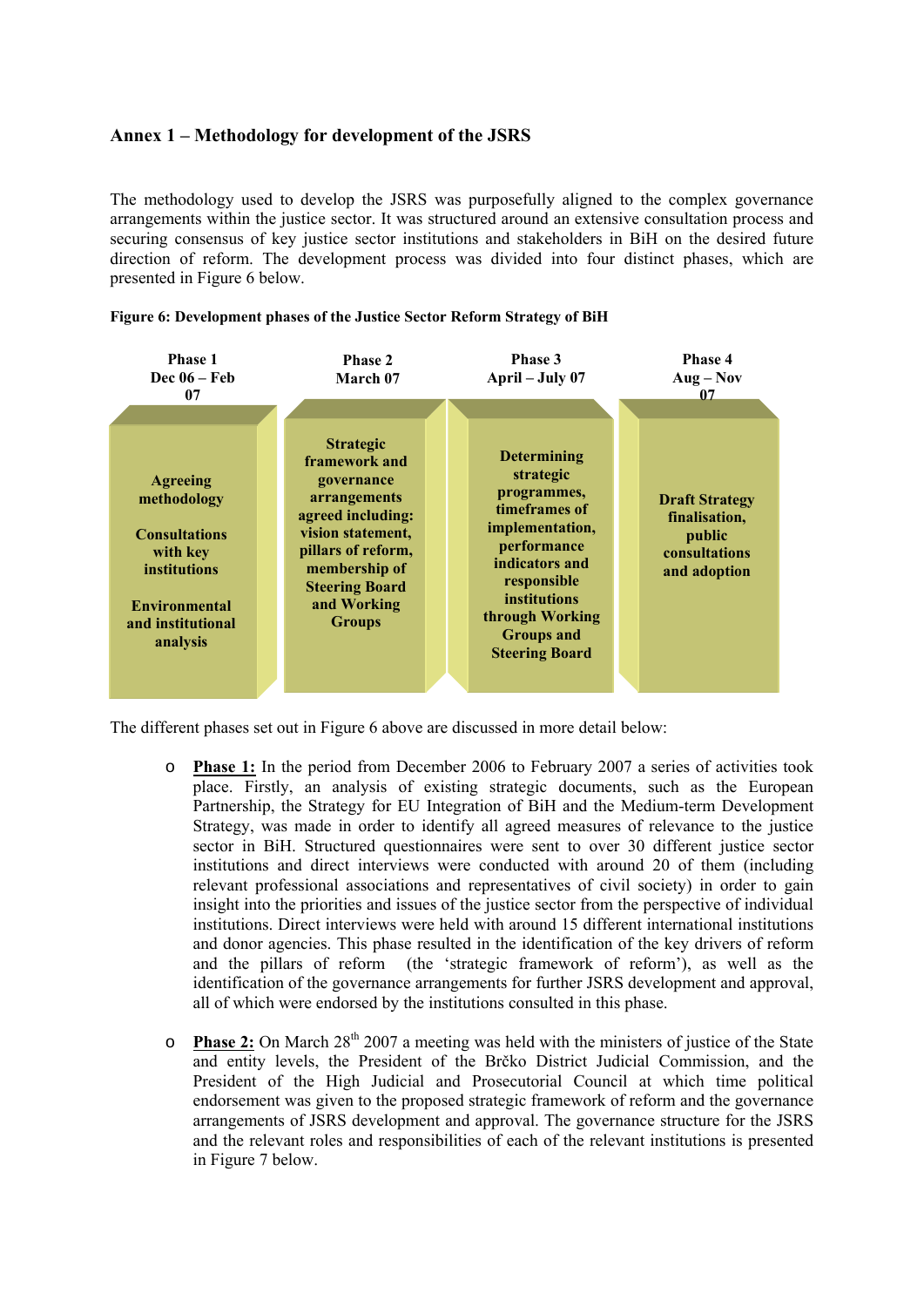## **Annex 1 – Methodology for development of the JSRS**

The methodology used to develop the JSRS was purposefully aligned to the complex governance arrangements within the justice sector. It was structured around an extensive consultation process and securing consensus of key justice sector institutions and stakeholders in BiH on the desired future direction of reform. The development process was divided into four distinct phases, which are presented in [Figure 6](#page-56-0) below.

<span id="page-56-0"></span>



The different phases set out in [Figure 6](#page-56-0) above are discussed in more detail below:

- o **Phase 1:** In the period from December 2006 to February 2007 a series of activities took place. Firstly, an analysis of existing strategic documents, such as the European Partnership, the Strategy for EU Integration of BiH and the Medium-term Development Strategy, was made in order to identify all agreed measures of relevance to the justice sector in BiH. Structured questionnaires were sent to over 30 different justice sector institutions and direct interviews were conducted with around 20 of them (including relevant professional associations and representatives of civil society) in order to gain insight into the priorities and issues of the justice sector from the perspective of individual institutions. Direct interviews were held with around 15 different international institutions and donor agencies. This phase resulted in the identification of the key drivers of reform and the pillars of reform (the 'strategic framework of reform'), as well as the identification of the governance arrangements for further JSRS development and approval, all of which were endorsed by the institutions consulted in this phase.
- o **Phase 2:** On March 28<sup>th</sup> 2007 a meeting was held with the ministers of justice of the State and entity levels, the President of the Brčko District Judicial Commission, and the President of the High Judicial and Prosecutorial Council at which time political endorsement was given to the proposed strategic framework of reform and the governance arrangements of JSRS development and approval. The governance structure for the JSRS and the relevant roles and responsibilities of each of the relevant institutions is presented in [Figure 7](#page-57-0) below.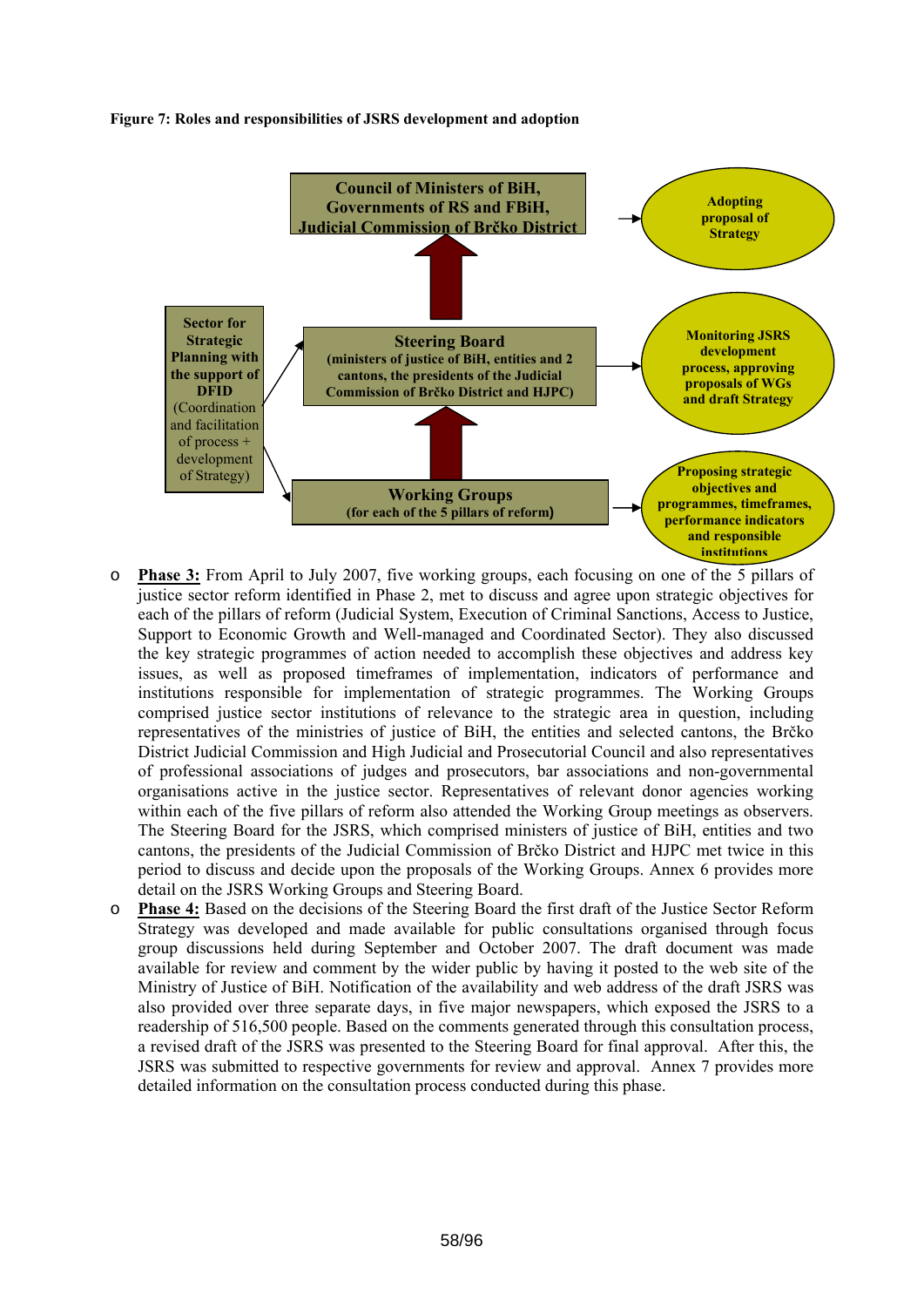#### <span id="page-57-0"></span>**Figure 7: Roles and responsibilities of JSRS development and adoption**



- o **Phase 3:** From April to July 2007, five working groups, each focusing on one of the 5 pillars of justice sector reform identified in Phase 2, met to discuss and agree upon strategic objectives for each of the pillars of reform (Judicial System, Execution of Criminal Sanctions, Access to Justice, Support to Economic Growth and Well-managed and Coordinated Sector). They also discussed the key strategic programmes of action needed to accomplish these objectives and address key issues, as well as proposed timeframes of implementation, indicators of performance and institutions responsible for implementation of strategic programmes. The Working Groups comprised justice sector institutions of relevance to the strategic area in question, including representatives of the ministries of justice of BiH, the entities and selected cantons, the Brčko District Judicial Commission and High Judicial and Prosecutorial Council and also representatives of professional associations of judges and prosecutors, bar associations and non-governmental organisations active in the justice sector. Representatives of relevant donor agencies working within each of the five pillars of reform also attended the Working Group meetings as observers. The Steering Board for the JSRS, which comprised ministers of justice of BiH, entities and two cantons, the presidents of the Judicial Commission of Brčko District and HJPC met twice in this period to discuss and decide upon the proposals of the Working Groups. Annex 6 provides more detail on the JSRS Working Groups and Steering Board.
- o **Phase 4:** Based on the decisions of the Steering Board the first draft of the Justice Sector Reform Strategy was developed and made available for public consultations organised through focus group discussions held during September and October 2007. The draft document was made available for review and comment by the wider public by having it posted to the web site of the Ministry of Justice of BiH. Notification of the availability and web address of the draft JSRS was also provided over three separate days, in five major newspapers, which exposed the JSRS to a readership of 516,500 people. Based on the comments generated through this consultation process, a revised draft of the JSRS was presented to the Steering Board for final approval. After this, the JSRS was submitted to respective governments for review and approval. Annex 7 provides more detailed information on the consultation process conducted during this phase.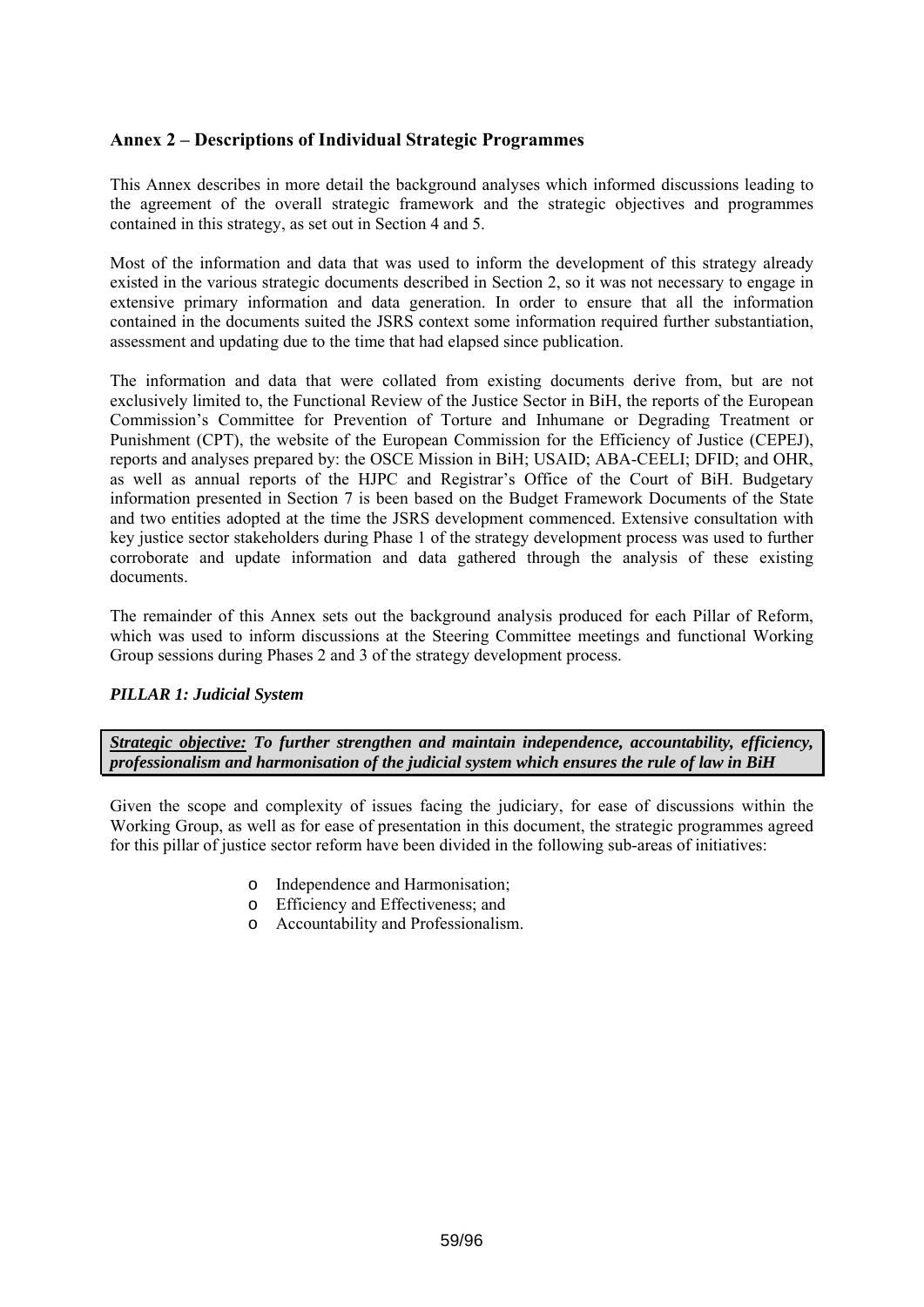## **Annex 2 – Descriptions of Individual Strategic Programmes**

This Annex describes in more detail the background analyses which informed discussions leading to the agreement of the overall strategic framework and the strategic objectives and programmes contained in this strategy, as set out in Section 4 and 5.

Most of the information and data that was used to inform the development of this strategy already existed in the various strategic documents described in Section 2, so it was not necessary to engage in extensive primary information and data generation. In order to ensure that all the information contained in the documents suited the JSRS context some information required further substantiation, assessment and updating due to the time that had elapsed since publication.

The information and data that were collated from existing documents derive from, but are not exclusively limited to, the Functional Review of the Justice Sector in BiH, the reports of the European Commission's Committee for Prevention of Torture and Inhumane or Degrading Treatment or Punishment (CPT), the website of the European Commission for the Efficiency of Justice (CEPEJ), reports and analyses prepared by: the OSCE Mission in BiH; USAID; ABA-CEELI; DFID; and OHR, as well as annual reports of the HJPC and Registrar's Office of the Court of BiH. Budgetary information presented in Section 7 is been based on the Budget Framework Documents of the State and two entities adopted at the time the JSRS development commenced. Extensive consultation with key justice sector stakeholders during Phase 1 of the strategy development process was used to further corroborate and update information and data gathered through the analysis of these existing documents.

The remainder of this Annex sets out the background analysis produced for each Pillar of Reform, which was used to inform discussions at the Steering Committee meetings and functional Working Group sessions during Phases 2 and 3 of the strategy development process.

## *PILLAR 1: Judicial System*

*Strategic objective: To further strengthen and maintain independence, accountability, efficiency, professionalism and harmonisation of the judicial system which ensures the rule of law in BiH* 

Given the scope and complexity of issues facing the judiciary, for ease of discussions within the Working Group, as well as for ease of presentation in this document, the strategic programmes agreed for this pillar of justice sector reform have been divided in the following sub-areas of initiatives:

- o Independence and Harmonisation;
- o Efficiency and Effectiveness; and
- o Accountability and Professionalism.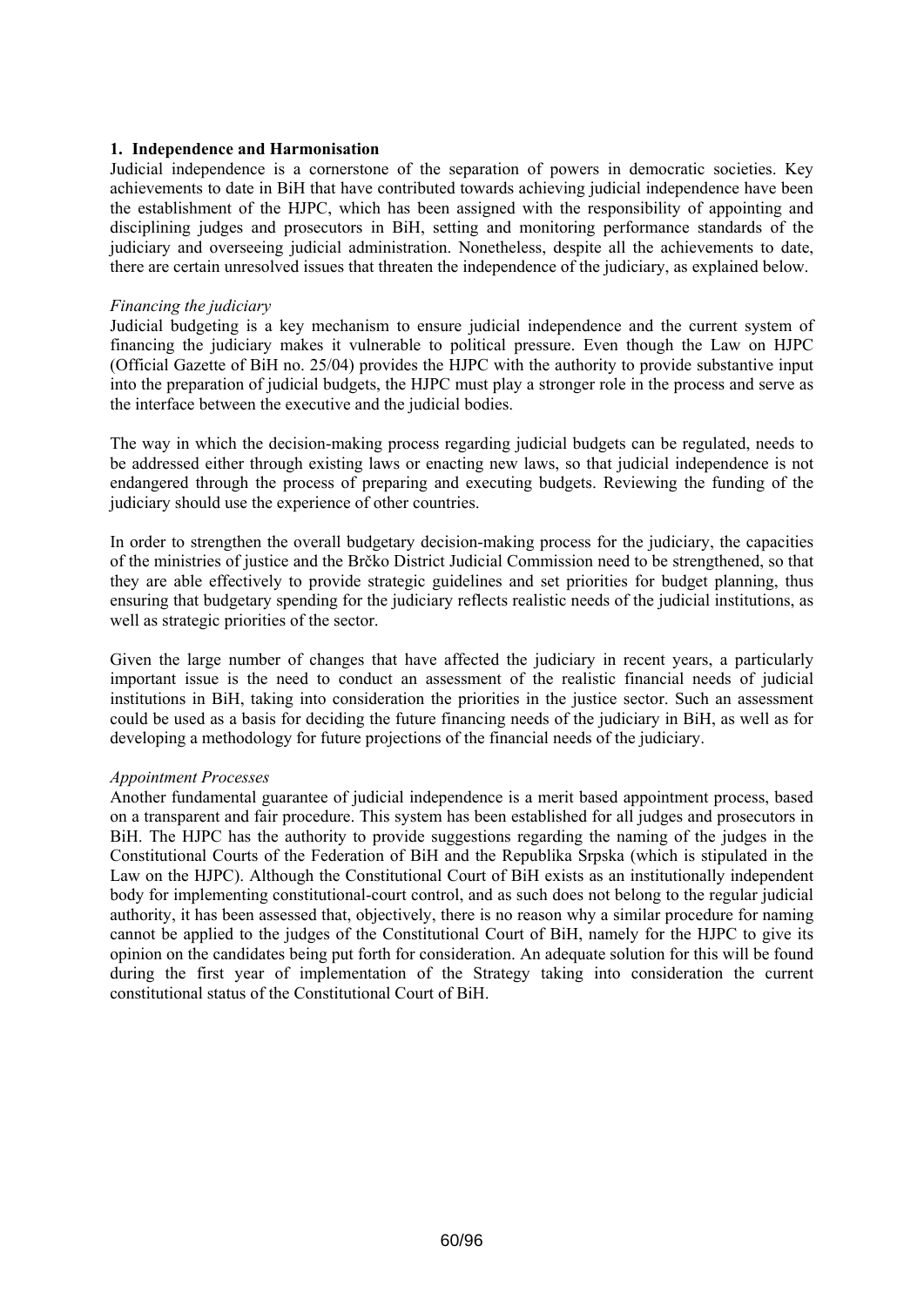### **1. Independence and Harmonisation**

Judicial independence is a cornerstone of the separation of powers in democratic societies. Key achievements to date in BiH that have contributed towards achieving judicial independence have been the establishment of the HJPC, which has been assigned with the responsibility of appointing and disciplining judges and prosecutors in BiH, setting and monitoring performance standards of the judiciary and overseeing judicial administration. Nonetheless, despite all the achievements to date, there are certain unresolved issues that threaten the independence of the judiciary, as explained below.

#### *Financing the judiciary*

Judicial budgeting is a key mechanism to ensure judicial independence and the current system of financing the judiciary makes it vulnerable to political pressure. Even though the Law on HJPC (Official Gazette of BiH no. 25/04) provides the HJPC with the authority to provide substantive input into the preparation of judicial budgets, the HJPC must play a stronger role in the process and serve as the interface between the executive and the judicial bodies.

The way in which the decision-making process regarding judicial budgets can be regulated, needs to be addressed either through existing laws or enacting new laws, so that judicial independence is not endangered through the process of preparing and executing budgets. Reviewing the funding of the judiciary should use the experience of other countries.

In order to strengthen the overall budgetary decision-making process for the judiciary, the capacities of the ministries of justice and the Brčko District Judicial Commission need to be strengthened, so that they are able effectively to provide strategic guidelines and set priorities for budget planning, thus ensuring that budgetary spending for the judiciary reflects realistic needs of the judicial institutions, as well as strategic priorities of the sector.

Given the large number of changes that have affected the judiciary in recent years, a particularly important issue is the need to conduct an assessment of the realistic financial needs of judicial institutions in BiH, taking into consideration the priorities in the justice sector. Such an assessment could be used as a basis for deciding the future financing needs of the judiciary in BiH, as well as for developing a methodology for future projections of the financial needs of the judiciary.

#### *Appointment Processes*

Another fundamental guarantee of judicial independence is a merit based appointment process, based on a transparent and fair procedure. This system has been established for all judges and prosecutors in BiH. The HJPC has the authority to provide suggestions regarding the naming of the judges in the Constitutional Courts of the Federation of BiH and the Republika Srpska (which is stipulated in the Law on the HJPC). Although the Constitutional Court of BiH exists as an institutionally independent body for implementing constitutional-court control, and as such does not belong to the regular judicial authority, it has been assessed that, objectively, there is no reason why a similar procedure for naming cannot be applied to the judges of the Constitutional Court of BiH, namely for the HJPC to give its opinion on the candidates being put forth for consideration. An adequate solution for this will be found during the first year of implementation of the Strategy taking into consideration the current constitutional status of the Constitutional Court of BiH.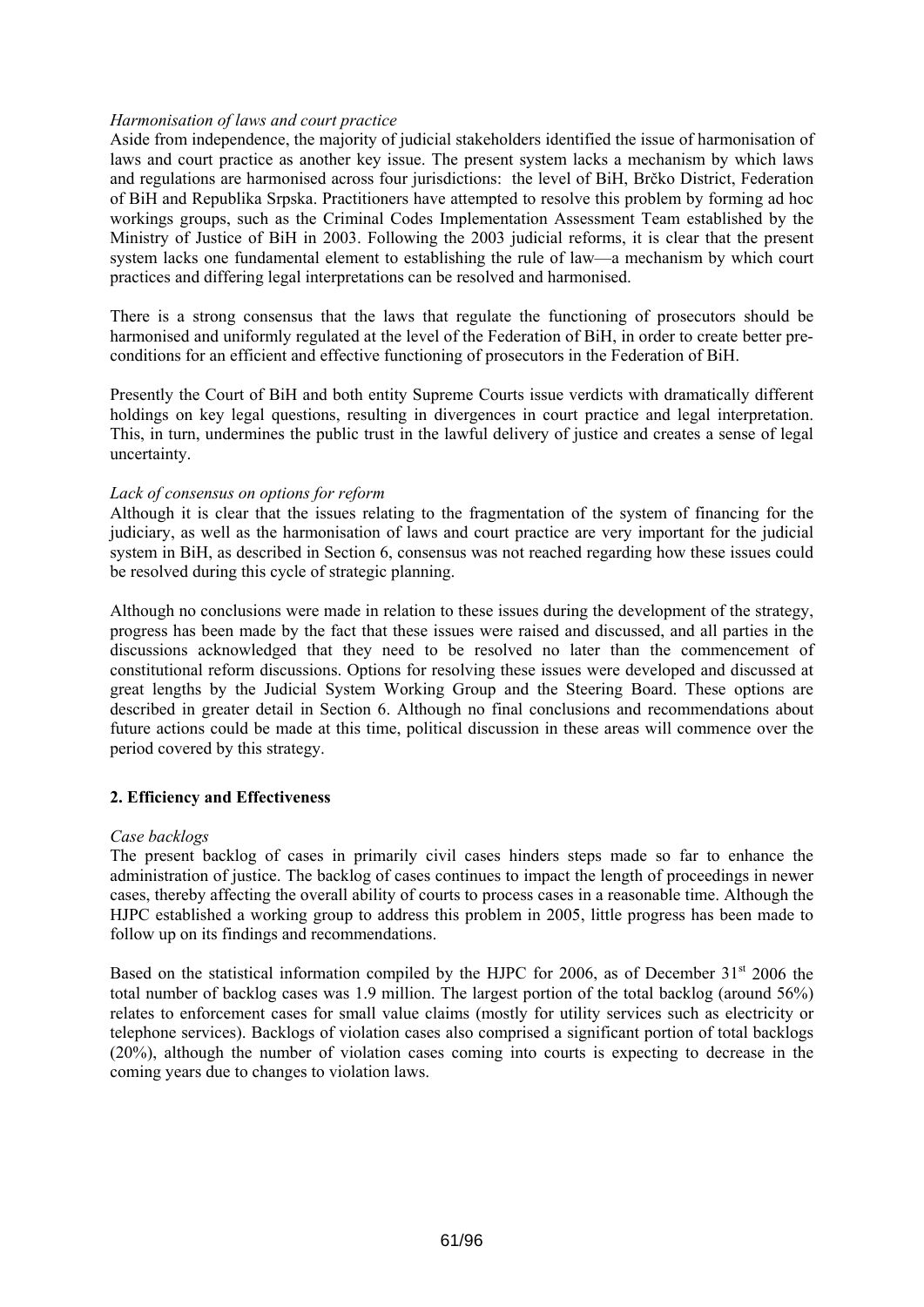## *Harmonisation of laws and court practice*

Aside from independence, the majority of judicial stakeholders identified the issue of harmonisation of laws and court practice as another key issue. The present system lacks a mechanism by which laws and regulations are harmonised across four jurisdictions: the level of BiH, Brčko District, Federation of BiH and Republika Srpska. Practitioners have attempted to resolve this problem by forming ad hoc workings groups, such as the Criminal Codes Implementation Assessment Team established by the Ministry of Justice of BiH in 2003. Following the 2003 judicial reforms, it is clear that the present system lacks one fundamental element to establishing the rule of law—a mechanism by which court practices and differing legal interpretations can be resolved and harmonised.

There is a strong consensus that the laws that regulate the functioning of prosecutors should be harmonised and uniformly regulated at the level of the Federation of BiH, in order to create better preconditions for an efficient and effective functioning of prosecutors in the Federation of BiH.

Presently the Court of BiH and both entity Supreme Courts issue verdicts with dramatically different holdings on key legal questions, resulting in divergences in court practice and legal interpretation. This, in turn, undermines the public trust in the lawful delivery of justice and creates a sense of legal uncertainty.

## *Lack of consensus on options for reform*

Although it is clear that the issues relating to the fragmentation of the system of financing for the judiciary, as well as the harmonisation of laws and court practice are very important for the judicial system in BiH, as described in Section 6, consensus was not reached regarding how these issues could be resolved during this cycle of strategic planning.

Although no conclusions were made in relation to these issues during the development of the strategy, progress has been made by the fact that these issues were raised and discussed, and all parties in the discussions acknowledged that they need to be resolved no later than the commencement of constitutional reform discussions. Options for resolving these issues were developed and discussed at great lengths by the Judicial System Working Group and the Steering Board. These options are described in greater detail in Section 6. Although no final conclusions and recommendations about future actions could be made at this time, political discussion in these areas will commence over the period covered by this strategy.

## **2. Efficiency and Effectiveness**

## *Case backlogs*

The present backlog of cases in primarily civil cases hinders steps made so far to enhance the administration of justice. The backlog of cases continues to impact the length of proceedings in newer cases, thereby affecting the overall ability of courts to process cases in a reasonable time. Although the HJPC established a working group to address this problem in 2005, little progress has been made to follow up on its findings and recommendations.

Based on the statistical information compiled by the HJPC for 2006, as of December  $31<sup>st</sup>$  2006 the total number of backlog cases was 1.9 million. The largest portion of the total backlog (around 56%) relates to enforcement cases for small value claims (mostly for utility services such as electricity or telephone services). Backlogs of violation cases also comprised a significant portion of total backlogs (20%), although the number of violation cases coming into courts is expecting to decrease in the coming years due to changes to violation laws.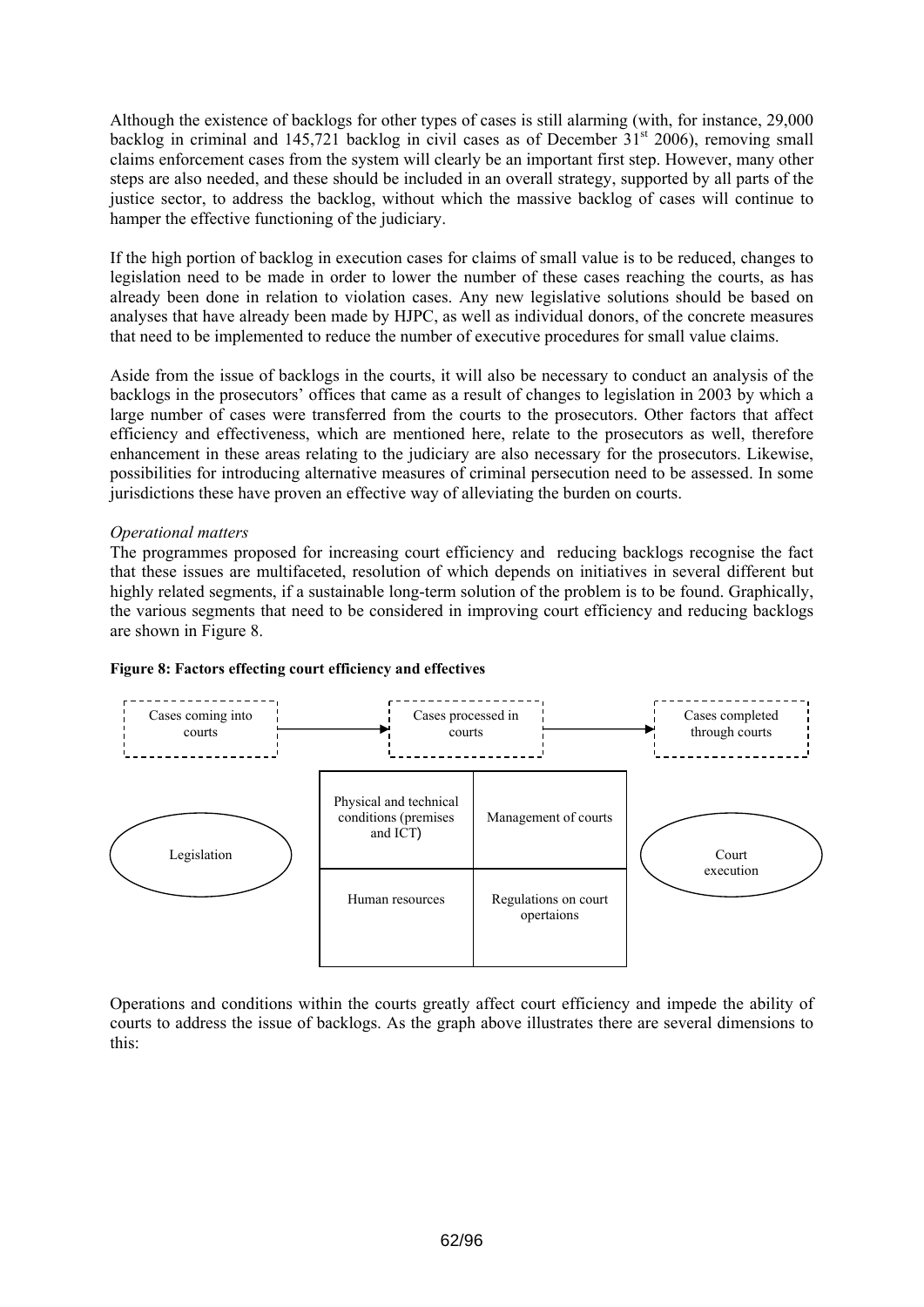Although the existence of backlogs for other types of cases is still alarming (with, for instance, 29,000 backlog in criminal and 145,721 backlog in civil cases as of December  $31<sup>st</sup>$  2006), removing small claims enforcement cases from the system will clearly be an important first step. However, many other steps are also needed, and these should be included in an overall strategy, supported by all parts of the justice sector, to address the backlog, without which the massive backlog of cases will continue to hamper the effective functioning of the judiciary.

If the high portion of backlog in execution cases for claims of small value is to be reduced, changes to legislation need to be made in order to lower the number of these cases reaching the courts, as has already been done in relation to violation cases. Any new legislative solutions should be based on analyses that have already been made by HJPC, as well as individual donors, of the concrete measures that need to be implemented to reduce the number of executive procedures for small value claims.

Aside from the issue of backlogs in the courts, it will also be necessary to conduct an analysis of the backlogs in the prosecutors' offices that came as a result of changes to legislation in 2003 by which a large number of cases were transferred from the courts to the prosecutors. Other factors that affect efficiency and effectiveness, which are mentioned here, relate to the prosecutors as well, therefore enhancement in these areas relating to the judiciary are also necessary for the prosecutors. Likewise, possibilities for introducing alternative measures of criminal persecution need to be assessed. In some jurisdictions these have proven an effective way of alleviating the burden on courts.

## *Operational matters*

The programmes proposed for increasing court efficiency and reducing backlogs recognise the fact that these issues are multifaceted, resolution of which depends on initiatives in several different but highly related segments, if a sustainable long-term solution of the problem is to be found. Graphically, the various segments that need to be considered in improving court efficiency and reducing backlogs are shown in Figure 8.



## **Figure 8: Factors effecting court efficiency and effectives**

Operations and conditions within the courts greatly affect court efficiency and impede the ability of courts to address the issue of backlogs. As the graph above illustrates there are several dimensions to this: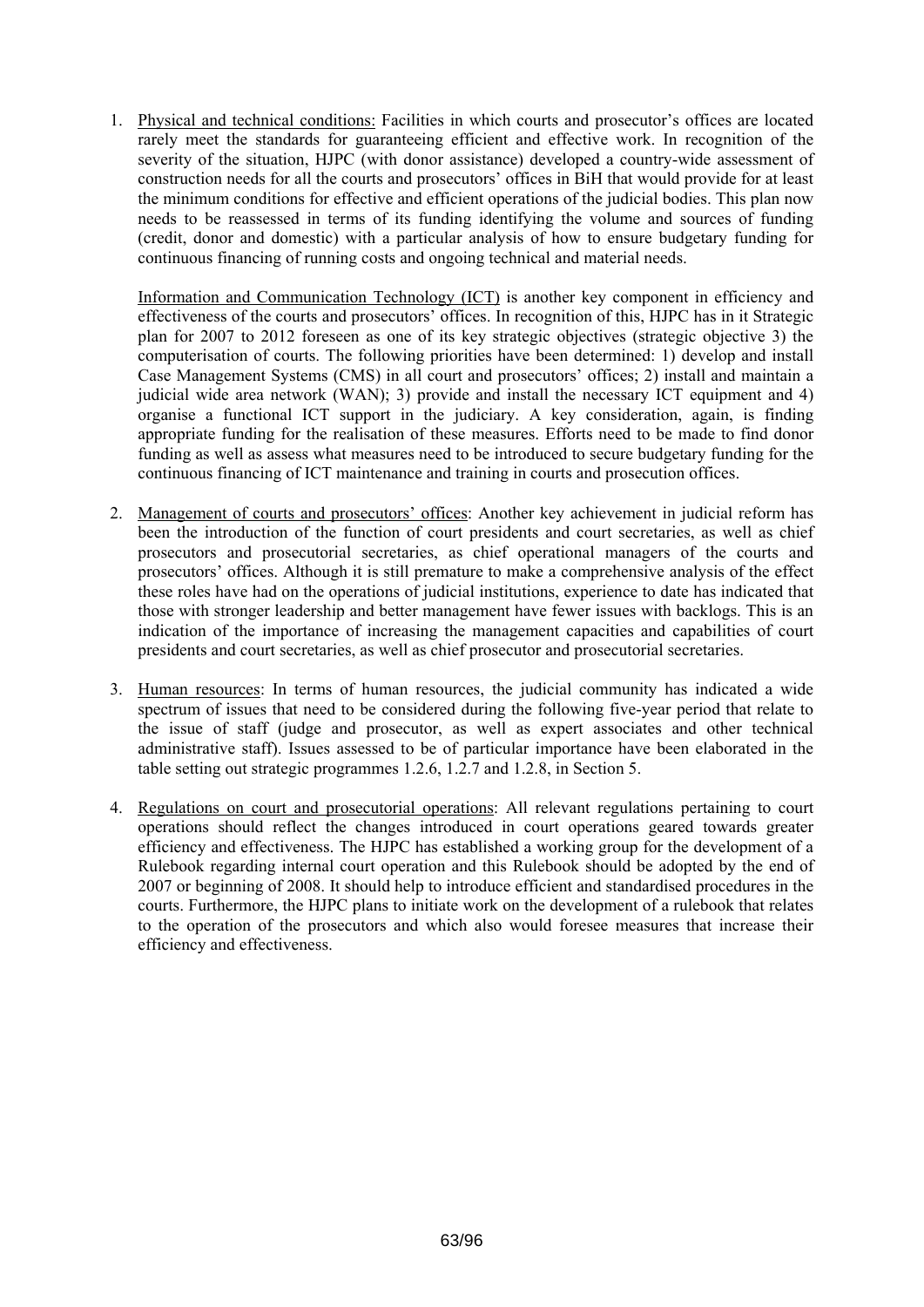1. Physical and technical conditions: Facilities in which courts and prosecutor's offices are located rarely meet the standards for guaranteeing efficient and effective work. In recognition of the severity of the situation, HJPC (with donor assistance) developed a country-wide assessment of construction needs for all the courts and prosecutors' offices in BiH that would provide for at least the minimum conditions for effective and efficient operations of the judicial bodies. This plan now needs to be reassessed in terms of its funding identifying the volume and sources of funding (credit, donor and domestic) with a particular analysis of how to ensure budgetary funding for continuous financing of running costs and ongoing technical and material needs.

Information and Communication Technology (ICT) is another key component in efficiency and effectiveness of the courts and prosecutors' offices. In recognition of this, HJPC has in it Strategic plan for 2007 to 2012 foreseen as one of its key strategic objectives (strategic objective 3) the computerisation of courts. The following priorities have been determined: 1) develop and install Case Management Systems (CMS) in all court and prosecutors' offices; 2) install and maintain a judicial wide area network (WAN); 3) provide and install the necessary ICT equipment and 4) organise a functional ICT support in the judiciary. A key consideration, again, is finding appropriate funding for the realisation of these measures. Efforts need to be made to find donor funding as well as assess what measures need to be introduced to secure budgetary funding for the continuous financing of ICT maintenance and training in courts and prosecution offices.

- 2. Management of courts and prosecutors' offices: Another key achievement in judicial reform has been the introduction of the function of court presidents and court secretaries, as well as chief prosecutors and prosecutorial secretaries, as chief operational managers of the courts and prosecutors' offices. Although it is still premature to make a comprehensive analysis of the effect these roles have had on the operations of judicial institutions, experience to date has indicated that those with stronger leadership and better management have fewer issues with backlogs. This is an indication of the importance of increasing the management capacities and capabilities of court presidents and court secretaries, as well as chief prosecutor and prosecutorial secretaries.
- 3. Human resources: In terms of human resources, the judicial community has indicated a wide spectrum of issues that need to be considered during the following five-year period that relate to the issue of staff (judge and prosecutor, as well as expert associates and other technical administrative staff). Issues assessed to be of particular importance have been elaborated in the table setting out strategic programmes 1.2.6, 1.2.7 and 1.2.8, in Section 5.
- 4. Regulations on court and prosecutorial operations: All relevant regulations pertaining to court operations should reflect the changes introduced in court operations geared towards greater efficiency and effectiveness. The HJPC has established a working group for the development of a Rulebook regarding internal court operation and this Rulebook should be adopted by the end of 2007 or beginning of 2008. It should help to introduce efficient and standardised procedures in the courts. Furthermore, the HJPC plans to initiate work on the development of a rulebook that relates to the operation of the prosecutors and which also would foresee measures that increase their efficiency and effectiveness.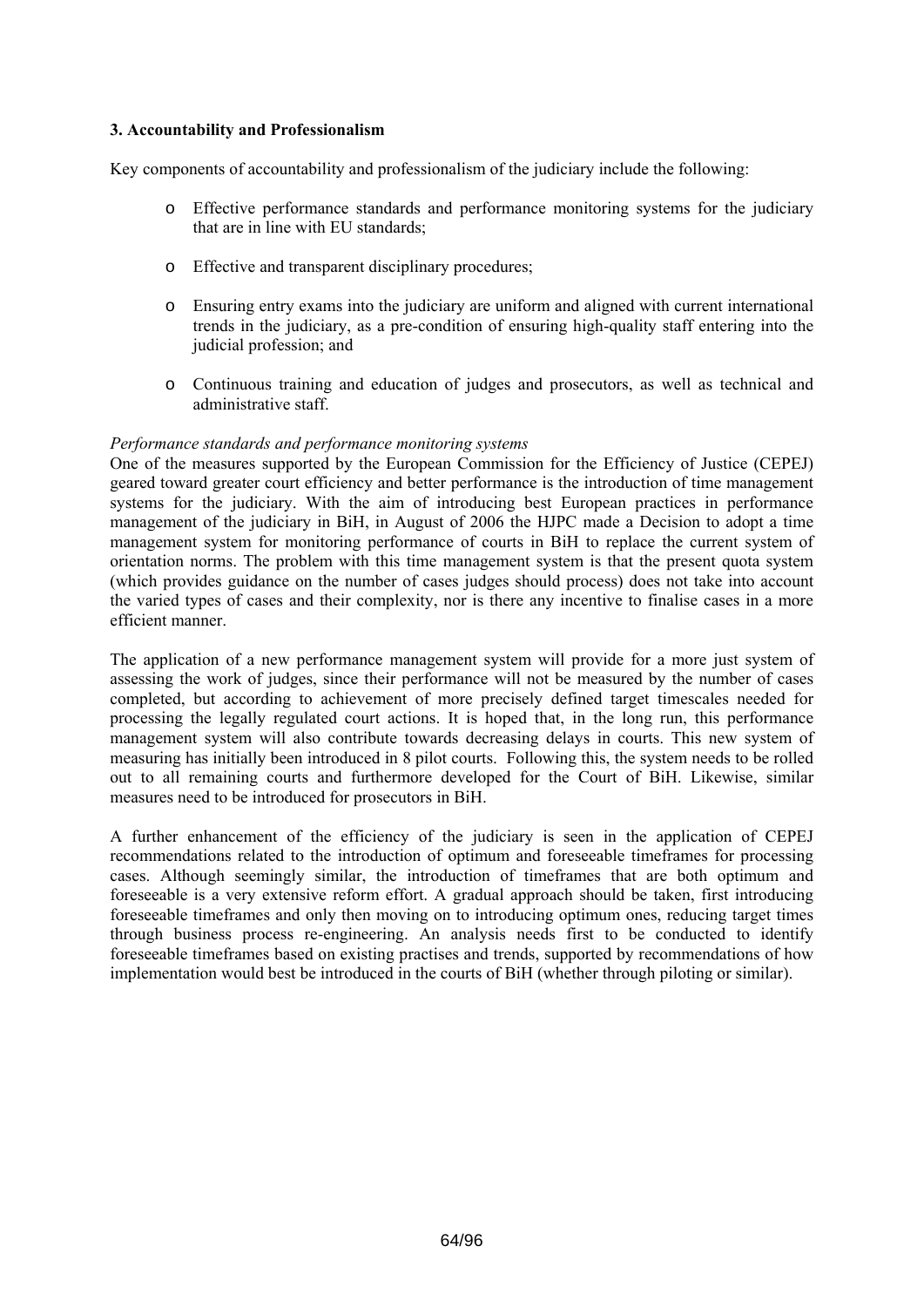## **3. Accountability and Professionalism**

Key components of accountability and professionalism of the judiciary include the following:

- o Effective performance standards and performance monitoring systems for the judiciary that are in line with EU standards;
- o Effective and transparent disciplinary procedures;
- o Ensuring entry exams into the judiciary are uniform and aligned with current international trends in the judiciary, as a pre-condition of ensuring high-quality staff entering into the judicial profession; and
- o Continuous training and education of judges and prosecutors, as well as technical and administrative staff.

## *Performance standards and performance monitoring systems*

One of the measures supported by the European Commission for the Efficiency of Justice (CEPEJ) geared toward greater court efficiency and better performance is the introduction of time management systems for the judiciary. With the aim of introducing best European practices in performance management of the judiciary in BiH, in August of 2006 the HJPC made a Decision to adopt a time management system for monitoring performance of courts in BiH to replace the current system of orientation norms. The problem with this time management system is that the present quota system (which provides guidance on the number of cases judges should process) does not take into account the varied types of cases and their complexity, nor is there any incentive to finalise cases in a more efficient manner.

The application of a new performance management system will provide for a more just system of assessing the work of judges, since their performance will not be measured by the number of cases completed, but according to achievement of more precisely defined target timescales needed for processing the legally regulated court actions. It is hoped that, in the long run, this performance management system will also contribute towards decreasing delays in courts. This new system of measuring has initially been introduced in 8 pilot courts. Following this, the system needs to be rolled out to all remaining courts and furthermore developed for the Court of BiH. Likewise, similar measures need to be introduced for prosecutors in BiH.

A further enhancement of the efficiency of the judiciary is seen in the application of CEPEJ recommendations related to the introduction of optimum and foreseeable timeframes for processing cases. Although seemingly similar, the introduction of timeframes that are both optimum and foreseeable is a very extensive reform effort. A gradual approach should be taken, first introducing foreseeable timeframes and only then moving on to introducing optimum ones, reducing target times through business process re-engineering. An analysis needs first to be conducted to identify foreseeable timeframes based on existing practises and trends, supported by recommendations of how implementation would best be introduced in the courts of BiH (whether through piloting or similar).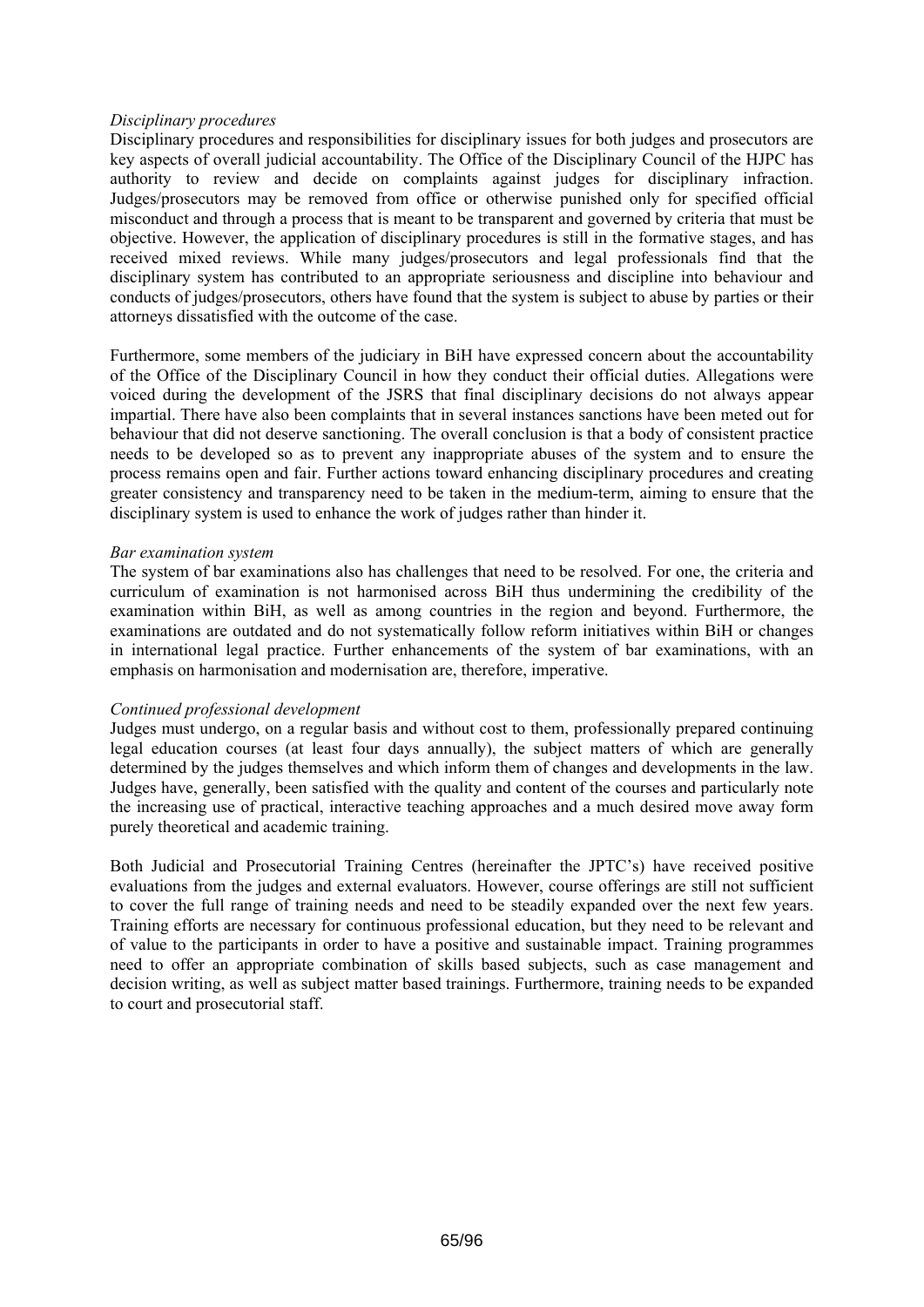## *Disciplinary procedures*

Disciplinary procedures and responsibilities for disciplinary issues for both judges and prosecutors are key aspects of overall judicial accountability. The Office of the Disciplinary Council of the HJPC has authority to review and decide on complaints against judges for disciplinary infraction. Judges/prosecutors may be removed from office or otherwise punished only for specified official misconduct and through a process that is meant to be transparent and governed by criteria that must be objective. However, the application of disciplinary procedures is still in the formative stages, and has received mixed reviews. While many judges/prosecutors and legal professionals find that the disciplinary system has contributed to an appropriate seriousness and discipline into behaviour and conducts of judges/prosecutors, others have found that the system is subject to abuse by parties or their attorneys dissatisfied with the outcome of the case.

Furthermore, some members of the judiciary in BiH have expressed concern about the accountability of the Office of the Disciplinary Council in how they conduct their official duties. Allegations were voiced during the development of the JSRS that final disciplinary decisions do not always appear impartial. There have also been complaints that in several instances sanctions have been meted out for behaviour that did not deserve sanctioning. The overall conclusion is that a body of consistent practice needs to be developed so as to prevent any inappropriate abuses of the system and to ensure the process remains open and fair. Further actions toward enhancing disciplinary procedures and creating greater consistency and transparency need to be taken in the medium-term, aiming to ensure that the disciplinary system is used to enhance the work of judges rather than hinder it.

#### *Bar examination system*

The system of bar examinations also has challenges that need to be resolved. For one, the criteria and curriculum of examination is not harmonised across BiH thus undermining the credibility of the examination within BiH, as well as among countries in the region and beyond. Furthermore, the examinations are outdated and do not systematically follow reform initiatives within BiH or changes in international legal practice. Further enhancements of the system of bar examinations, with an emphasis on harmonisation and modernisation are, therefore, imperative.

## *Continued professional development*

Judges must undergo, on a regular basis and without cost to them, professionally prepared continuing legal education courses (at least four days annually), the subject matters of which are generally determined by the judges themselves and which inform them of changes and developments in the law. Judges have, generally, been satisfied with the quality and content of the courses and particularly note the increasing use of practical, interactive teaching approaches and a much desired move away form purely theoretical and academic training.

Both Judicial and Prosecutorial Training Centres (hereinafter the JPTC's) have received positive evaluations from the judges and external evaluators. However, course offerings are still not sufficient to cover the full range of training needs and need to be steadily expanded over the next few years. Training efforts are necessary for continuous professional education, but they need to be relevant and of value to the participants in order to have a positive and sustainable impact. Training programmes need to offer an appropriate combination of skills based subjects, such as case management and decision writing, as well as subject matter based trainings. Furthermore, training needs to be expanded to court and prosecutorial staff.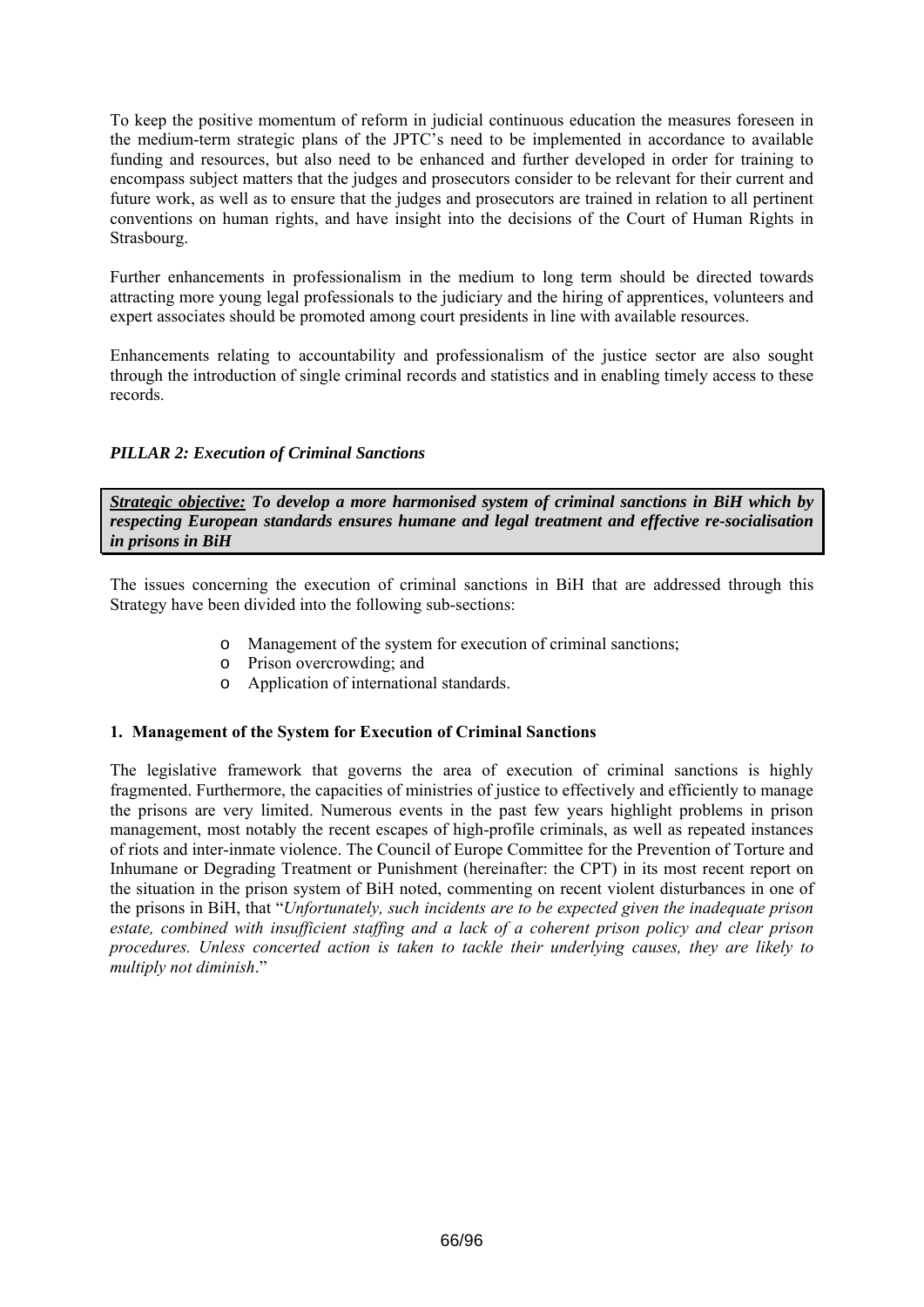To keep the positive momentum of reform in judicial continuous education the measures foreseen in the medium-term strategic plans of the JPTC's need to be implemented in accordance to available funding and resources, but also need to be enhanced and further developed in order for training to encompass subject matters that the judges and prosecutors consider to be relevant for their current and future work, as well as to ensure that the judges and prosecutors are trained in relation to all pertinent conventions on human rights, and have insight into the decisions of the Court of Human Rights in Strasbourg.

Further enhancements in professionalism in the medium to long term should be directed towards attracting more young legal professionals to the judiciary and the hiring of apprentices, volunteers and expert associates should be promoted among court presidents in line with available resources.

Enhancements relating to accountability and professionalism of the justice sector are also sought through the introduction of single criminal records and statistics and in enabling timely access to these records.

## *PILLAR 2: Execution of Criminal Sanctions*

*Strategic objective: To develop a more harmonised system of criminal sanctions in BiH which by respecting European standards ensures humane and legal treatment and effective re-socialisation in prisons in BiH* 

The issues concerning the execution of criminal sanctions in BiH that are addressed through this Strategy have been divided into the following sub-sections:

- o Management of the system for execution of criminal sanctions;
- o Prison overcrowding; and
- o Application of international standards.

## **1. Management of the System for Execution of Criminal Sanctions**

The legislative framework that governs the area of execution of criminal sanctions is highly fragmented. Furthermore, the capacities of ministries of justice to effectively and efficiently to manage the prisons are very limited. Numerous events in the past few years highlight problems in prison management, most notably the recent escapes of high-profile criminals, as well as repeated instances of riots and inter-inmate violence. The Council of Europe Committee for the Prevention of Torture and Inhumane or Degrading Treatment or Punishment (hereinafter: the CPT) in its most recent report on the situation in the prison system of BiH noted, commenting on recent violent disturbances in one of the prisons in BiH, that "*Unfortunately, such incidents are to be expected given the inadequate prison estate, combined with insufficient staffing and a lack of a coherent prison policy and clear prison procedures. Unless concerted action is taken to tackle their underlying causes, they are likely to multiply not diminish*."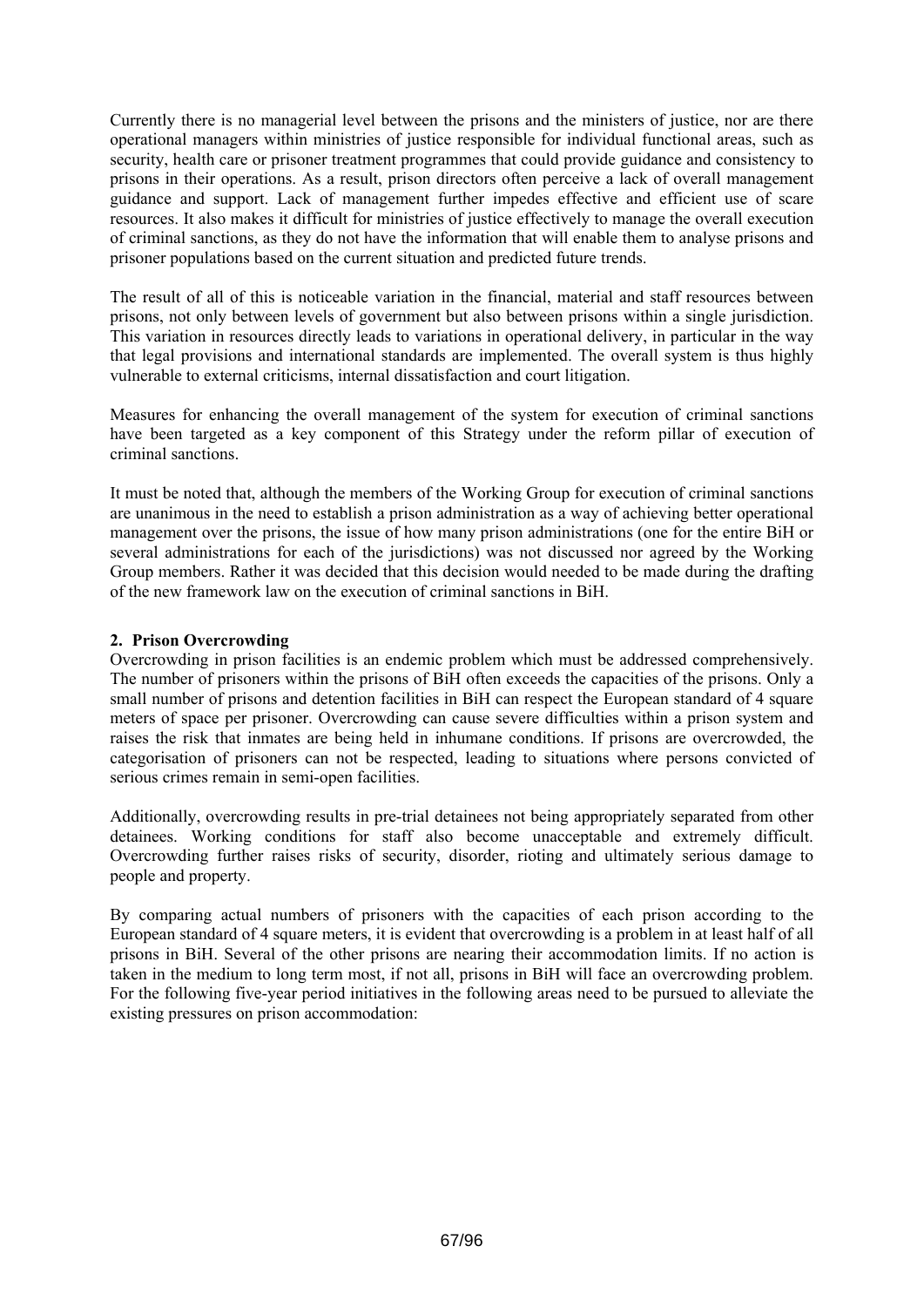Currently there is no managerial level between the prisons and the ministers of justice, nor are there operational managers within ministries of justice responsible for individual functional areas, such as security, health care or prisoner treatment programmes that could provide guidance and consistency to prisons in their operations. As a result, prison directors often perceive a lack of overall management guidance and support. Lack of management further impedes effective and efficient use of scare resources. It also makes it difficult for ministries of justice effectively to manage the overall execution of criminal sanctions, as they do not have the information that will enable them to analyse prisons and prisoner populations based on the current situation and predicted future trends.

The result of all of this is noticeable variation in the financial, material and staff resources between prisons, not only between levels of government but also between prisons within a single jurisdiction. This variation in resources directly leads to variations in operational delivery, in particular in the way that legal provisions and international standards are implemented. The overall system is thus highly vulnerable to external criticisms, internal dissatisfaction and court litigation.

Measures for enhancing the overall management of the system for execution of criminal sanctions have been targeted as a key component of this Strategy under the reform pillar of execution of criminal sanctions.

It must be noted that, although the members of the Working Group for execution of criminal sanctions are unanimous in the need to establish a prison administration as a way of achieving better operational management over the prisons, the issue of how many prison administrations (one for the entire BiH or several administrations for each of the jurisdictions) was not discussed nor agreed by the Working Group members. Rather it was decided that this decision would needed to be made during the drafting of the new framework law on the execution of criminal sanctions in BiH.

## **2. Prison Overcrowding**

Overcrowding in prison facilities is an endemic problem which must be addressed comprehensively. The number of prisoners within the prisons of BiH often exceeds the capacities of the prisons. Only a small number of prisons and detention facilities in BiH can respect the European standard of 4 square meters of space per prisoner. Overcrowding can cause severe difficulties within a prison system and raises the risk that inmates are being held in inhumane conditions. If prisons are overcrowded, the categorisation of prisoners can not be respected, leading to situations where persons convicted of serious crimes remain in semi-open facilities.

Additionally, overcrowding results in pre-trial detainees not being appropriately separated from other detainees. Working conditions for staff also become unacceptable and extremely difficult. Overcrowding further raises risks of security, disorder, rioting and ultimately serious damage to people and property.

By comparing actual numbers of prisoners with the capacities of each prison according to the European standard of 4 square meters, it is evident that overcrowding is a problem in at least half of all prisons in BiH. Several of the other prisons are nearing their accommodation limits. If no action is taken in the medium to long term most, if not all, prisons in BiH will face an overcrowding problem. For the following five-year period initiatives in the following areas need to be pursued to alleviate the existing pressures on prison accommodation: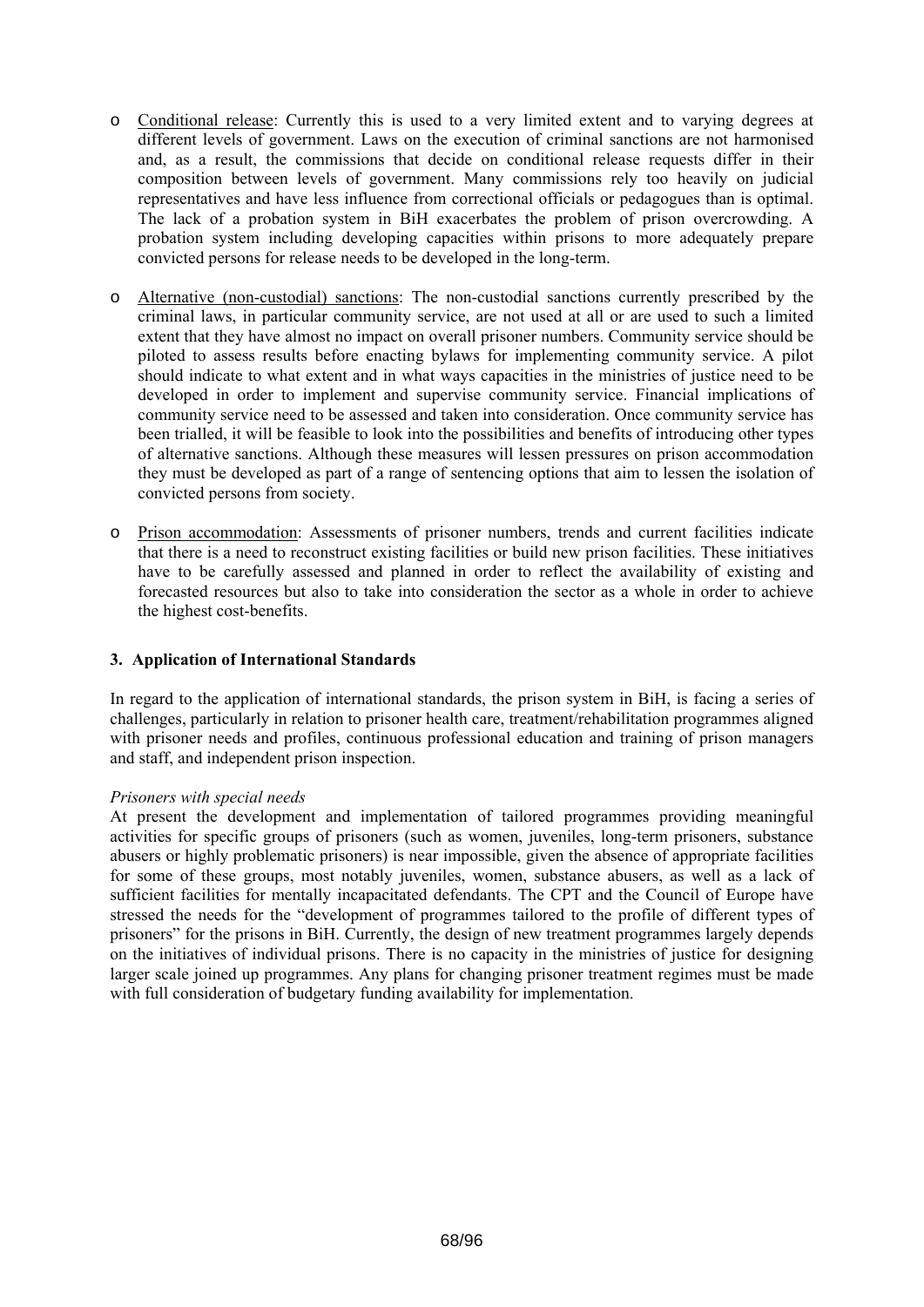- o Conditional release: Currently this is used to a very limited extent and to varying degrees at different levels of government. Laws on the execution of criminal sanctions are not harmonised and, as a result, the commissions that decide on conditional release requests differ in their composition between levels of government. Many commissions rely too heavily on judicial representatives and have less influence from correctional officials or pedagogues than is optimal. The lack of a probation system in BiH exacerbates the problem of prison overcrowding. A probation system including developing capacities within prisons to more adequately prepare convicted persons for release needs to be developed in the long-term.
- o Alternative (non-custodial) sanctions: The non-custodial sanctions currently prescribed by the criminal laws, in particular community service, are not used at all or are used to such a limited extent that they have almost no impact on overall prisoner numbers. Community service should be piloted to assess results before enacting bylaws for implementing community service. A pilot should indicate to what extent and in what ways capacities in the ministries of justice need to be developed in order to implement and supervise community service. Financial implications of community service need to be assessed and taken into consideration. Once community service has been trialled, it will be feasible to look into the possibilities and benefits of introducing other types of alternative sanctions. Although these measures will lessen pressures on prison accommodation they must be developed as part of a range of sentencing options that aim to lessen the isolation of convicted persons from society.
- o Prison accommodation: Assessments of prisoner numbers, trends and current facilities indicate that there is a need to reconstruct existing facilities or build new prison facilities. These initiatives have to be carefully assessed and planned in order to reflect the availability of existing and forecasted resources but also to take into consideration the sector as a whole in order to achieve the highest cost-benefits.

## **3. Application of International Standards**

In regard to the application of international standards, the prison system in BiH, is facing a series of challenges, particularly in relation to prisoner health care, treatment/rehabilitation programmes aligned with prisoner needs and profiles, continuous professional education and training of prison managers and staff, and independent prison inspection.

## *Prisoners with special needs*

At present the development and implementation of tailored programmes providing meaningful activities for specific groups of prisoners (such as women, juveniles, long-term prisoners, substance abusers or highly problematic prisoners) is near impossible, given the absence of appropriate facilities for some of these groups, most notably juveniles, women, substance abusers, as well as a lack of sufficient facilities for mentally incapacitated defendants. The CPT and the Council of Europe have stressed the needs for the "development of programmes tailored to the profile of different types of prisoners" for the prisons in BiH. Currently, the design of new treatment programmes largely depends on the initiatives of individual prisons. There is no capacity in the ministries of justice for designing larger scale joined up programmes. Any plans for changing prisoner treatment regimes must be made with full consideration of budgetary funding availability for implementation.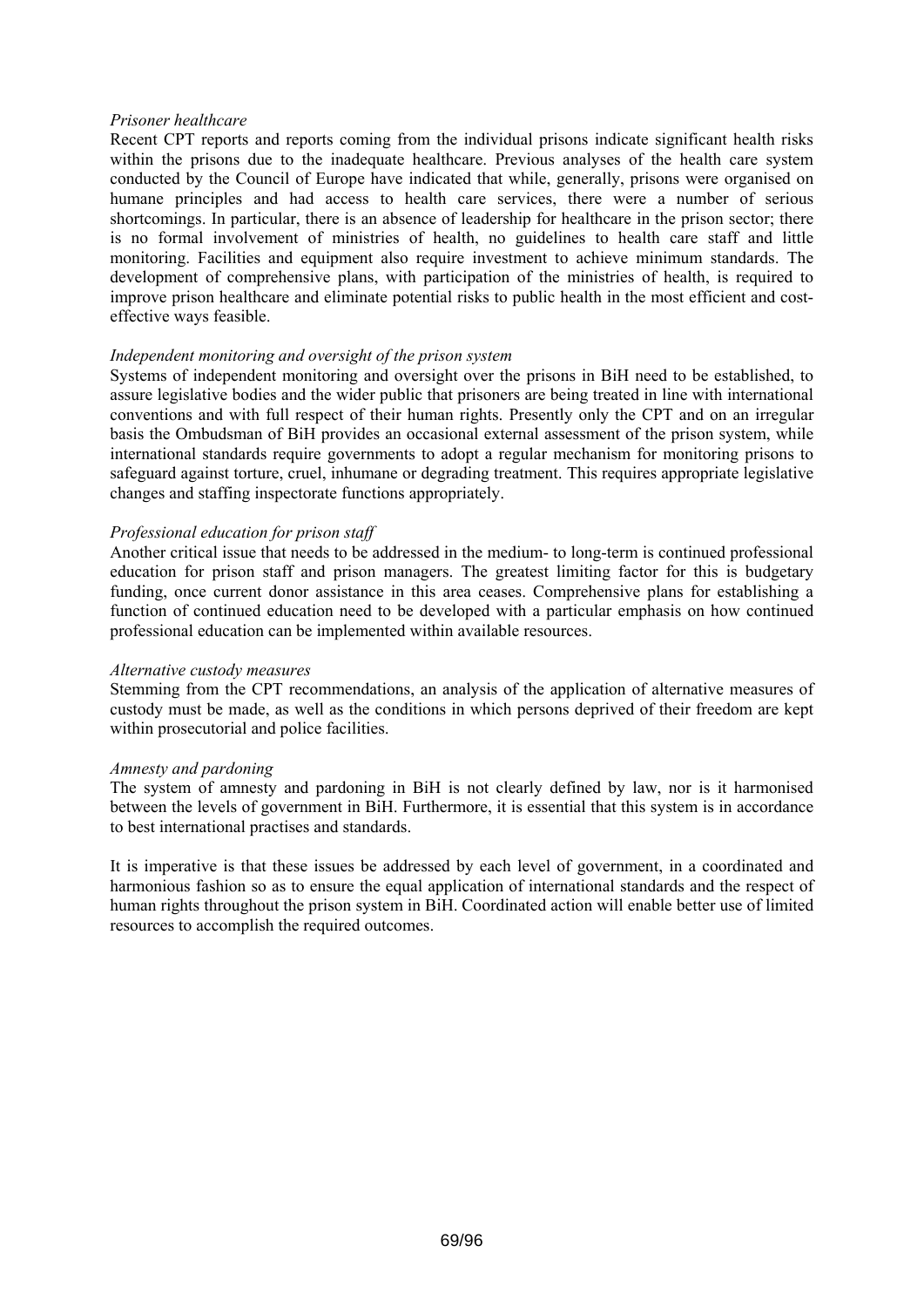### *Prisoner healthcare*

Recent CPT reports and reports coming from the individual prisons indicate significant health risks within the prisons due to the inadequate healthcare. Previous analyses of the health care system conducted by the Council of Europe have indicated that while, generally, prisons were organised on humane principles and had access to health care services, there were a number of serious shortcomings. In particular, there is an absence of leadership for healthcare in the prison sector; there is no formal involvement of ministries of health, no guidelines to health care staff and little monitoring. Facilities and equipment also require investment to achieve minimum standards. The development of comprehensive plans, with participation of the ministries of health, is required to improve prison healthcare and eliminate potential risks to public health in the most efficient and costeffective ways feasible.

#### *Independent monitoring and oversight of the prison system*

Systems of independent monitoring and oversight over the prisons in BiH need to be established, to assure legislative bodies and the wider public that prisoners are being treated in line with international conventions and with full respect of their human rights. Presently only the CPT and on an irregular basis the Ombudsman of BiH provides an occasional external assessment of the prison system, while international standards require governments to adopt a regular mechanism for monitoring prisons to safeguard against torture, cruel, inhumane or degrading treatment. This requires appropriate legislative changes and staffing inspectorate functions appropriately.

#### *Professional education for prison staff*

Another critical issue that needs to be addressed in the medium- to long-term is continued professional education for prison staff and prison managers. The greatest limiting factor for this is budgetary funding, once current donor assistance in this area ceases. Comprehensive plans for establishing a function of continued education need to be developed with a particular emphasis on how continued professional education can be implemented within available resources.

#### *Alternative custody measures*

Stemming from the CPT recommendations, an analysis of the application of alternative measures of custody must be made, as well as the conditions in which persons deprived of their freedom are kept within prosecutorial and police facilities.

#### *Amnesty and pardoning*

The system of amnesty and pardoning in BiH is not clearly defined by law, nor is it harmonised between the levels of government in BiH. Furthermore, it is essential that this system is in accordance to best international practises and standards.

It is imperative is that these issues be addressed by each level of government, in a coordinated and harmonious fashion so as to ensure the equal application of international standards and the respect of human rights throughout the prison system in BiH. Coordinated action will enable better use of limited resources to accomplish the required outcomes.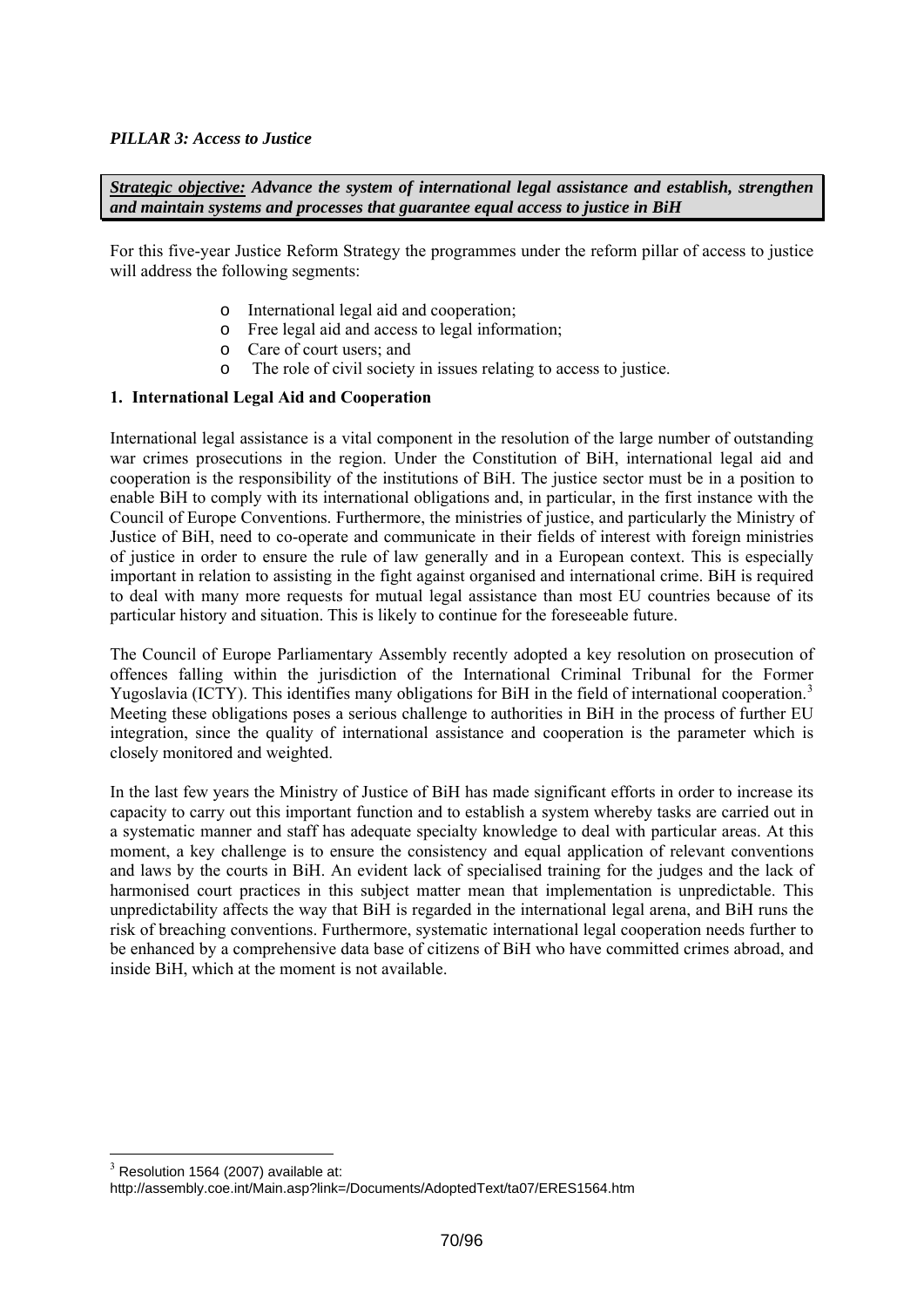## <span id="page-69-0"></span>*PILLAR 3: Access to Justice*

*Strategic objective: Advance the system of international legal assistance and establish, strengthen and maintain systems and processes that guarantee equal access to justice in BiH* 

For this five-year Justice Reform Strategy the programmes under the reform pillar of access to justice will address the following segments:

- o International legal aid and cooperation;
- o Free legal aid and access to legal information;
- o Care of court users; and
- o The role of civil society in issues relating to access to justice.

## **1. International Legal Aid and Cooperation**

International legal assistance is a vital component in the resolution of the large number of outstanding war crimes prosecutions in the region. Under the Constitution of BiH, international legal aid and cooperation is the responsibility of the institutions of BiH. The justice sector must be in a position to enable BiH to comply with its international obligations and, in particular, in the first instance with the Council of Europe Conventions. Furthermore, the ministries of justice, and particularly the Ministry of Justice of BiH, need to co-operate and communicate in their fields of interest with foreign ministries of justice in order to ensure the rule of law generally and in a European context. This is especially important in relation to assisting in the fight against organised and international crime. BiH is required to deal with many more requests for mutual legal assistance than most EU countries because of its particular history and situation. This is likely to continue for the foreseeable future.

The Council of Europe Parliamentary Assembly recently adopted a key resolution on prosecution of offences falling within the jurisdiction of the International Criminal Tribunal for the Former Yugoslavia (ICTY). This identifies many obligations for BiH in the field of international cooperation.<sup>[3](#page-69-0)</sup> Meeting these obligations poses a serious challenge to authorities in BiH in the process of further EU integration, since the quality of international assistance and cooperation is the parameter which is closely monitored and weighted.

In the last few years the Ministry of Justice of BiH has made significant efforts in order to increase its capacity to carry out this important function and to establish a system whereby tasks are carried out in a systematic manner and staff has adequate specialty knowledge to deal with particular areas. At this moment, a key challenge is to ensure the consistency and equal application of relevant conventions and laws by the courts in BiH. An evident lack of specialised training for the judges and the lack of harmonised court practices in this subject matter mean that implementation is unpredictable. This unpredictability affects the way that BiH is regarded in the international legal arena, and BiH runs the risk of breaching conventions. Furthermore, systematic international legal cooperation needs further to be enhanced by a comprehensive data base of citizens of BiH who have committed crimes abroad, and inside BiH, which at the moment is not available.

<sup>&</sup>lt;u>.</u>  $3$  Resolution 1564 (2007) available at:

http://assembly.coe.int/Main.asp?link=/Documents/AdoptedText/ta07/ERES1564.htm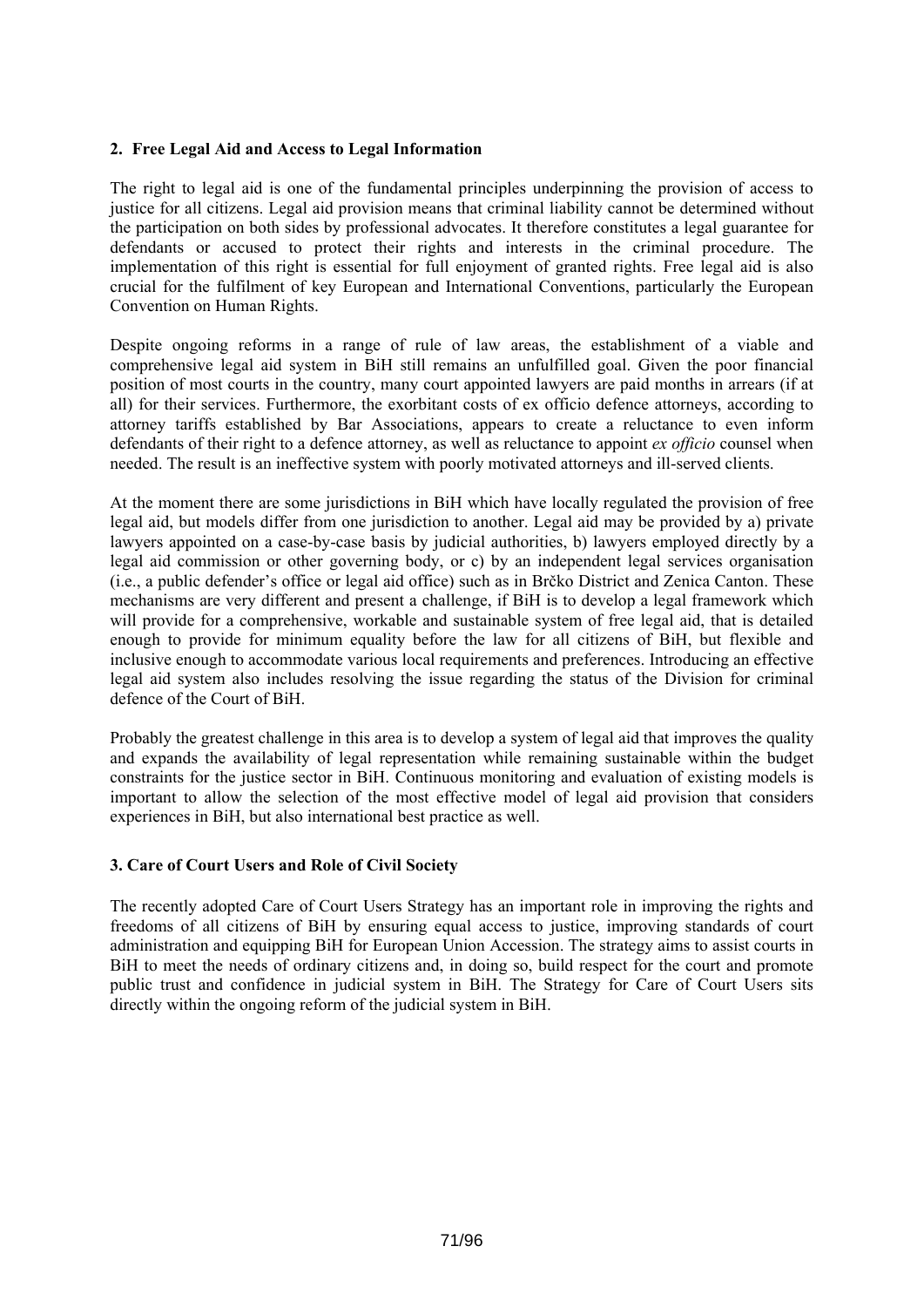## **2. Free Legal Aid and Access to Legal Information**

The right to legal aid is one of the fundamental principles underpinning the provision of access to justice for all citizens. Legal aid provision means that criminal liability cannot be determined without the participation on both sides by professional advocates. It therefore constitutes a legal guarantee for defendants or accused to protect their rights and interests in the criminal procedure. The implementation of this right is essential for full enjoyment of granted rights. Free legal aid is also crucial for the fulfilment of key European and International Conventions, particularly the European Convention on Human Rights.

Despite ongoing reforms in a range of rule of law areas, the establishment of a viable and comprehensive legal aid system in BiH still remains an unfulfilled goal. Given the poor financial position of most courts in the country, many court appointed lawyers are paid months in arrears (if at all) for their services. Furthermore, the exorbitant costs of ex officio defence attorneys, according to attorney tariffs established by Bar Associations, appears to create a reluctance to even inform defendants of their right to a defence attorney, as well as reluctance to appoint *ex officio* counsel when needed. The result is an ineffective system with poorly motivated attorneys and ill-served clients.

At the moment there are some jurisdictions in BiH which have locally regulated the provision of free legal aid, but models differ from one jurisdiction to another. Legal aid may be provided by a) private lawyers appointed on a case-by-case basis by judicial authorities, b) lawyers employed directly by a legal aid commission or other governing body, or c) by an independent legal services organisation (i.e., a public defender's office or legal aid office) such as in Brčko District and Zenica Canton. These mechanisms are very different and present a challenge, if BiH is to develop a legal framework which will provide for a comprehensive, workable and sustainable system of free legal aid, that is detailed enough to provide for minimum equality before the law for all citizens of BiH, but flexible and inclusive enough to accommodate various local requirements and preferences. Introducing an effective legal aid system also includes resolving the issue regarding the status of the Division for criminal defence of the Court of BiH.

Probably the greatest challenge in this area is to develop a system of legal aid that improves the quality and expands the availability of legal representation while remaining sustainable within the budget constraints for the justice sector in BiH. Continuous monitoring and evaluation of existing models is important to allow the selection of the most effective model of legal aid provision that considers experiences in BiH, but also international best practice as well.

## **3. Care of Court Users and Role of Civil Society**

The recently adopted Care of Court Users Strategy has an important role in improving the rights and freedoms of all citizens of BiH by ensuring equal access to justice, improving standards of court administration and equipping BiH for European Union Accession. The strategy aims to assist courts in BiH to meet the needs of ordinary citizens and, in doing so, build respect for the court and promote public trust and confidence in judicial system in BiH. The Strategy for Care of Court Users sits directly within the ongoing reform of the judicial system in BiH.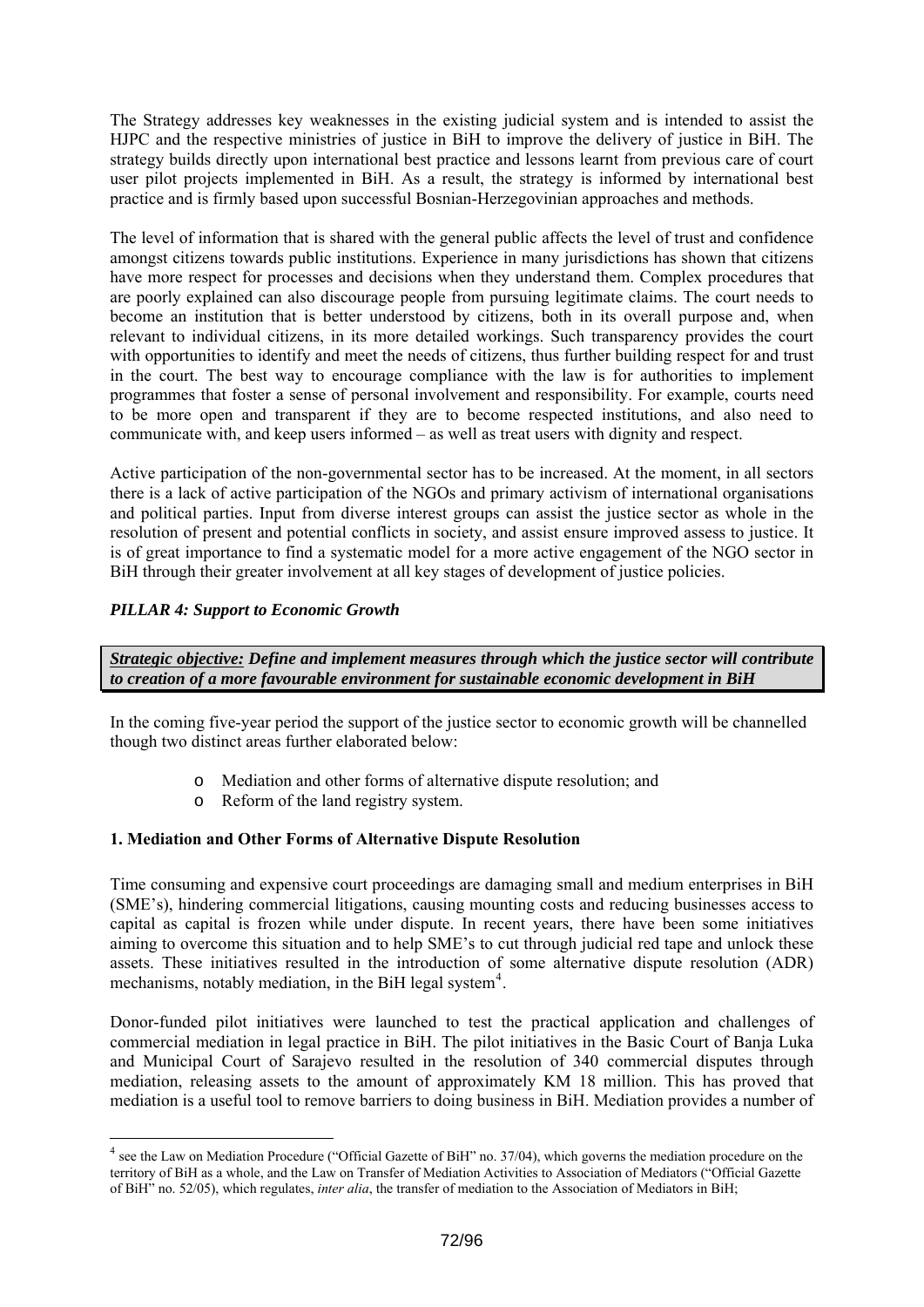<span id="page-71-0"></span>The Strategy addresses key weaknesses in the existing judicial system and is intended to assist the HJPC and the respective ministries of justice in BiH to improve the delivery of justice in BiH. The strategy builds directly upon international best practice and lessons learnt from previous care of court user pilot projects implemented in BiH. As a result, the strategy is informed by international best practice and is firmly based upon successful Bosnian-Herzegovinian approaches and methods.

The level of information that is shared with the general public affects the level of trust and confidence amongst citizens towards public institutions. Experience in many jurisdictions has shown that citizens have more respect for processes and decisions when they understand them. Complex procedures that are poorly explained can also discourage people from pursuing legitimate claims. The court needs to become an institution that is better understood by citizens, both in its overall purpose and, when relevant to individual citizens, in its more detailed workings. Such transparency provides the court with opportunities to identify and meet the needs of citizens, thus further building respect for and trust in the court. The best way to encourage compliance with the law is for authorities to implement programmes that foster a sense of personal involvement and responsibility. For example, courts need to be more open and transparent if they are to become respected institutions, and also need to communicate with, and keep users informed – as well as treat users with dignity and respect.

Active participation of the non-governmental sector has to be increased. At the moment, in all sectors there is a lack of active participation of the NGOs and primary activism of international organisations and political parties. Input from diverse interest groups can assist the justice sector as whole in the resolution of present and potential conflicts in society, and assist ensure improved assess to justice. It is of great importance to find a systematic model for a more active engagement of the NGO sector in BiH through their greater involvement at all key stages of development of justice policies.

## *PILLAR 4: Support to Economic Growth*

1

*Strategic objective: Define and implement measures through which the justice sector will contribute to creation of a more favourable environment for sustainable economic development in BiH* 

In the coming five-year period the support of the justice sector to economic growth will be channelled though two distinct areas further elaborated below:

- o Mediation and other forms of alternative dispute resolution; and
- o Reform of the land registry system.

## **1. Mediation and Other Forms of Alternative Dispute Resolution**

Time consuming and expensive court proceedings are damaging small and medium enterprises in BiH (SME's), hindering commercial litigations, causing mounting costs and reducing businesses access to capital as capital is frozen while under dispute. In recent years, there have been some initiatives aiming to overcome this situation and to help SME's to cut through judicial red tape and unlock these assets. These initiatives resulted in the introduction of some alternative dispute resolution (ADR) mechanisms, notably mediation, in the BiH legal system $4$ .

Donor-funded pilot initiatives were launched to test the practical application and challenges of commercial mediation in legal practice in BiH. The pilot initiatives in the Basic Court of Banja Luka and Municipal Court of Sarajevo resulted in the resolution of 340 commercial disputes through mediation, releasing assets to the amount of approximately KM 18 million. This has proved that mediation is a useful tool to remove barriers to doing business in BiH. Mediation provides a number of

<sup>&</sup>lt;sup>4</sup> see the Law on Mediation Procedure ("Official Gazette of BiH" no. 37/04), which governs the mediation procedure on the territory of BiH as a whole, and the Law on Transfer of Mediation Activities to Association of Mediators ("Official Gazette of BiH" no. 52/05), which regulates, *inter alia*, the transfer of mediation to the Association of Mediators in BiH;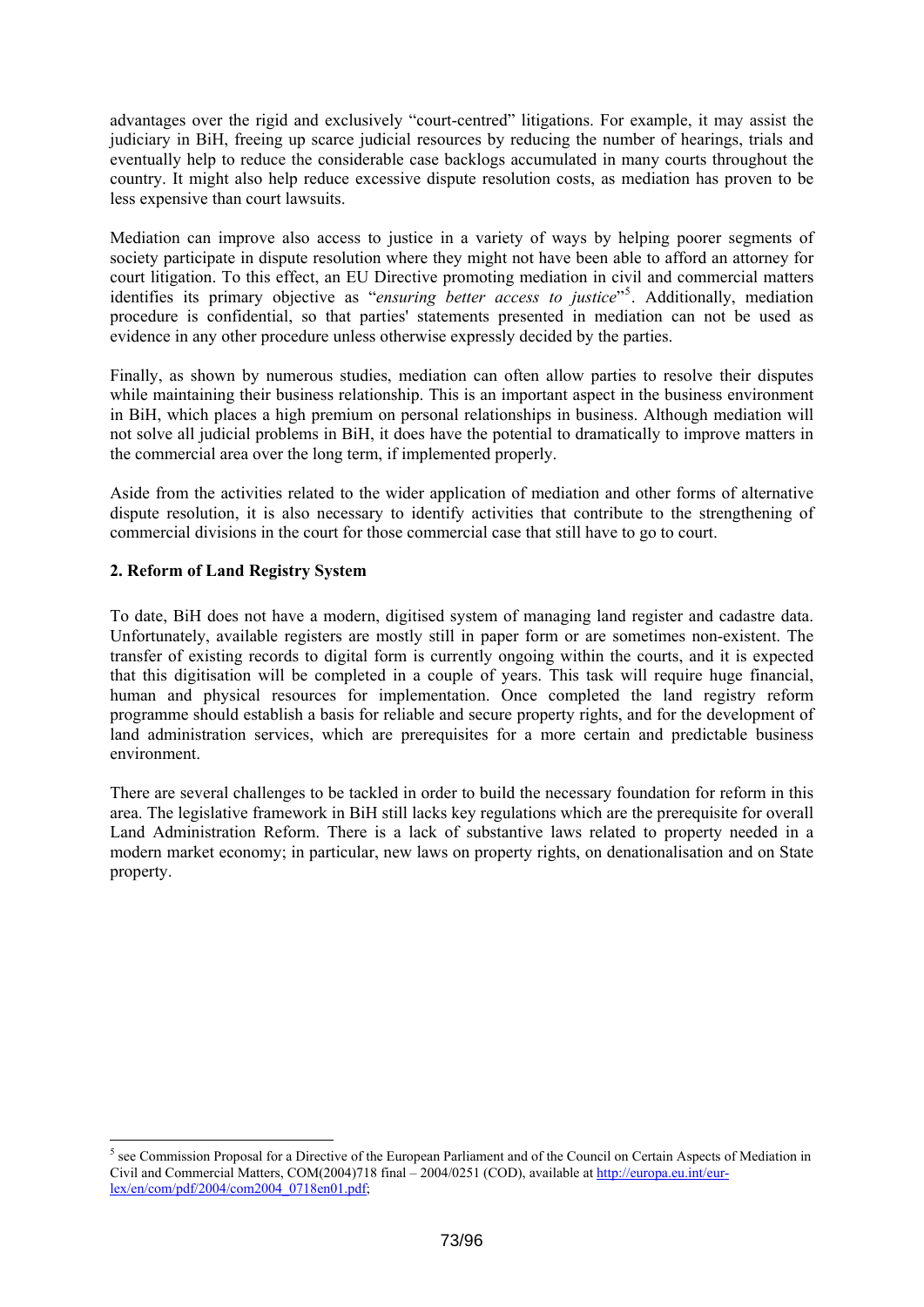<span id="page-72-0"></span>advantages over the rigid and exclusively "court-centred" litigations. For example, it may assist the judiciary in BiH, freeing up scarce judicial resources by reducing the number of hearings, trials and eventually help to reduce the considerable case backlogs accumulated in many courts throughout the country. It might also help reduce excessive dispute resolution costs, as mediation has proven to be less expensive than court lawsuits.

Mediation can improve also access to justice in a variety of ways by helping poorer segments of society participate in dispute resolution where they might not have been able to afford an attorney for court litigation. To this effect, an EU Directive promoting mediation in civil and commercial matters identifies its primary objective as "*ensuring better access to justice*"[5](#page-72-0) . Additionally, mediation procedure is confidential, so that parties' statements presented in mediation can not be used as evidence in any other procedure unless otherwise expressly decided by the parties.

Finally, as shown by numerous studies, mediation can often allow parties to resolve their disputes while maintaining their business relationship. This is an important aspect in the business environment in BiH, which places a high premium on personal relationships in business. Although mediation will not solve all judicial problems in BiH, it does have the potential to dramatically to improve matters in the commercial area over the long term, if implemented properly.

Aside from the activities related to the wider application of mediation and other forms of alternative dispute resolution, it is also necessary to identify activities that contribute to the strengthening of commercial divisions in the court for those commercial case that still have to go to court.

# **2. Reform of Land Registry System**

1

To date, BiH does not have a modern, digitised system of managing land register and cadastre data. Unfortunately, available registers are mostly still in paper form or are sometimes non-existent. The transfer of existing records to digital form is currently ongoing within the courts, and it is expected that this digitisation will be completed in a couple of years. This task will require huge financial, human and physical resources for implementation. Once completed the land registry reform programme should establish a basis for reliable and secure property rights, and for the development of land administration services, which are prerequisites for a more certain and predictable business environment.

There are several challenges to be tackled in order to build the necessary foundation for reform in this area. The legislative framework in BiH still lacks key regulations which are the prerequisite for overall Land Administration Reform. There is a lack of substantive laws related to property needed in a modern market economy; in particular, new laws on property rights, on denationalisation and on State property.

 $<sup>5</sup>$  see Commission Proposal for a Directive of the European Parliament and of the Council on Certain Aspects of Mediation in</sup> Civil and Commercial Matters, COM(2004)718 final – 2004/0251 (COD), available at [http://europa.eu.int/eur](http://europa.eu.int/eur-lex/en/com/pdf/2004/com2004_0718en01.pdf)[lex/en/com/pdf/2004/com2004\\_0718en01.pdf](http://europa.eu.int/eur-lex/en/com/pdf/2004/com2004_0718en01.pdf);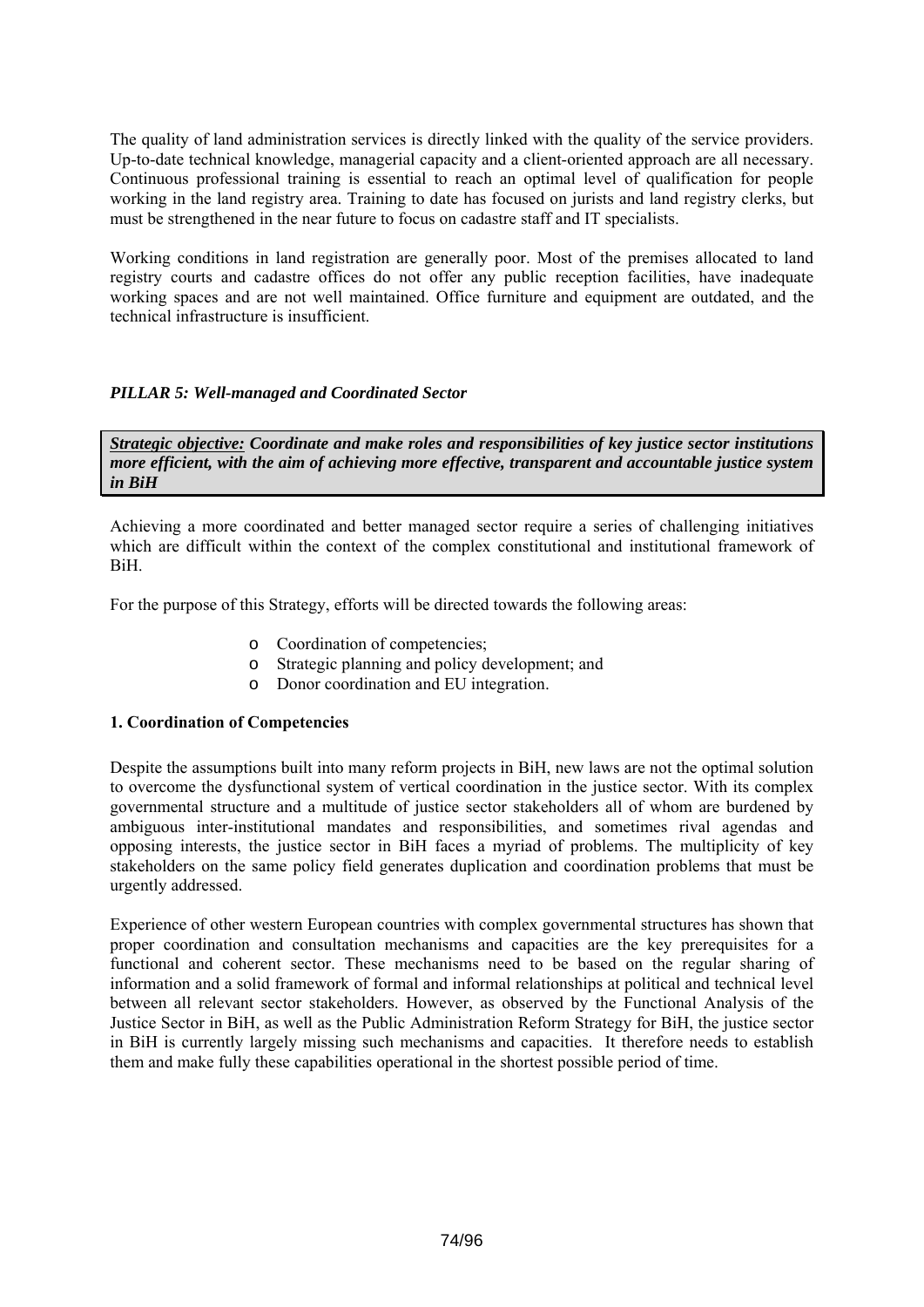The quality of land administration services is directly linked with the quality of the service providers. Up-to-date technical knowledge, managerial capacity and a client-oriented approach are all necessary. Continuous professional training is essential to reach an optimal level of qualification for people working in the land registry area. Training to date has focused on jurists and land registry clerks, but must be strengthened in the near future to focus on cadastre staff and IT specialists.

Working conditions in land registration are generally poor. Most of the premises allocated to land registry courts and cadastre offices do not offer any public reception facilities, have inadequate working spaces and are not well maintained. Office furniture and equipment are outdated, and the technical infrastructure is insufficient.

# *PILLAR 5: Well-managed and Coordinated Sector*

*Strategic objective: Coordinate and make roles and responsibilities of key justice sector institutions more efficient, with the aim of achieving more effective, transparent and accountable justice system in BiH* 

Achieving a more coordinated and better managed sector require a series of challenging initiatives which are difficult within the context of the complex constitutional and institutional framework of BiH.

For the purpose of this Strategy, efforts will be directed towards the following areas:

- o Coordination of competencies;
- o Strategic planning and policy development; and
- o Donor coordination and EU integration.

### **1. Coordination of Competencies**

Despite the assumptions built into many reform projects in BiH, new laws are not the optimal solution to overcome the dysfunctional system of vertical coordination in the justice sector. With its complex governmental structure and a multitude of justice sector stakeholders all of whom are burdened by ambiguous inter-institutional mandates and responsibilities, and sometimes rival agendas and opposing interests, the justice sector in BiH faces a myriad of problems. The multiplicity of key stakeholders on the same policy field generates duplication and coordination problems that must be urgently addressed.

Experience of other western European countries with complex governmental structures has shown that proper coordination and consultation mechanisms and capacities are the key prerequisites for a functional and coherent sector. These mechanisms need to be based on the regular sharing of information and a solid framework of formal and informal relationships at political and technical level between all relevant sector stakeholders. However, as observed by the Functional Analysis of the Justice Sector in BiH, as well as the Public Administration Reform Strategy for BiH, the justice sector in BiH is currently largely missing such mechanisms and capacities. It therefore needs to establish them and make fully these capabilities operational in the shortest possible period of time.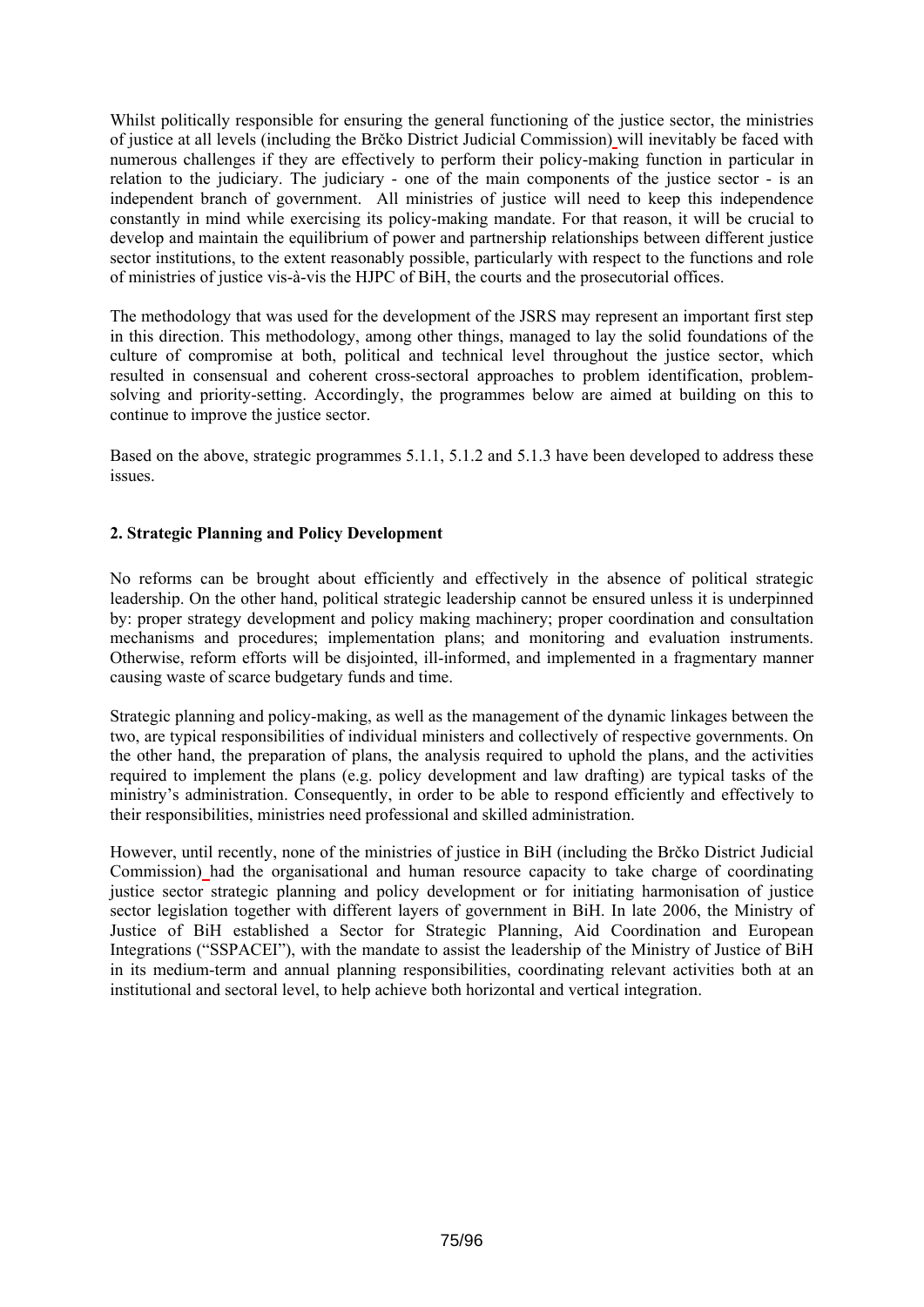Whilst politically responsible for ensuring the general functioning of the justice sector, the ministries of justice at all levels (including the Brčko District Judicial Commission) will inevitably be faced with numerous challenges if they are effectively to perform their policy-making function in particular in relation to the judiciary. The judiciary - one of the main components of the justice sector - is an independent branch of government. All ministries of justice will need to keep this independence constantly in mind while exercising its policy-making mandate. For that reason, it will be crucial to develop and maintain the equilibrium of power and partnership relationships between different justice sector institutions, to the extent reasonably possible, particularly with respect to the functions and role of ministries of justice vis-à-vis the HJPC of BiH, the courts and the prosecutorial offices.

The methodology that was used for the development of the JSRS may represent an important first step in this direction. This methodology, among other things, managed to lay the solid foundations of the culture of compromise at both, political and technical level throughout the justice sector, which resulted in consensual and coherent cross-sectoral approaches to problem identification, problemsolving and priority-setting. Accordingly, the programmes below are aimed at building on this to continue to improve the justice sector.

Based on the above, strategic programmes 5.1.1, 5.1.2 and 5.1.3 have been developed to address these issues.

# **2. Strategic Planning and Policy Development**

No reforms can be brought about efficiently and effectively in the absence of political strategic leadership. On the other hand, political strategic leadership cannot be ensured unless it is underpinned by: proper strategy development and policy making machinery; proper coordination and consultation mechanisms and procedures; implementation plans; and monitoring and evaluation instruments. Otherwise, reform efforts will be disjointed, ill-informed, and implemented in a fragmentary manner causing waste of scarce budgetary funds and time.

Strategic planning and policy-making, as well as the management of the dynamic linkages between the two, are typical responsibilities of individual ministers and collectively of respective governments. On the other hand, the preparation of plans, the analysis required to uphold the plans, and the activities required to implement the plans (e.g. policy development and law drafting) are typical tasks of the ministry's administration. Consequently, in order to be able to respond efficiently and effectively to their responsibilities, ministries need professional and skilled administration.

However, until recently, none of the ministries of justice in BiH (including the Brčko District Judicial Commission) had the organisational and human resource capacity to take charge of coordinating justice sector strategic planning and policy development or for initiating harmonisation of justice sector legislation together with different layers of government in BiH. In late 2006, the Ministry of Justice of BiH established a Sector for Strategic Planning, Aid Coordination and European Integrations ("SSPACEI"), with the mandate to assist the leadership of the Ministry of Justice of BiH in its medium-term and annual planning responsibilities, coordinating relevant activities both at an institutional and sectoral level, to help achieve both horizontal and vertical integration.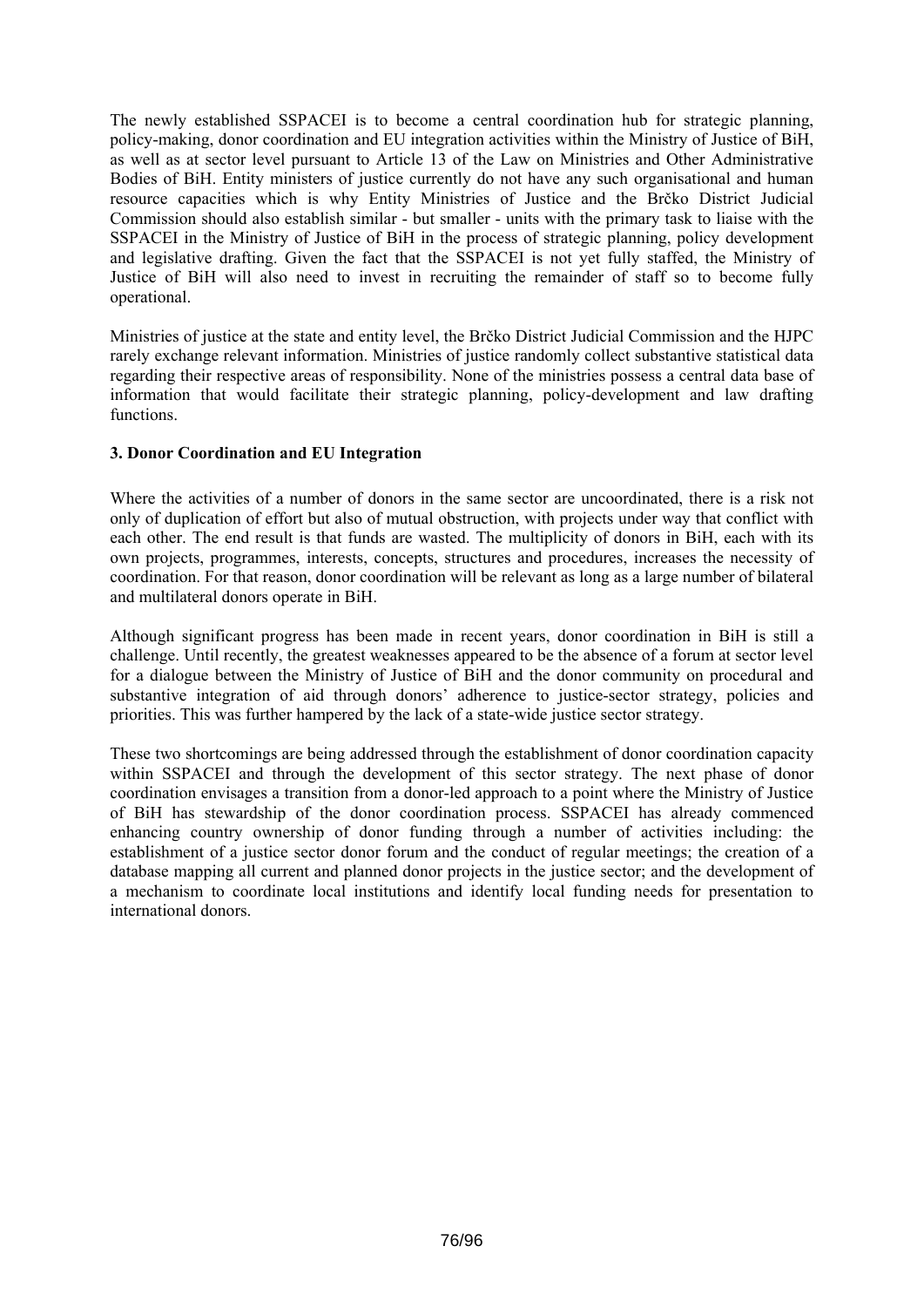The newly established SSPACEI is to become a central coordination hub for strategic planning, policy-making, donor coordination and EU integration activities within the Ministry of Justice of BiH, as well as at sector level pursuant to Article 13 of the Law on Ministries and Other Administrative Bodies of BiH. Entity ministers of justice currently do not have any such organisational and human resource capacities which is why Entity Ministries of Justice and the Brčko District Judicial Commission should also establish similar - but smaller - units with the primary task to liaise with the SSPACEI in the Ministry of Justice of BiH in the process of strategic planning, policy development and legislative drafting. Given the fact that the SSPACEI is not yet fully staffed, the Ministry of Justice of BiH will also need to invest in recruiting the remainder of staff so to become fully operational.

Ministries of justice at the state and entity level, the Brčko District Judicial Commission and the HJPC rarely exchange relevant information. Ministries of justice randomly collect substantive statistical data regarding their respective areas of responsibility. None of the ministries possess a central data base of information that would facilitate their strategic planning, policy-development and law drafting functions.

# **3. Donor Coordination and EU Integration**

Where the activities of a number of donors in the same sector are uncoordinated, there is a risk not only of duplication of effort but also of mutual obstruction, with projects under way that conflict with each other. The end result is that funds are wasted. The multiplicity of donors in BiH, each with its own projects, programmes, interests, concepts, structures and procedures, increases the necessity of coordination. For that reason, donor coordination will be relevant as long as a large number of bilateral and multilateral donors operate in BiH.

Although significant progress has been made in recent years, donor coordination in BiH is still a challenge. Until recently, the greatest weaknesses appeared to be the absence of a forum at sector level for a dialogue between the Ministry of Justice of BiH and the donor community on procedural and substantive integration of aid through donors' adherence to justice-sector strategy, policies and priorities. This was further hampered by the lack of a state-wide justice sector strategy.

These two shortcomings are being addressed through the establishment of donor coordination capacity within SSPACEI and through the development of this sector strategy. The next phase of donor coordination envisages a transition from a donor-led approach to a point where the Ministry of Justice of BiH has stewardship of the donor coordination process. SSPACEI has already commenced enhancing country ownership of donor funding through a number of activities including: the establishment of a justice sector donor forum and the conduct of regular meetings; the creation of a database mapping all current and planned donor projects in the justice sector; and the development of a mechanism to coordinate local institutions and identify local funding needs for presentation to international donors.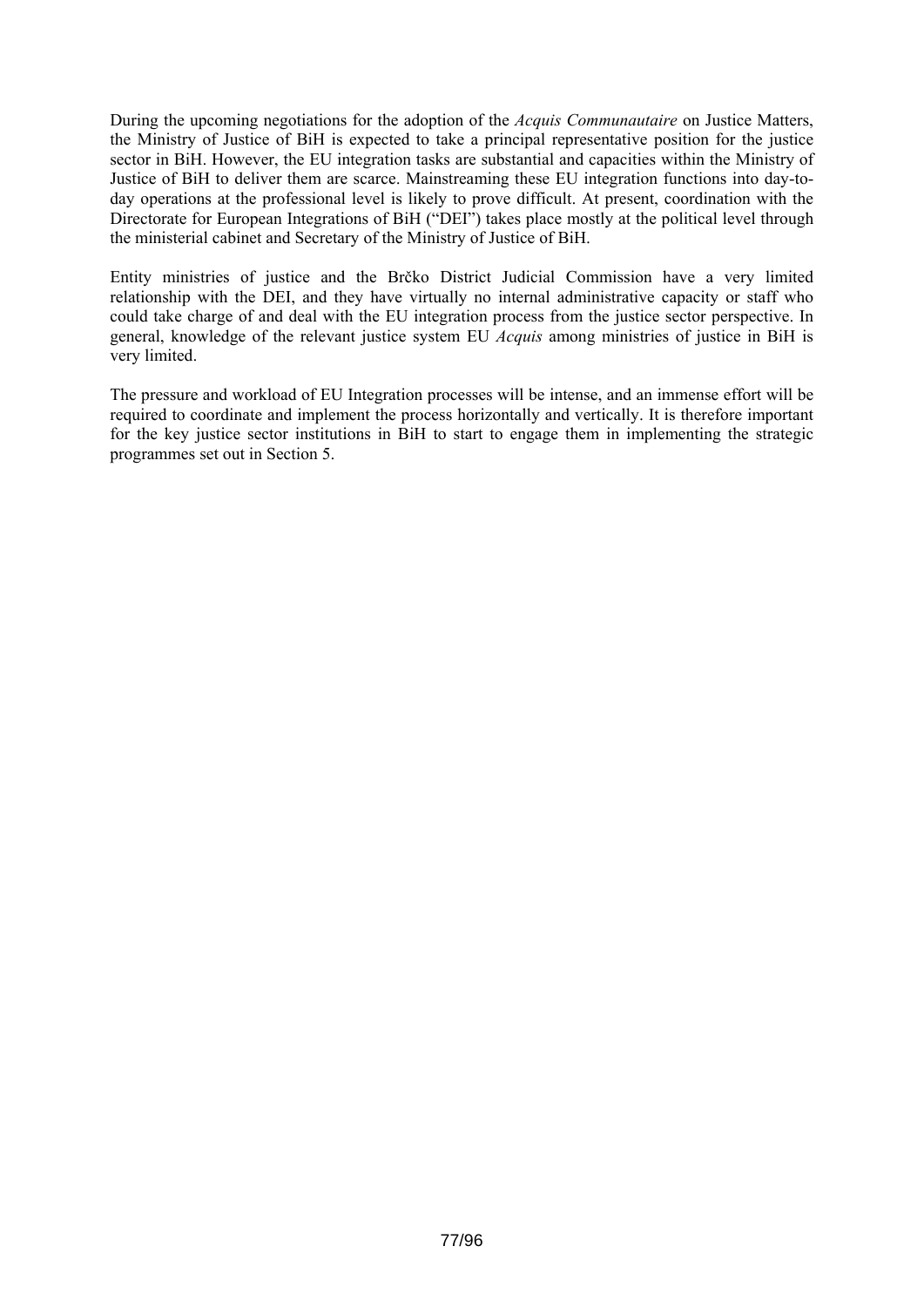During the upcoming negotiations for the adoption of the *Acquis Communautaire* on Justice Matters, the Ministry of Justice of BiH is expected to take a principal representative position for the justice sector in BiH. However, the EU integration tasks are substantial and capacities within the Ministry of Justice of BiH to deliver them are scarce. Mainstreaming these EU integration functions into day-today operations at the professional level is likely to prove difficult. At present, coordination with the Directorate for European Integrations of BiH ("DEI") takes place mostly at the political level through the ministerial cabinet and Secretary of the Ministry of Justice of BiH.

Entity ministries of justice and the Brčko District Judicial Commission have a very limited relationship with the DEI, and they have virtually no internal administrative capacity or staff who could take charge of and deal with the EU integration process from the justice sector perspective. In general, knowledge of the relevant justice system EU *Acquis* among ministries of justice in BiH is very limited.

The pressure and workload of EU Integration processes will be intense, and an immense effort will be required to coordinate and implement the process horizontally and vertically. It is therefore important for the key justice sector institutions in BiH to start to engage them in implementing the strategic programmes set out in Section 5.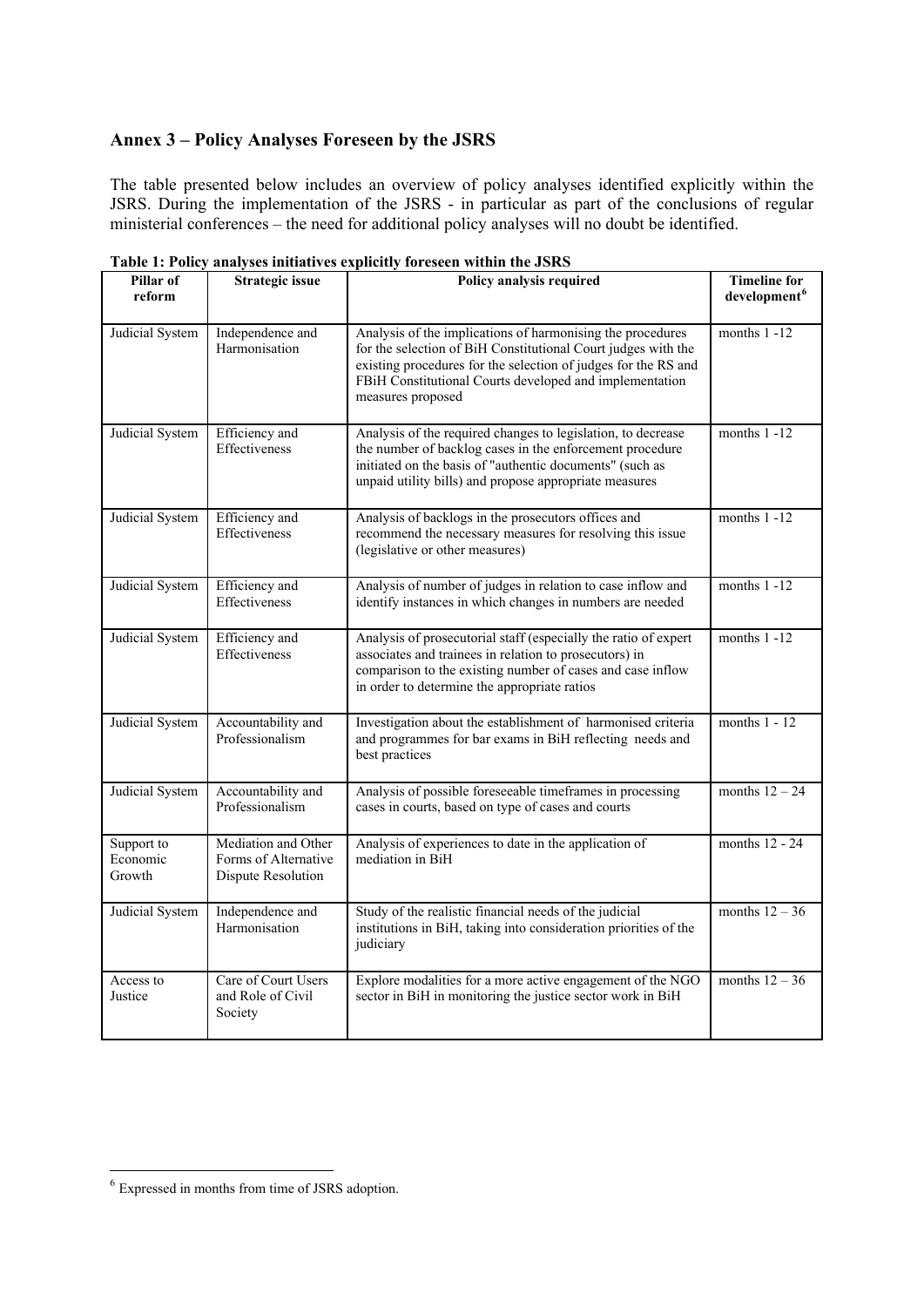# <span id="page-77-0"></span>**Annex 3 – Policy Analyses Foreseen by the JSRS**

The table presented below includes an overview of policy analyses identified explicitly within the JSRS. During the implementation of the JSRS - in particular as part of the conclusions of regular ministerial conferences – the need for additional policy analyses will no doubt be identified.

| Pillar of<br>reform              | <b>Strategic issue</b>                                            | Policy analysis required                                                                                                                                                                                                                                                      | <b>Timeline for</b><br>development <sup>6</sup> |
|----------------------------------|-------------------------------------------------------------------|-------------------------------------------------------------------------------------------------------------------------------------------------------------------------------------------------------------------------------------------------------------------------------|-------------------------------------------------|
| Judicial System                  | Independence and<br>Harmonisation                                 | Analysis of the implications of harmonising the procedures<br>for the selection of BiH Constitutional Court judges with the<br>existing procedures for the selection of judges for the RS and<br>FBiH Constitutional Courts developed and implementation<br>measures proposed | months $1 - 12$                                 |
| Judicial System                  | Efficiency and<br>Effectiveness                                   | Analysis of the required changes to legislation, to decrease<br>the number of backlog cases in the enforcement procedure<br>initiated on the basis of "authentic documents" (such as<br>unpaid utility bills) and propose appropriate measures                                | months $1 - 12$                                 |
| Judicial System                  | Efficiency and<br>Effectiveness                                   | Analysis of backlogs in the prosecutors offices and<br>recommend the necessary measures for resolving this issue<br>(legislative or other measures)                                                                                                                           | months $1 - 12$                                 |
| Judicial System                  | Efficiency and<br><b>Effectiveness</b>                            | Analysis of number of judges in relation to case inflow and<br>identify instances in which changes in numbers are needed                                                                                                                                                      | months $1 - 12$                                 |
| Judicial System                  | Efficiency and<br>Effectiveness                                   | Analysis of prosecutorial staff (especially the ratio of expert<br>associates and trainees in relation to prosecutors) in<br>comparison to the existing number of cases and case inflow<br>in order to determine the appropriate ratios                                       | months $1 - 12$                                 |
| Judicial System                  | Accountability and<br>Professionalism                             | Investigation about the establishment of harmonised criteria<br>and programmes for bar exams in BiH reflecting needs and<br>best practices                                                                                                                                    | months $1 - 12$                                 |
| Judicial System                  | Accountability and<br>Professionalism                             | Analysis of possible foreseeable timeframes in processing<br>cases in courts, based on type of cases and courts                                                                                                                                                               | months $12 - 24$                                |
| Support to<br>Economic<br>Growth | Mediation and Other<br>Forms of Alternative<br>Dispute Resolution | Analysis of experiences to date in the application of<br>mediation in BiH                                                                                                                                                                                                     | months 12 - 24                                  |
| Judicial System                  | Independence and<br>Harmonisation                                 | Study of the realistic financial needs of the judicial<br>institutions in BiH, taking into consideration priorities of the<br>judiciary                                                                                                                                       | months $12 - 36$                                |
| Access to<br>Justice             | Care of Court Users<br>and Role of Civil<br>Society               | Explore modalities for a more active engagement of the NGO<br>sector in BiH in monitoring the justice sector work in BiH                                                                                                                                                      | months $12 - 36$                                |

**Table 1: Policy analyses initiatives explicitly foreseen within the JSRS**

1

<sup>6</sup> Expressed in months from time of JSRS adoption.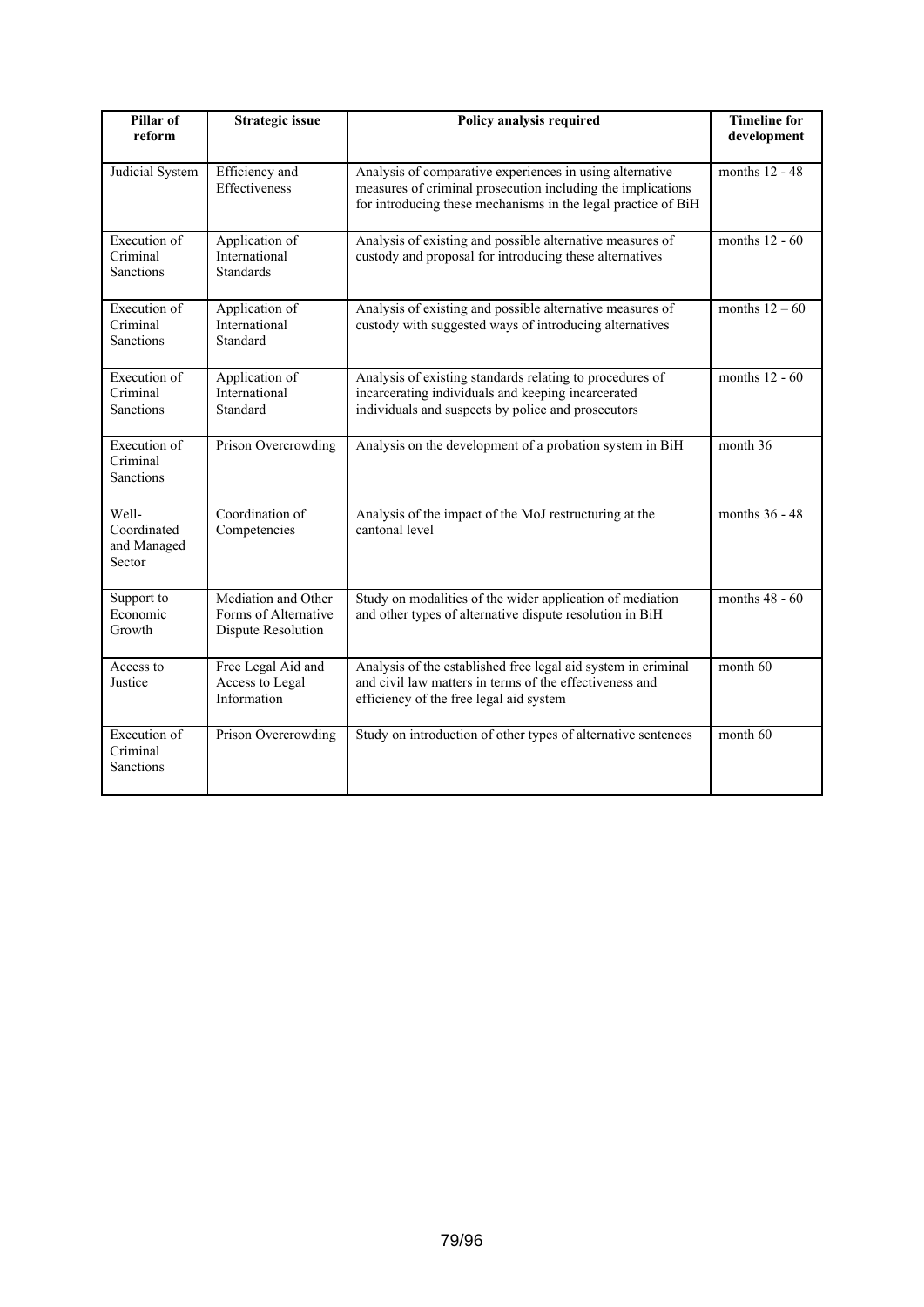| Pillar of<br>reform                                 | <b>Strategic issue</b>                                            | Policy analysis required                                                                                                                                                                 | <b>Timeline for</b><br>development |
|-----------------------------------------------------|-------------------------------------------------------------------|------------------------------------------------------------------------------------------------------------------------------------------------------------------------------------------|------------------------------------|
| Judicial System                                     | Efficiency and<br>Effectiveness                                   | Analysis of comparative experiences in using alternative<br>measures of criminal prosecution including the implications<br>for introducing these mechanisms in the legal practice of BiH | months 12 - 48                     |
| Execution of<br>Criminal<br><b>Sanctions</b>        | Application of<br>International<br><b>Standards</b>               | Analysis of existing and possible alternative measures of<br>custody and proposal for introducing these alternatives                                                                     | months $12 - 60$                   |
| Execution of<br>Criminal<br><b>Sanctions</b>        | Application of<br>International<br>Standard                       | Analysis of existing and possible alternative measures of<br>custody with suggested ways of introducing alternatives                                                                     | months $12 - 60$                   |
| Execution of<br>Criminal<br><b>Sanctions</b>        | Application of<br>International<br>Standard                       | months 12 - 60<br>Analysis of existing standards relating to procedures of<br>incarcerating individuals and keeping incarcerated<br>individuals and suspects by police and prosecutors   |                                    |
| Execution of<br>Criminal<br><b>Sanctions</b>        | Prison Overcrowding                                               | Analysis on the development of a probation system in BiH                                                                                                                                 | month 36                           |
| Well-<br>Coordinated<br>and Managed<br>Sector       | Coordination of<br>Competencies                                   | Analysis of the impact of the MoJ restructuring at the<br>cantonal level                                                                                                                 | months 36 - 48                     |
| Support to<br>Economic<br>Growth                    | Mediation and Other<br>Forms of Alternative<br>Dispute Resolution | Study on modalities of the wider application of mediation<br>and other types of alternative dispute resolution in BiH                                                                    | months $48 - 60$                   |
| Access to<br>Justice                                | Free Legal Aid and<br>Access to Legal<br>Information              | Analysis of the established free legal aid system in criminal<br>and civil law matters in terms of the effectiveness and<br>efficiency of the free legal aid system                      | month 60                           |
| <b>Execution</b> of<br>Criminal<br><b>Sanctions</b> | Prison Overcrowding                                               | Study on introduction of other types of alternative sentences                                                                                                                            | month 60                           |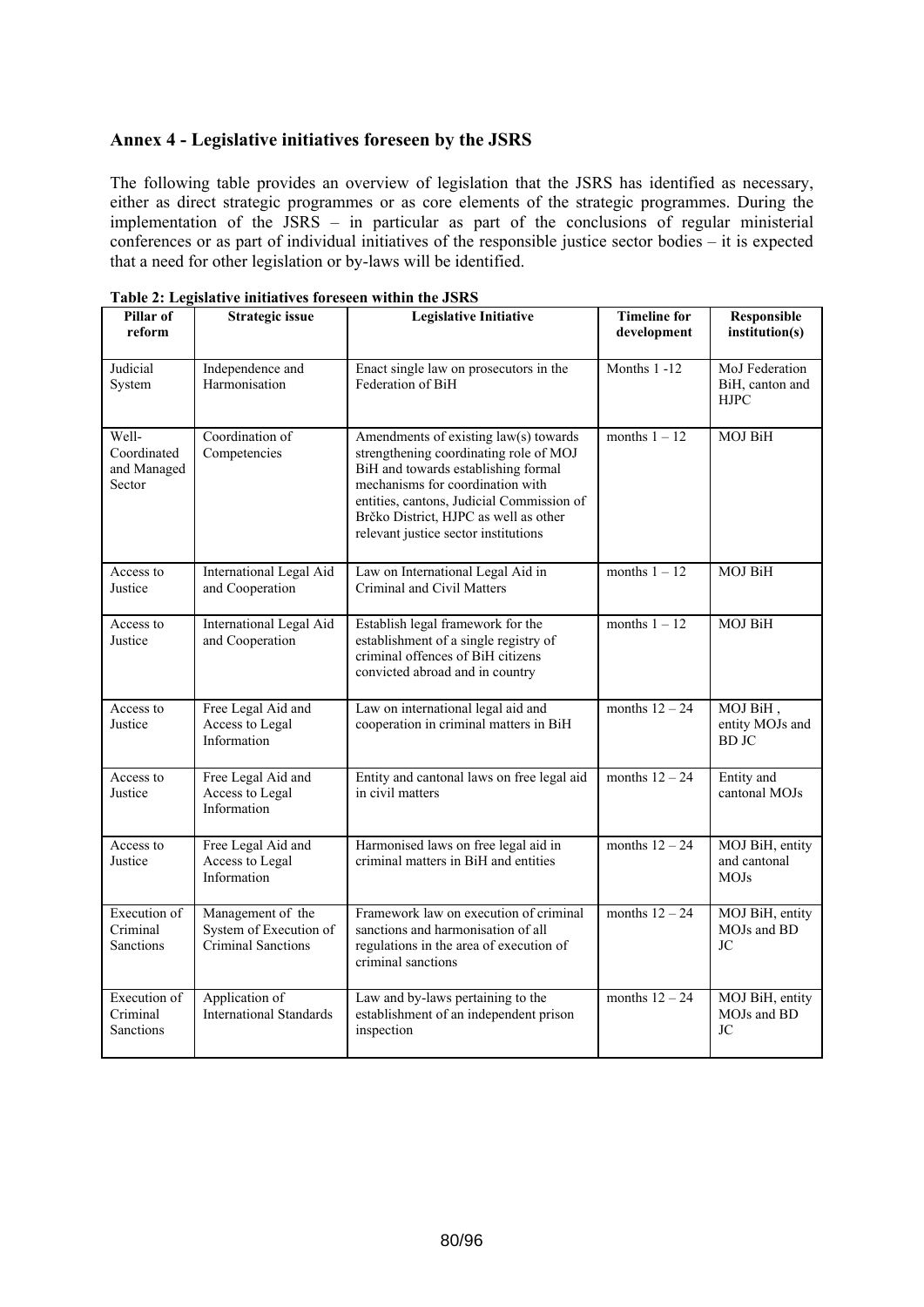# **Annex 4 - Legislative initiatives foreseen by the JSRS**

The following table provides an overview of legislation that the JSRS has identified as necessary, either as direct strategic programmes or as core elements of the strategic programmes. During the implementation of the JSRS – in particular as part of the conclusions of regular ministerial conferences or as part of individual initiatives of the responsible justice sector bodies – it is expected that a need for other legislation or by-laws will be identified.

| Pillar of<br>reform                                 | <b>Strategic issue</b>                                                                                                                                                                                                                                                                                                      | <b>Legislative Initiative</b>                                                                                                                      | <b>Timeline for</b><br>development | Responsible<br>institution(s)                    |
|-----------------------------------------------------|-----------------------------------------------------------------------------------------------------------------------------------------------------------------------------------------------------------------------------------------------------------------------------------------------------------------------------|----------------------------------------------------------------------------------------------------------------------------------------------------|------------------------------------|--------------------------------------------------|
| Judicial<br>System                                  | Independence and<br>Harmonisation                                                                                                                                                                                                                                                                                           | Enact single law on prosecutors in the<br>Federation of BiH                                                                                        | Months 1-12                        | MoJ Federation<br>BiH, canton and<br><b>HJPC</b> |
| Well-<br>Coordinated<br>and Managed<br>Sector       | Coordination of<br>Amendments of existing law(s) towards<br>Competencies<br>strengthening coordinating role of MOJ<br>BiH and towards establishing formal<br>mechanisms for coordination with<br>entities, cantons, Judicial Commission of<br>Brčko District, HJPC as well as other<br>relevant justice sector institutions |                                                                                                                                                    | months $1 - 12$                    | <b>MOJ BiH</b>                                   |
| Access to<br>Justice                                | International Legal Aid<br>and Cooperation                                                                                                                                                                                                                                                                                  | Law on International Legal Aid in<br>Criminal and Civil Matters                                                                                    | months $1 - 12$                    | MOJ BiH                                          |
| Access to<br>Justice                                | <b>International Legal Aid</b><br>and Cooperation                                                                                                                                                                                                                                                                           | Establish legal framework for the<br>establishment of a single registry of<br>criminal offences of BiH citizens<br>convicted abroad and in country | months $1 - 12$                    | MOJ BiH                                          |
| Access to<br>Justice                                | Free Legal Aid and<br>Access to Legal<br>Information                                                                                                                                                                                                                                                                        | Law on international legal aid and<br>cooperation in criminal matters in BiH                                                                       | months $12 - 24$                   | MOJ BiH,<br>entity MOJs and<br><b>BD JC</b>      |
| Access to<br>Justice                                | Free Legal Aid and<br>Access to Legal<br>Information                                                                                                                                                                                                                                                                        | Entity and cantonal laws on free legal aid<br>in civil matters                                                                                     | months $12 - 24$                   | Entity and<br>cantonal MOJs                      |
| Access to<br>Justice                                | Free Legal Aid and<br>Access to Legal<br>Information                                                                                                                                                                                                                                                                        | Harmonised laws on free legal aid in<br>criminal matters in BiH and entities                                                                       | months $12 - 24$                   | MOJ BiH, entity<br>and cantonal<br><b>MOJs</b>   |
| Execution of<br>Criminal<br><b>Sanctions</b>        | Management of the<br>System of Execution of<br>Criminal Sanctions                                                                                                                                                                                                                                                           | Framework law on execution of criminal<br>sanctions and harmonisation of all<br>regulations in the area of execution of<br>criminal sanctions      | months $12 - 24$                   | MOJ BiH, entity<br>MOJs and BD<br>JC             |
| <b>Execution</b> of<br>Criminal<br><b>Sanctions</b> | Application of<br><b>International Standards</b>                                                                                                                                                                                                                                                                            | Law and by-laws pertaining to the<br>establishment of an independent prison<br>inspection                                                          | months $12 - 24$                   | MOJ BiH, entity<br>MOJs and BD<br>JC             |

**Table 2: Legislative initiatives foreseen within the JSRS**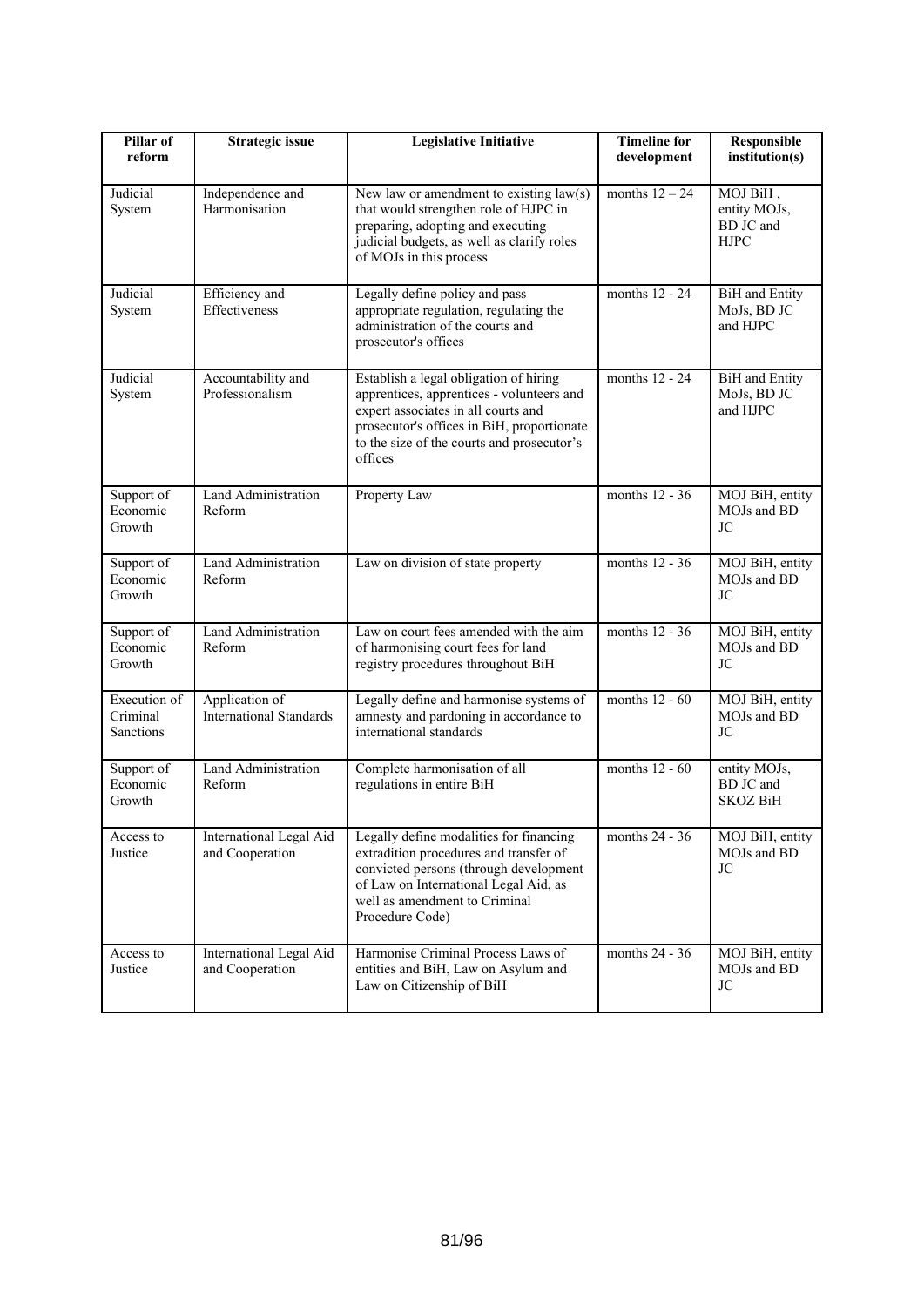| Pillar of<br>reform                   | <b>Strategic issue</b>                                                                                                                                           | <b>Legislative Initiative</b>                                                                                                                                                                                                                       | <b>Timeline for</b><br>development | Responsible<br>institution(s)                        |
|---------------------------------------|------------------------------------------------------------------------------------------------------------------------------------------------------------------|-----------------------------------------------------------------------------------------------------------------------------------------------------------------------------------------------------------------------------------------------------|------------------------------------|------------------------------------------------------|
| Judicial<br>System                    | Independence and<br>Harmonisation                                                                                                                                | New law or amendment to existing $law(s)$<br>that would strengthen role of HJPC in<br>preparing, adopting and executing<br>judicial budgets, as well as clarify roles<br>of MOJs in this process                                                    | months $12 - 24$                   | MOJ BiH,<br>entity MOJs,<br>BD JC and<br><b>HJPC</b> |
| Judicial<br>System                    | Efficiency and<br>Effectiveness                                                                                                                                  | Legally define policy and pass<br>appropriate regulation, regulating the<br>administration of the courts and<br>prosecutor's offices                                                                                                                | months 12 - 24                     | <b>BiH</b> and Entity<br>MoJs, BD JC<br>and HJPC     |
| Judicial<br>System                    | Accountability and<br>Professionalism                                                                                                                            | months 12 - 24<br>Establish a legal obligation of hiring<br>apprentices, apprentices - volunteers and<br>expert associates in all courts and<br>prosecutor's offices in BiH, proportionate<br>to the size of the courts and prosecutor's<br>offices |                                    | <b>BiH</b> and Entity<br>MoJs, BD JC<br>and HJPC     |
| Support of<br>Economic<br>Growth      | Land Administration<br>Reform                                                                                                                                    | Property Law                                                                                                                                                                                                                                        | months $12 - 36$                   | MOJ BiH, entity<br>MOJs and BD<br><b>JC</b>          |
| Support of<br>Economic<br>Growth      | Land Administration<br>Reform                                                                                                                                    | Law on division of state property                                                                                                                                                                                                                   | months 12 - 36                     | MOJ BiH, entity<br>MOJs and BD<br>JC                 |
| Support of<br>Economic<br>Growth      | Land Administration<br>Reform                                                                                                                                    | Law on court fees amended with the aim<br>of harmonising court fees for land<br>registry procedures throughout BiH                                                                                                                                  | months 12 - 36                     | MOJ BiH, entity<br>MOJs and BD<br>JC                 |
| Execution of<br>Criminal<br>Sanctions | Application of<br>Legally define and harmonise systems of<br><b>International Standards</b><br>amnesty and pardoning in accordance to<br>international standards |                                                                                                                                                                                                                                                     | months $12 - 60$                   | MOJ BiH, entity<br>MOJs and BD<br>JC                 |
| Support of<br>Economic<br>Growth      | <b>Land Administration</b><br>Reform                                                                                                                             | Complete harmonisation of all<br>regulations in entire BiH                                                                                                                                                                                          | months $12 - 60$                   | entity MOJs,<br>BD JC and<br><b>SKOZ BiH</b>         |
| Access to<br>Justice                  | International Legal Aid<br>and Cooperation                                                                                                                       | Legally define modalities for financing<br>extradition procedures and transfer of<br>convicted persons (through development<br>of Law on International Legal Aid, as<br>well as amendment to Criminal<br>Procedure Code)                            | months 24 - 36                     | MOJ BiH, entity<br>MOJs and BD<br>JC                 |
| Access to<br>Justice                  | International Legal Aid<br>and Cooperation                                                                                                                       | Harmonise Criminal Process Laws of<br>entities and BiH, Law on Asylum and<br>Law on Citizenship of BiH                                                                                                                                              | months 24 - 36                     | MOJ BiH, entity<br>MOJs and BD<br>JC                 |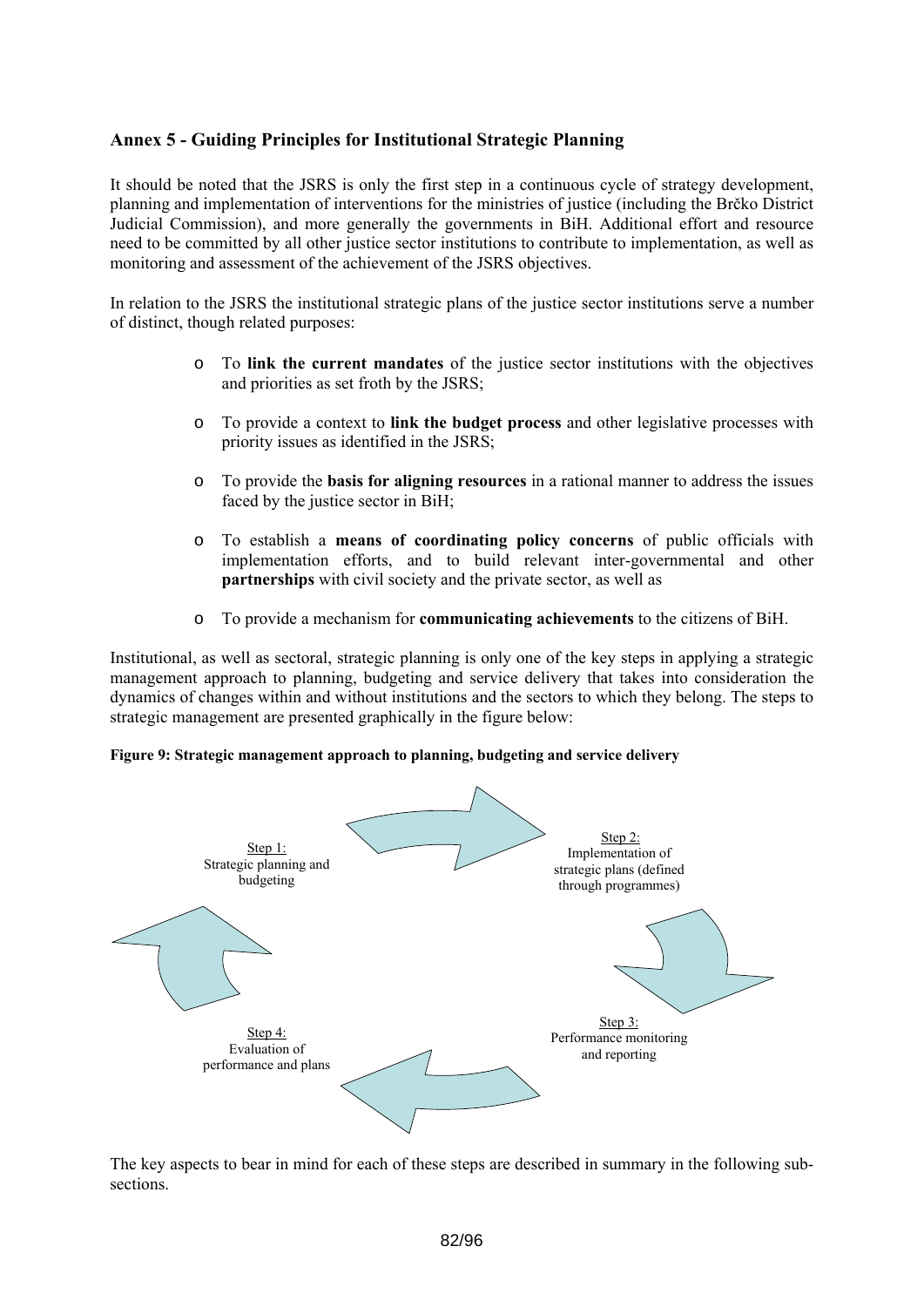# **Annex 5 - Guiding Principles for Institutional Strategic Planning**

It should be noted that the JSRS is only the first step in a continuous cycle of strategy development, planning and implementation of interventions for the ministries of justice (including the Brčko District Judicial Commission), and more generally the governments in BiH. Additional effort and resource need to be committed by all other justice sector institutions to contribute to implementation, as well as monitoring and assessment of the achievement of the JSRS objectives.

In relation to the JSRS the institutional strategic plans of the justice sector institutions serve a number of distinct, though related purposes:

- o To **link the current mandates** of the justice sector institutions with the objectives and priorities as set froth by the JSRS;
- o To provide a context to **link the budget process** and other legislative processes with priority issues as identified in the JSRS;
- o To provide the **basis for aligning resources** in a rational manner to address the issues faced by the justice sector in BiH;
- o To establish a **means of coordinating policy concerns** of public officials with implementation efforts, and to build relevant inter-governmental and other **partnerships** with civil society and the private sector, as well as
- o To provide a mechanism for **communicating achievements** to the citizens of BiH.

Institutional, as well as sectoral, strategic planning is only one of the key steps in applying a strategic management approach to planning, budgeting and service delivery that takes into consideration the dynamics of changes within and without institutions and the sectors to which they belong. The steps to strategic management are presented graphically in the figure below:

**Figure 9: Strategic management approach to planning, budgeting and service delivery** 



The key aspects to bear in mind for each of these steps are described in summary in the following subsections.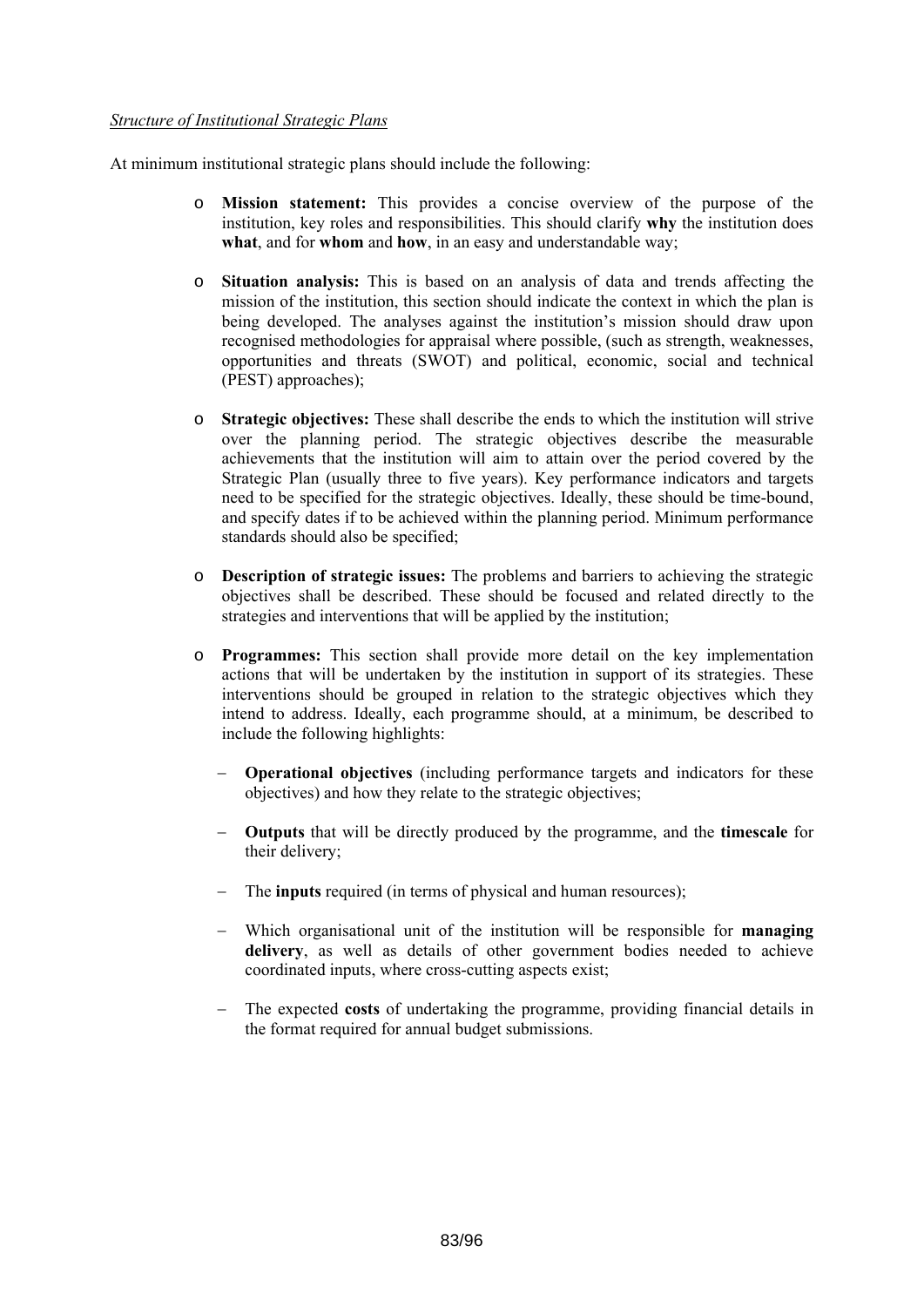### *Structure of Institutional Strategic Plans*

At minimum institutional strategic plans should include the following:

- o **Mission statement:** This provides a concise overview of the purpose of the institution, key roles and responsibilities. This should clarify **why** the institution does **what**, and for **whom** and **how**, in an easy and understandable way;
- o **Situation analysis:** This is based on an analysis of data and trends affecting the mission of the institution, this section should indicate the context in which the plan is being developed. The analyses against the institution's mission should draw upon recognised methodologies for appraisal where possible, (such as strength, weaknesses, opportunities and threats (SWOT) and political, economic, social and technical (PEST) approaches);
- o **Strategic objectives:** These shall describe the ends to which the institution will strive over the planning period. The strategic objectives describe the measurable achievements that the institution will aim to attain over the period covered by the Strategic Plan (usually three to five years). Key performance indicators and targets need to be specified for the strategic objectives. Ideally, these should be time-bound, and specify dates if to be achieved within the planning period. Minimum performance standards should also be specified;
- o **Description of strategic issues:** The problems and barriers to achieving the strategic objectives shall be described. These should be focused and related directly to the strategies and interventions that will be applied by the institution;
- o **Programmes:** This section shall provide more detail on the key implementation actions that will be undertaken by the institution in support of its strategies. These interventions should be grouped in relation to the strategic objectives which they intend to address. Ideally, each programme should, at a minimum, be described to include the following highlights:
	- − **Operational objectives** (including performance targets and indicators for these objectives) and how they relate to the strategic objectives;
	- − **Outputs** that will be directly produced by the programme, and the **timescale** for their delivery;
	- − The **inputs** required (in terms of physical and human resources);
	- − Which organisational unit of the institution will be responsible for **managing**  delivery, as well as details of other government bodies needed to achieve coordinated inputs, where cross-cutting aspects exist;
	- The expected **costs** of undertaking the programme, providing financial details in the format required for annual budget submissions.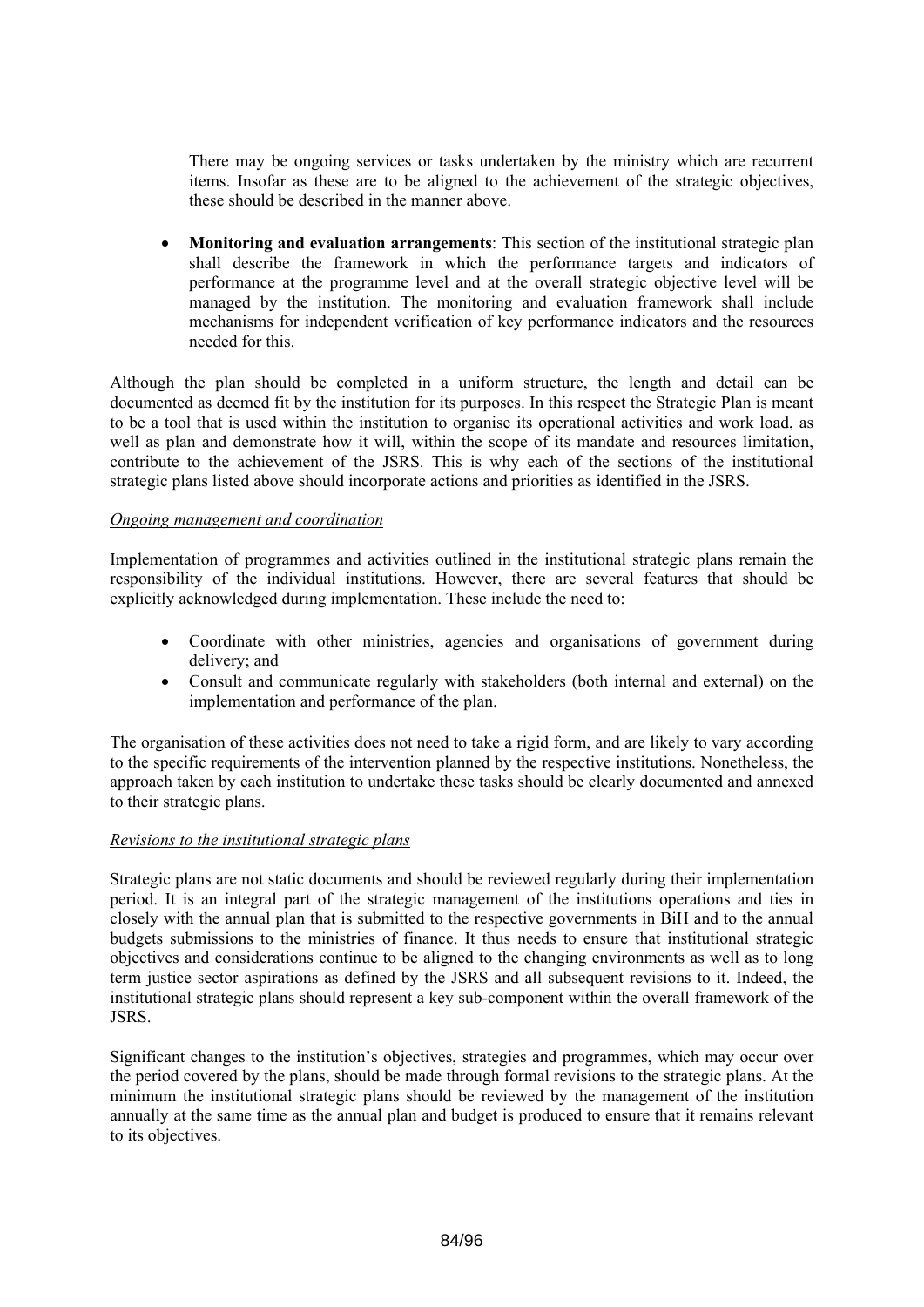There may be ongoing services or tasks undertaken by the ministry which are recurrent items. Insofar as these are to be aligned to the achievement of the strategic objectives, these should be described in the manner above.

• **Monitoring and evaluation arrangements**: This section of the institutional strategic plan shall describe the framework in which the performance targets and indicators of performance at the programme level and at the overall strategic objective level will be managed by the institution. The monitoring and evaluation framework shall include mechanisms for independent verification of key performance indicators and the resources needed for this.

Although the plan should be completed in a uniform structure, the length and detail can be documented as deemed fit by the institution for its purposes. In this respect the Strategic Plan is meant to be a tool that is used within the institution to organise its operational activities and work load, as well as plan and demonstrate how it will, within the scope of its mandate and resources limitation, contribute to the achievement of the JSRS. This is why each of the sections of the institutional strategic plans listed above should incorporate actions and priorities as identified in the JSRS.

### *Ongoing management and coordination*

Implementation of programmes and activities outlined in the institutional strategic plans remain the responsibility of the individual institutions. However, there are several features that should be explicitly acknowledged during implementation. These include the need to:

- Coordinate with other ministries, agencies and organisations of government during delivery; and
- Consult and communicate regularly with stakeholders (both internal and external) on the implementation and performance of the plan.

The organisation of these activities does not need to take a rigid form, and are likely to vary according to the specific requirements of the intervention planned by the respective institutions. Nonetheless, the approach taken by each institution to undertake these tasks should be clearly documented and annexed to their strategic plans.

### *Revisions to the institutional strategic plans*

Strategic plans are not static documents and should be reviewed regularly during their implementation period. It is an integral part of the strategic management of the institutions operations and ties in closely with the annual plan that is submitted to the respective governments in BiH and to the annual budgets submissions to the ministries of finance. It thus needs to ensure that institutional strategic objectives and considerations continue to be aligned to the changing environments as well as to long term justice sector aspirations as defined by the JSRS and all subsequent revisions to it. Indeed, the institutional strategic plans should represent a key sub-component within the overall framework of the JSRS.

Significant changes to the institution's objectives, strategies and programmes, which may occur over the period covered by the plans, should be made through formal revisions to the strategic plans. At the minimum the institutional strategic plans should be reviewed by the management of the institution annually at the same time as the annual plan and budget is produced to ensure that it remains relevant to its objectives.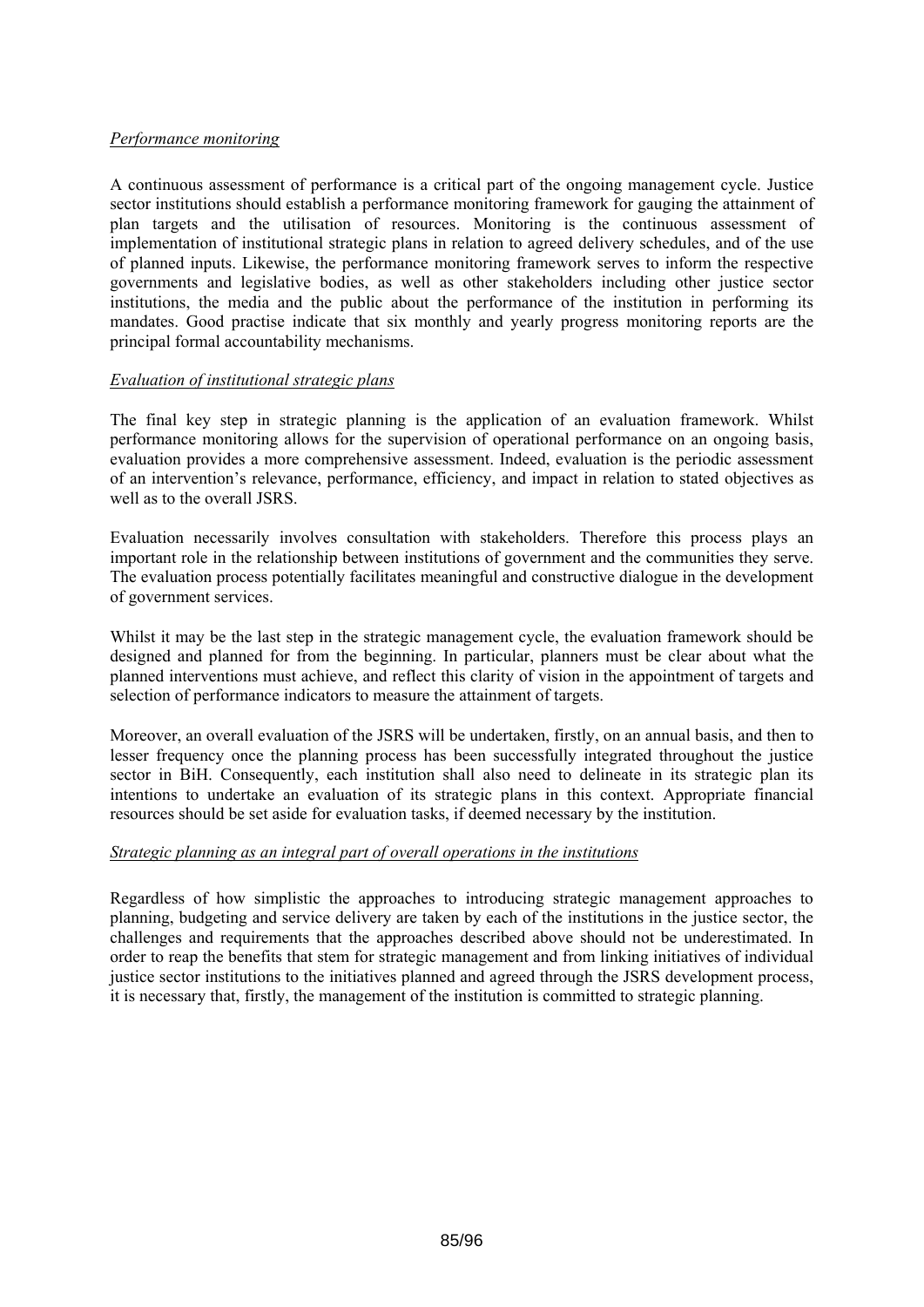## *Performance monitoring*

A continuous assessment of performance is a critical part of the ongoing management cycle. Justice sector institutions should establish a performance monitoring framework for gauging the attainment of plan targets and the utilisation of resources. Monitoring is the continuous assessment of implementation of institutional strategic plans in relation to agreed delivery schedules, and of the use of planned inputs. Likewise, the performance monitoring framework serves to inform the respective governments and legislative bodies, as well as other stakeholders including other justice sector institutions, the media and the public about the performance of the institution in performing its mandates. Good practise indicate that six monthly and yearly progress monitoring reports are the principal formal accountability mechanisms.

### *Evaluation of institutional strategic plans*

The final key step in strategic planning is the application of an evaluation framework. Whilst performance monitoring allows for the supervision of operational performance on an ongoing basis, evaluation provides a more comprehensive assessment. Indeed, evaluation is the periodic assessment of an intervention's relevance, performance, efficiency, and impact in relation to stated objectives as well as to the overall **JSRS**.

Evaluation necessarily involves consultation with stakeholders. Therefore this process plays an important role in the relationship between institutions of government and the communities they serve. The evaluation process potentially facilitates meaningful and constructive dialogue in the development of government services.

Whilst it may be the last step in the strategic management cycle, the evaluation framework should be designed and planned for from the beginning. In particular, planners must be clear about what the planned interventions must achieve, and reflect this clarity of vision in the appointment of targets and selection of performance indicators to measure the attainment of targets.

Moreover, an overall evaluation of the JSRS will be undertaken, firstly, on an annual basis, and then to lesser frequency once the planning process has been successfully integrated throughout the justice sector in BiH. Consequently, each institution shall also need to delineate in its strategic plan its intentions to undertake an evaluation of its strategic plans in this context. Appropriate financial resources should be set aside for evaluation tasks, if deemed necessary by the institution.

## *Strategic planning as an integral part of overall operations in the institutions*

Regardless of how simplistic the approaches to introducing strategic management approaches to planning, budgeting and service delivery are taken by each of the institutions in the justice sector, the challenges and requirements that the approaches described above should not be underestimated. In order to reap the benefits that stem for strategic management and from linking initiatives of individual justice sector institutions to the initiatives planned and agreed through the JSRS development process, it is necessary that, firstly, the management of the institution is committed to strategic planning.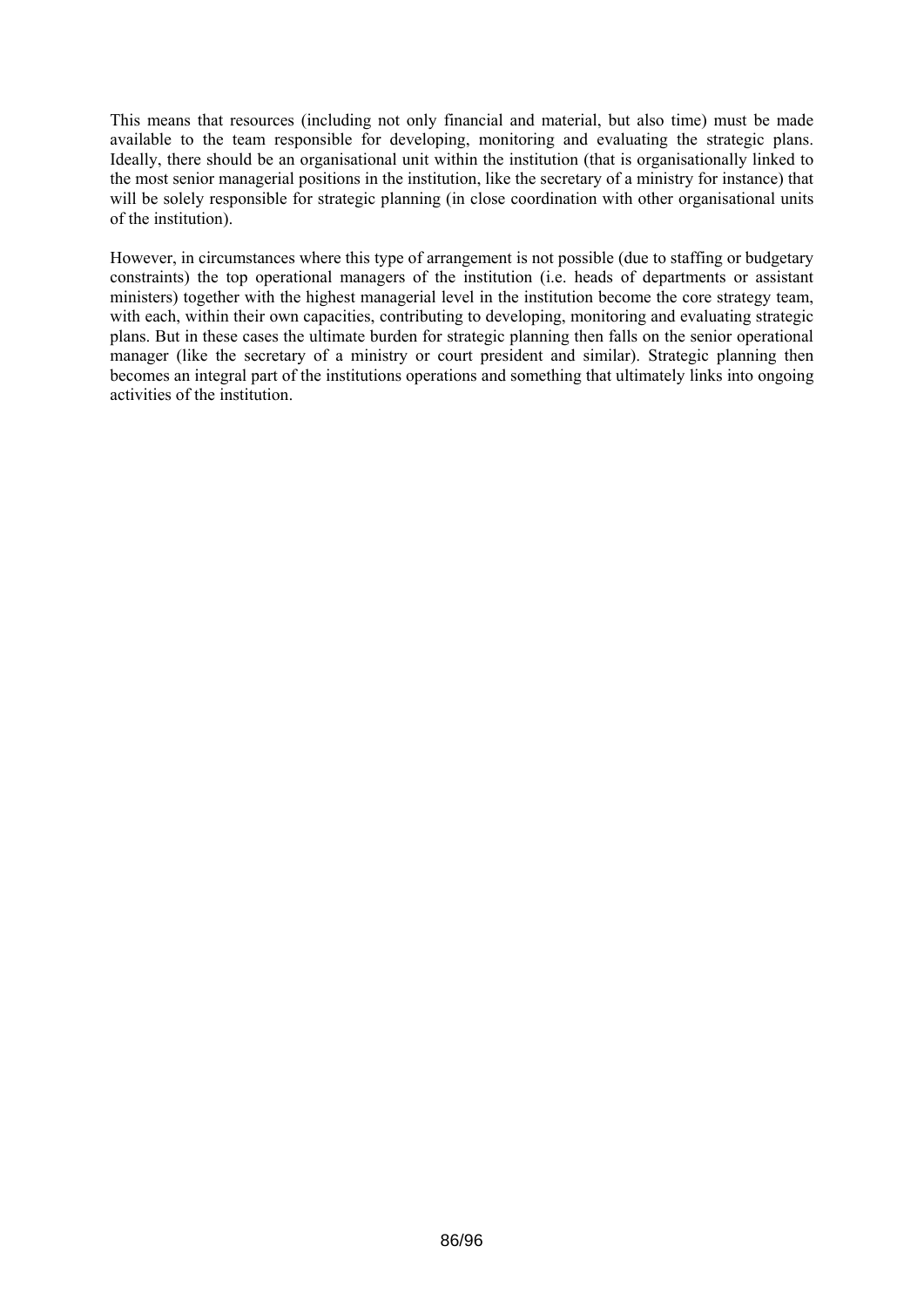This means that resources (including not only financial and material, but also time) must be made available to the team responsible for developing, monitoring and evaluating the strategic plans. Ideally, there should be an organisational unit within the institution (that is organisationally linked to the most senior managerial positions in the institution, like the secretary of a ministry for instance) that will be solely responsible for strategic planning (in close coordination with other organisational units of the institution).

However, in circumstances where this type of arrangement is not possible (due to staffing or budgetary constraints) the top operational managers of the institution (i.e. heads of departments or assistant ministers) together with the highest managerial level in the institution become the core strategy team, with each, within their own capacities, contributing to developing, monitoring and evaluating strategic plans. But in these cases the ultimate burden for strategic planning then falls on the senior operational manager (like the secretary of a ministry or court president and similar). Strategic planning then becomes an integral part of the institutions operations and something that ultimately links into ongoing activities of the institution.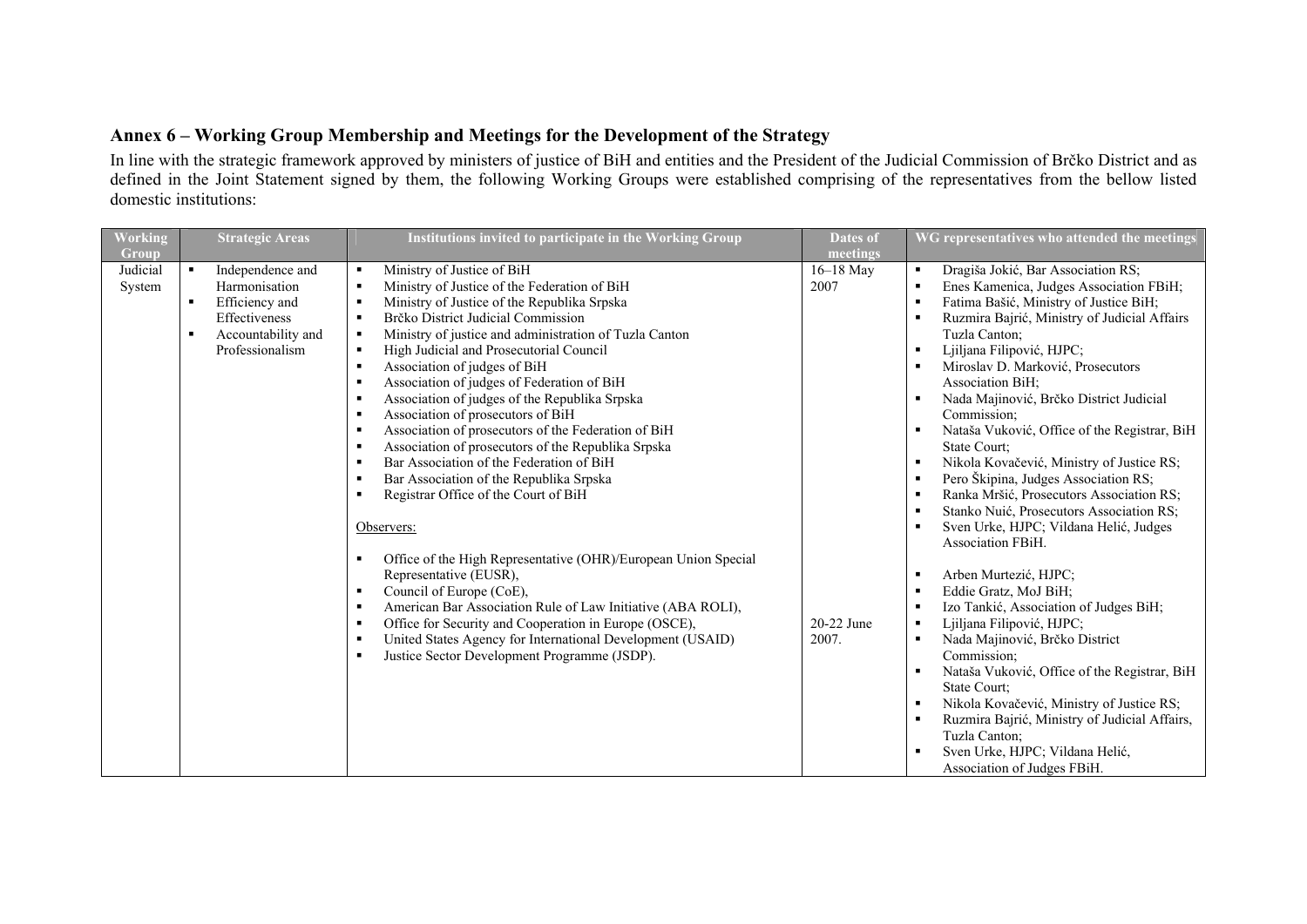# **Annex 6 – Working Group Membership and Meetings for the Development of the Strategy**

In line with the strategic framework approved by ministers of justice of BiH and entities and the President of the Judicial Commission of Brčko District and as defined in the Joint Statement signed by them, the following Working Groups were established comprising of the representatives from the bellow listed domestic institutions:

| Working                     | <b>Strategic Areas</b>                                                                                                               | Institutions invited to participate in the Working Group                                                                                                                                                                                                                                                                                                                                                                                                                                                                                                                                                                                                                                                                                                                                                                                                                                                                            | <b>Dates of</b>                 | WG representatives who attended the meetings                                                                                                                                                                                                                                                                                                                                                                                                                                                                                                                                                                              |
|-----------------------------|--------------------------------------------------------------------------------------------------------------------------------------|-------------------------------------------------------------------------------------------------------------------------------------------------------------------------------------------------------------------------------------------------------------------------------------------------------------------------------------------------------------------------------------------------------------------------------------------------------------------------------------------------------------------------------------------------------------------------------------------------------------------------------------------------------------------------------------------------------------------------------------------------------------------------------------------------------------------------------------------------------------------------------------------------------------------------------------|---------------------------------|---------------------------------------------------------------------------------------------------------------------------------------------------------------------------------------------------------------------------------------------------------------------------------------------------------------------------------------------------------------------------------------------------------------------------------------------------------------------------------------------------------------------------------------------------------------------------------------------------------------------------|
| Group<br>Judicial<br>System | Independence and<br>$\blacksquare$<br>Harmonisation<br>Efficiency and<br>٠<br>Effectiveness<br>Accountability and<br>Professionalism | Ministry of Justice of BiH<br>$\blacksquare$<br>Ministry of Justice of the Federation of BiH<br>$\blacksquare$<br>Ministry of Justice of the Republika Srpska<br>$\blacksquare$<br>Brčko District Judicial Commission<br>$\blacksquare$<br>Ministry of justice and administration of Tuzla Canton<br>$\blacksquare$<br>High Judicial and Prosecutorial Council<br>$\blacksquare$<br>Association of judges of BiH<br>$\blacksquare$<br>Association of judges of Federation of BiH<br>$\blacksquare$<br>Association of judges of the Republika Srpska<br>$\blacksquare$<br>Association of prosecutors of BiH<br>$\blacksquare$<br>Association of prosecutors of the Federation of BiH<br>$\blacksquare$<br>Association of prosecutors of the Republika Srpska<br>$\blacksquare$<br>Bar Association of the Federation of BiH<br>п<br>Bar Association of the Republika Srpska<br>$\blacksquare$<br>Registrar Office of the Court of BiH | meetings<br>$16-18$ May<br>2007 | Dragiša Jokić, Bar Association RS;<br>$\blacksquare$<br>Enes Kamenica, Judges Association FBiH;<br>Fatima Bašić, Ministry of Justice BiH;<br>Ruzmira Bajrić, Ministry of Judicial Affairs<br>Tuzla Canton;<br>Ljiljana Filipović, HJPC;<br>Miroslav D. Marković, Prosecutors<br>Association BiH;<br>Nada Majinović, Brčko District Judicial<br>Commission;<br>Nataša Vuković, Office of the Registrar, BiH<br>$\blacksquare$<br>State Court;<br>Nikola Kovačević, Ministry of Justice RS;<br>Pero Škipina, Judges Association RS;<br>Ranka Mršić, Prosecutors Association RS;<br>Stanko Nuić, Prosecutors Association RS; |
|                             |                                                                                                                                      | Observers:<br>Office of the High Representative (OHR)/European Union Special<br>٠<br>Representative (EUSR),<br>Council of Europe (CoE),<br>$\blacksquare$<br>American Bar Association Rule of Law Initiative (ABA ROLI),<br>$\blacksquare$<br>Office for Security and Cooperation in Europe (OSCE),<br>$\blacksquare$<br>United States Agency for International Development (USAID)<br>п<br>Justice Sector Development Programme (JSDP).<br>п                                                                                                                                                                                                                                                                                                                                                                                                                                                                                       | 20-22 June<br>2007.             | Sven Urke, HJPC; Vildana Helić, Judges<br>Association FBiH.<br>Arben Murtezić, HJPC;<br>Eddie Gratz, MoJ BiH;<br>Izo Tankić, Association of Judges BiH;<br>Ljiljana Filipović, HJPC;<br>$\blacksquare$<br>Nada Majinović, Brčko District<br>Commission;<br>Nataša Vuković, Office of the Registrar, BiH<br>$\blacksquare$<br>State Court;<br>Nikola Kovačević, Ministry of Justice RS;<br>Ruzmira Bajrić, Ministry of Judicial Affairs,<br>Tuzla Canton;<br>Sven Urke, HJPC; Vildana Helić,<br>Association of Judges FBiH.                                                                                                |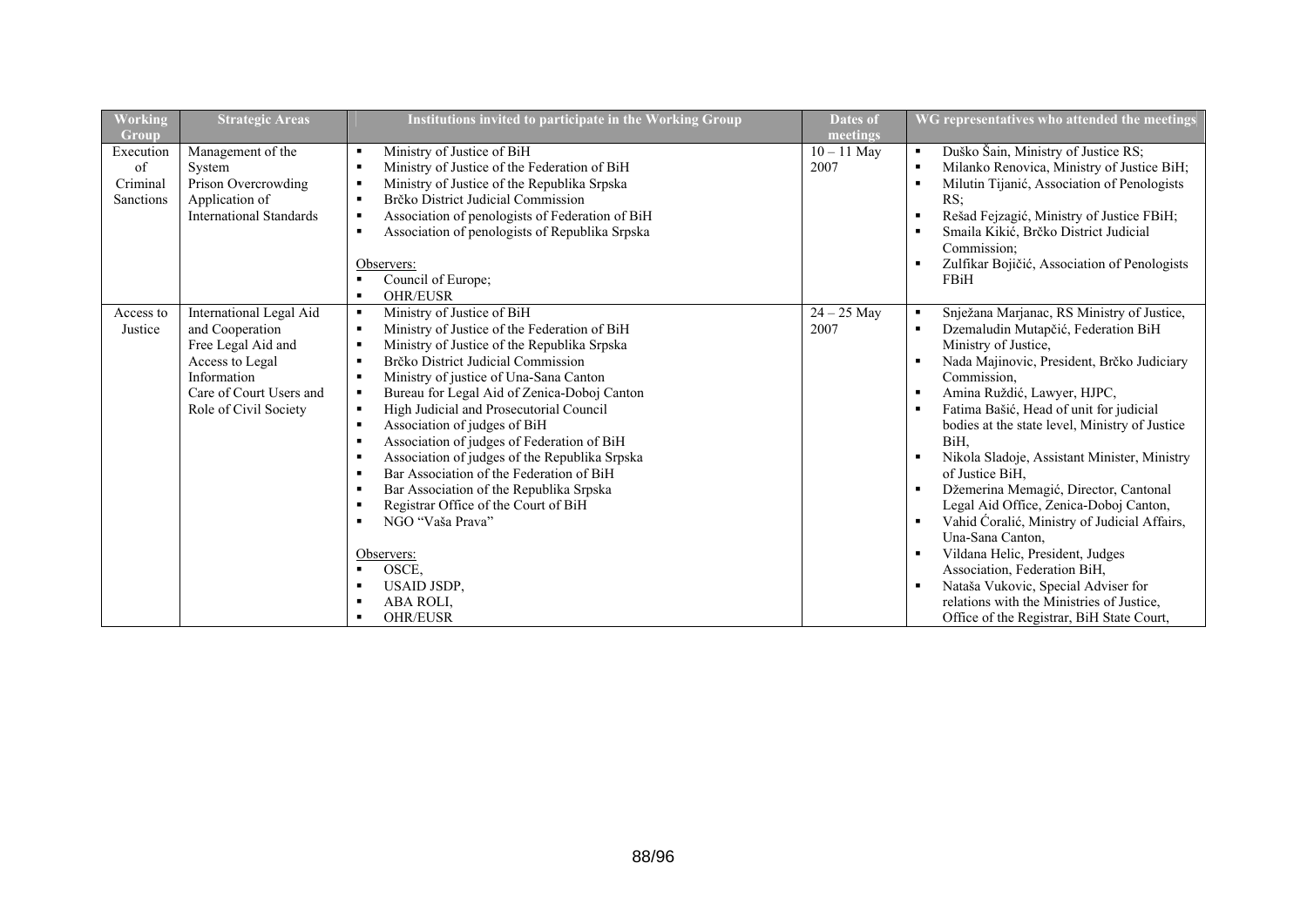| Working                                  | <b>Strategic Areas</b>                                                                                                                                 | Institutions invited to participate in the Working Group                                                                                                                                                                                                                                                                                                                                                                                                                                                                                                                                                                                                                                                                                                                                                                                                                                                                                                                      | <b>Dates of</b>       | WG representatives who attended the meetings                                                                                                                                                                                                                                                                                                                                                                                                                                                                                                                                                                                                                                                                                                                                                                                     |
|------------------------------------------|--------------------------------------------------------------------------------------------------------------------------------------------------------|-------------------------------------------------------------------------------------------------------------------------------------------------------------------------------------------------------------------------------------------------------------------------------------------------------------------------------------------------------------------------------------------------------------------------------------------------------------------------------------------------------------------------------------------------------------------------------------------------------------------------------------------------------------------------------------------------------------------------------------------------------------------------------------------------------------------------------------------------------------------------------------------------------------------------------------------------------------------------------|-----------------------|----------------------------------------------------------------------------------------------------------------------------------------------------------------------------------------------------------------------------------------------------------------------------------------------------------------------------------------------------------------------------------------------------------------------------------------------------------------------------------------------------------------------------------------------------------------------------------------------------------------------------------------------------------------------------------------------------------------------------------------------------------------------------------------------------------------------------------|
| Group                                    |                                                                                                                                                        |                                                                                                                                                                                                                                                                                                                                                                                                                                                                                                                                                                                                                                                                                                                                                                                                                                                                                                                                                                               | meetings              |                                                                                                                                                                                                                                                                                                                                                                                                                                                                                                                                                                                                                                                                                                                                                                                                                                  |
| Execution<br>of<br>Criminal<br>Sanctions | Management of the<br>System<br>Prison Overcrowding<br>Application of<br><b>International Standards</b>                                                 | Ministry of Justice of BiH<br>$\blacksquare$<br>Ministry of Justice of the Federation of BiH<br>$\blacksquare$<br>Ministry of Justice of the Republika Srpska<br>$\blacksquare$<br>Brčko District Judicial Commission<br>$\blacksquare$<br>Association of penologists of Federation of BiH<br>$\blacksquare$<br>Association of penologists of Republika Srpska<br>$\blacksquare$<br>Observers:<br>Council of Europe;<br>$\blacksquare$<br><b>OHR/EUSR</b><br>$\blacksquare$                                                                                                                                                                                                                                                                                                                                                                                                                                                                                                   | $10 - 11$ May<br>2007 | Duško Šain, Ministry of Justice RS;<br>$\blacksquare$<br>Milanko Renovica, Ministry of Justice BiH;<br>$\blacksquare$<br>Milutin Tijanić, Association of Penologists<br>RS:<br>Rešad Fejzagić, Ministry of Justice FBiH;<br>$\blacksquare$<br>Smaila Kikić, Brčko District Judicial<br>Commission:<br>Zulfikar Bojičić, Association of Penologists<br>FBiH                                                                                                                                                                                                                                                                                                                                                                                                                                                                       |
| Access to<br>Justice                     | International Legal Aid<br>and Cooperation<br>Free Legal Aid and<br>Access to Legal<br>Information<br>Care of Court Users and<br>Role of Civil Society | Ministry of Justice of BiH<br>$\blacksquare$<br>Ministry of Justice of the Federation of BiH<br>$\blacksquare$<br>Ministry of Justice of the Republika Srpska<br>$\blacksquare$<br>Brčko District Judicial Commission<br>$\blacksquare$<br>Ministry of justice of Una-Sana Canton<br>$\blacksquare$<br>Bureau for Legal Aid of Zenica-Doboj Canton<br>п.<br>High Judicial and Prosecutorial Council<br>$\blacksquare$<br>Association of judges of BiH<br>$\blacksquare$<br>Association of judges of Federation of BiH<br>$\blacksquare$<br>Association of judges of the Republika Srpska<br>$\blacksquare$<br>Bar Association of the Federation of BiH<br>$\blacksquare$<br>Bar Association of the Republika Srpska<br>$\blacksquare$<br>Registrar Office of the Court of BiH<br>٠<br>NGO "Vaša Prava"<br>$\blacksquare$<br>Observers:<br>OSCE,<br>$\blacksquare$<br><b>USAID JSDP.</b><br>$\blacksquare$<br>ABA ROLI,<br>$\blacksquare$<br><b>OHR/EUSR</b><br>$\blacksquare$ | $24 - 25$ May<br>2007 | Snježana Marjanac, RS Ministry of Justice,<br>Dzemaludin Mutapčić, Federation BiH<br>$\blacksquare$<br>Ministry of Justice,<br>Nada Majinovic, President, Brčko Judiciary<br>Commission,<br>Amina Ruždić, Lawyer, HJPC,<br>٠<br>Fatima Bašić, Head of unit for judicial<br>bodies at the state level, Ministry of Justice<br>BiH.<br>Nikola Sladoje, Assistant Minister, Ministry<br>$\blacksquare$<br>of Justice BiH.<br>Džemerina Memagić, Director, Cantonal<br>٠<br>Legal Aid Office, Zenica-Doboj Canton,<br>Vahid Ćoralić, Ministry of Judicial Affairs,<br>$\blacksquare$<br>Una-Sana Canton,<br>Vildana Helic, President, Judges<br>$\blacksquare$<br>Association, Federation BiH,<br>Nataša Vukovic, Special Adviser for<br>٠<br>relations with the Ministries of Justice,<br>Office of the Registrar, BiH State Court, |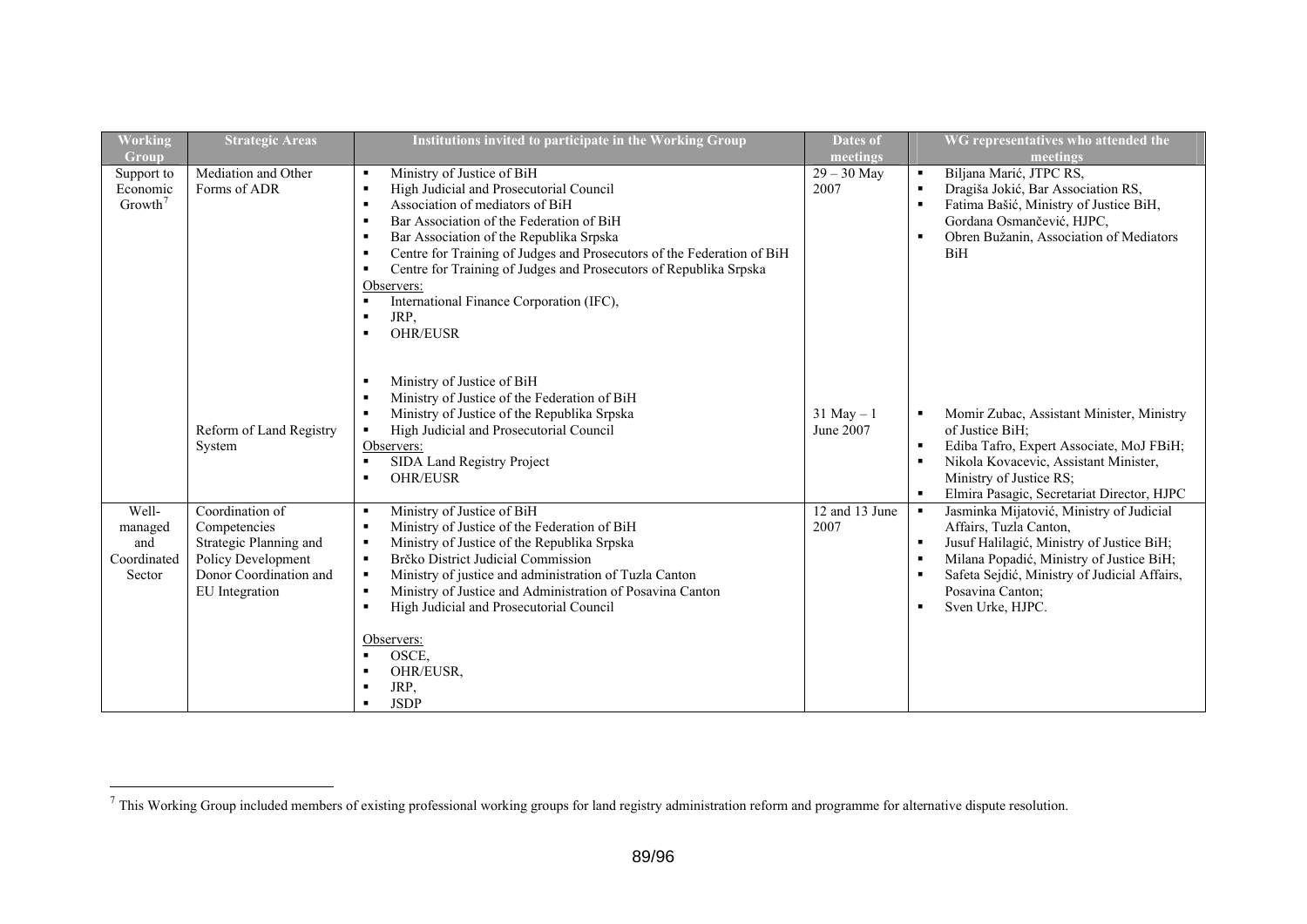| Working<br>Group                                 | <b>Strategic Areas</b>                                                                                                      | Institutions invited to participate in the Working Group                                                                                                                                                                                                                                                                                                                                                                                                                                                           | <b>Dates of</b><br>meetings |                                                                           | WG representatives who attended the<br>meetings                                                                                                                                                                                                     |
|--------------------------------------------------|-----------------------------------------------------------------------------------------------------------------------------|--------------------------------------------------------------------------------------------------------------------------------------------------------------------------------------------------------------------------------------------------------------------------------------------------------------------------------------------------------------------------------------------------------------------------------------------------------------------------------------------------------------------|-----------------------------|---------------------------------------------------------------------------|-----------------------------------------------------------------------------------------------------------------------------------------------------------------------------------------------------------------------------------------------------|
| Support to<br>Economic<br>Growth <sup>7</sup>    | Mediation and Other<br>Forms of ADR                                                                                         | Ministry of Justice of BiH<br>٠<br>High Judicial and Prosecutorial Council<br>$\blacksquare$<br>Association of mediators of BiH<br>$\blacksquare$<br>Bar Association of the Federation of BiH<br>$\blacksquare$<br>Bar Association of the Republika Srpska<br>٠<br>Centre for Training of Judges and Prosecutors of the Federation of BiH<br>٠<br>Centre for Training of Judges and Prosecutors of Republika Srpska<br>٠<br>Observers:<br>International Finance Corporation (IFC),<br>JRP,<br>٠<br><b>OHR/EUSR</b> | $29 - 30$ May<br>2007       | $\blacksquare$<br>$\blacksquare$<br>$\blacksquare$<br>$\blacksquare$      | Biljana Marić, JTPC RS,<br>Dragiša Jokić, Bar Association RS,<br>Fatima Bašić, Ministry of Justice BiH,<br>Gordana Osmančević, HJPC,<br>Obren Bužanin, Association of Mediators<br><b>BiH</b>                                                       |
|                                                  | Reform of Land Registry<br>System                                                                                           | Ministry of Justice of BiH<br>Ministry of Justice of the Federation of BiH<br>Ministry of Justice of the Republika Srpska<br>$\blacksquare$<br>High Judicial and Prosecutorial Council<br>٠<br>Observers:<br>SIDA Land Registry Project<br>$\blacksquare$<br><b>OHR/EUSR</b><br>$\blacksquare$                                                                                                                                                                                                                     | $31$ May $-1$<br>June 2007  | $\blacksquare$<br>$\blacksquare$<br>$\blacksquare$                        | Momir Zubac, Assistant Minister, Ministry<br>of Justice BiH;<br>Ediba Tafro, Expert Associate, MoJ FBiH;<br>Nikola Kovacevic, Assistant Minister,<br>Ministry of Justice RS;<br>Elmira Pasagic, Secretariat Director, HJPC                          |
| Well-<br>managed<br>and<br>Coordinated<br>Sector | Coordination of<br>Competencies<br>Strategic Planning and<br>Policy Development<br>Donor Coordination and<br>EU Integration | Ministry of Justice of BiH<br>٠<br>Ministry of Justice of the Federation of BiH<br>Ministry of Justice of the Republika Srpska<br>٠<br>Brčko District Judicial Commission<br>$\blacksquare$<br>Ministry of justice and administration of Tuzla Canton<br>$\blacksquare$<br>Ministry of Justice and Administration of Posavina Canton<br>$\blacksquare$<br>High Judicial and Prosecutorial Council<br>$\blacksquare$<br>Observers:<br>OSCE,<br>$\blacksquare$<br>OHR/EUSR,<br>JRP,<br><b>JSDP</b><br>$\blacksquare$ | 12 and 13 June<br>2007      | $\blacksquare$<br>$\blacksquare$<br>٠<br>$\blacksquare$<br>$\blacksquare$ | Jasminka Mijatović, Ministry of Judicial<br>Affairs, Tuzla Canton,<br>Jusuf Halilagić, Ministry of Justice BiH;<br>Milana Popadić, Ministry of Justice BiH;<br>Safeta Sejdić, Ministry of Judicial Affairs,<br>Posavina Canton:<br>Sven Urke, HJPC. |

<span id="page-88-0"></span> $<sup>7</sup>$  This Working Group included members of existing professional working groups for land registry administration reform and programme for alternative dispute resolution.</sup>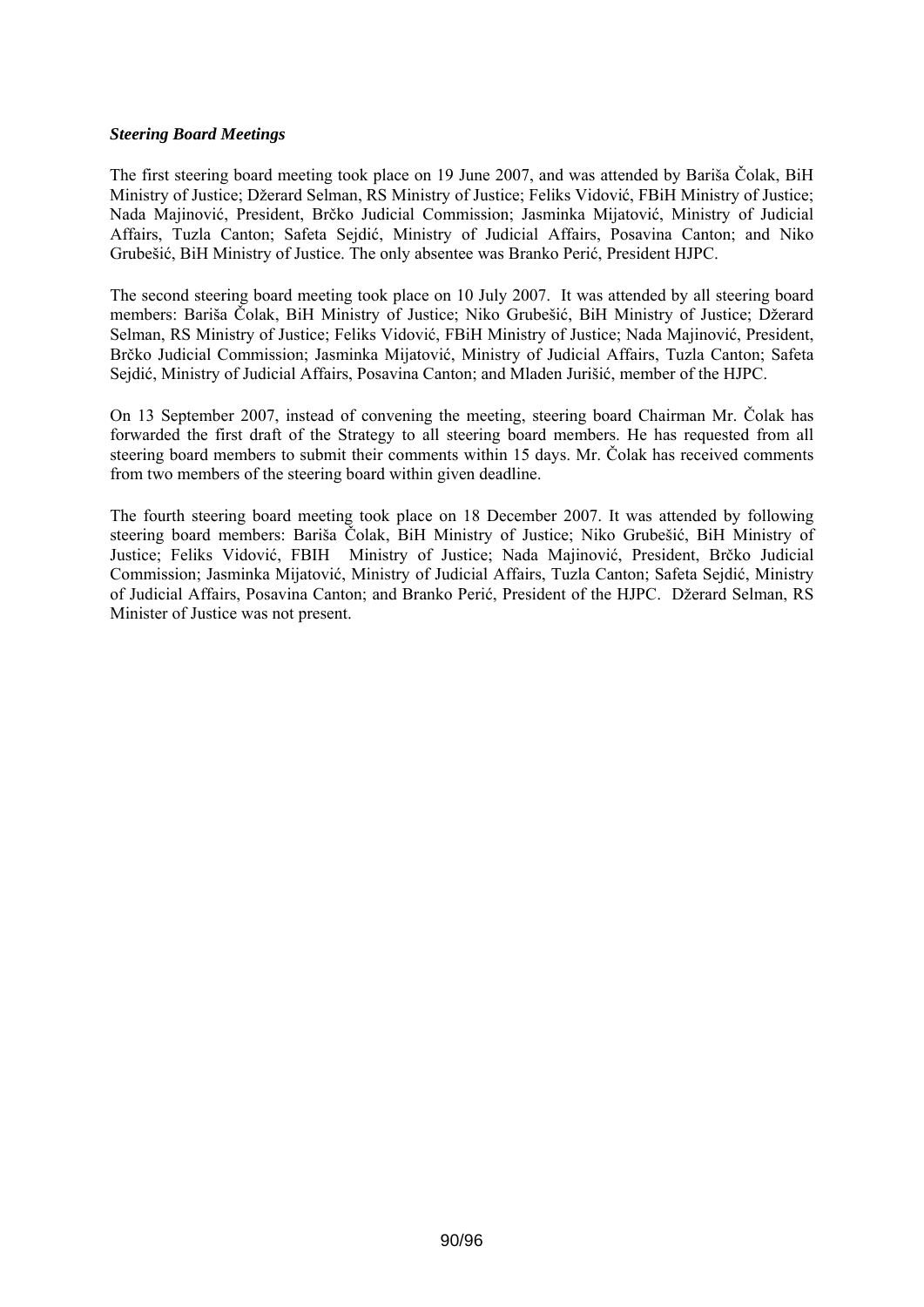### *Steering Board Meetings*

The first steering board meeting took place on 19 June 2007, and was attended by Bariša Čolak, BiH Ministry of Justice; Džerard Selman, RS Ministry of Justice; Feliks Vidović, FBiH Ministry of Justice; Nada Majinović, President, Brčko Judicial Commission; Jasminka Mijatović, Ministry of Judicial Affairs, Tuzla Canton; Safeta Sejdić, Ministry of Judicial Affairs, Posavina Canton; and Niko Grubešić, BiH Ministry of Justice. The only absentee was Branko Perić, President HJPC.

The second steering board meeting took place on 10 July 2007. It was attended by all steering board members: Bariša Čolak, BiH Ministry of Justice; Niko Grubešić, BiH Ministry of Justice; Džerard Selman, RS Ministry of Justice; Feliks Vidović, FBiH Ministry of Justice; Nada Majinović, President, Brčko Judicial Commission; Jasminka Mijatović, Ministry of Judicial Affairs, Tuzla Canton; Safeta Sejdić, Ministry of Judicial Affairs, Posavina Canton; and Mladen Jurišić, member of the HJPC.

On 13 September 2007, instead of convening the meeting, steering board Chairman Mr. Čolak has forwarded the first draft of the Strategy to all steering board members. He has requested from all steering board members to submit their comments within 15 days. Mr. Čolak has received comments from two members of the steering board within given deadline.

The fourth steering board meeting took place on 18 December 2007. It was attended by following steering board members: Bariša Čolak, BiH Ministry of Justice; Niko Grubešić, BiH Ministry of Justice; Feliks Vidović, FBIH Ministry of Justice; Nada Majinović, President, Brčko Judicial Commission; Jasminka Mijatović, Ministry of Judicial Affairs, Tuzla Canton; Safeta Sejdić, Ministry of Judicial Affairs, Posavina Canton; and Branko Perić, President of the HJPC. Džerard Selman, RS Minister of Justice was not present.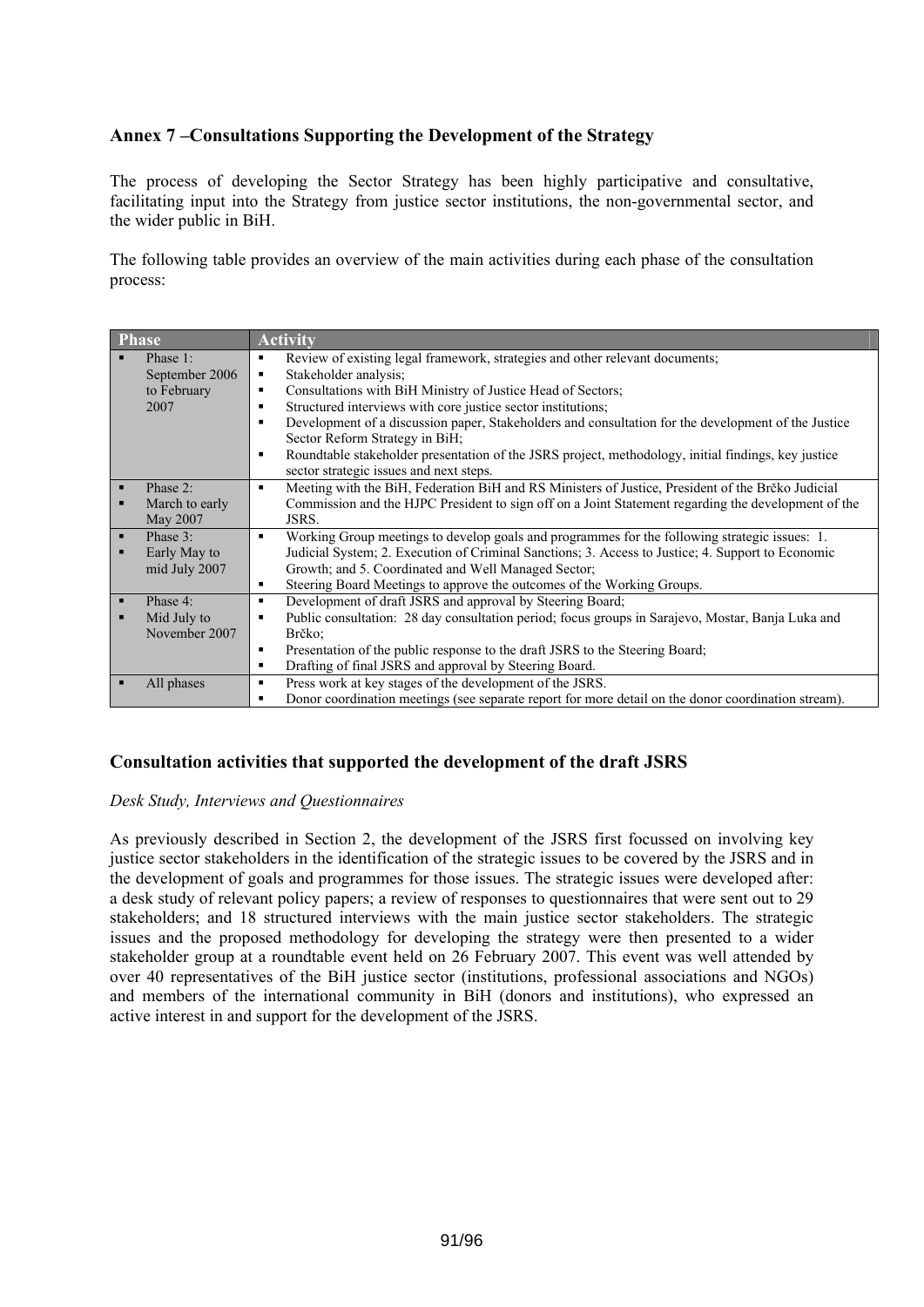# **Annex 7 –Consultations Supporting the Development of the Strategy**

The process of developing the Sector Strategy has been highly participative and consultative, facilitating input into the Strategy from justice sector institutions, the non-governmental sector, and the wider public in BiH.

The following table provides an overview of the main activities during each phase of the consultation process:

| <b>Phase</b>   |                | <b>Activity</b>                                                                                                     |
|----------------|----------------|---------------------------------------------------------------------------------------------------------------------|
|                | Phase 1:       | Review of existing legal framework, strategies and other relevant documents;<br>$\blacksquare$                      |
|                | September 2006 | Stakeholder analysis:<br>٠                                                                                          |
|                | to February    | Consultations with BiH Ministry of Justice Head of Sectors;<br>٠                                                    |
|                | 2007           | Structured interviews with core justice sector institutions;<br>٠                                                   |
|                |                | Development of a discussion paper, Stakeholders and consultation for the development of the Justice<br>п            |
|                |                | Sector Reform Strategy in BiH;                                                                                      |
|                |                | Roundtable stakeholder presentation of the JSRS project, methodology, initial findings, key justice<br>п            |
|                |                | sector strategic issues and next steps.                                                                             |
| $\blacksquare$ | Phase 2:       | Meeting with the BiH, Federation BiH and RS Ministers of Justice, President of the Brčko Judicial<br>$\blacksquare$ |
|                | March to early | Commission and the HJPC President to sign off on a Joint Statement regarding the development of the                 |
|                | May 2007       | JSRS.                                                                                                               |
| ٠              | Phase 3:       | Working Group meetings to develop goals and programmes for the following strategic issues: 1.<br>$\blacksquare$     |
|                | Early May to   | Judicial System; 2. Execution of Criminal Sanctions; 3. Access to Justice; 4. Support to Economic                   |
|                | mid July 2007  | Growth; and 5. Coordinated and Well Managed Sector;                                                                 |
|                |                | Steering Board Meetings to approve the outcomes of the Working Groups.<br>٠                                         |
| п              | Phase 4:       | Development of draft JSRS and approval by Steering Board;<br>٠                                                      |
|                | Mid July to    | Public consultation: 28 day consultation period; focus groups in Sarajevo, Mostar, Banja Luka and<br>в              |
|                | November 2007  | Brčko:                                                                                                              |
|                |                | Presentation of the public response to the draft JSRS to the Steering Board;<br>٠                                   |
|                |                | Drafting of final JSRS and approval by Steering Board.<br>$\blacksquare$                                            |
|                | All phases     | Press work at key stages of the development of the JSRS.<br>٠                                                       |
|                |                | Donor coordination meetings (see separate report for more detail on the donor coordination stream).<br>٠            |

# **Consultation activities that supported the development of the draft JSRS**

### *Desk Study, Interviews and Questionnaires*

As previously described in Section 2, the development of the JSRS first focussed on involving key justice sector stakeholders in the identification of the strategic issues to be covered by the JSRS and in the development of goals and programmes for those issues. The strategic issues were developed after: a desk study of relevant policy papers; a review of responses to questionnaires that were sent out to 29 stakeholders; and 18 structured interviews with the main justice sector stakeholders. The strategic issues and the proposed methodology for developing the strategy were then presented to a wider stakeholder group at a roundtable event held on 26 February 2007. This event was well attended by over 40 representatives of the BiH justice sector (institutions, professional associations and NGOs) and members of the international community in BiH (donors and institutions), who expressed an active interest in and support for the development of the JSRS.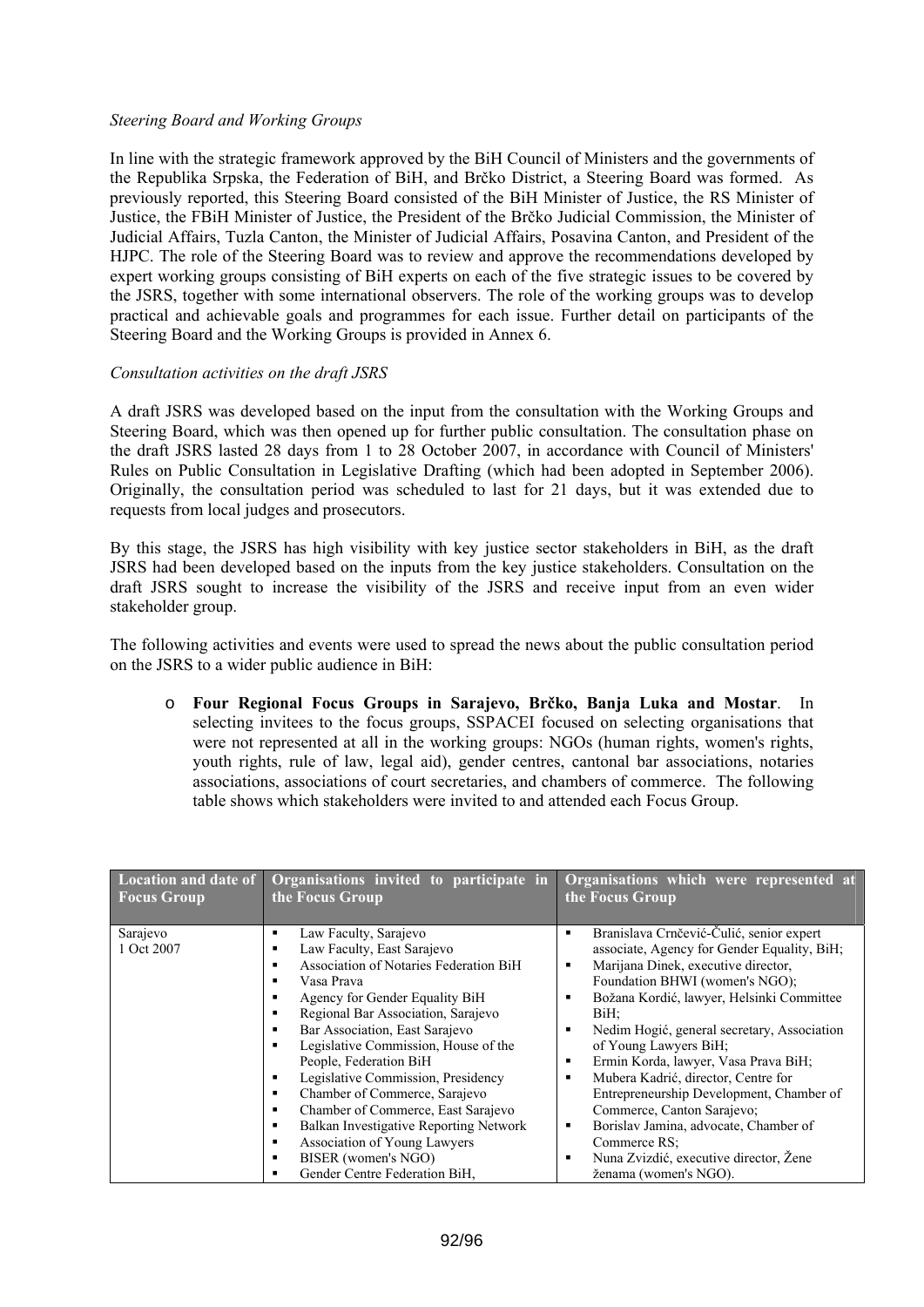### *Steering Board and Working Groups*

In line with the strategic framework approved by the BiH Council of Ministers and the governments of the Republika Srpska, the Federation of BiH, and Brčko District, a Steering Board was formed. As previously reported, this Steering Board consisted of the BiH Minister of Justice, the RS Minister of Justice, the FBiH Minister of Justice, the President of the Brčko Judicial Commission, the Minister of Judicial Affairs, Tuzla Canton, the Minister of Judicial Affairs, Posavina Canton, and President of the HJPC. The role of the Steering Board was to review and approve the recommendations developed by expert working groups consisting of BiH experts on each of the five strategic issues to be covered by the JSRS, together with some international observers. The role of the working groups was to develop practical and achievable goals and programmes for each issue. Further detail on participants of the Steering Board and the Working Groups is provided in Annex 6.

### *Consultation activities on the draft JSRS*

A draft JSRS was developed based on the input from the consultation with the Working Groups and Steering Board, which was then opened up for further public consultation. The consultation phase on the draft JSRS lasted 28 days from 1 to 28 October 2007, in accordance with Council of Ministers' Rules on Public Consultation in Legislative Drafting (which had been adopted in September 2006). Originally, the consultation period was scheduled to last for 21 days, but it was extended due to requests from local judges and prosecutors.

By this stage, the JSRS has high visibility with key justice sector stakeholders in BiH, as the draft JSRS had been developed based on the inputs from the key justice stakeholders. Consultation on the draft JSRS sought to increase the visibility of the JSRS and receive input from an even wider stakeholder group.

The following activities and events were used to spread the news about the public consultation period on the JSRS to a wider public audience in BiH:

o **Four Regional Focus Groups in Sarajevo, Brčko, Banja Luka and Mostar**. In selecting invitees to the focus groups, SSPACEI focused on selecting organisations that were not represented at all in the working groups: NGOs (human rights, women's rights, youth rights, rule of law, legal aid), gender centres, cantonal bar associations, notaries associations, associations of court secretaries, and chambers of commerce. The following table shows which stakeholders were invited to and attended each Focus Group.

| <b>Location</b> and date of<br><b>Focus Group</b> | Organisations invited to participate in<br>the Focus Group                                                                                         | Organisations which were represented at<br>the Focus Group                                                                                                                                |
|---------------------------------------------------|----------------------------------------------------------------------------------------------------------------------------------------------------|-------------------------------------------------------------------------------------------------------------------------------------------------------------------------------------------|
|                                                   |                                                                                                                                                    |                                                                                                                                                                                           |
| Sarajevo<br>1 Oct 2007                            | Law Faculty, Sarajevo<br>٠<br>Law Faculty, East Sarajevo<br>٠                                                                                      | Branislava Crnčević-Čulić, senior expert<br>$\blacksquare$<br>associate, Agency for Gender Equality, BiH;                                                                                 |
|                                                   | Association of Notaries Federation BiH<br>٠<br>Vasa Prava<br>٠<br>Agency for Gender Equality BiH<br>в                                              | Marijana Dinek, executive director,<br>٠<br>Foundation BHWI (women's NGO);<br>Božana Kordić, lawyer, Helsinki Committee<br>$\blacksquare$                                                 |
|                                                   | Regional Bar Association, Sarajevo<br>٠<br>Bar Association, East Sarajevo<br>٠<br>Legislative Commission, House of the<br>٠                        | BiH;<br>Nedim Hogić, general secretary, Association<br>$\blacksquare$<br>of Young Lawyers BiH;                                                                                            |
|                                                   | People, Federation BiH<br>Legislative Commission, Presidency<br>٠<br>Chamber of Commerce, Sarajevo<br>٠<br>Chamber of Commerce, East Sarajevo<br>٠ | Ermin Korda, lawyer, Vasa Prava BiH;<br>$\blacksquare$<br>Mubera Kadrić, director, Centre for<br>$\blacksquare$<br>Entrepreneurship Development, Chamber of<br>Commerce, Canton Sarajevo; |
|                                                   | Balkan Investigative Reporting Network<br>٠<br>Association of Young Lawyers<br>٠<br>BISER (women's NGO)<br>٠<br>Gender Centre Federation BiH,<br>٠ | Borislav Jamina, advocate, Chamber of<br>$\blacksquare$<br>Commerce RS:<br>Nuna Zvizdić, executive director, Žene<br>$\blacksquare$<br>ženama (women's NGO).                              |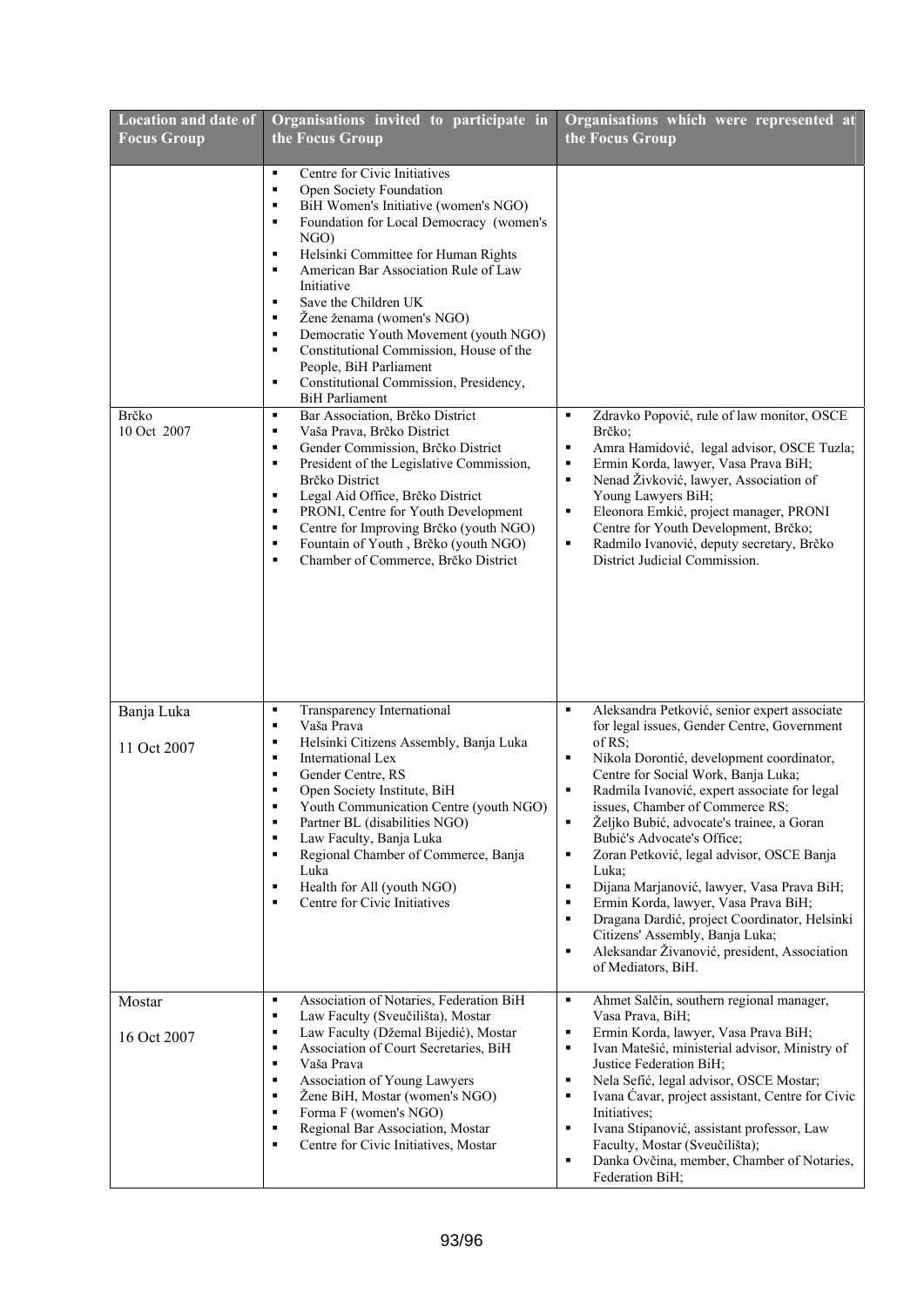| <b>Location and date of</b><br><b>Focus Group</b> | Organisations invited to participate in<br>the Focus Group                                                                                                                                                                                                                                                                                                                                                                                                                                                                                   | Organisations which were represented at<br>the Focus Group                                                                                                                                                                                                                                                                                                                                                                                                                                                                                                                                                                                                                                                                                                        |
|---------------------------------------------------|----------------------------------------------------------------------------------------------------------------------------------------------------------------------------------------------------------------------------------------------------------------------------------------------------------------------------------------------------------------------------------------------------------------------------------------------------------------------------------------------------------------------------------------------|-------------------------------------------------------------------------------------------------------------------------------------------------------------------------------------------------------------------------------------------------------------------------------------------------------------------------------------------------------------------------------------------------------------------------------------------------------------------------------------------------------------------------------------------------------------------------------------------------------------------------------------------------------------------------------------------------------------------------------------------------------------------|
|                                                   | Centre for Civic Initiatives<br>٠<br>Open Society Foundation<br>٠<br>BiH Women's Initiative (women's NGO)<br>٠<br>Foundation for Local Democracy (women's<br>٠<br>NGO)<br>Helsinki Committee for Human Rights<br>٠<br>American Bar Association Rule of Law<br>٠<br>Initiative<br>Save the Children UK<br>٠<br>Žene ženama (women's NGO)<br>٠<br>Democratic Youth Movement (youth NGO)<br>٠<br>Constitutional Commission, House of the<br>٠<br>People, BiH Parliament<br>٠<br>Constitutional Commission, Presidency,<br><b>BiH</b> Parliament |                                                                                                                                                                                                                                                                                                                                                                                                                                                                                                                                                                                                                                                                                                                                                                   |
| Brčko<br>10 Oct 2007                              | Bar Association, Brčko District<br>٠<br>Vaša Prava, Brčko District<br>٠<br>Gender Commission, Brčko District<br>٠<br>President of the Legislative Commission,<br>٠<br>Brčko District<br>Legal Aid Office, Brčko District<br>٠<br>PRONI, Centre for Youth Development<br>٠<br>Centre for Improving Brčko (youth NGO)<br>٠<br>Fountain of Youth, Brčko (youth NGO)<br>٠<br>Chamber of Commerce, Brčko District<br>٠                                                                                                                            | Zdravko Popović, rule of law monitor, OSCE<br>٠<br>Brčko:<br>$\blacksquare$<br>Amra Hamidović, legal advisor, OSCE Tuzla;<br>Ermin Korda, lawyer, Vasa Prava BiH;<br>٠<br>Nenad Živković, lawyer, Association of<br>$\blacksquare$<br>Young Lawyers BiH;<br>$\blacksquare$<br>Eleonora Emkić, project manager, PRONI<br>Centre for Youth Development, Brčko;<br>Radmilo Ivanović, deputy secretary, Brčko<br>٠<br>District Judicial Commission.                                                                                                                                                                                                                                                                                                                   |
| Banja Luka<br>11 Oct 2007                         | Transparency International<br>٠<br>Vaša Prava<br>٠<br>Helsinki Citizens Assembly, Banja Luka<br>٠<br>International Lex<br>٠<br>Gender Centre, RS<br>٠<br>Open Society Institute, BiH<br>٠<br>Youth Communication Centre (youth NGO)<br>Partner BL (disabilities NGO)<br>٠<br>٠<br>Law Faculty, Banja Luka<br>Regional Chamber of Commerce, Banja<br>٠<br>Luka<br>Health for All (youth NGO)<br>٠<br>Centre for Civic Initiatives<br>٠                                                                                                        | $\blacksquare$<br>Aleksandra Petković, senior expert associate<br>for legal issues, Gender Centre, Government<br>of $RS$ ;<br>Nikola Dorontić, development coordinator,<br>٠<br>Centre for Social Work, Banja Luka;<br>Radmila Ivanović, expert associate for legal<br>٠<br>issues, Chamber of Commerce RS;<br>Željko Bubić, advocate's trainee, a Goran<br>٠<br>Bubić's Advocate's Office;<br>Zoran Petković, legal advisor, OSCE Banja<br>٠<br>Luka:<br>$\blacksquare$<br>Dijana Marjanović, lawyer, Vasa Prava BiH;<br>$\blacksquare$<br>Ermin Korda, lawyer, Vasa Prava BiH;<br>Dragana Dardić, project Coordinator, Helsinki<br>٠<br>Citizens' Assembly, Banja Luka;<br>Aleksandar Živanović, president, Association<br>$\blacksquare$<br>of Mediators, BiH. |
| Mostar<br>16 Oct 2007                             | Association of Notaries, Federation BiH<br>٠<br>٠<br>Law Faculty (Sveučilišta), Mostar<br>Law Faculty (Džemal Bijedić), Mostar<br>٠<br>Association of Court Secretaries, BiH<br>٠<br>Vaša Prava<br>٠<br>Association of Young Lawyers<br>٠<br>Žene BiH, Mostar (women's NGO)<br>٠<br>Forma F (women's NGO)<br>٠<br>Regional Bar Association, Mostar<br>٠<br>Centre for Civic Initiatives, Mostar<br>٠                                                                                                                                         | Ahmet Salčin, southern regional manager,<br>٠<br>Vasa Prava, BiH;<br>Ermin Korda, lawyer, Vasa Prava BiH;<br>$\blacksquare$<br>Ivan Matešić, ministerial advisor, Ministry of<br>$\blacksquare$<br>Justice Federation BiH;<br>Nela Sefić, legal advisor, OSCE Mostar;<br>$\blacksquare$<br>Ivana Ćavar, project assistant, Centre for Civic<br>٠<br>Initiatives;<br>Ivana Stipanović, assistant professor, Law<br>$\blacksquare$<br>Faculty, Mostar (Sveučilišta);<br>Danka Ovčina, member, Chamber of Notaries,<br>$\blacksquare$<br>Federation BiH;                                                                                                                                                                                                             |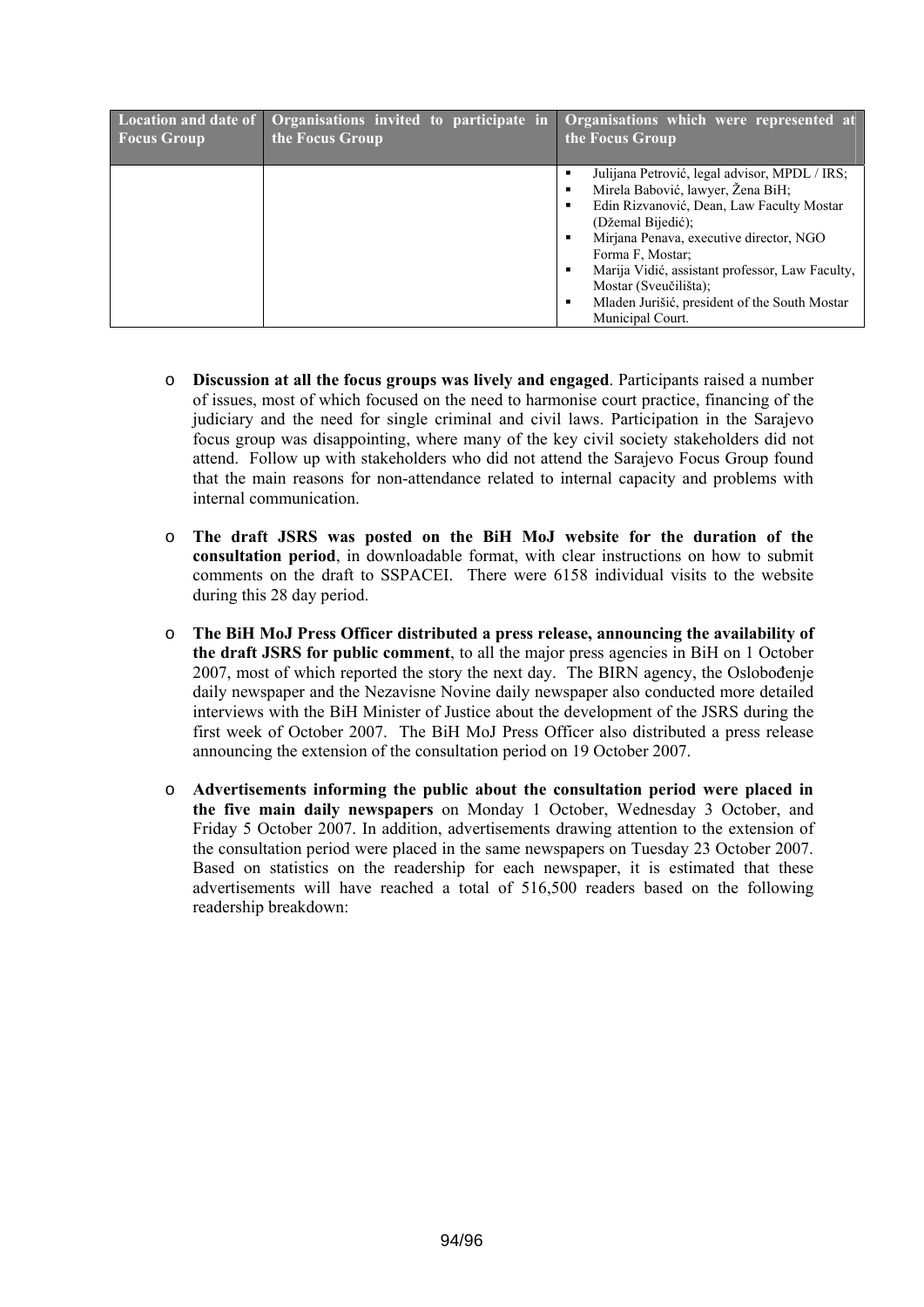| <b>Location and date of</b> | <b>Organisations invited to participate in</b> | Organisations which were represented at                                                                                                                                                                                                                                                                                                                                                                                                                                          |
|-----------------------------|------------------------------------------------|----------------------------------------------------------------------------------------------------------------------------------------------------------------------------------------------------------------------------------------------------------------------------------------------------------------------------------------------------------------------------------------------------------------------------------------------------------------------------------|
| <b>Focus Group</b>          | the Focus Group                                | the Focus Group                                                                                                                                                                                                                                                                                                                                                                                                                                                                  |
|                             |                                                | Julijana Petrović, legal advisor, MPDL / IRS;<br>$\blacksquare$<br>Mirela Babović, lawyer, Žena BiH;<br>$\blacksquare$<br>Edin Rizvanović, Dean, Law Faculty Mostar<br>$\blacksquare$<br>(Džemal Bijedić);<br>Mirjana Penava, executive director, NGO<br>$\blacksquare$<br>Forma F, Mostar;<br>Marija Vidić, assistant professor, Law Faculty,<br>$\blacksquare$<br>Mostar (Sveučilišta);<br>Mladen Jurišić, president of the South Mostar<br>$\blacksquare$<br>Municipal Court. |

- o **Discussion at all the focus groups was lively and engaged**. Participants raised a number of issues, most of which focused on the need to harmonise court practice, financing of the judiciary and the need for single criminal and civil laws. Participation in the Sarajevo focus group was disappointing, where many of the key civil society stakeholders did not attend. Follow up with stakeholders who did not attend the Sarajevo Focus Group found that the main reasons for non-attendance related to internal capacity and problems with internal communication.
- o **The draft JSRS was posted on the BiH MoJ website for the duration of the consultation period**, in downloadable format, with clear instructions on how to submit comments on the draft to SSPACEI. There were 6158 individual visits to the website during this 28 day period.
- o **The BiH MoJ Press Officer distributed a press release, announcing the availability of the draft JSRS for public comment**, to all the major press agencies in BiH on 1 October 2007, most of which reported the story the next day. The BIRN agency, the Oslobođenje daily newspaper and the Nezavisne Novine daily newspaper also conducted more detailed interviews with the BiH Minister of Justice about the development of the JSRS during the first week of October 2007. The BiH MoJ Press Officer also distributed a press release announcing the extension of the consultation period on 19 October 2007.
- o **Advertisements informing the public about the consultation period were placed in the five main daily newspapers** on Monday 1 October, Wednesday 3 October, and Friday 5 October 2007. In addition, advertisements drawing attention to the extension of the consultation period were placed in the same newspapers on Tuesday 23 October 2007. Based on statistics on the readership for each newspaper, it is estimated that these advertisements will have reached a total of 516,500 readers based on the following readership breakdown: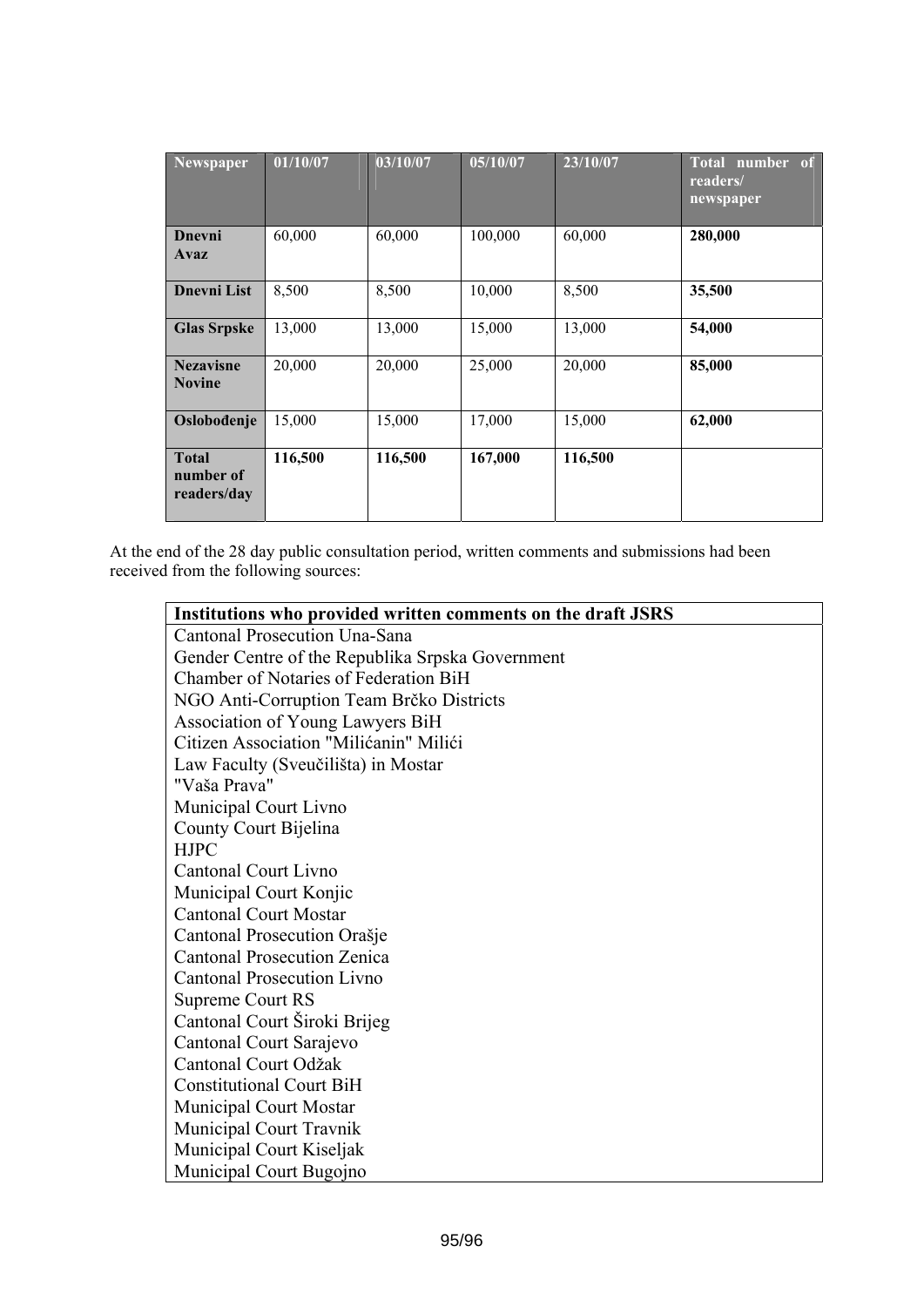| <b>Newspaper</b>                         | 01/10/07 | 03/10/07 | 05/10/07 | 23/10/07 | Total number of<br>readers/<br>newspaper |
|------------------------------------------|----------|----------|----------|----------|------------------------------------------|
| Dnevni<br>Avaz                           | 60,000   | 60,000   | 100,000  | 60,000   | 280,000                                  |
| <b>Dnevni List</b>                       | 8,500    | 8,500    | 10,000   | 8,500    | 35,500                                   |
| <b>Glas Srpske</b>                       | 13,000   | 13,000   | 15,000   | 13,000   | 54,000                                   |
| <b>Nezavisne</b><br><b>Novine</b>        | 20,000   | 20,000   | 25,000   | 20,000   | 85,000                                   |
| Oslobođenje                              | 15,000   | 15,000   | 17,000   | 15,000   | 62,000                                   |
| <b>Total</b><br>number of<br>readers/day | 116,500  | 116,500  | 167,000  | 116,500  |                                          |

At the end of the 28 day public consultation period, written comments and submissions had been received from the following sources:

| Institutions who provided written comments on the draft JSRS |
|--------------------------------------------------------------|
| Cantonal Prosecution Una-Sana                                |
| Gender Centre of the Republika Srpska Government             |
| Chamber of Notaries of Federation BiH                        |
| NGO Anti-Corruption Team Brčko Districts                     |
| Association of Young Lawyers BiH                             |
| Citizen Association "Milićanin" Milići                       |
| Law Faculty (Sveučilišta) in Mostar                          |
| "Vaša Prava"                                                 |
| Municipal Court Livno                                        |
| County Court Bijelina                                        |
| <b>HJPC</b>                                                  |
| <b>Cantonal Court Livno</b>                                  |
| Municipal Court Konjic                                       |
| <b>Cantonal Court Mostar</b>                                 |
| Cantonal Prosecution Orašje                                  |
| <b>Cantonal Prosecution Zenica</b>                           |
| <b>Cantonal Prosecution Livno</b>                            |
| Supreme Court RS                                             |
| Cantonal Court Široki Brijeg                                 |
| Cantonal Court Sarajevo                                      |
| Cantonal Court Odžak                                         |
| <b>Constitutional Court BiH</b>                              |
| <b>Municipal Court Mostar</b>                                |
| Municipal Court Travnik                                      |
| Municipal Court Kiseljak                                     |
| Municipal Court Bugojno                                      |